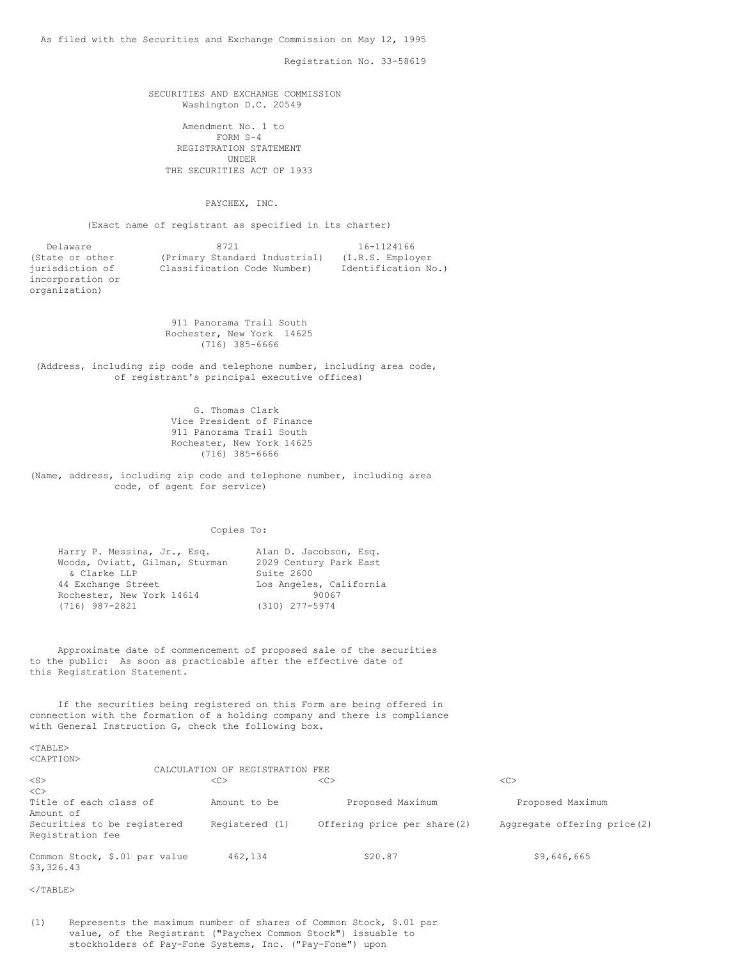Registration No. 33-58619

### SECURITIES AND EXCHANGE COMMISSION Washington D.C. 20549

Amendment No. 1 to FORM S-4 REGISTRATION STATEMENT UNDER THE SECURITIES ACT OF 1933

PAYCHEX, INC.

(Exact name of registrant as specified in its charter)

| Delaware         | 8721                          | 16-1124166          |
|------------------|-------------------------------|---------------------|
| (State or other  | (Primary Standard Industrial) | (I.R.S. Employer)   |
| jurisdiction of  | Classification Code Number)   | Identification No.) |
| incorporation or |                               |                     |

911 Panorama Trail South Rochester, New York 14625 (716) 385-6666

(Address, including zip code and telephone number, including area code, of registrant's principal executive offices)

> G. Thomas Clark Vice President of Finance 911 Panorama Trail South Rochester, New York 14625 (716) 385-6666

(Name, address, including zip code and telephone number, including area code, of agent for service)

Copies To:

| Harry P. Messina, Jr., Esq.    | Alan D. Jacobson, Esq.  |
|--------------------------------|-------------------------|
| Woods, Oviatt, Gilman, Sturman | 2029 Century Park East  |
| & Clarke LLP                   | Suite 2600              |
| 44 Exchange Street             | Los Angeles, California |
| Rochester, New York 14614      | 90067                   |
| (716) 987-2821                 | $(310)$ 277-5974        |

Approximate date of commencement of proposed sale of the securities to the public: As soon as practicable after the effective date of this Registration Statement.

If the securities being registered on this Form are being offered in connection with the formation of a holding company and there is compliance with General Instruction G, check the following box.

#### <TABLE> <CAPTION>

organization)

|                                             | CALCULATION OF REGISTRATION FEE |                             |                             |  |  |
|---------------------------------------------|---------------------------------|-----------------------------|-----------------------------|--|--|
| $<$ S>                                      | < <sub></sub>                   | < <sub></sub>               | < <sub></sub>               |  |  |
| $\langle C \rangle$                         |                                 |                             |                             |  |  |
| Title of each class of                      | Amount to be                    | Proposed Maximum            | Proposed Maximum            |  |  |
| Amount of                                   |                                 |                             |                             |  |  |
| Securities to be registered                 | Registered (1)                  | Offering price per share(2) | Aggregate offering price(2) |  |  |
| Registration fee                            |                                 |                             |                             |  |  |
| Common Stock, \$.01 par value<br>\$3,326.43 | 462,134                         | \$20.87                     | \$9,646,665                 |  |  |

</TABLE>

(1) Represents the maximum number of shares of Common Stock, \$.01 par value, of the Registrant ("Paychex Common Stock") issuable to stockholders of Pay-Fone Systems, Inc. ("Pay-Fone") upon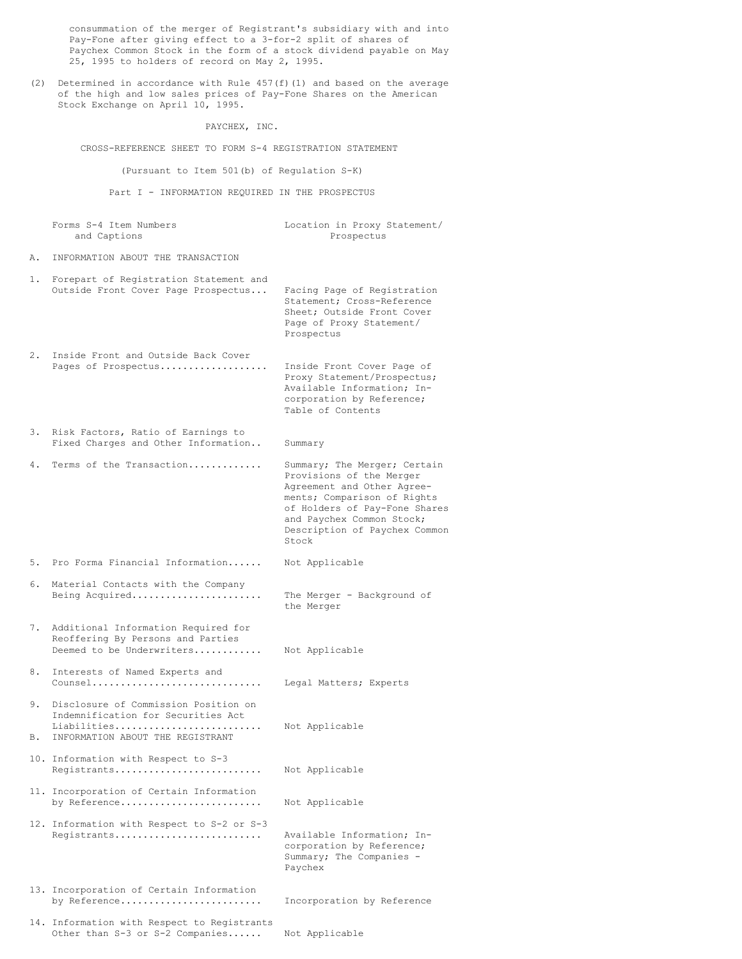consummation of the merger of Registrant's subsidiary with and into Pay-Fone after giving effect to a 3-for-2 split of shares of Paychex Common Stock in the form of a stock dividend payable on May 25, 1995 to holders of record on May 2, 1995.

(2) Determined in accordance with Rule  $457(f)(1)$  and based on the average of the high and low sales prices of Pay-Fone Shares on the American Stock Exchange on April 10, 1995.

PAYCHEX, INC.

CROSS-REFERENCE SHEET TO FORM S-4 REGISTRATION STATEMENT

(Pursuant to Item 501(b) of Regulation S-K)

Part I - INFORMATION REQUIRED IN THE PROSPECTUS

Forms S-4 Item Numbers Location in Proxy Statement/ and Captions **Prospectus** Prospectus A. INFORMATION ABOUT THE TRANSACTION 1. Forepart of Registration Statement and Outside Front Cover Page Prospectus... Facing Page of Registration Statement; Cross-Reference Sheet; Outside Front Cover Page of Proxy Statement/ Prospectus 2. Inside Front and Outside Back Cover Pages of Prospectus................... Inside Front Cover Page of Proxy Statement/Prospectus; Available Information; Incorporation by Reference; Table of Contents 3. Risk Factors, Ratio of Earnings to Fixed Charges and Other Information.. Summary 4. Terms of the Transaction............. Summary; The Merger; Certain Provisions of the Merger Agreement and Other Agreements; Comparison of Rights of Holders of Pay-Fone Shares and Paychex Common Stock; Description of Paychex Common Stock 5. Pro Forma Financial Information...... Not Applicable 6. Material Contacts with the Company Being Acquired....................... The Merger - Background of the Merger 7. Additional Information Required for Reoffering By Persons and Parties Deemed to be Underwriters............ Not Applicable 8. Interests of Named Experts and Counsel.............................. Legal Matters; Experts 9. Disclosure of Commission Position on Indemnification for Securities Act Liabilities.......................... Not Applicable B. INFORMATION ABOUT THE REGISTRANT 10. Information with Respect to S-3 Registrants.......................... Not Applicable 11. Incorporation of Certain Information by Reference......................... Not Applicable 12. Information with Respect to S-2 or S-3 Registrants.......................... Available Information; Incorporation by Reference; Summary; The Companies - Paychex 13. Incorporation of Certain Information by Reference......................... Incorporation by Reference 14. Information with Respect to Registrants Other than S-3 or S-2 Companies...... Not Applicable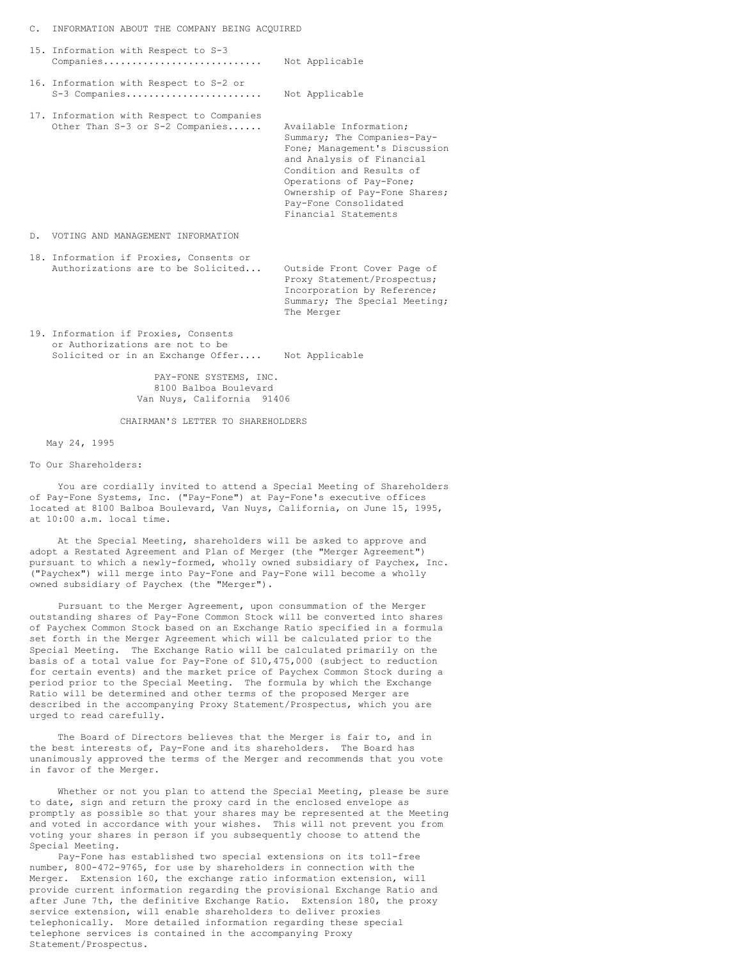#### C. INFORMATION ABOUT THE COMPANY BEING ACQUIRED

|    | 15. Information with Respect to S-3<br>Companies                              | Not Applicable                                                                                                                                                                                                                                               |
|----|-------------------------------------------------------------------------------|--------------------------------------------------------------------------------------------------------------------------------------------------------------------------------------------------------------------------------------------------------------|
|    | 16. Information with Respect to S-2 or<br>S-3 Companies                       | Not Applicable                                                                                                                                                                                                                                               |
|    | 17. Information with Respect to Companies<br>Other Than S-3 or S-2 Companies  | Available Information;<br>Summary; The Companies-Pay-<br>Fone; Management's Discussion<br>and Analysis of Financial<br>Condition and Results of<br>Operations of Pay-Fone;<br>Ownership of Pay-Fone Shares;<br>Pay-Fone Consolidated<br>Financial Statements |
| D. | VOTING AND MANAGEMENT INFORMATION                                             |                                                                                                                                                                                                                                                              |
|    | 18. Information if Proxies, Consents or<br>Authorizations are to be Solicited | Outside Front Cover Page of                                                                                                                                                                                                                                  |

Proxy Statement/Prospectus; Incorporation by Reference; Summary; The Special Meeting; The Merger

19. Information if Proxies, Consents or Authorizations are not to be Solicited or in an Exchange Offer.... Not Applicable

> PAY-FONE SYSTEMS, INC. 8100 Balboa Boulevard Van Nuys, California 91406

CHAIRMAN'S LETTER TO SHAREHOLDERS

### May 24, 1995

To Our Shareholders:

You are cordially invited to attend a Special Meeting of Shareholders of Pay-Fone Systems, Inc. ("Pay-Fone") at Pay-Fone's executive offices located at 8100 Balboa Boulevard, Van Nuys, California, on June 15, 1995, at 10:00 a.m. local time.

At the Special Meeting, shareholders will be asked to approve and adopt a Restated Agreement and Plan of Merger (the "Merger Agreement") pursuant to which a newly-formed, wholly owned subsidiary of Paychex, Inc. ("Paychex") will merge into Pay-Fone and Pay-Fone will become a wholly owned subsidiary of Paychex (the "Merger").

Pursuant to the Merger Agreement, upon consummation of the Merger outstanding shares of Pay-Fone Common Stock will be converted into shares of Paychex Common Stock based on an Exchange Ratio specified in a formula set forth in the Merger Agreement which will be calculated prior to the Special Meeting. The Exchange Ratio will be calculated primarily on the basis of a total value for Pay-Fone of \$10,475,000 (subject to reduction for certain events) and the market price of Paychex Common Stock during a period prior to the Special Meeting. The formula by which the Exchange Ratio will be determined and other terms of the proposed Merger are described in the accompanying Proxy Statement/Prospectus, which you are urged to read carefully.

The Board of Directors believes that the Merger is fair to, and in the best interests of, Pay-Fone and its shareholders. The Board has unanimously approved the terms of the Merger and recommends that you vote in favor of the Merger.

Whether or not you plan to attend the Special Meeting, please be sure to date, sign and return the proxy card in the enclosed envelope as promptly as possible so that your shares may be represented at the Meeting and voted in accordance with your wishes. This will not prevent you from voting your shares in person if you subsequently choose to attend the Special Meeting.

Pay-Fone has established two special extensions on its toll-free number, 800-472-9765, for use by shareholders in connection with the Merger. Extension 160, the exchange ratio information extension, will provide current information regarding the provisional Exchange Ratio and after June 7th, the definitive Exchange Ratio. Extension 180, the proxy service extension, will enable shareholders to deliver proxies telephonically. More detailed information regarding these special telephone services is contained in the accompanying Proxy Statement/Prospectus.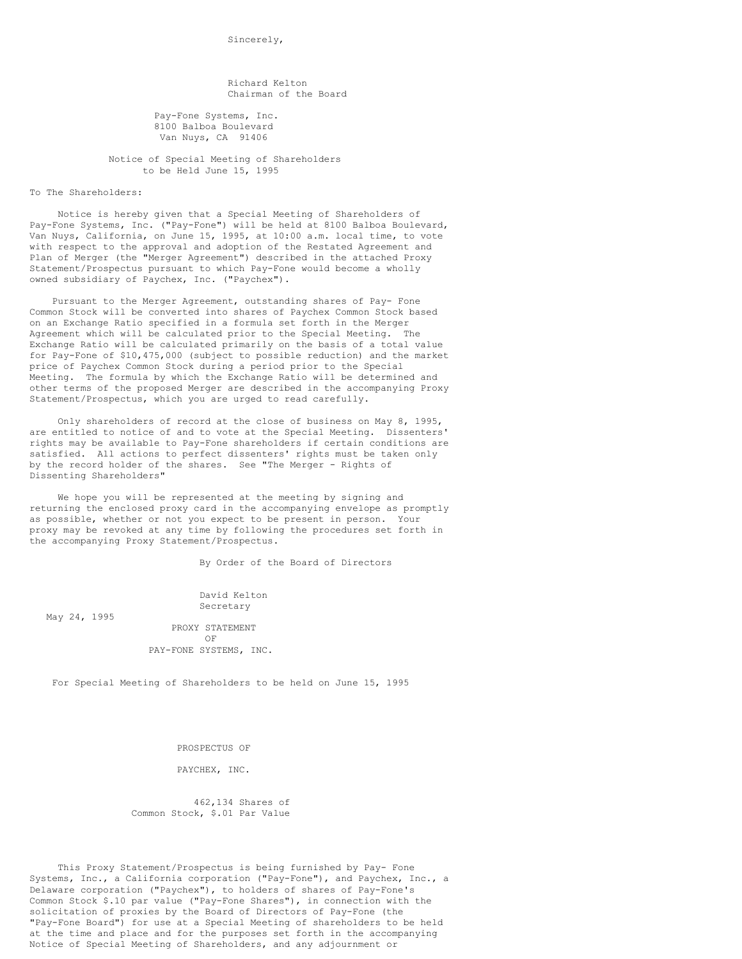Sincerely,

Richard Kelton Chairman of the Board

Pay-Fone Systems, Inc. 8100 Balboa Boulevard Van Nuys, CA 91406

Notice of Special Meeting of Shareholders to be Held June 15, 1995

To The Shareholders:

Notice is hereby given that a Special Meeting of Shareholders of Pay-Fone Systems, Inc. ("Pay-Fone") will be held at 8100 Balboa Boulevard, Van Nuys, California, on June 15, 1995, at 10:00 a.m. local time, to vote with respect to the approval and adoption of the Restated Agreement and Plan of Merger (the "Merger Agreement") described in the attached Proxy Statement/Prospectus pursuant to which Pay-Fone would become a wholly owned subsidiary of Paychex, Inc. ("Paychex").

Pursuant to the Merger Agreement, outstanding shares of Pay- Fone Common Stock will be converted into shares of Paychex Common Stock based on an Exchange Ratio specified in a formula set forth in the Merger Agreement which will be calculated prior to the Special Meeting. The Exchange Ratio will be calculated primarily on the basis of a total value for Pay-Fone of \$10,475,000 (subject to possible reduction) and the market price of Paychex Common Stock during a period prior to the Special Meeting. The formula by which the Exchange Ratio will be determined and other terms of the proposed Merger are described in the accompanying Proxy Statement/Prospectus, which you are urged to read carefully.

Only shareholders of record at the close of business on May 8, 1995, are entitled to notice of and to vote at the Special Meeting. Dissenters' rights may be available to Pay-Fone shareholders if certain conditions are satisfied. All actions to perfect dissenters' rights must be taken only by the record holder of the shares. See "The Merger - Rights of Dissenting Shareholders"

We hope you will be represented at the meeting by signing and returning the enclosed proxy card in the accompanying envelope as promptly as possible, whether or not you expect to be present in person. Your proxy may be revoked at any time by following the procedures set forth in the accompanying Proxy Statement/Prospectus.

By Order of the Board of Directors

David Kelton Secretary

May 24, 1995

PROXY STATEMENT OF PAY-FONE SYSTEMS, INC.

For Special Meeting of Shareholders to be held on June 15, 1995

PROSPECTUS OF

PAYCHEX, INC.

462,134 Shares of Common Stock, \$.01 Par Value

This Proxy Statement/Prospectus is being furnished by Pay- Fone Systems, Inc., a California corporation ("Pay-Fone"), and Paychex, Inc., a Delaware corporation ("Paychex"), to holders of shares of Pay-Fone's Common Stock \$.10 par value ("Pay-Fone Shares"), in connection with the solicitation of proxies by the Board of Directors of Pay-Fone (the "Pay-Fone Board") for use at a Special Meeting of shareholders to be held at the time and place and for the purposes set forth in the accompanying Notice of Special Meeting of Shareholders, and any adjournment or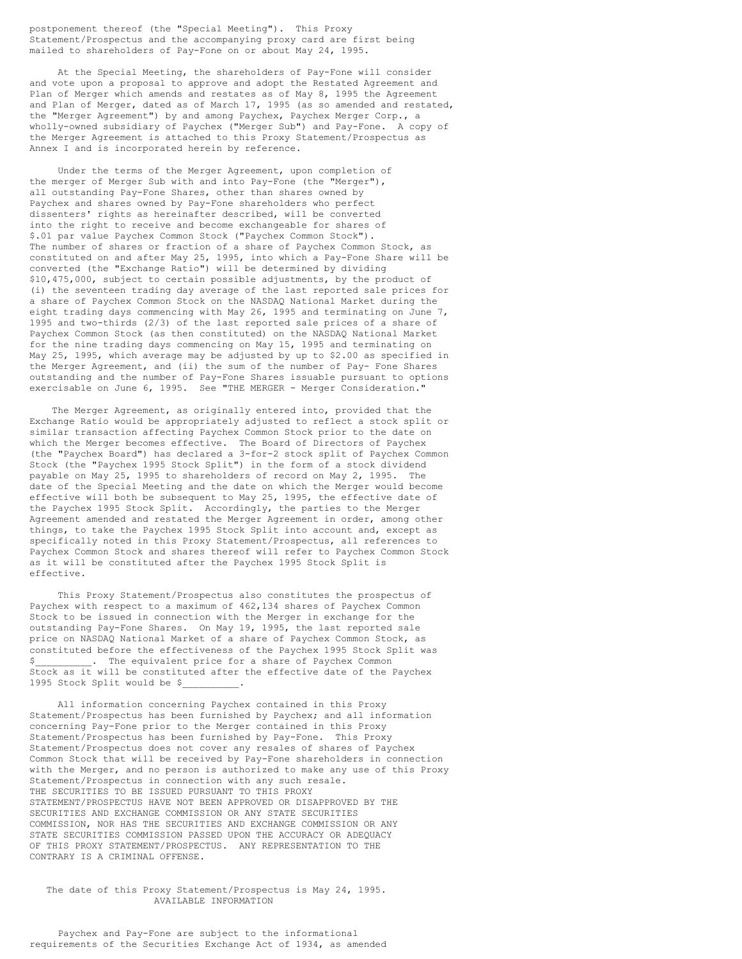postponement thereof (the "Special Meeting"). This Proxy Statement/Prospectus and the accompanying proxy card are first being mailed to shareholders of Pay-Fone on or about May 24, 1995.

At the Special Meeting, the shareholders of Pay-Fone will consider and vote upon a proposal to approve and adopt the Restated Agreement and Plan of Merger which amends and restates as of May 8, 1995 the Agreement and Plan of Merger, dated as of March 17, 1995 (as so amended and restated, the "Merger Agreement") by and among Paychex, Paychex Merger Corp., a wholly-owned subsidiary of Paychex ("Merger Sub") and Pay-Fone. A copy of the Merger Agreement is attached to this Proxy Statement/Prospectus as Annex I and is incorporated herein by reference.

Under the terms of the Merger Agreement, upon completion of the merger of Merger Sub with and into Pay-Fone (the "Merger"), all outstanding Pay-Fone Shares, other than shares owned by Paychex and shares owned by Pay-Fone shareholders who perfect dissenters' rights as hereinafter described, will be converted into the right to receive and become exchangeable for shares of \$.01 par value Paychex Common Stock ("Paychex Common Stock"). The number of shares or fraction of a share of Paychex Common Stock, as constituted on and after May 25, 1995, into which a Pay-Fone Share will be converted (the "Exchange Ratio") will be determined by dividing \$10,475,000, subject to certain possible adjustments, by the product of (i) the seventeen trading day average of the last reported sale prices for a share of Paychex Common Stock on the NASDAQ National Market during the eight trading days commencing with May 26, 1995 and terminating on June 7, 1995 and two-thirds (2/3) of the last reported sale prices of a share of Paychex Common Stock (as then constituted) on the NASDAQ National Market for the nine trading days commencing on May 15, 1995 and terminating on May 25, 1995, which average may be adjusted by up to \$2.00 as specified in the Merger Agreement, and (ii) the sum of the number of Pay- Fone Shares outstanding and the number of Pay-Fone Shares issuable pursuant to options exercisable on June 6, 1995. See "THE MERGER - Merger Consideration."

The Merger Agreement, as originally entered into, provided that the Exchange Ratio would be appropriately adjusted to reflect a stock split or similar transaction affecting Paychex Common Stock prior to the date on which the Merger becomes effective. The Board of Directors of Paychex (the "Paychex Board") has declared a 3-for-2 stock split of Paychex Common Stock (the "Paychex 1995 Stock Split") in the form of a stock dividend payable on May 25, 1995 to shareholders of record on May 2, 1995. The date of the Special Meeting and the date on which the Merger would become effective will both be subsequent to May 25, 1995, the effective date of the Paychex 1995 Stock Split. Accordingly, the parties to the Merger Agreement amended and restated the Merger Agreement in order, among other things, to take the Paychex 1995 Stock Split into account and, except as specifically noted in this Proxy Statement/Prospectus, all references to Paychex Common Stock and shares thereof will refer to Paychex Common Stock as it will be constituted after the Paychex 1995 Stock Split is effective.

This Proxy Statement/Prospectus also constitutes the prospectus of Paychex with respect to a maximum of 462,134 shares of Paychex Common Stock to be issued in connection with the Merger in exchange for the outstanding Pay-Fone Shares. On May 19, 1995, the last reported sale price on NASDAQ National Market of a share of Paychex Common Stock, as constituted before the effectiveness of the Paychex 1995 Stock Split was The equivalent price for a share of Paychex Common Stock as it will be constituted after the effective date of the Paychex 1995 Stock Split would be \$\_\_\_\_\_\_\_\_\_\_.

All information concerning Paychex contained in this Proxy Statement/Prospectus has been furnished by Paychex; and all information concerning Pay-Fone prior to the Merger contained in this Proxy Statement/Prospectus has been furnished by Pay-Fone. This Proxy Statement/Prospectus does not cover any resales of shares of Paychex Common Stock that will be received by Pay-Fone shareholders in connection with the Merger, and no person is authorized to make any use of this Proxy Statement/Prospectus in connection with any such resale. THE SECURITIES TO BE ISSUED PURSUANT TO THIS PROXY STATEMENT/PROSPECTUS HAVE NOT BEEN APPROVED OR DISAPPROVED BY THE SECURITIES AND EXCHANGE COMMISSION OR ANY STATE SECURITIES COMMISSION, NOR HAS THE SECURITIES AND EXCHANGE COMMISSION OR ANY STATE SECURITIES COMMISSION PASSED UPON THE ACCURACY OR ADEQUACY OF THIS PROXY STATEMENT/PROSPECTUS. ANY REPRESENTATION TO THE CONTRARY IS A CRIMINAL OFFENSE.

The date of this Proxy Statement/Prospectus is May 24, 1995. AVAILABLE INFORMATION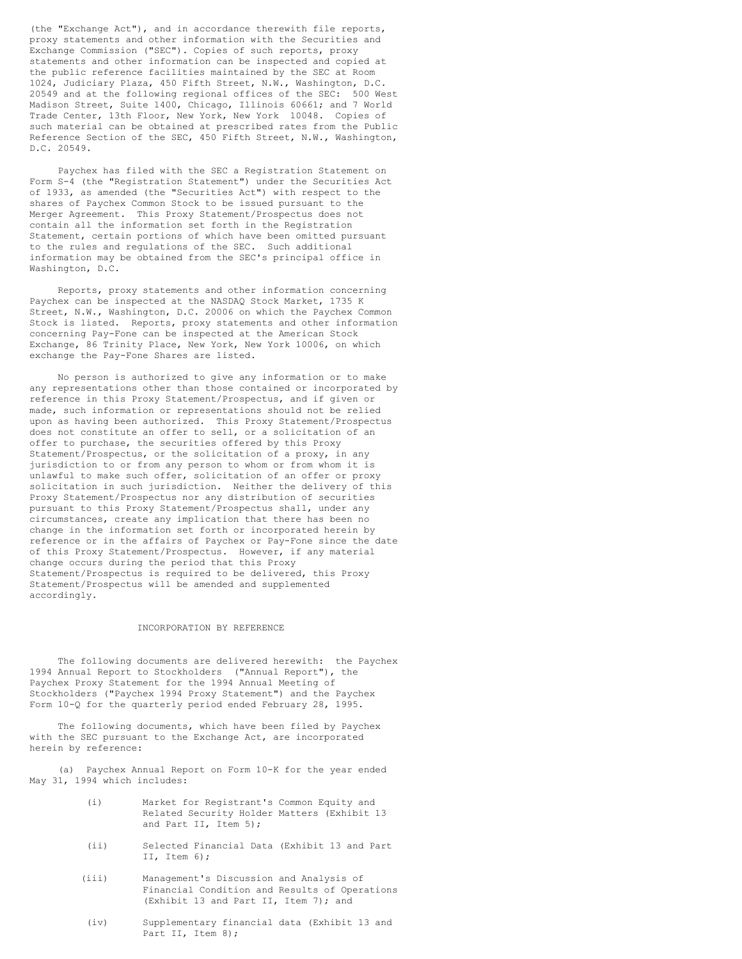(the "Exchange Act"), and in accordance therewith file reports, proxy statements and other information with the Securities and Exchange Commission ("SEC"). Copies of such reports, proxy statements and other information can be inspected and copied at the public reference facilities maintained by the SEC at Room 1024, Judiciary Plaza, 450 Fifth Street, N.W., Washington, D.C. 20549 and at the following regional offices of the SEC: 500 West Madison Street, Suite 1400, Chicago, Illinois 60661; and 7 World Trade Center, 13th Floor, New York, New York 10048. Copies of such material can be obtained at prescribed rates from the Public Reference Section of the SEC, 450 Fifth Street, N.W., Washington, D.C. 20549.

Paychex has filed with the SEC a Registration Statement on Form S-4 (the "Registration Statement") under the Securities Act of 1933, as amended (the "Securities Act") with respect to the shares of Paychex Common Stock to be issued pursuant to the Merger Agreement. This Proxy Statement/Prospectus does not contain all the information set forth in the Registration Statement, certain portions of which have been omitted pursuant to the rules and regulations of the SEC. Such additional information may be obtained from the SEC's principal office in Washington, D.C.

Reports, proxy statements and other information concerning Paychex can be inspected at the NASDAQ Stock Market, 1735 K Street, N.W., Washington, D.C. 20006 on which the Paychex Common Stock is listed. Reports, proxy statements and other information concerning Pay-Fone can be inspected at the American Stock Exchange, 86 Trinity Place, New York, New York 10006, on which exchange the Pay-Fone Shares are listed.

No person is authorized to give any information or to make any representations other than those contained or incorporated by reference in this Proxy Statement/Prospectus, and if given or made, such information or representations should not be relied upon as having been authorized. This Proxy Statement/Prospectus does not constitute an offer to sell, or a solicitation of an offer to purchase, the securities offered by this Proxy Statement/Prospectus, or the solicitation of a proxy, in any jurisdiction to or from any person to whom or from whom it is unlawful to make such offer, solicitation of an offer or proxy solicitation in such jurisdiction. Neither the delivery of this Proxy Statement/Prospectus nor any distribution of securities pursuant to this Proxy Statement/Prospectus shall, under any circumstances, create any implication that there has been no change in the information set forth or incorporated herein by reference or in the affairs of Paychex or Pay-Fone since the date of this Proxy Statement/Prospectus. However, if any material change occurs during the period that this Proxy Statement/Prospectus is required to be delivered, this Proxy Statement/Prospectus will be amended and supplemented accordingly.

#### INCORPORATION BY REFERENCE

The following documents are delivered herewith: the Paychex 1994 Annual Report to Stockholders ("Annual Report"), the Paychex Proxy Statement for the 1994 Annual Meeting of Stockholders ("Paychex 1994 Proxy Statement") and the Paychex Form 10-Q for the quarterly period ended February 28, 1995.

The following documents, which have been filed by Paychex with the SEC pursuant to the Exchange Act, are incorporated herein by reference:

(a) Paychex Annual Report on Form 10-K for the year ended May 31, 1994 which includes:

- (i) Market for Registrant's Common Equity and Related Security Holder Matters (Exhibit 13 and Part II, Item 5);
- (ii) Selected Financial Data (Exhibit 13 and Part II, Item 6);
- (iii) Management's Discussion and Analysis of Financial Condition and Results of Operations (Exhibit 13 and Part II, Item 7); and
- (iv) Supplementary financial data (Exhibit 13 and Part II, Item 8);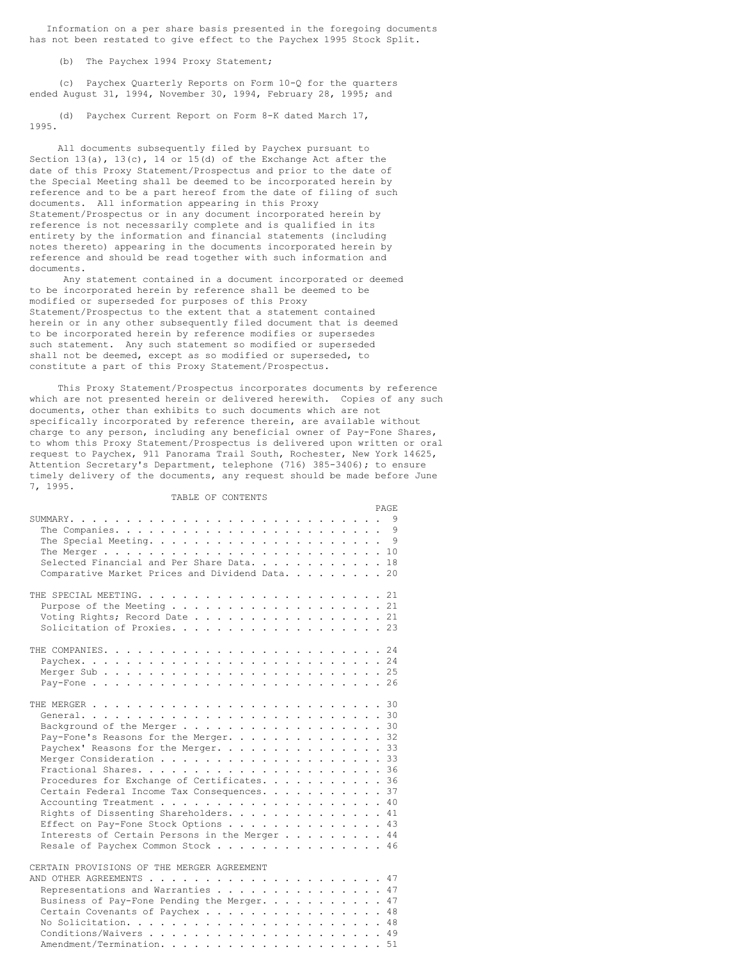Information on a per share basis presented in the foregoing documents has not been restated to give effect to the Paychex 1995 Stock Split.

(b) The Paychex 1994 Proxy Statement;

(c) Paychex Quarterly Reports on Form 10-Q for the quarters ended August 31, 1994, November 30, 1994, February 28, 1995; and

(d) Paychex Current Report on Form 8-K dated March 17, 1995.

All documents subsequently filed by Paychex pursuant to Section 13(a), 13(c), 14 or 15(d) of the Exchange Act after the date of this Proxy Statement/Prospectus and prior to the date of the Special Meeting shall be deemed to be incorporated herein by reference and to be a part hereof from the date of filing of such documents. All information appearing in this Proxy Statement/Prospectus or in any document incorporated herein by reference is not necessarily complete and is qualified in its entirety by the information and financial statements (including notes thereto) appearing in the documents incorporated herein by reference and should be read together with such information and documents.

Any statement contained in a document incorporated or deemed to be incorporated herein by reference shall be deemed to be modified or superseded for purposes of this Proxy Statement/Prospectus to the extent that a statement contained herein or in any other subsequently filed document that is deemed to be incorporated herein by reference modifies or supersedes such statement. Any such statement so modified or superseded shall not be deemed, except as so modified or superseded, to constitute a part of this Proxy Statement/Prospectus.

This Proxy Statement/Prospectus incorporates documents by reference which are not presented herein or delivered herewith. Copies of any such documents, other than exhibits to such documents which are not specifically incorporated by reference therein, are available without charge to any person, including any beneficial owner of Pay-Fone Shares, to whom this Proxy Statement/Prospectus is delivered upon written or oral request to Paychex, 911 Panorama Trail South, Rochester, New York 14625, Attention Secretary's Department, telephone (716) 385-3406); to ensure timely delivery of the documents, any request should be made before June 7, 1995.

TABLE OF CONTENTS

| <b>PAGE</b>                                     |
|-------------------------------------------------|
|                                                 |
|                                                 |
| - 9                                             |
|                                                 |
| Selected Financial and Per Share Data. 18       |
| Comparative Market Prices and Dividend Data. 20 |
|                                                 |
|                                                 |
| Purpose of the Meeting 21                       |
| Voting Rights; Record Date 21                   |
| Solicitation of Proxies. 23                     |
|                                                 |
|                                                 |
|                                                 |
|                                                 |
|                                                 |
|                                                 |
|                                                 |
|                                                 |
|                                                 |
| Background of the Merger 30                     |
| Pay-Fone's Reasons for the Merger. 32           |
| Paychex' Reasons for the Merger. 33             |
|                                                 |
|                                                 |
| Procedures for Exchange of Certificates. 36     |
| Certain Federal Income Tax Consequences. 37     |
|                                                 |
| Rights of Dissenting Shareholders. 41           |
| Effect on Pay-Fone Stock Options 43             |
| Interests of Certain Persons in the Merger 44   |
| Resale of Paychex Common Stock 46               |
|                                                 |
| CERTAIN PROVISIONS OF THE MERGER AGREEMENT      |
|                                                 |
| Representations and Warranties 47               |
| Business of Pay-Fone Pending the Merger. 47     |
| Certain Covenants of Paychex 48                 |
|                                                 |
|                                                 |
|                                                 |
|                                                 |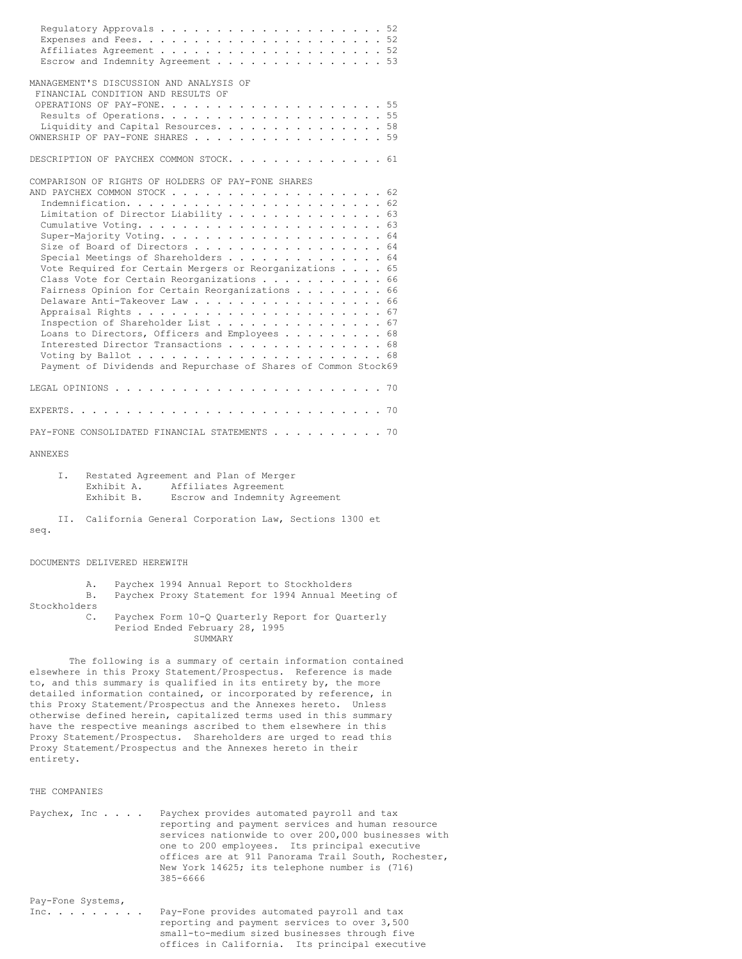|                              | Escrow and Indemnity Agreement 53                                                                                                                                                                                                                                                                                                                                                                                                                                                                                                                                                                                                             |
|------------------------------|-----------------------------------------------------------------------------------------------------------------------------------------------------------------------------------------------------------------------------------------------------------------------------------------------------------------------------------------------------------------------------------------------------------------------------------------------------------------------------------------------------------------------------------------------------------------------------------------------------------------------------------------------|
|                              | MANAGEMENT'S DISCUSSION AND ANALYSIS OF<br>FINANCIAL CONDITION AND RESULTS OF<br>Liquidity and Capital Resources. 58<br>OWNERSHIP OF PAY-FONE SHARES 59                                                                                                                                                                                                                                                                                                                                                                                                                                                                                       |
|                              | DESCRIPTION OF PAYCHEX COMMON STOCK. 61                                                                                                                                                                                                                                                                                                                                                                                                                                                                                                                                                                                                       |
|                              | COMPARISON OF RIGHTS OF HOLDERS OF PAY-FONE SHARES<br>AND PAYCHEX COMMON STOCK<br>$\cdots$ . 62<br>$\ddot{\phantom{0}}$<br>Limitation of Director Liability 63<br>Size of Board of Directors 64<br>Special Meetings of Shareholders $\ldots$ , 64<br>Vote Required for Certain Mergers or Reorganizations 65<br>Class Vote for Certain Reorganizations 66<br>Fairness Opinion for Certain Reorganizations 66<br>Delaware Anti-Takeover Law 66<br>Inspection of Shareholder List 67<br>Loans to Directors, Officers and Employees 68<br>Interested Director Transactions 68<br>Payment of Dividends and Repurchase of Shares of Common Stock69 |
| LEGAL OPINIONS               | $\ddots$ . 70<br>the second contract of the second contract of the second second contract of the second second second second second second second second second second second second second second second second second second second second se                                                                                                                                                                                                                                                                                                                                                                                               |
|                              |                                                                                                                                                                                                                                                                                                                                                                                                                                                                                                                                                                                                                                               |
|                              | PAY-FONE CONSOLIDATED FINANCIAL STATEMENTS 70                                                                                                                                                                                                                                                                                                                                                                                                                                                                                                                                                                                                 |
| ANNEXES                      |                                                                                                                                                                                                                                                                                                                                                                                                                                                                                                                                                                                                                                               |
| Ι.                           | Restated Agreement and Plan of Merger<br>Exhibit A.<br>Affiliates Agreement<br>Exhibit B.<br>Escrow and Indemnity Agreement                                                                                                                                                                                                                                                                                                                                                                                                                                                                                                                   |
| II.<br>seq.                  | California General Corporation Law, Sections 1300 et                                                                                                                                                                                                                                                                                                                                                                                                                                                                                                                                                                                          |
| DOCUMENTS DELIVERED HEREWITH |                                                                                                                                                                                                                                                                                                                                                                                                                                                                                                                                                                                                                                               |
| Α.<br>Β.<br>Stockholders     | Paychex 1994 Annual Report to Stockholders<br>Paychex Proxy Statement for 1994 Annual Meeting of                                                                                                                                                                                                                                                                                                                                                                                                                                                                                                                                              |
| $\mathbb{C}$ .               | Paychex Form 10-Q Quarterly Report for Quarterly<br>Period Ended February 28, 1995<br>SUMMARY                                                                                                                                                                                                                                                                                                                                                                                                                                                                                                                                                 |
| entirety.                    | The following is a summary of certain information contained<br>elsewhere in this Proxy Statement/Prospectus. Reference is made<br>to, and this summary is qualified in its entirety by, the more<br>detailed information contained, or incorporated by reference, in<br>this Proxy Statement/Prospectus and the Annexes hereto. Unless<br>otherwise defined herein, capitalized terms used in this summary<br>have the respective meanings ascribed to them elsewhere in this<br>Proxy Statement/Prospectus. Shareholders are urged to read this<br>Proxy Statement/Prospectus and the Annexes hereto in their                                |
| THE COMPANIES                |                                                                                                                                                                                                                                                                                                                                                                                                                                                                                                                                                                                                                                               |
| Paychex, Inc                 | Paychex provides automated payroll and tax<br>reporting and payment services and human resource<br>services nationwide to over 200,000 businesses with<br>one to 200 employees. Its principal executive<br>offices are at 911 Panorama Trail South, Rochester,<br>New York 14625; its telephone number is (716)<br>385-6666                                                                                                                                                                                                                                                                                                                   |

Pay-Fone Systems,<br>Inc. . . . . . . . . Inc. . . . . . . . . Pay-Fone provides automated payroll and tax reporting and payment services to over 3,500 small-to-medium sized businesses through five offices in California. Its principal executive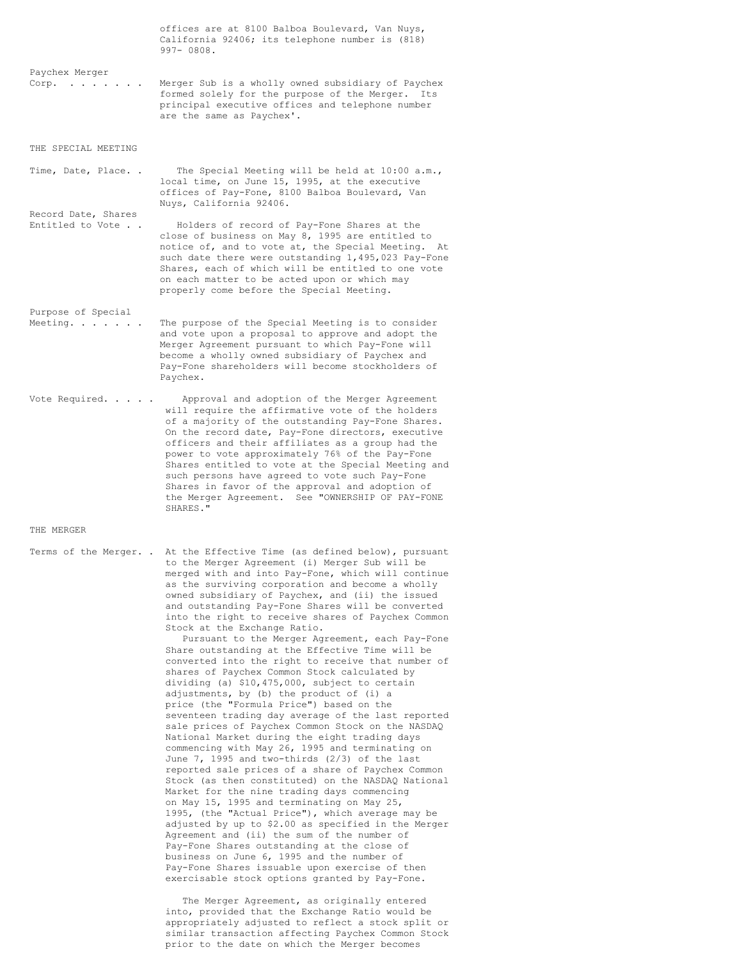| California 92406; its telephone number is (818)<br>$997 - 0808.$                                                                                                                                                                                                                                                                                                                                                                                                                                                                                                                                                                                                                                                                                                                                                                                                                                                                                                                                                                                                                                                                              |
|-----------------------------------------------------------------------------------------------------------------------------------------------------------------------------------------------------------------------------------------------------------------------------------------------------------------------------------------------------------------------------------------------------------------------------------------------------------------------------------------------------------------------------------------------------------------------------------------------------------------------------------------------------------------------------------------------------------------------------------------------------------------------------------------------------------------------------------------------------------------------------------------------------------------------------------------------------------------------------------------------------------------------------------------------------------------------------------------------------------------------------------------------|
| Merger Sub is a wholly owned subsidiary of Paychex<br>formed solely for the purpose of the Merger.<br>Its<br>principal executive offices and telephone number<br>are the same as Paychex'.                                                                                                                                                                                                                                                                                                                                                                                                                                                                                                                                                                                                                                                                                                                                                                                                                                                                                                                                                    |
|                                                                                                                                                                                                                                                                                                                                                                                                                                                                                                                                                                                                                                                                                                                                                                                                                                                                                                                                                                                                                                                                                                                                               |
| The Special Meeting will be held at $10:00$ a.m.,<br>local time, on June 15, 1995, at the executive<br>offices of Pay-Fone, 8100 Balboa Boulevard, Van<br>Nuys, California 92406.                                                                                                                                                                                                                                                                                                                                                                                                                                                                                                                                                                                                                                                                                                                                                                                                                                                                                                                                                             |
| Holders of record of Pay-Fone Shares at the<br>close of business on May 8, 1995 are entitled to<br>notice of, and to vote at, the Special Meeting.<br>At<br>such date there were outstanding 1, 495, 023 Pay-Fone<br>Shares, each of which will be entitled to one vote<br>on each matter to be acted upon or which may<br>properly come before the Special Meeting.                                                                                                                                                                                                                                                                                                                                                                                                                                                                                                                                                                                                                                                                                                                                                                          |
| The purpose of the Special Meeting is to consider<br>and vote upon a proposal to approve and adopt the<br>Merger Agreement pursuant to which Pay-Fone will<br>become a wholly owned subsidiary of Paychex and<br>Pay-Fone shareholders will become stockholders of<br>Paychex.                                                                                                                                                                                                                                                                                                                                                                                                                                                                                                                                                                                                                                                                                                                                                                                                                                                                |
| Approval and adoption of the Merger Agreement<br>will require the affirmative vote of the holders<br>of a majority of the outstanding Pay-Fone Shares.<br>On the record date, Pay-Fone directors, executive<br>officers and their affiliates as a group had the<br>power to vote approximately 76% of the Pay-Fone<br>Shares entitled to vote at the Special Meeting and<br>such persons have agreed to vote such Pay-Fone<br>Shares in favor of the approval and adoption of<br>the Merger Agreement. See "OWNERSHIP OF PAY-FONE<br>SHARES."                                                                                                                                                                                                                                                                                                                                                                                                                                                                                                                                                                                                 |
|                                                                                                                                                                                                                                                                                                                                                                                                                                                                                                                                                                                                                                                                                                                                                                                                                                                                                                                                                                                                                                                                                                                                               |
| At the Effective Time (as defined below), pursuant<br>to the Merger Agreement (i) Merger Sub will be<br>merged with and into Pay-Fone, which will continue<br>as the surviving corporation and become a wholly<br>owned subsidiary of Paychex, and (ii) the issued<br>and outstanding Pay-Fone Shares will be converted<br>into the right to receive shares of Paychex Common<br>Stock at the Exchange Ratio.<br>Pursuant to the Merger Agreement, each Pay-Fone<br>Share outstanding at the Effective Time will be<br>converted into the right to receive that number of<br>shares of Paychex Common Stock calculated by<br>dividing (a) \$10,475,000, subject to certain<br>adjustments, by (b) the product of (i) a<br>price (the "Formula Price") based on the<br>seventeen trading day average of the last reported<br>sale prices of Paychex Common Stock on the NASDAQ<br>National Market during the eight trading days<br>commencing with May 26, 1995 and terminating on<br>June 7, 1995 and two-thirds (2/3) of the last<br>reported sale prices of a share of Paychex Common<br>Stock (as then constituted) on the NASDAQ National |
|                                                                                                                                                                                                                                                                                                                                                                                                                                                                                                                                                                                                                                                                                                                                                                                                                                                                                                                                                                                                                                                                                                                                               |

Market for the nine trading days commencing on May 15, 1995 and terminating on May 25, 1995, (the "Actual Price"), which average may be adjusted by up to \$2.00 as specified in the Merger Agreement and (ii) the sum of the number of Pay-Fone Shares outstanding at the close of business on June 6, 1995 and the number of Pay-Fone Shares issuable upon exercise of then exercisable stock options granted by Pay-Fone.

The Merger Agreement, as originally entered into, provided that the Exchange Ratio would be appropriately adjusted to reflect a stock split or similar transaction affecting Paychex Common Stock prior to the date on which the Merger becomes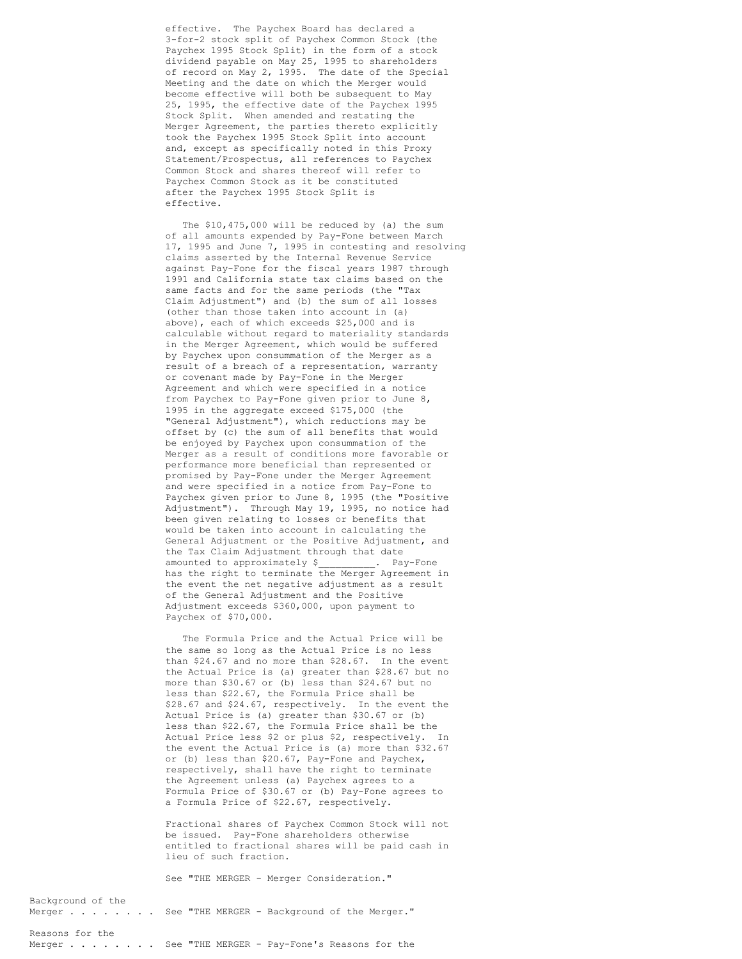effective. The Paychex Board has declared a 3-for-2 stock split of Paychex Common Stock (the Paychex 1995 Stock Split) in the form of a stock dividend payable on May 25, 1995 to shareholders of record on May 2, 1995. The date of the Special Meeting and the date on which the Merger would become effective will both be subsequent to May 25, 1995, the effective date of the Paychex 1995 Stock Split. When amended and restating the Merger Agreement, the parties thereto explicitly took the Paychex 1995 Stock Split into account and, except as specifically noted in this Proxy Statement/Prospectus, all references to Paychex Common Stock and shares thereof will refer to Paychex Common Stock as it be constituted after the Paychex 1995 Stock Split is effective.

The \$10,475,000 will be reduced by (a) the sum of all amounts expended by Pay-Fone between March 17, 1995 and June 7, 1995 in contesting and resolving claims asserted by the Internal Revenue Service against Pay-Fone for the fiscal years 1987 through 1991 and California state tax claims based on the same facts and for the same periods (the "Tax Claim Adjustment") and (b) the sum of all losses (other than those taken into account in (a) above), each of which exceeds \$25,000 and is calculable without regard to materiality standards in the Merger Agreement, which would be suffered by Paychex upon consummation of the Merger as a result of a breach of a representation, warranty or covenant made by Pay-Fone in the Merger Agreement and which were specified in a notice from Paychex to Pay-Fone given prior to June 8, 1995 in the aggregate exceed \$175,000 (the "General Adjustment"), which reductions may be offset by (c) the sum of all benefits that would be enjoyed by Paychex upon consummation of the Merger as a result of conditions more favorable or performance more beneficial than represented or promised by Pay-Fone under the Merger Agreement and were specified in a notice from Pay-Fone to Paychex given prior to June 8, 1995 (the "Positive Adjustment"). Through May 19, 1995, no notice had been given relating to losses or benefits that would be taken into account in calculating the General Adjustment or the Positive Adjustment, and the Tax Claim Adjustment through that date amounted to approximately \$\_\_\_\_\_\_\_\_\_. Pay-Fone has the right to terminate the Merger Agreement in the event the net negative adjustment as a result of the General Adjustment and the Positive Adjustment exceeds \$360,000, upon payment to Paychex of \$70,000.

The Formula Price and the Actual Price will be the same so long as the Actual Price is no less than \$24.67 and no more than \$28.67. In the event the Actual Price is (a) greater than \$28.67 but no more than \$30.67 or (b) less than \$24.67 but no less than \$22.67, the Formula Price shall be \$28.67 and \$24.67, respectively. In the event the Actual Price is (a) greater than \$30.67 or (b) less than \$22.67, the Formula Price shall be the Actual Price less \$2 or plus \$2, respectively. In the event the Actual Price is (a) more than \$32.67 or (b) less than \$20.67, Pay-Fone and Paychex, respectively, shall have the right to terminate the Agreement unless (a) Paychex agrees to a Formula Price of \$30.67 or (b) Pay-Fone agrees to a Formula Price of \$22.67, respectively.

Fractional shares of Paychex Common Stock will not be issued. Pay-Fone shareholders otherwise entitled to fractional shares will be paid cash in lieu of such fraction.

See "THE MERGER - Merger Consideration."

# Background of the

Merger . . . . . . . See "THE MERGER - Background of the Merger."

# Reasons for the

Merger . . . . . . . See "THE MERGER - Pay-Fone's Reasons for the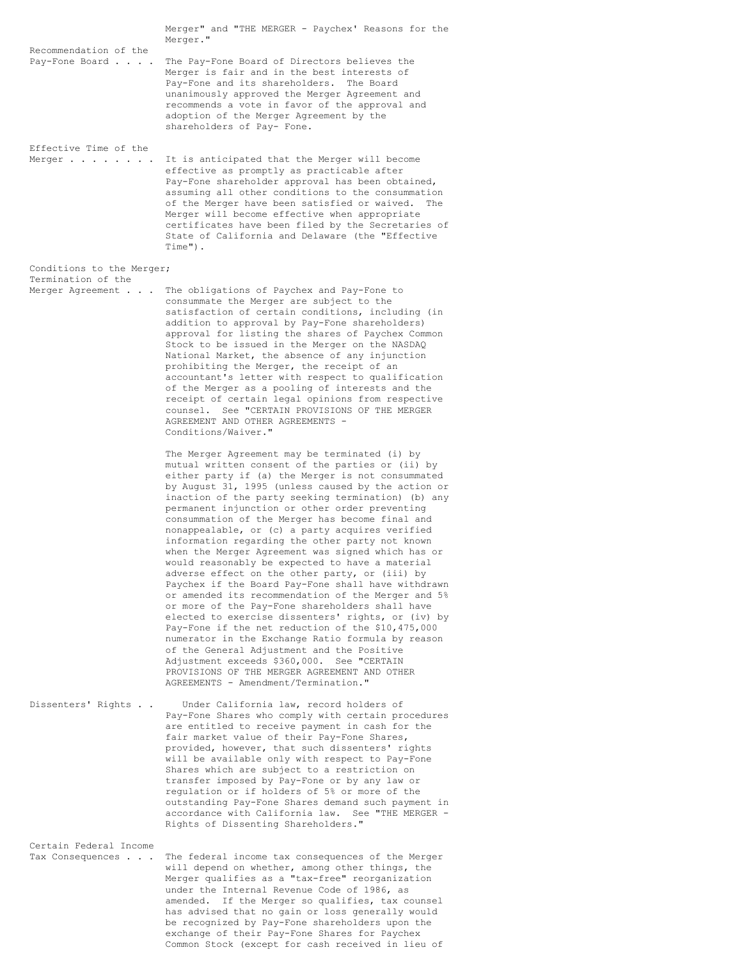|                                                            | Merger" and "THE MERGER - Paychex' Reasons for the<br>Merger."                                                                                                                                                                                                                                                                                                                                                                                                                                                                                                                                                                                                                                                                                                                                                                                                                                                                                                                                                                                                                                                                                             |
|------------------------------------------------------------|------------------------------------------------------------------------------------------------------------------------------------------------------------------------------------------------------------------------------------------------------------------------------------------------------------------------------------------------------------------------------------------------------------------------------------------------------------------------------------------------------------------------------------------------------------------------------------------------------------------------------------------------------------------------------------------------------------------------------------------------------------------------------------------------------------------------------------------------------------------------------------------------------------------------------------------------------------------------------------------------------------------------------------------------------------------------------------------------------------------------------------------------------------|
| Recommendation of the<br>Pay-Fone Board                    | The Pay-Fone Board of Directors believes the<br>Merger is fair and in the best interests of<br>Pay-Fone and its shareholders.<br>The Board<br>unanimously approved the Merger Agreement and<br>recommends a vote in favor of the approval and<br>adoption of the Merger Agreement by the<br>shareholders of Pay- Fone.                                                                                                                                                                                                                                                                                                                                                                                                                                                                                                                                                                                                                                                                                                                                                                                                                                     |
| Effective Time of the<br>Merger $\ldots$ $\ldots$ $\ldots$ | It is anticipated that the Merger will become<br>effective as promptly as practicable after<br>Pay-Fone shareholder approval has been obtained,<br>assuming all other conditions to the consummation<br>of the Merger have been satisfied or waived.<br>The<br>Merger will become effective when appropriate<br>certificates have been filed by the Secretaries of<br>State of California and Delaware (the "Effective<br>Time").                                                                                                                                                                                                                                                                                                                                                                                                                                                                                                                                                                                                                                                                                                                          |
| Conditions to the Merger;                                  |                                                                                                                                                                                                                                                                                                                                                                                                                                                                                                                                                                                                                                                                                                                                                                                                                                                                                                                                                                                                                                                                                                                                                            |
| Termination of the<br>Merger Agreement                     | The obligations of Paychex and Pay-Fone to<br>consummate the Merger are subject to the<br>satisfaction of certain conditions, including (in<br>addition to approval by Pay-Fone shareholders)<br>approval for listing the shares of Paychex Common<br>Stock to be issued in the Merger on the NASDAQ<br>National Market, the absence of any injunction<br>prohibiting the Merger, the receipt of an<br>accountant's letter with respect to qualification<br>of the Merger as a pooling of interests and the<br>receipt of certain legal opinions from respective<br>counsel. See "CERTAIN PROVISIONS OF THE MERGER<br>AGREEMENT AND OTHER AGREEMENTS -<br>Conditions/Waiver."                                                                                                                                                                                                                                                                                                                                                                                                                                                                              |
|                                                            | The Merger Agreement may be terminated (i) by<br>mutual written consent of the parties or (ii) by<br>either party if (a) the Merger is not consummated<br>by August 31, 1995 (unless caused by the action or<br>inaction of the party seeking termination) (b) any<br>permanent injunction or other order preventing<br>consummation of the Merger has become final and<br>nonappealable, or (c) a party acquires verified<br>information regarding the other party not known<br>when the Merger Agreement was signed which has or<br>would reasonably be expected to have a material<br>adverse effect on the other party, or (iii) by<br>Paychex if the Board Pay-Fone shall have withdrawn<br>or amended its recommendation of the Merger and 5%<br>or more of the Pay-Fone shareholders shall have<br>elected to exercise dissenters' rights, or (iv) by<br>Pay-Fone if the net reduction of the \$10,475,000<br>numerator in the Exchange Ratio formula by reason<br>of the General Adjustment and the Positive<br>Adjustment exceeds \$360,000. See "CERTAIN<br>PROVISIONS OF THE MERGER AGREEMENT AND OTHER<br>AGREEMENTS - Amendment/Termination." |
| Dissenters' Rights                                         | Under California law, record holders of<br>Pay-Fone Shares who comply with certain procedures<br>are entitled to receive payment in cash for the<br>fair market value of their Pay-Fone Shares,<br>provided, however, that such dissenters' rights<br>will be available only with respect to Pay-Fone<br>Shares which are subject to a restriction on<br>transfer imposed by Pay-Fone or by any law or<br>regulation or if holders of 5% or more of the<br>outstanding Pay-Fone Shares demand such payment in<br>accordance with California law. See "THE MERGER -<br>Rights of Dissenting Shareholders."                                                                                                                                                                                                                                                                                                                                                                                                                                                                                                                                                  |
| Certain Federal Income<br>Tax Consequences                 | The federal income tax consequences of the Merger<br>will depend on whether, among other things, the<br>Merger qualifies as a "tax-free" reorganization<br>under the Internal Revenue Code of 1986, as<br>amended. If the Merger so qualifies, tax counsel                                                                                                                                                                                                                                                                                                                                                                                                                                                                                                                                                                                                                                                                                                                                                                                                                                                                                                 |

has advised that no gain or loss generally would be recognized by Pay-Fone shareholders upon the exchange of their Pay-Fone Shares for Paychex Common Stock (except for cash received in lieu of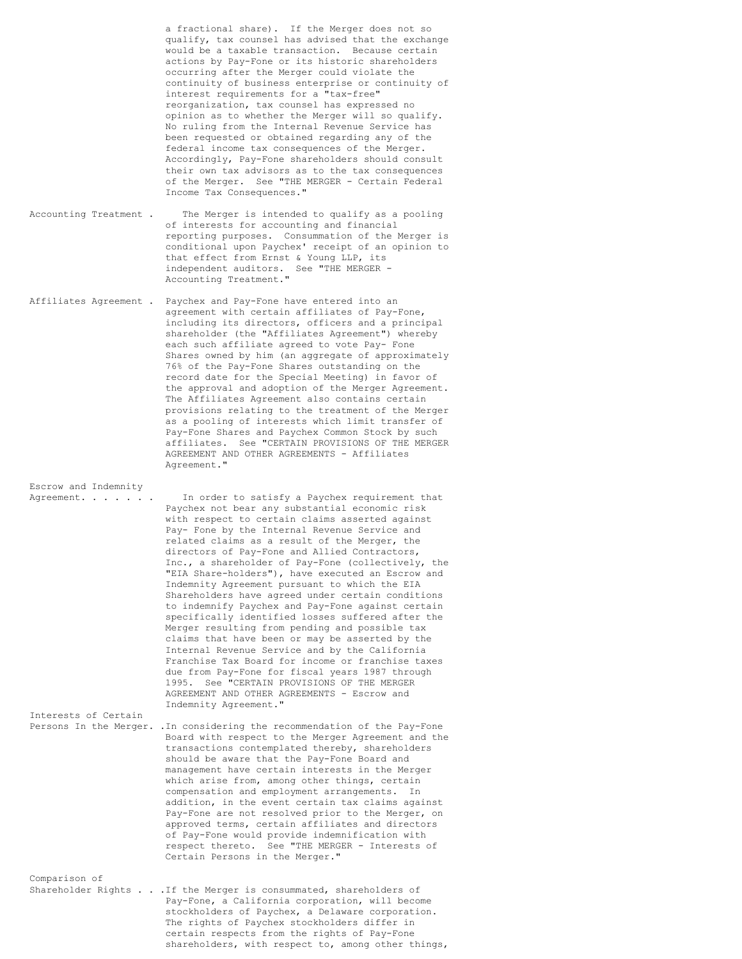a fractional share). If the Merger does not so qualify, tax counsel has advised that the exchange would be a taxable transaction. Because certain actions by Pay-Fone or its historic shareholders occurring after the Merger could violate the continuity of business enterprise or continuity of interest requirements for a "tax-free" reorganization, tax counsel has expressed no opinion as to whether the Merger will so qualify. No ruling from the Internal Revenue Service has been requested or obtained regarding any of the federal income tax consequences of the Merger. Accordingly, Pay-Fone shareholders should consult their own tax advisors as to the tax consequences of the Merger. See "THE MERGER - Certain Federal Income Tax Consequences."

Accounting Treatment . The Merger is intended to qualify as a pooling of interests for accounting and financial reporting purposes. Consummation of the Merger is conditional upon Paychex' receipt of an opinion to that effect from Ernst & Young LLP, its independent auditors. See "THE MERGER - Accounting Treatment."

Affiliates Agreement . Paychex and Pay-Fone have entered into an agreement with certain affiliates of Pay-Fone, including its directors, officers and a principal shareholder (the "Affiliates Agreement") whereby each such affiliate agreed to vote Pay- Fone Shares owned by him (an aggregate of approximately 76% of the Pay-Fone Shares outstanding on the record date for the Special Meeting) in favor of the approval and adoption of the Merger Agreement. The Affiliates Agreement also contains certain provisions relating to the treatment of the Merger as a pooling of interests which limit transfer of Pay-Fone Shares and Paychex Common Stock by such affiliates. See "CERTAIN PROVISIONS OF THE MERGER AGREEMENT AND OTHER AGREEMENTS - Affiliates Agreement."

Escrow and Indemnity

Agreement. . . . . . . In order to satisfy a Paychex requirement that Paychex not bear any substantial economic risk with respect to certain claims asserted against Pay- Fone by the Internal Revenue Service and related claims as a result of the Merger, the directors of Pay-Fone and Allied Contractors, Inc., a shareholder of Pay-Fone (collectively, the "EIA Share-holders"), have executed an Escrow and Indemnity Agreement pursuant to which the EIA Shareholders have agreed under certain conditions to indemnify Paychex and Pay-Fone against certain specifically identified losses suffered after the Merger resulting from pending and possible tax claims that have been or may be asserted by the Internal Revenue Service and by the California Franchise Tax Board for income or franchise taxes due from Pay-Fone for fiscal years 1987 through 1995. See "CERTAIN PROVISIONS OF THE MERGER AGREEMENT AND OTHER AGREEMENTS - Escrow and Indemnity Agreement." Interests of Certain

Persons In the Merger. .In considering the recommendation of the Pay-Fone Board with respect to the Merger Agreement and the transactions contemplated thereby, shareholders should be aware that the Pay-Fone Board and management have certain interests in the Merger which arise from, among other things, certain compensation and employment arrangements. In addition, in the event certain tax claims against Pay-Fone are not resolved prior to the Merger, on approved terms, certain affiliates and directors of Pay-Fone would provide indemnification with respect thereto. See "THE MERGER - Interests of Certain Persons in the Merger."

Comparison of Shareholder Rights . . .If the Merger is consummated, shareholders of Pay-Fone, a California corporation, will become stockholders of Paychex, a Delaware corporation. The rights of Paychex stockholders differ in certain respects from the rights of Pay-Fone shareholders, with respect to, among other things,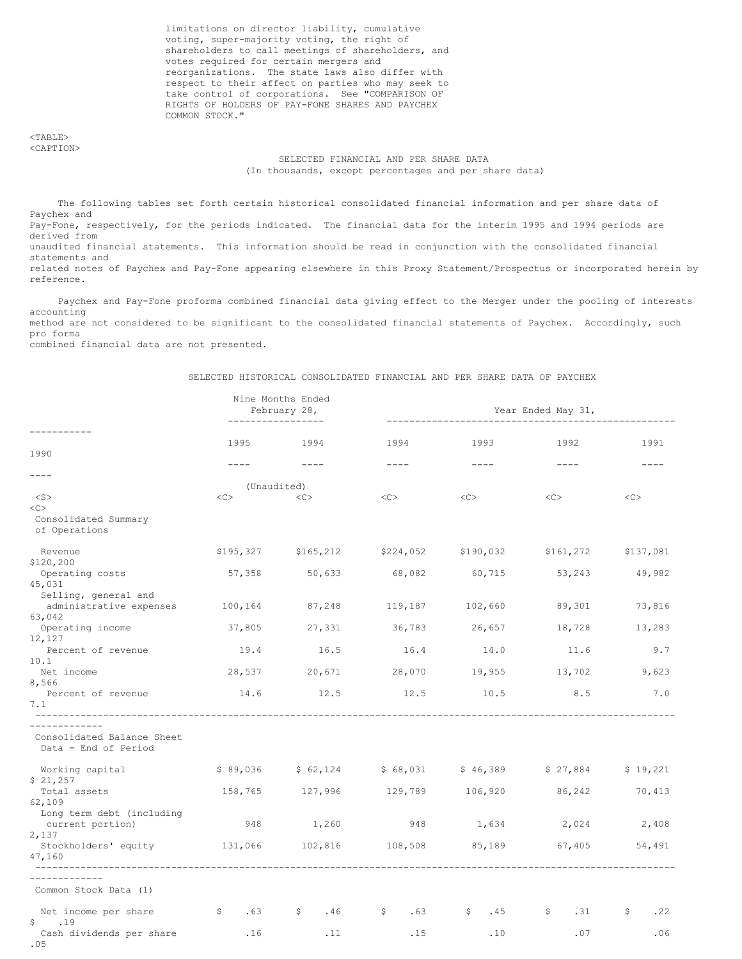limitations on director liability, cumulative voting, super-majority voting, the right of shareholders to call meetings of shareholders, and votes required for certain mergers and reorganizations. The state laws also differ with respect to their affect on parties who may seek to take control of corporations. See "COMPARISON OF RIGHTS OF HOLDERS OF PAY-FONE SHARES AND PAYCHEX COMMON STOCK."

<TABLE> <CAPTION>

# SELECTED FINANCIAL AND PER SHARE DATA (In thousands, except percentages and per share data)

The following tables set forth certain historical consolidated financial information and per share data of Paychex and Pay-Fone, respectively, for the periods indicated. The financial data for the interim 1995 and 1994 periods are derived from unaudited financial statements. This information should be read in conjunction with the consolidated financial statements and related notes of Paychex and Pay-Fone appearing elsewhere in this Proxy Statement/Prospectus or incorporated herein by reference.

Paychex and Pay-Fone proforma combined financial data giving effect to the Merger under the pooling of interests accounting method are not considered to be significant to the consolidated financial statements of Paychex. Accordingly, such pro forma

combined financial data are not presented.

### SELECTED HISTORICAL CONSOLIDATED FINANCIAL AND PER SHARE DATA OF PAYCHEX

|                                                                   | _________________ | Nine Months Ended<br>February 28, | Year Ended May 31,  |                      |                                                   |           |  |
|-------------------------------------------------------------------|-------------------|-----------------------------------|---------------------|----------------------|---------------------------------------------------|-----------|--|
| --------<br>1990                                                  | 1995              | 1994<br>$- - - - -$               | 1994<br>$- - - -$   | 1993<br>$- - - -$    | 1992<br>$\frac{1}{2}$                             | 1991      |  |
| $-- - -$                                                          |                   |                                   |                     |                      |                                                   |           |  |
| $<$ S $>$                                                         | (Unaudited)<br><< | <<                                | $<<$ $>>$           | <<                   | <<                                                | <<        |  |
| <<<br>Consolidated Summary<br>of Operations                       |                   |                                   |                     |                      |                                                   |           |  |
| Revenue<br>\$120,200                                              |                   | \$195,327 \$165,212               |                     |                      | \$224,052 \$190,032 \$161,272                     | \$137,081 |  |
| Operating costs<br>45,031                                         | 57,358            | 50,633                            | 68,082              | 60,715               | 53,243                                            | 49,982    |  |
| Selling, general and<br>administrative expenses<br>63,042         | 100,164           | 87,248                            | 119,187             | 102,660              | 89,301                                            | 73,816    |  |
| Operating income                                                  | 37,805            | 27,331                            | 36,783              | 26,657               | 18,728                                            | 13,283    |  |
| 12,127<br>Percent of revenue                                      | 19.4              | 16.5                              | 16.4                | 14.0                 | 11.6                                              | 9.7       |  |
| 10.1<br>Net income<br>8,566                                       |                   | 28,537 20,671                     |                     | 28,070 19,955 13,702 |                                                   | 9,623     |  |
| Percent of revenue<br>7.1                                         | 14.6              | 12.5                              | 12.5 10.5           |                      | 8.5                                               | 7.0       |  |
| ___________<br>Consolidated Balance Sheet<br>Data - End of Period |                   |                                   |                     |                      |                                                   |           |  |
| Working capital<br>\$21,257                                       | \$89,036          |                                   |                     |                      | $$62,124$ $$68,031$ $$46,389$ $$27,884$ $$19,221$ |           |  |
| Total assets<br>62,109                                            | 158,765           | 127,996 129,789                   |                     | 106,920              | 86,242                                            | 70,413    |  |
| Long term debt (including<br>current portion)<br>2,137            | 948               | 1,260                             | 948                 | 1,634                | 2,024                                             | 2,408     |  |
| Stockholders' equity<br>47,160                                    | 131,066           | 102,816 108,508                   |                     | 85,189               | 67,405                                            | 54,491    |  |
| ----------<br>Common Stock Data (1)                               |                   |                                   |                     |                      |                                                   |           |  |
| Net income per share<br>\$<br>.19                                 | $\frac{1}{5}$ .63 | $\mathsf{S}$<br>.46               | $\mathsf{S}$<br>.63 | $\sqrt{5}$ . 45      | \$<br>.31                                         | \$<br>.22 |  |
| Cash dividends per share<br>.05                                   | .16               | .11                               | .15                 | .10                  | .07                                               | .06       |  |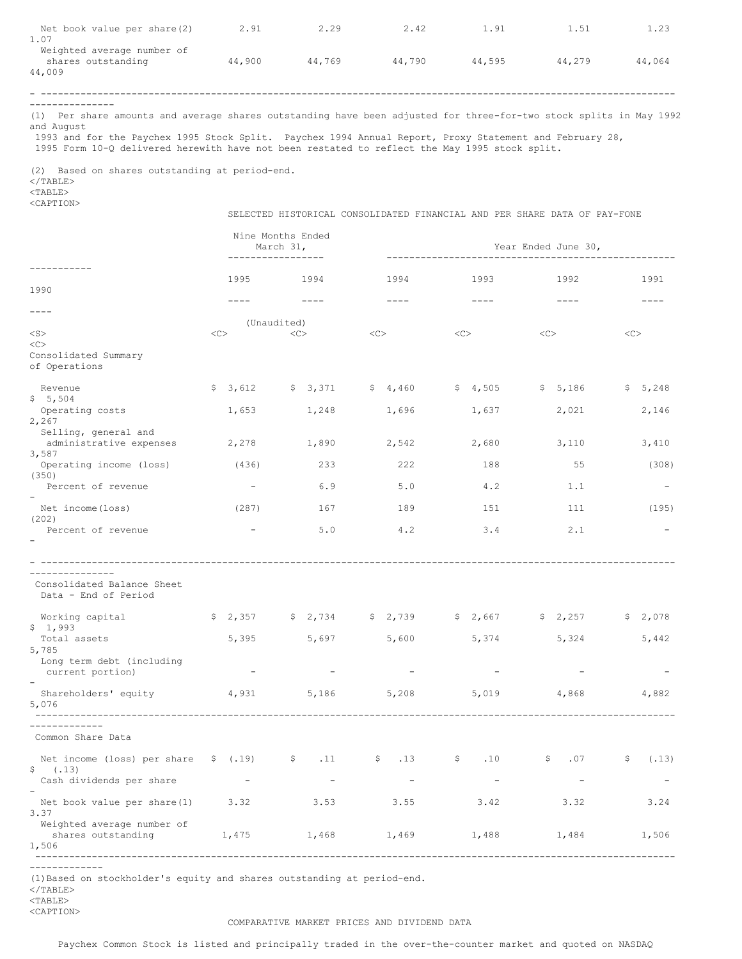| Net book value per share(2)<br>1.07                        | 2.91   | 2.29   | 2.42   | 1.91   | 1.51   | 1.23   |
|------------------------------------------------------------|--------|--------|--------|--------|--------|--------|
| Weighted average number of<br>shares outstanding<br>44,009 | 44,900 | 44,769 | 44,790 | 44.595 | 44,279 | 44,064 |
|                                                            |        |        |        |        |        |        |

---------------

(1) Per share amounts and average shares outstanding have been adjusted for three-for-two stock splits in May 1992 and August

1993 and for the Paychex 1995 Stock Split. Paychex 1994 Annual Report, Proxy Statement and February 28, 1995 Form 10-Q delivered herewith have not been restated to reflect the May 1995 stock split.

(2) Based on shares outstanding at period-end.

 $<$ /TABLE $>$ <TABLE>

<CAPTION>

SELECTED HISTORICAL CONSOLIDATED FINANCIAL AND PER SHARE DATA OF PAY-FONE

|                                                                   | Nine Months Ended<br>March 31,<br>------------------ |                                                                                                 |                                  | Year Ended June 30,              |                                  |             |  |
|-------------------------------------------------------------------|------------------------------------------------------|-------------------------------------------------------------------------------------------------|----------------------------------|----------------------------------|----------------------------------|-------------|--|
| 1990                                                              | 1995                                                 | 1994                                                                                            | 1994                             | 1993                             | 1992                             | 1991        |  |
| $- - - -$                                                         |                                                      |                                                                                                 | $- - - -$                        | $\frac{1}{2}$                    | $- - - -$                        |             |  |
| $<$ S $>$<br><<<br>Consolidated Summary<br>of Operations          | <<                                                   | (Unaudited)<br><<                                                                               | $<<$ $<$ $<$ $>$                 | $<<$ $<$ $<$ $>$                 | <<                               | $<\infty$   |  |
| Revenue                                                           | \$3,612                                              | \$3,371                                                                                         | \$4,460                          | \$4,505                          | \$5,186                          | \$5,248     |  |
| \$5,504<br>Operating costs<br>2,267                               | 1,653                                                | 1,248                                                                                           | 1,696                            | 1,637                            | 2,021                            | 2,146       |  |
| Selling, general and<br>administrative expenses<br>3,587          | 2,278                                                | 1,890                                                                                           | 2,542                            | 2,680                            | 3,110                            | 3,410       |  |
| Operating income (loss)<br>(350)                                  | (436)                                                | 233                                                                                             | 222                              | 188                              | 55                               | (308)       |  |
| Percent of revenue                                                |                                                      | 6.9                                                                                             | 5.0                              | 4.2                              | 1.1                              |             |  |
| Net income (loss)<br>(202)                                        | (287)                                                | 167                                                                                             | 189                              | 151                              | 111                              | (195)       |  |
| Percent of revenue                                                | $\overline{\phantom{a}}$                             | 5.0                                                                                             | 4.2                              | 3.4                              | 2.1                              |             |  |
| Consolidated Balance Sheet<br>Data - End of Period                |                                                      |                                                                                                 |                                  |                                  |                                  |             |  |
| Working capital<br>\$1,993                                        |                                                      | $\frac{1}{2}$ , $\frac{357}{1}$ $\frac{5}{2}$ , $\frac{2}{134}$ $\frac{5}{2}$ , $\frac{2}{139}$ |                                  | \$2,667                          | \$2,257                          | \$2,078     |  |
| Total assets<br>5,785                                             | 5,395                                                | 5,697                                                                                           | 5,600                            | 5,374                            | 5,324                            | 5,442       |  |
| Long term debt (including<br>current portion)                     |                                                      |                                                                                                 |                                  |                                  |                                  |             |  |
| Shareholders' equity<br>5,076                                     | 4,931                                                | 5,186                                                                                           | 5,208                            | 5,019                            | 4,868                            | 4,882       |  |
| -----------<br>Common Share Data                                  |                                                      |                                                                                                 |                                  |                                  |                                  |             |  |
| Net income (loss) per share $$(.19)$<br>\$(.13)                   |                                                      | $\sim$ \$ .11                                                                                   | $\frac{13}{2}$                   | $\mathsf{S}$<br>.10              | $\mathsf{S}$ .07                 | \$<br>(.13) |  |
| Cash dividends per share<br>Net book value per share(1)           | $\sim$ $ -$<br>3.32                                  | $\overline{\phantom{a}}$<br>3.53                                                                | $\overline{\phantom{a}}$<br>3.55 | $\overline{\phantom{a}}$<br>3.42 | $\overline{\phantom{a}}$<br>3.32 | 3.24        |  |
| 3.37<br>Weighted average number of<br>shares outstanding<br>1,506 | 1,475                                                | 1,468                                                                                           | 1,469                            | 1,488                            | 1,484                            | 1,506       |  |

-------------

(1)Based on stockholder's equity and shares outstanding at period-end.

 $\langle$ /TABLE>

 $<$ TABLE>

#### COMPARATIVE MARKET PRICES AND DIVIDEND DATA

Paychex Common Stock is listed and principally traded in the over-the-counter market and quoted on NASDAQ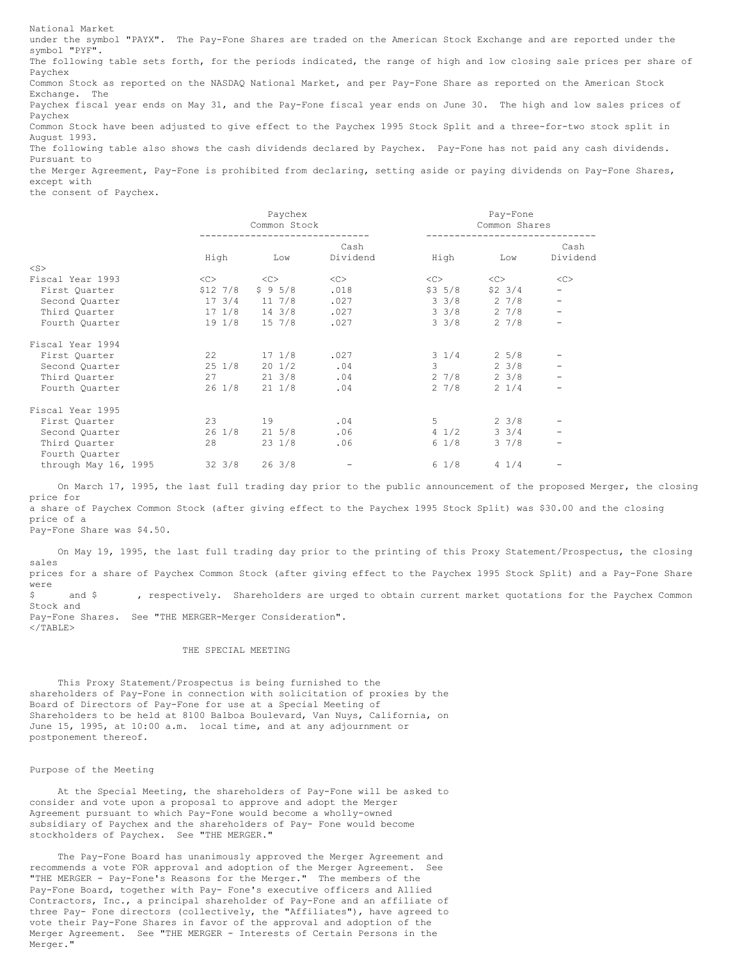National Market under the symbol "PAYX". The Pay-Fone Shares are traded on the American Stock Exchange and are reported under the symbol "PYF". The following table sets forth, for the periods indicated, the range of high and low closing sale prices per share of Paychex Common Stock as reported on the NASDAQ National Market, and per Pay-Fone Share as reported on the American Stock Exchange. The Paychex fiscal year ends on May 31, and the Pay-Fone fiscal year ends on June 30. The high and low sales prices of Paychex Common Stock have been adjusted to give effect to the Paychex 1995 Stock Split and a three-for-two stock split in August 1993. The following table also shows the cash dividends declared by Paychex. Pay-Fone has not paid any cash dividends. Pursuant to the Merger Agreement, Pay-Fone is prohibited from declaring, setting aside or paying dividends on Pay-Fone Shares,

except with the consent of Paychex.

|                                 |                  | Paychex<br>Common Stock |                  |                 | Pay-Fone<br>Common Shares |                          |  |
|---------------------------------|------------------|-------------------------|------------------|-----------------|---------------------------|--------------------------|--|
|                                 | High             | Low                     | Cash<br>Dividend | High            | Low                       | Cash<br>Dividend         |  |
| $<$ S $>$                       |                  |                         |                  |                 |                           |                          |  |
| Fiscal Year 1993                | $<\infty$        | <<                      | <<>              | $<<$ $>$        | <<>                       | <<                       |  |
| First Quarter                   | $$12$ $7/8$      | \$95/8                  | .018             | $$3\;5/8$       | $$2 \t3/4$                | $\qquad \qquad -$        |  |
| Second Quarter                  | 173/4            | $11 \t7/8$              | .027             | $3 \frac{3}{8}$ | $2 \frac{7}{8}$           | $\overline{\phantom{0}}$ |  |
| Third Quarter                   |                  | $17 \t1/8$ 14 3/8       | .027             | $3 \frac{3}{8}$ | $2 \frac{7}{8}$           |                          |  |
| Fourth Quarter                  |                  | 19 1/8 15 7/8           | .027             | $3 \frac{3}{8}$ | $2 \frac{7}{8}$           |                          |  |
| Fiscal Year 1994                |                  |                         |                  |                 |                           |                          |  |
| First Ouarter                   | 22               | $17 \frac{1}{8}$        | .027             | $3 \frac{1}{4}$ | $2\;\;5/8$                |                          |  |
| Second Quarter                  | $25 \frac{1}{8}$ | $20 \frac{1}{2}$        | .04              | 3               | $2 \frac{3}{8}$           | $\qquad \qquad -$        |  |
| Third Quarter                   | 27               | $21 \t3/8$              | .04              | 2 7/8           | $2 \frac{3}{8}$           | -                        |  |
| Fourth Ouarter                  | 26 1/8           | 21 1/8                  | .04              | 27/8            | $2 \frac{1}{4}$           |                          |  |
| Fiscal Year 1995                |                  |                         |                  |                 |                           |                          |  |
| First Quarter                   | 23               | 19                      | .04              | $5 -$           | $2 \frac{3}{8}$           |                          |  |
| Second Quarter                  | $26 \frac{1}{8}$ | 21 5/8                  | .06              | $4 \frac{1}{2}$ | $3 \frac{3}{4}$           |                          |  |
| Third Quarter<br>Fourth Quarter | 28               | $23 \frac{1}{8}$        | .06              | $6 \frac{1}{8}$ | $3 \frac{7}{8}$           |                          |  |
| through May 16, 1995            | $32 \frac{3}{8}$ | 263/8                   |                  | $6 \frac{1}{8}$ | $4 \frac{1}{4}$           |                          |  |

On March 17, 1995, the last full trading day prior to the public announcement of the proposed Merger, the closing price for a share of Paychex Common Stock (after giving effect to the Paychex 1995 Stock Split) was \$30.00 and the closing price of a

Pay-Fone Share was \$4.50.

On May 19, 1995, the last full trading day prior to the printing of this Proxy Statement/Prospectus, the closing sales prices for a share of Paychex Common Stock (after giving effect to the Paychex 1995 Stock Split) and a Pay-Fone Share were \$ and \$ , respectively. Shareholders are urged to obtain current market quotations for the Paychex Common Stock and Pay-Fone Shares. See "THE MERGER-Merger Consideration".  $\langle$ /TABLE>

#### THE SPECIAL MEETING

This Proxy Statement/Prospectus is being furnished to the shareholders of Pay-Fone in connection with solicitation of proxies by the Board of Directors of Pay-Fone for use at a Special Meeting of Shareholders to be held at 8100 Balboa Boulevard, Van Nuys, California, on June 15, 1995, at 10:00 a.m. local time, and at any adjournment or postponement thereof.

#### Purpose of the Meeting

At the Special Meeting, the shareholders of Pay-Fone will be asked to consider and vote upon a proposal to approve and adopt the Merger Agreement pursuant to which Pay-Fone would become a wholly-owned subsidiary of Paychex and the shareholders of Pay- Fone would become stockholders of Paychex. See "THE MERGER."

The Pay-Fone Board has unanimously approved the Merger Agreement and recommends a vote FOR approval and adoption of the Merger Agreement. See "THE MERGER - Pay-Fone's Reasons for the Merger." The members of the Pay-Fone Board, together with Pay- Fone's executive officers and Allied Contractors, Inc., a principal shareholder of Pay-Fone and an affiliate of three Pay- Fone directors (collectively, the "Affiliates"), have agreed to vote their Pay-Fone Shares in favor of the approval and adoption of the Merger Agreement. See "THE MERGER - Interests of Certain Persons in the Merger."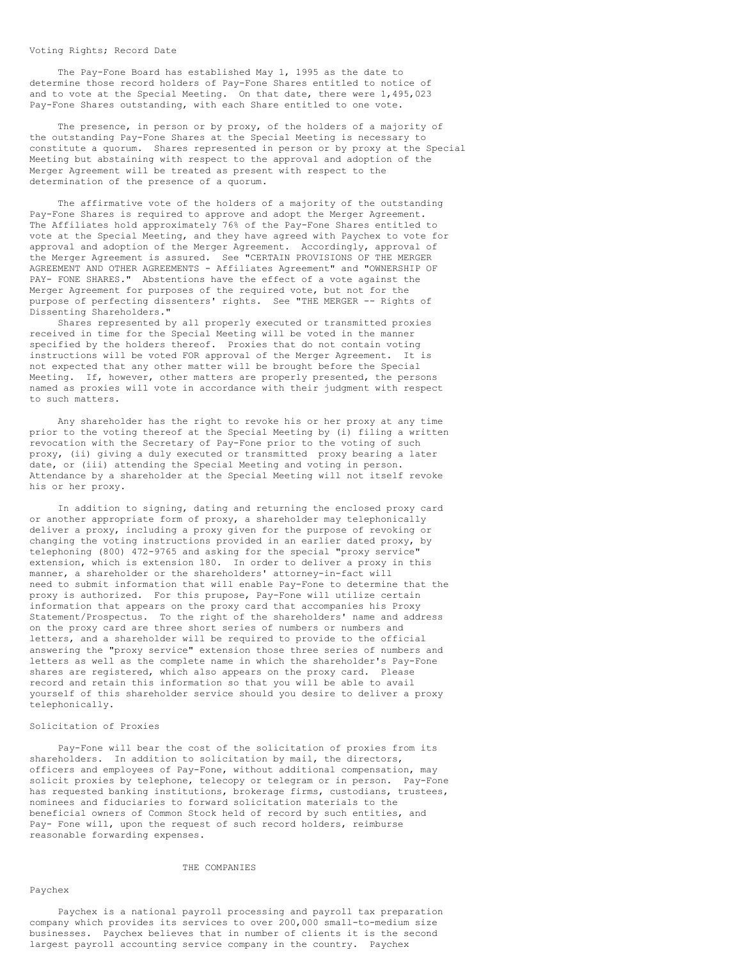#### Voting Rights; Record Date

The Pay-Fone Board has established May 1, 1995 as the date to determine those record holders of Pay-Fone Shares entitled to notice of and to vote at the Special Meeting. On that date, there were 1,495,023 Pay-Fone Shares outstanding, with each Share entitled to one vote.

The presence, in person or by proxy, of the holders of a majority of the outstanding Pay-Fone Shares at the Special Meeting is necessary to constitute a quorum. Shares represented in person or by proxy at the Special Meeting but abstaining with respect to the approval and adoption of the Merger Agreement will be treated as present with respect to the determination of the presence of a quorum.

The affirmative vote of the holders of a majority of the outstanding Pay-Fone Shares is required to approve and adopt the Merger Agreement. The Affiliates hold approximately 76% of the Pay-Fone Shares entitled to vote at the Special Meeting, and they have agreed with Paychex to vote for approval and adoption of the Merger Agreement. Accordingly, approval of the Merger Agreement is assured. See "CERTAIN PROVISIONS OF THE MERGER AGREEMENT AND OTHER AGREEMENTS - Affiliates Agreement" and "OWNERSHIP OF PAY- FONE SHARES." Abstentions have the effect of a vote against the Merger Agreement for purposes of the required vote, but not for the purpose of perfecting dissenters' rights. See "THE MERGER -- Rights of Dissenting Shareholders."

Shares represented by all properly executed or transmitted proxies received in time for the Special Meeting will be voted in the manner specified by the holders thereof. Proxies that do not contain voting instructions will be voted FOR approval of the Merger Agreement. It is not expected that any other matter will be brought before the Special Meeting. If, however, other matters are properly presented, the persons named as proxies will vote in accordance with their judgment with respect to such matters.

Any shareholder has the right to revoke his or her proxy at any time prior to the voting thereof at the Special Meeting by (i) filing a written revocation with the Secretary of Pay-Fone prior to the voting of such proxy, (ii) giving a duly executed or transmitted proxy bearing a later date, or (iii) attending the Special Meeting and voting in person. Attendance by a shareholder at the Special Meeting will not itself revoke his or her proxy.

In addition to signing, dating and returning the enclosed proxy card or another appropriate form of proxy, a shareholder may telephonically deliver a proxy, including a proxy given for the purpose of revoking or changing the voting instructions provided in an earlier dated proxy, by telephoning (800) 472-9765 and asking for the special "proxy service" extension, which is extension 180. In order to deliver a proxy in this manner, a shareholder or the shareholders' attorney-in-fact will need to submit information that will enable Pay-Fone to determine that the proxy is authorized. For this prupose, Pay-Fone will utilize certain information that appears on the proxy card that accompanies his Proxy Statement/Prospectus. To the right of the shareholders' name and address on the proxy card are three short series of numbers or numbers and letters, and a shareholder will be required to provide to the official answering the "proxy service" extension those three series of numbers and letters as well as the complete name in which the shareholder's Pay-Fone shares are registered, which also appears on the proxy card. Please record and retain this information so that you will be able to avail yourself of this shareholder service should you desire to deliver a proxy telephonically.

### Solicitation of Proxies

Pay-Fone will bear the cost of the solicitation of proxies from its shareholders. In addition to solicitation by mail, the directors, officers and employees of Pay-Fone, without additional compensation, may solicit proxies by telephone, telecopy or telegram or in person. Pay-Fone has requested banking institutions, brokerage firms, custodians, trustees, nominees and fiduciaries to forward solicitation materials to the beneficial owners of Common Stock held of record by such entities, and Pay- Fone will, upon the request of such record holders, reimburse reasonable forwarding expenses.

### THE COMPANIES

### Paychex

Paychex is a national payroll processing and payroll tax preparation company which provides its services to over 200,000 small-to-medium size businesses. Paychex believes that in number of clients it is the second largest payroll accounting service company in the country. Paychex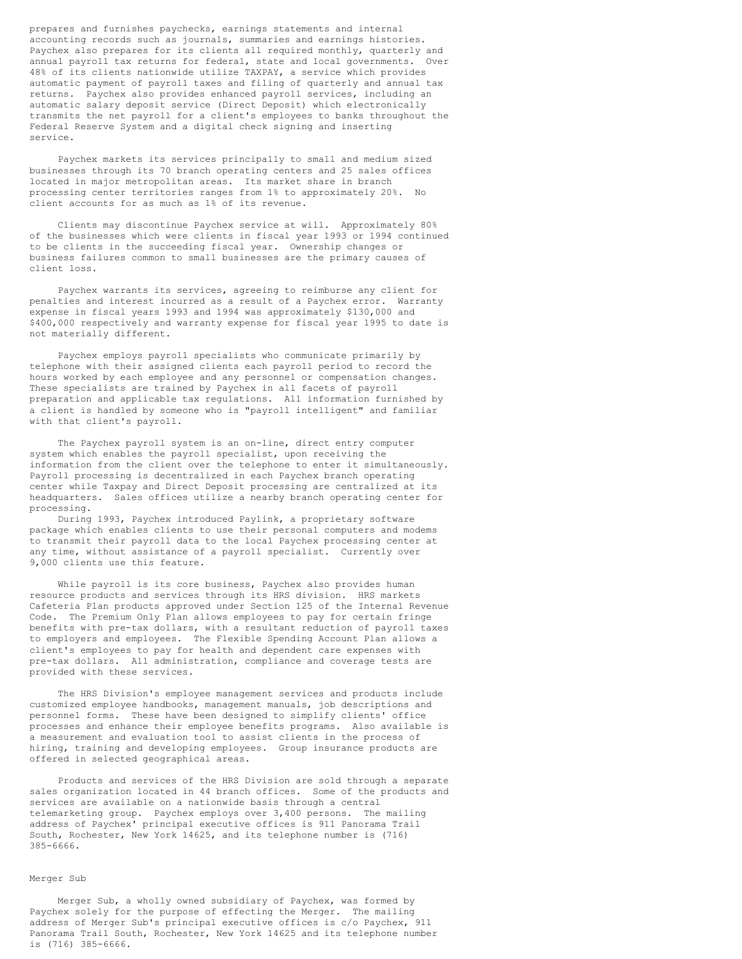prepares and furnishes paychecks, earnings statements and internal accounting records such as journals, summaries and earnings histories. Paychex also prepares for its clients all required monthly, quarterly and annual payroll tax returns for federal, state and local governments. Over 48% of its clients nationwide utilize TAXPAY, a service which provides automatic payment of payroll taxes and filing of quarterly and annual tax returns. Paychex also provides enhanced payroll services, including an automatic salary deposit service (Direct Deposit) which electronically transmits the net payroll for a client's employees to banks throughout the Federal Reserve System and a digital check signing and inserting service.

Paychex markets its services principally to small and medium sized businesses through its 70 branch operating centers and 25 sales offices located in major metropolitan areas. Its market share in branch processing center territories ranges from 1% to approximately 20%. client accounts for as much as 1% of its revenue.

Clients may discontinue Paychex service at will. Approximately 80% of the businesses which were clients in fiscal year 1993 or 1994 continued to be clients in the succeeding fiscal year. Ownership changes or business failures common to small businesses are the primary causes of client loss.

Paychex warrants its services, agreeing to reimburse any client for penalties and interest incurred as a result of a Paychex error. Warranty expense in fiscal years 1993 and 1994 was approximately \$130,000 and \$400,000 respectively and warranty expense for fiscal year 1995 to date is not materially different.

Paychex employs payroll specialists who communicate primarily by telephone with their assigned clients each payroll period to record the hours worked by each employee and any personnel or compensation changes. These specialists are trained by Paychex in all facets of payroll preparation and applicable tax regulations. All information furnished by a client is handled by someone who is "payroll intelligent" and familiar with that client's payroll.

The Paychex payroll system is an on-line, direct entry computer system which enables the payroll specialist, upon receiving the information from the client over the telephone to enter it simultaneously. Payroll processing is decentralized in each Paychex branch operating center while Taxpay and Direct Deposit processing are centralized at its headquarters. Sales offices utilize a nearby branch operating center for processing.

During 1993, Paychex introduced Paylink, a proprietary software package which enables clients to use their personal computers and modems to transmit their payroll data to the local Paychex processing center at any time, without assistance of a payroll specialist. Currently over 9,000 clients use this feature.

While payroll is its core business, Paychex also provides human resource products and services through its HRS division. HRS markets Cafeteria Plan products approved under Section 125 of the Internal Revenue Code. The Premium Only Plan allows employees to pay for certain fringe benefits with pre-tax dollars, with a resultant reduction of payroll taxes to employers and employees. The Flexible Spending Account Plan allows a client's employees to pay for health and dependent care expenses with pre-tax dollars. All administration, compliance and coverage tests are provided with these services.

The HRS Division's employee management services and products include customized employee handbooks, management manuals, job descriptions and personnel forms. These have been designed to simplify clients' office processes and enhance their employee benefits programs. Also available is a measurement and evaluation tool to assist clients in the process of hiring, training and developing employees. Group insurance products are offered in selected geographical areas.

Products and services of the HRS Division are sold through a separate sales organization located in 44 branch offices. Some of the products and services are available on a nationwide basis through a central telemarketing group. Paychex employs over 3,400 persons. The mailing address of Paychex' principal executive offices is 911 Panorama Trail South, Rochester, New York 14625, and its telephone number is (716) 385-6666.

### Merger Sub

Merger Sub, a wholly owned subsidiary of Paychex, was formed by Paychex solely for the purpose of effecting the Merger. The mailing address of Merger Sub's principal executive offices is c/o Paychex, 911 Panorama Trail South, Rochester, New York 14625 and its telephone number is (716) 385-6666.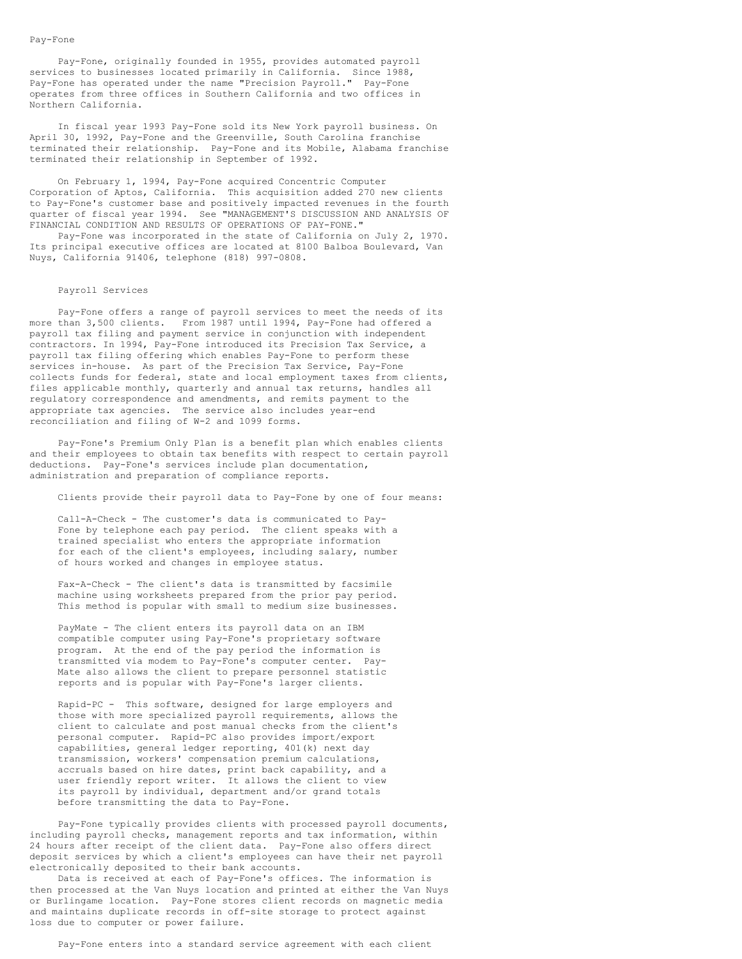#### Pay-Fone

Pay-Fone, originally founded in 1955, provides automated payroll services to businesses located primarily in California. Since 1988, Pay-Fone has operated under the name "Precision Payroll." Pay-Fone operates from three offices in Southern California and two offices in Northern California.

In fiscal year 1993 Pay-Fone sold its New York payroll business. On April 30, 1992, Pay-Fone and the Greenville, South Carolina franchise terminated their relationship. Pay-Fone and its Mobile, Alabama franchise terminated their relationship in September of 1992.

On February 1, 1994, Pay-Fone acquired Concentric Computer Corporation of Aptos, California. This acquisition added 270 new clients to Pay-Fone's customer base and positively impacted revenues in the fourth quarter of fiscal year 1994. See "MANAGEMENT'S DISCUSSION AND ANALYSIS OF FINANCIAL CONDITION AND RESULTS OF OPERATIONS OF PAY-FONE."

Pay-Fone was incorporated in the state of California on July 2, 1970. Its principal executive offices are located at 8100 Balboa Boulevard, Van Nuys, California 91406, telephone (818) 997-0808.

#### Payroll Services

Pay-Fone offers a range of payroll services to meet the needs of its more than 3,500 clients. From 1987 until 1994, Pay-Fone had offered a payroll tax filing and payment service in conjunction with independent contractors. In 1994, Pay-Fone introduced its Precision Tax Service, a payroll tax filing offering which enables Pay-Fone to perform these services in-house. As part of the Precision Tax Service, Pay-Fone collects funds for federal, state and local employment taxes from clients, files applicable monthly, quarterly and annual tax returns, handles all regulatory correspondence and amendments, and remits payment to the appropriate tax agencies. The service also includes year-end reconciliation and filing of W-2 and 1099 forms.

Pay-Fone's Premium Only Plan is a benefit plan which enables clients and their employees to obtain tax benefits with respect to certain payroll deductions. Pay-Fone's services include plan documentation, administration and preparation of compliance reports.

Clients provide their payroll data to Pay-Fone by one of four means:

Call-A-Check - The customer's data is communicated to Pay-Fone by telephone each pay period. The client speaks with a trained specialist who enters the appropriate information for each of the client's employees, including salary, number of hours worked and changes in employee status.

Fax-A-Check - The client's data is transmitted by facsimile machine using worksheets prepared from the prior pay period. This method is popular with small to medium size businesses.

PayMate - The client enters its payroll data on an IBM compatible computer using Pay-Fone's proprietary software program. At the end of the pay period the information is transmitted via modem to Pay-Fone's computer center. Pay-Mate also allows the client to prepare personnel statistic reports and is popular with Pay-Fone's larger clients.

Rapid-PC - This software, designed for large employers and those with more specialized payroll requirements, allows the client to calculate and post manual checks from the client's personal computer. Rapid-PC also provides import/export capabilities, general ledger reporting, 401(k) next day transmission, workers' compensation premium calculations, accruals based on hire dates, print back capability, and a user friendly report writer. It allows the client to view its payroll by individual, department and/or grand totals before transmitting the data to Pay-Fone.

Pay-Fone typically provides clients with processed payroll documents, including payroll checks, management reports and tax information, within 24 hours after receipt of the client data. Pay-Fone also offers direct deposit services by which a client's employees can have their net payroll electronically deposited to their bank accounts.

Data is received at each of Pay-Fone's offices. The information is then processed at the Van Nuys location and printed at either the Van Nuys or Burlingame location. Pay-Fone stores client records on magnetic media and maintains duplicate records in off-site storage to protect against loss due to computer or power failure.

Pay-Fone enters into a standard service agreement with each client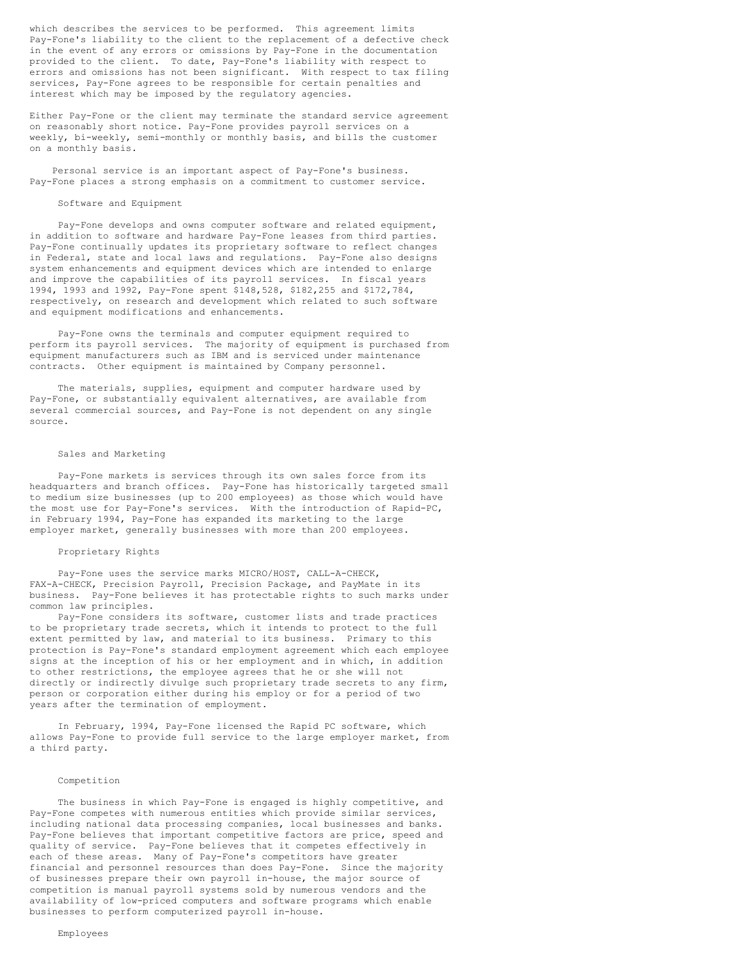which describes the services to be performed. This agreement limits Pay-Fone's liability to the client to the replacement of a defective check in the event of any errors or omissions by Pay-Fone in the documentation provided to the client. To date, Pay-Fone's liability with respect to errors and omissions has not been significant. With respect to tax filing services, Pay-Fone agrees to be responsible for certain penalties and interest which may be imposed by the regulatory agencies.

Either Pay-Fone or the client may terminate the standard service agreement on reasonably short notice. Pay-Fone provides payroll services on a weekly, bi-weekly, semi-monthly or monthly basis, and bills the customer on a monthly basis.

Personal service is an important aspect of Pay-Fone's business. Pay-Fone places a strong emphasis on a commitment to customer service.

#### Software and Equipment

Pay-Fone develops and owns computer software and related equipment, in addition to software and hardware Pay-Fone leases from third parties. Pay-Fone continually updates its proprietary software to reflect changes in Federal, state and local laws and regulations. Pay-Fone also designs system enhancements and equipment devices which are intended to enlarge and improve the capabilities of its payroll services. In fiscal years 1994, 1993 and 1992, Pay-Fone spent \$148,528, \$182,255 and \$172,784, respectively, on research and development which related to such software and equipment modifications and enhancements.

Pay-Fone owns the terminals and computer equipment required to perform its payroll services. The majority of equipment is purchased from equipment manufacturers such as IBM and is serviced under maintenance contracts. Other equipment is maintained by Company personnel.

The materials, supplies, equipment and computer hardware used by Pay-Fone, or substantially equivalent alternatives, are available from several commercial sources, and Pay-Fone is not dependent on any single source.

### Sales and Marketing

Pay-Fone markets is services through its own sales force from its headquarters and branch offices. Pay-Fone has historically targeted small to medium size businesses (up to 200 employees) as those which would have the most use for Pay-Fone's services. With the introduction of Rapid-PC, in February 1994, Pay-Fone has expanded its marketing to the large employer market, generally businesses with more than 200 employees.

#### Proprietary Rights

Pay-Fone uses the service marks MICRO/HOST, CALL-A-CHECK, FAX-A-CHECK, Precision Payroll, Precision Package, and PayMate in its business. Pay-Fone believes it has protectable rights to such marks under common law principles.

Pay-Fone considers its software, customer lists and trade practices to be proprietary trade secrets, which it intends to protect to the full extent permitted by law, and material to its business. Primary to this protection is Pay-Fone's standard employment agreement which each employee signs at the inception of his or her employment and in which, in addition to other restrictions, the employee agrees that he or she will not directly or indirectly divulge such proprietary trade secrets to any firm, person or corporation either during his employ or for a period of two years after the termination of employment.

In February, 1994, Pay-Fone licensed the Rapid PC software, which allows Pay-Fone to provide full service to the large employer market, from a third party.

### Competition

The business in which Pay-Fone is engaged is highly competitive, and Pay-Fone competes with numerous entities which provide similar services, including national data processing companies, local businesses and banks. Pay-Fone believes that important competitive factors are price, speed and quality of service. Pay-Fone believes that it competes effectively in each of these areas. Many of Pay-Fone's competitors have greater financial and personnel resources than does Pay-Fone. Since the majority of businesses prepare their own payroll in-house, the major source of competition is manual payroll systems sold by numerous vendors and the availability of low-priced computers and software programs which enable businesses to perform computerized payroll in-house.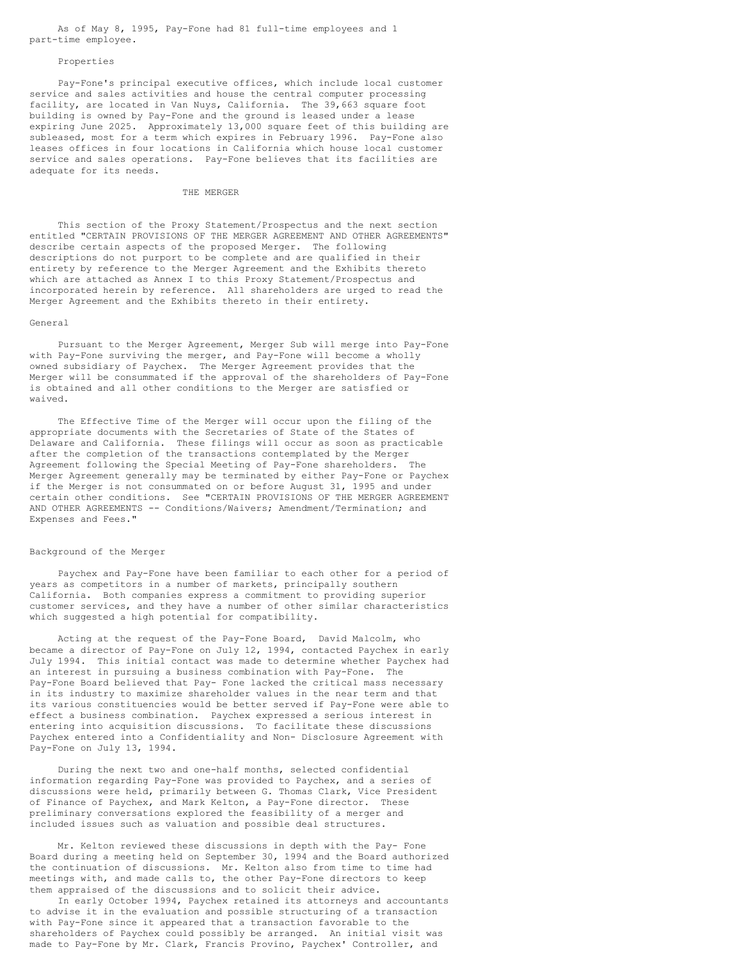As of May 8, 1995, Pay-Fone had 81 full-time employees and 1 part-time employee.

#### Properties

Pay-Fone's principal executive offices, which include local customer service and sales activities and house the central computer processing facility, are located in Van Nuys, California. The 39,663 square foot building is owned by Pay-Fone and the ground is leased under a lease expiring June 2025. Approximately 13,000 square feet of this building are subleased, most for a term which expires in February 1996. Pay-Fone also leases offices in four locations in California which house local customer service and sales operations. Pay-Fone believes that its facilities are adequate for its needs.

### THE MERGER

This section of the Proxy Statement/Prospectus and the next section entitled "CERTAIN PROVISIONS OF THE MERGER AGREEMENT AND OTHER AGREEMENTS" describe certain aspects of the proposed Merger. The following descriptions do not purport to be complete and are qualified in their entirety by reference to the Merger Agreement and the Exhibits thereto which are attached as Annex I to this Proxy Statement/Prospectus and incorporated herein by reference. All shareholders are urged to read the Merger Agreement and the Exhibits thereto in their entirety.

#### General

Pursuant to the Merger Agreement, Merger Sub will merge into Pay-Fone with Pay-Fone surviving the merger, and Pay-Fone will become a wholly owned subsidiary of Paychex. The Merger Agreement provides that the Merger will be consummated if the approval of the shareholders of Pay-Fone is obtained and all other conditions to the Merger are satisfied or waived.

The Effective Time of the Merger will occur upon the filing of the appropriate documents with the Secretaries of State of the States of Delaware and California. These filings will occur as soon as practicable after the completion of the transactions contemplated by the Merger Agreement following the Special Meeting of Pay-Fone shareholders. The Merger Agreement generally may be terminated by either Pay-Fone or Paychex if the Merger is not consummated on or before August 31, 1995 and under certain other conditions. See "CERTAIN PROVISIONS OF THE MERGER AGREEMENT AND OTHER AGREEMENTS -- Conditions/Waivers; Amendment/Termination; and Expenses and Fees."

#### Background of the Merger

Paychex and Pay-Fone have been familiar to each other for a period of years as competitors in a number of markets, principally southern California. Both companies express a commitment to providing superior customer services, and they have a number of other similar characteristics which suggested a high potential for compatibility.

Acting at the request of the Pay-Fone Board, David Malcolm, who became a director of Pay-Fone on July 12, 1994, contacted Paychex in early July 1994. This initial contact was made to determine whether Paychex had an interest in pursuing a business combination with Pay-Fone. The Pay-Fone Board believed that Pay- Fone lacked the critical mass necessary in its industry to maximize shareholder values in the near term and that its various constituencies would be better served if Pay-Fone were able to effect a business combination. Paychex expressed a serious interest in entering into acquisition discussions. To facilitate these discussions Paychex entered into a Confidentiality and Non- Disclosure Agreement with Pay-Fone on July 13, 1994.

During the next two and one-half months, selected confidential information regarding Pay-Fone was provided to Paychex, and a series of discussions were held, primarily between G. Thomas Clark, Vice President of Finance of Paychex, and Mark Kelton, a Pay-Fone director. These preliminary conversations explored the feasibility of a merger and included issues such as valuation and possible deal structures.

Mr. Kelton reviewed these discussions in depth with the Pay- Fone Board during a meeting held on September 30, 1994 and the Board authorized the continuation of discussions. Mr. Kelton also from time to time had meetings with, and made calls to, the other Pay-Fone directors to keep them appraised of the discussions and to solicit their advice.

In early October 1994, Paychex retained its attorneys and accountants to advise it in the evaluation and possible structuring of a transaction with Pay-Fone since it appeared that a transaction favorable to the shareholders of Paychex could possibly be arranged. An initial visit was made to Pay-Fone by Mr. Clark, Francis Provino, Paychex' Controller, and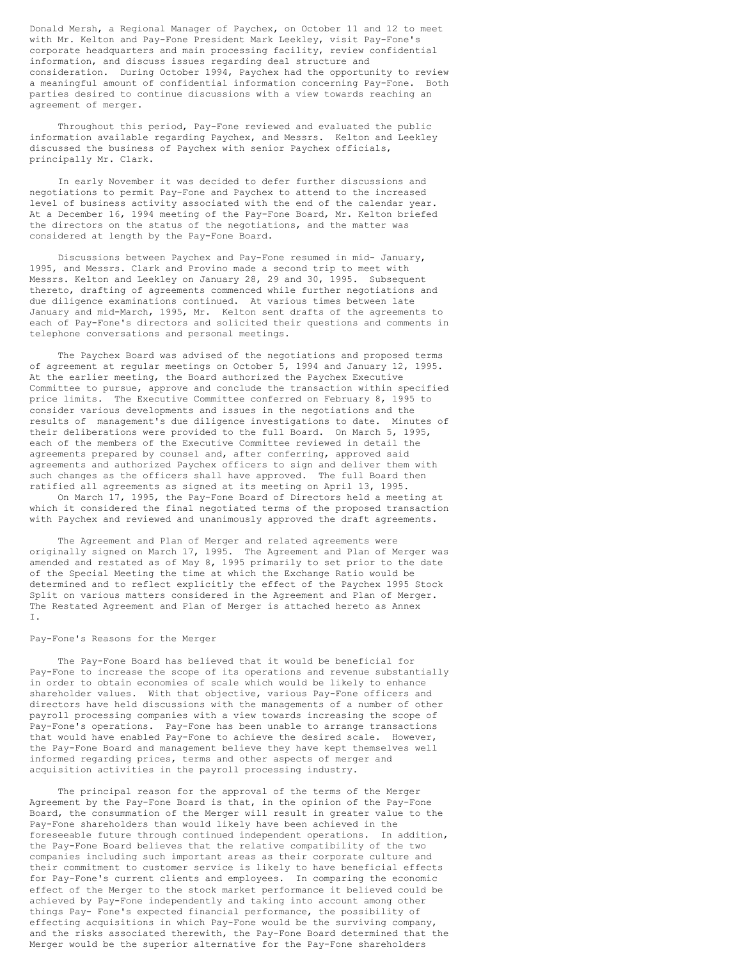Donald Mersh, a Regional Manager of Paychex, on October 11 and 12 to meet with Mr. Kelton and Pay-Fone President Mark Leekley, visit Pay-Fone's corporate headquarters and main processing facility, review confidential information, and discuss issues regarding deal structure and consideration. During October 1994, Paychex had the opportunity to review a meaningful amount of confidential information concerning Pay-Fone. Both parties desired to continue discussions with a view towards reaching an agreement of merger.

Throughout this period, Pay-Fone reviewed and evaluated the public information available regarding Paychex, and Messrs. Kelton and Leekley discussed the business of Paychex with senior Paychex officials, principally Mr. Clark.

In early November it was decided to defer further discussions and negotiations to permit Pay-Fone and Paychex to attend to the increased level of business activity associated with the end of the calendar year. At a December 16, 1994 meeting of the Pay-Fone Board, Mr. Kelton briefed the directors on the status of the negotiations, and the matter was considered at length by the Pay-Fone Board.

Discussions between Paychex and Pay-Fone resumed in mid- January, 1995, and Messrs. Clark and Provino made a second trip to meet with Messrs. Kelton and Leekley on January 28, 29 and 30, 1995. Subsequent thereto, drafting of agreements commenced while further negotiations and due diligence examinations continued. At various times between late January and mid-March, 1995, Mr. Kelton sent drafts of the agreements to each of Pay-Fone's directors and solicited their questions and comments in telephone conversations and personal meetings.

The Paychex Board was advised of the negotiations and proposed terms of agreement at regular meetings on October 5, 1994 and January 12, 1995. At the earlier meeting, the Board authorized the Paychex Executive Committee to pursue, approve and conclude the transaction within specified price limits. The Executive Committee conferred on February 8, 1995 to consider various developments and issues in the negotiations and the results of management's due diligence investigations to date. Minutes of their deliberations were provided to the full Board. On March 5, 1995, each of the members of the Executive Committee reviewed in detail the agreements prepared by counsel and, after conferring, approved said agreements and authorized Paychex officers to sign and deliver them with such changes as the officers shall have approved. The full Board then ratified all agreements as signed at its meeting on April 13, 1995.

On March 17, 1995, the Pay-Fone Board of Directors held a meeting at which it considered the final negotiated terms of the proposed transaction with Paychex and reviewed and unanimously approved the draft agreements.

The Agreement and Plan of Merger and related agreements were originally signed on March 17, 1995. The Agreement and Plan of Merger was amended and restated as of May 8, 1995 primarily to set prior to the date of the Special Meeting the time at which the Exchange Ratio would be determined and to reflect explicitly the effect of the Paychex 1995 Stock Split on various matters considered in the Agreement and Plan of Merger. The Restated Agreement and Plan of Merger is attached hereto as Annex I.

### Pay-Fone's Reasons for the Merger

The Pay-Fone Board has believed that it would be beneficial for Pay-Fone to increase the scope of its operations and revenue substantially in order to obtain economies of scale which would be likely to enhance shareholder values. With that objective, various Pay-Fone officers and directors have held discussions with the managements of a number of other payroll processing companies with a view towards increasing the scope of Pay-Fone's operations. Pay-Fone has been unable to arrange transactions that would have enabled Pay-Fone to achieve the desired scale. However, the Pay-Fone Board and management believe they have kept themselves well informed regarding prices, terms and other aspects of merger and acquisition activities in the payroll processing industry.

The principal reason for the approval of the terms of the Merger Agreement by the Pay-Fone Board is that, in the opinion of the Pay-Fone Board, the consummation of the Merger will result in greater value to the Pay-Fone shareholders than would likely have been achieved in the foreseeable future through continued independent operations. In addition, the Pay-Fone Board believes that the relative compatibility of the two companies including such important areas as their corporate culture and their commitment to customer service is likely to have beneficial effects for Pay-Fone's current clients and employees. In comparing the economic effect of the Merger to the stock market performance it believed could be achieved by Pay-Fone independently and taking into account among other things Pay- Fone's expected financial performance, the possibility of effecting acquisitions in which Pay-Fone would be the surviving company, and the risks associated therewith, the Pay-Fone Board determined that the Merger would be the superior alternative for the Pay-Fone shareholders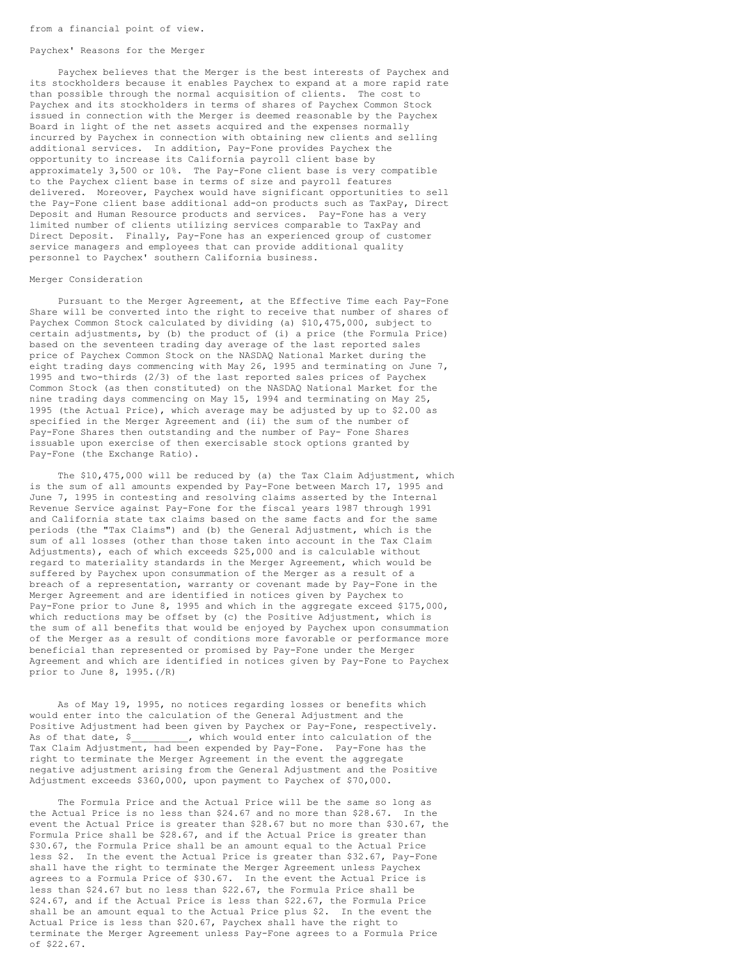#### Paychex' Reasons for the Merger

Paychex believes that the Merger is the best interests of Paychex and its stockholders because it enables Paychex to expand at a more rapid rate than possible through the normal acquisition of clients. The cost to Paychex and its stockholders in terms of shares of Paychex Common Stock issued in connection with the Merger is deemed reasonable by the Paychex Board in light of the net assets acquired and the expenses normally incurred by Paychex in connection with obtaining new clients and selling additional services. In addition, Pay-Fone provides Paychex the opportunity to increase its California payroll client base by approximately 3,500 or 10%. The Pay-Fone client base is very compatible to the Paychex client base in terms of size and payroll features delivered. Moreover, Paychex would have significant opportunities to sell the Pay-Fone client base additional add-on products such as TaxPay, Direct Deposit and Human Resource products and services. Pay-Fone has a very limited number of clients utilizing services comparable to TaxPay and Direct Deposit. Finally, Pay-Fone has an experienced group of customer service managers and employees that can provide additional quality personnel to Paychex' southern California business.

#### Merger Consideration

Pursuant to the Merger Agreement, at the Effective Time each Pay-Fone Share will be converted into the right to receive that number of shares of Paychex Common Stock calculated by dividing (a) \$10,475,000, subject to certain adjustments, by (b) the product of (i) a price (the Formula Price) based on the seventeen trading day average of the last reported sales price of Paychex Common Stock on the NASDAQ National Market during the eight trading days commencing with May 26, 1995 and terminating on June 7, 1995 and two-thirds (2/3) of the last reported sales prices of Paychex Common Stock (as then constituted) on the NASDAQ National Market for the nine trading days commencing on May 15, 1994 and terminating on May 25, 1995 (the Actual Price), which average may be adjusted by up to \$2.00 as specified in the Merger Agreement and (ii) the sum of the number of Pay-Fone Shares then outstanding and the number of Pay- Fone Shares issuable upon exercise of then exercisable stock options granted by Pay-Fone (the Exchange Ratio).

The \$10,475,000 will be reduced by (a) the Tax Claim Adjustment, which is the sum of all amounts expended by Pay-Fone between March 17, 1995 and June 7, 1995 in contesting and resolving claims asserted by the Internal Revenue Service against Pay-Fone for the fiscal years 1987 through 1991 and California state tax claims based on the same facts and for the same periods (the "Tax Claims") and (b) the General Adjustment, which is the sum of all losses (other than those taken into account in the Tax Claim Adjustments), each of which exceeds \$25,000 and is calculable without regard to materiality standards in the Merger Agreement, which would be suffered by Paychex upon consummation of the Merger as a result of a breach of a representation, warranty or covenant made by Pay-Fone in the Merger Agreement and are identified in notices given by Paychex to Pay-Fone prior to June 8, 1995 and which in the aggregate exceed \$175,000, which reductions may be offset by (c) the Positive Adjustment, which is the sum of all benefits that would be enjoyed by Paychex upon consummation of the Merger as a result of conditions more favorable or performance more beneficial than represented or promised by Pay-Fone under the Merger Agreement and which are identified in notices given by Pay-Fone to Paychex prior to June 8, 1995.(/R)

As of May 19, 1995, no notices regarding losses or benefits which would enter into the calculation of the General Adjustment and the Positive Adjustment had been given by Paychex or Pay-Fone, respectively.<br>As of that date, \$ \_\_\_\_\_\_\_\_, which would enter into calculation of the As of that date, \$ \_\_\_\_\_\_\_\_, which would enter into calculation of the Tax Claim Adjustment, had been expended by Pay-Fone. Pay-Fone has the right to terminate the Merger Agreement in the event the aggregate negative adjustment arising from the General Adjustment and the Positive Adjustment exceeds \$360,000, upon payment to Paychex of \$70,000.

The Formula Price and the Actual Price will be the same so long as the Actual Price is no less than \$24.67 and no more than \$28.67. In the event the Actual Price is greater than \$28.67 but no more than \$30.67, the Formula Price shall be \$28.67, and if the Actual Price is greater than \$30.67, the Formula Price shall be an amount equal to the Actual Price less \$2. In the event the Actual Price is greater than \$32.67, Pay-Fone shall have the right to terminate the Merger Agreement unless Paychex agrees to a Formula Price of \$30.67. In the event the Actual Price is less than \$24.67 but no less than \$22.67, the Formula Price shall be \$24.67, and if the Actual Price is less than \$22.67, the Formula Price shall be an amount equal to the Actual Price plus \$2. In the event the Actual Price is less than \$20.67, Paychex shall have the right to terminate the Merger Agreement unless Pay-Fone agrees to a Formula Price of \$22.67.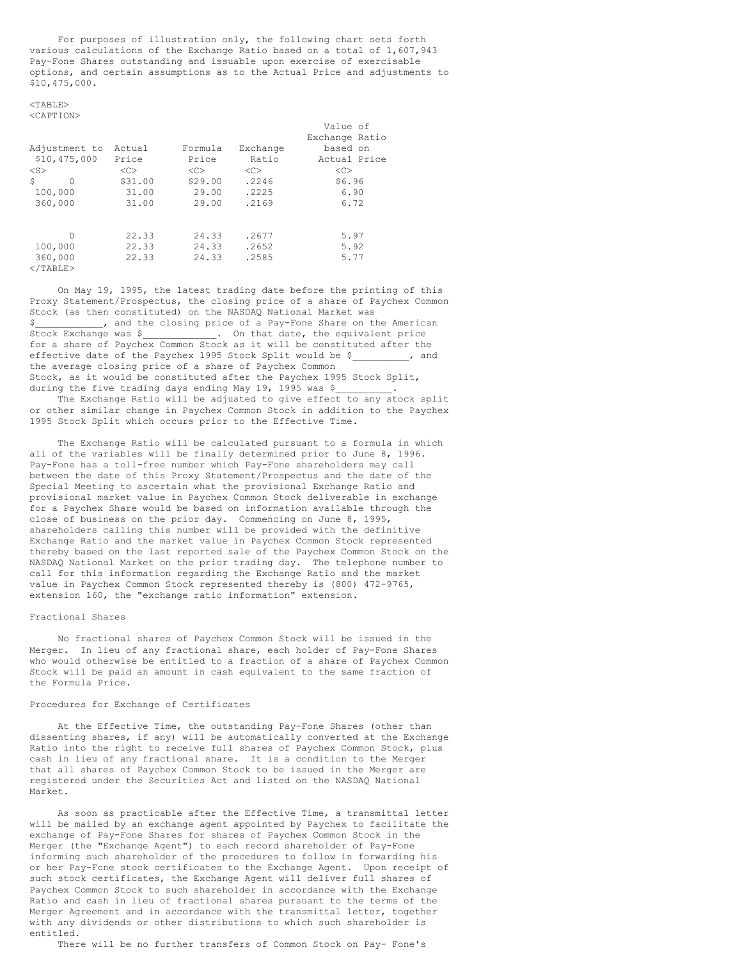For purposes of illustration only, the following chart sets forth various calculations of the Exchange Ratio based on a total of 1,607,943 Pay-Fone Shares outstanding and issuable upon exercise of exercisable options, and certain assumptions as to the Actual Price and adjustments to \$10,475,000.

<TABLE>

|                        |         |         |          | Value of       |
|------------------------|---------|---------|----------|----------------|
|                        |         |         |          | Exchange Ratio |
| Adjustment to          | Actual  | Formula | Exchange | based on       |
| \$10,475,000           | Price   | Price   | Ratio    | Actual Price   |
| $<$ S $>$              | <<      | <<      | <<       | <<             |
| Ŝ<br>$\Omega$          | \$31.00 | \$29.00 | .2246    | \$6.96         |
| 100,000                | 31.00   | 29.00   | .2225    | 6.90           |
| 360,000                | 31.00   | 29.00   | .2169    | 6.72           |
| 0                      | 22.33   | 24.33   | .2677    | 5.97           |
|                        |         |         |          |                |
| 100,000                | 22.33   | 24.33   | .2652    | 5.92           |
| 360,000<br>$<$ /TABLE> | 22.33   | 24.33   | .2585    | 5.77           |

On May 19, 1995, the latest trading date before the printing of this Proxy Statement/Prospectus, the closing price of a share of Paychex Common Stock (as then constituted) on the NASDAQ National Market was \$ , and the closing price of a Pay-Fone Share on the American Stock Exchange was \$\_\_\_\_\_\_\_\_\_\_\_\_\_. On that date, the equivalent price for a share of Paychex Common Stock as it will be constituted after the effective date of the Paychex 1995 Stock Split would be \$\_\_\_\_\_\_\_\_\_\_, and the average closing price of a share of Paychex Common Stock, as it would be constituted after the Paychex 1995 Stock Split, during the five trading days ending May 19, 1995 was \$

The Exchange Ratio will be adjusted to give effect to any stock split or other similar change in Paychex Common Stock in addition to the Paychex 1995 Stock Split which occurs prior to the Effective Time.

The Exchange Ratio will be calculated pursuant to a formula in which all of the variables will be finally determined prior to June 8, 1996. Pay-Fone has a toll-free number which Pay-Fone shareholders may call between the date of this Proxy Statement/Prospectus and the date of the Special Meeting to ascertain what the provisional Exchange Ratio and provisional market value in Paychex Common Stock deliverable in exchange for a Paychex Share would be based on information available through the close of business on the prior day. Commencing on June 8, 1995, shareholders calling this number will be provided with the definitive Exchange Ratio and the market value in Paychex Common Stock represented thereby based on the last reported sale of the Paychex Common Stock on the NASDAQ National Market on the prior trading day. The telephone number to call for this information regarding the Exchange Ratio and the market value in Paychex Common Stock represented thereby is (800) 472-9765, extension 160, the "exchange ratio information" extension.

### Fractional Shares

No fractional shares of Paychex Common Stock will be issued in the Merger. In lieu of any fractional share, each holder of Pay-Fone Shares who would otherwise be entitled to a fraction of a share of Paychex Common Stock will be paid an amount in cash equivalent to the same fraction of the Formula Price.

# Procedures for Exchange of Certificates

At the Effective Time, the outstanding Pay-Fone Shares (other than dissenting shares, if any) will be automatically converted at the Exchange Ratio into the right to receive full shares of Paychex Common Stock, plus cash in lieu of any fractional share. It is a condition to the Merger that all shares of Paychex Common Stock to be issued in the Merger are registered under the Securities Act and listed on the NASDAQ National Market.

As soon as practicable after the Effective Time, a transmittal letter will be mailed by an exchange agent appointed by Paychex to facilitate the exchange of Pay-Fone Shares for shares of Paychex Common Stock in the Merger (the "Exchange Agent") to each record shareholder of Pay-Fone informing such shareholder of the procedures to follow in forwarding his or her Pay-Fone stock certificates to the Exchange Agent. Upon receipt of such stock certificates, the Exchange Agent will deliver full shares of Paychex Common Stock to such shareholder in accordance with the Exchange Ratio and cash in lieu of fractional shares pursuant to the terms of the Merger Agreement and in accordance with the transmittal letter, together with any dividends or other distributions to which such shareholder is entitled.

There will be no further transfers of Common Stock on Pay- Fone's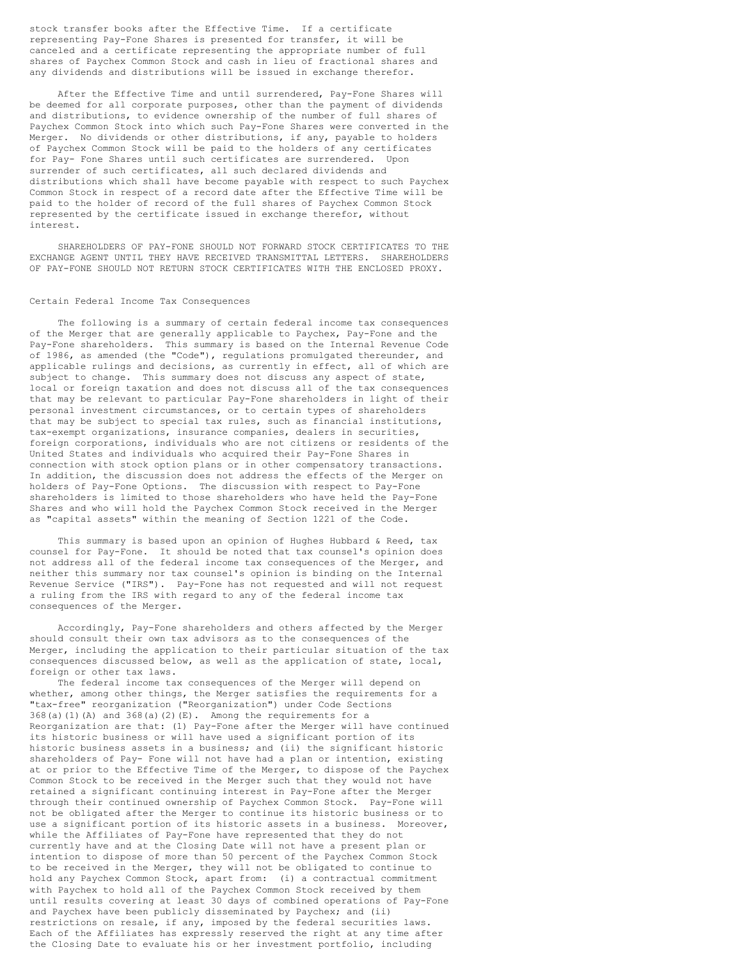stock transfer books after the Effective Time. If a certificate representing Pay-Fone Shares is presented for transfer, it will be canceled and a certificate representing the appropriate number of full shares of Paychex Common Stock and cash in lieu of fractional shares and any dividends and distributions will be issued in exchange therefor.

After the Effective Time and until surrendered, Pay-Fone Shares will be deemed for all corporate purposes, other than the payment of dividends and distributions, to evidence ownership of the number of full shares of Paychex Common Stock into which such Pay-Fone Shares were converted in the Merger. No dividends or other distributions, if any, payable to holders of Paychex Common Stock will be paid to the holders of any certificates for Pay- Fone Shares until such certificates are surrendered. Upon surrender of such certificates, all such declared dividends and distributions which shall have become payable with respect to such Paychex Common Stock in respect of a record date after the Effective Time will be paid to the holder of record of the full shares of Paychex Common Stock represented by the certificate issued in exchange therefor, without interest.

SHAREHOLDERS OF PAY-FONE SHOULD NOT FORWARD STOCK CERTIFICATES TO THE EXCHANGE AGENT UNTIL THEY HAVE RECEIVED TRANSMITTAL LETTERS. SHAREHOLDERS OF PAY-FONE SHOULD NOT RETURN STOCK CERTIFICATES WITH THE ENCLOSED PROXY.

### Certain Federal Income Tax Consequences

The following is a summary of certain federal income tax consequences of the Merger that are generally applicable to Paychex, Pay-Fone and the Pay-Fone shareholders. This summary is based on the Internal Revenue Code of 1986, as amended (the "Code"), regulations promulgated thereunder, and applicable rulings and decisions, as currently in effect, all of which are subject to change. This summary does not discuss any aspect of state, local or foreign taxation and does not discuss all of the tax consequences that may be relevant to particular Pay-Fone shareholders in light of their personal investment circumstances, or to certain types of shareholders that may be subject to special tax rules, such as financial institutions, tax-exempt organizations, insurance companies, dealers in securities, foreign corporations, individuals who are not citizens or residents of the United States and individuals who acquired their Pay-Fone Shares in connection with stock option plans or in other compensatory transactions. In addition, the discussion does not address the effects of the Merger on holders of Pay-Fone Options. The discussion with respect to Pay-Fone shareholders is limited to those shareholders who have held the Pay-Fone Shares and who will hold the Paychex Common Stock received in the Merger as "capital assets" within the meaning of Section 1221 of the Code.

This summary is based upon an opinion of Hughes Hubbard & Reed, tax counsel for Pay-Fone. It should be noted that tax counsel's opinion does not address all of the federal income tax consequences of the Merger, and neither this summary nor tax counsel's opinion is binding on the Internal Revenue Service ("IRS"). Pay-Fone has not requested and will not request a ruling from the IRS with regard to any of the federal income tax consequences of the Merger.

Accordingly, Pay-Fone shareholders and others affected by the Merger should consult their own tax advisors as to the consequences of the Merger, including the application to their particular situation of the tax consequences discussed below, as well as the application of state, local, foreign or other tax laws.

The federal income tax consequences of the Merger will depend on whether, among other things, the Merger satisfies the requirements for a "tax-free" reorganization ("Reorganization") under Code Sections  $368(a)(1)(A)$  and  $368(a)(2)(E)$ . Among the requirements for a Reorganization are that: (1) Pay-Fone after the Merger will have continued its historic business or will have used a significant portion of its historic business assets in a business; and (ii) the significant historic shareholders of Pay- Fone will not have had a plan or intention, existing at or prior to the Effective Time of the Merger, to dispose of the Paychex Common Stock to be received in the Merger such that they would not have retained a significant continuing interest in Pay-Fone after the Merger through their continued ownership of Paychex Common Stock. Pay-Fone will not be obligated after the Merger to continue its historic business or to use a significant portion of its historic assets in a business. Moreover, while the Affiliates of Pay-Fone have represented that they do not currently have and at the Closing Date will not have a present plan or intention to dispose of more than 50 percent of the Paychex Common Stock to be received in the Merger, they will not be obligated to continue to hold any Paychex Common Stock, apart from: (i) a contractual commitment with Paychex to hold all of the Paychex Common Stock received by them until results covering at least 30 days of combined operations of Pay-Fone and Paychex have been publicly disseminated by Paychex; and (ii) restrictions on resale, if any, imposed by the federal securities laws. Each of the Affiliates has expressly reserved the right at any time after the Closing Date to evaluate his or her investment portfolio, including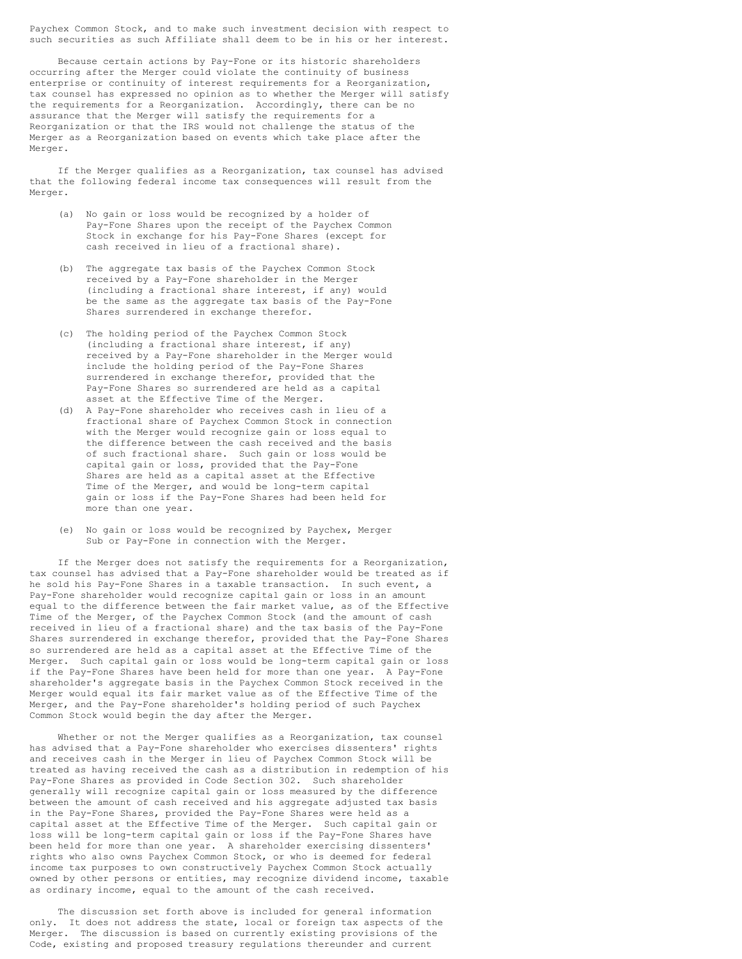Paychex Common Stock, and to make such investment decision with respect to such securities as such Affiliate shall deem to be in his or her interest.

Because certain actions by Pay-Fone or its historic shareholders occurring after the Merger could violate the continuity of business enterprise or continuity of interest requirements for a Reorganization, tax counsel has expressed no opinion as to whether the Merger will satisfy the requirements for a Reorganization. Accordingly, there can be no assurance that the Merger will satisfy the requirements for a Reorganization or that the IRS would not challenge the status of the Merger as a Reorganization based on events which take place after the Merger.

If the Merger qualifies as a Reorganization, tax counsel has advised that the following federal income tax consequences will result from the Merger.

- (a) No gain or loss would be recognized by a holder of Pay-Fone Shares upon the receipt of the Paychex Common Stock in exchange for his Pay-Fone Shares (except for cash received in lieu of a fractional share).
- (b) The aggregate tax basis of the Paychex Common Stock received by a Pay-Fone shareholder in the Merger (including a fractional share interest, if any) would be the same as the aggregate tax basis of the Pay-Fone Shares surrendered in exchange therefor.
- (c) The holding period of the Paychex Common Stock (including a fractional share interest, if any) received by a Pay-Fone shareholder in the Merger would include the holding period of the Pay-Fone Shares surrendered in exchange therefor, provided that the Pay-Fone Shares so surrendered are held as a capital asset at the Effective Time of the Merger.
- (d) A Pay-Fone shareholder who receives cash in lieu of a fractional share of Paychex Common Stock in connection with the Merger would recognize gain or loss equal to the difference between the cash received and the basis of such fractional share. Such gain or loss would be capital gain or loss, provided that the Pay-Fone Shares are held as a capital asset at the Effective Time of the Merger, and would be long-term capital gain or loss if the Pay-Fone Shares had been held for more than one year.
- (e) No gain or loss would be recognized by Paychex, Merger Sub or Pay-Fone in connection with the Merger.

If the Merger does not satisfy the requirements for a Reorganization, tax counsel has advised that a Pay-Fone shareholder would be treated as if he sold his Pay-Fone Shares in a taxable transaction. In such event, a Pay-Fone shareholder would recognize capital gain or loss in an amount equal to the difference between the fair market value, as of the Effective Time of the Merger, of the Paychex Common Stock (and the amount of cash received in lieu of a fractional share) and the tax basis of the Pay-Fone Shares surrendered in exchange therefor, provided that the Pay-Fone Shares so surrendered are held as a capital asset at the Effective Time of the Merger. Such capital gain or loss would be long-term capital gain or loss if the Pay-Fone Shares have been held for more than one year. A Pay-Fone shareholder's aggregate basis in the Paychex Common Stock received in the Merger would equal its fair market value as of the Effective Time of the Merger, and the Pay-Fone shareholder's holding period of such Paychex Common Stock would begin the day after the Merger.

Whether or not the Merger qualifies as a Reorganization, tax counsel has advised that a Pay-Fone shareholder who exercises dissenters' rights and receives cash in the Merger in lieu of Paychex Common Stock will be treated as having received the cash as a distribution in redemption of his Pay-Fone Shares as provided in Code Section 302. Such shareholder generally will recognize capital gain or loss measured by the difference between the amount of cash received and his aggregate adjusted tax basis in the Pay-Fone Shares, provided the Pay-Fone Shares were held as a capital asset at the Effective Time of the Merger. Such capital gain or loss will be long-term capital gain or loss if the Pay-Fone Shares have been held for more than one year. A shareholder exercising dissenters' rights who also owns Paychex Common Stock, or who is deemed for federal income tax purposes to own constructively Paychex Common Stock actually owned by other persons or entities, may recognize dividend income, taxable as ordinary income, equal to the amount of the cash received.

The discussion set forth above is included for general information only. It does not address the state, local or foreign tax aspects of the Merger. The discussion is based on currently existing provisions of the Code, existing and proposed treasury regulations thereunder and current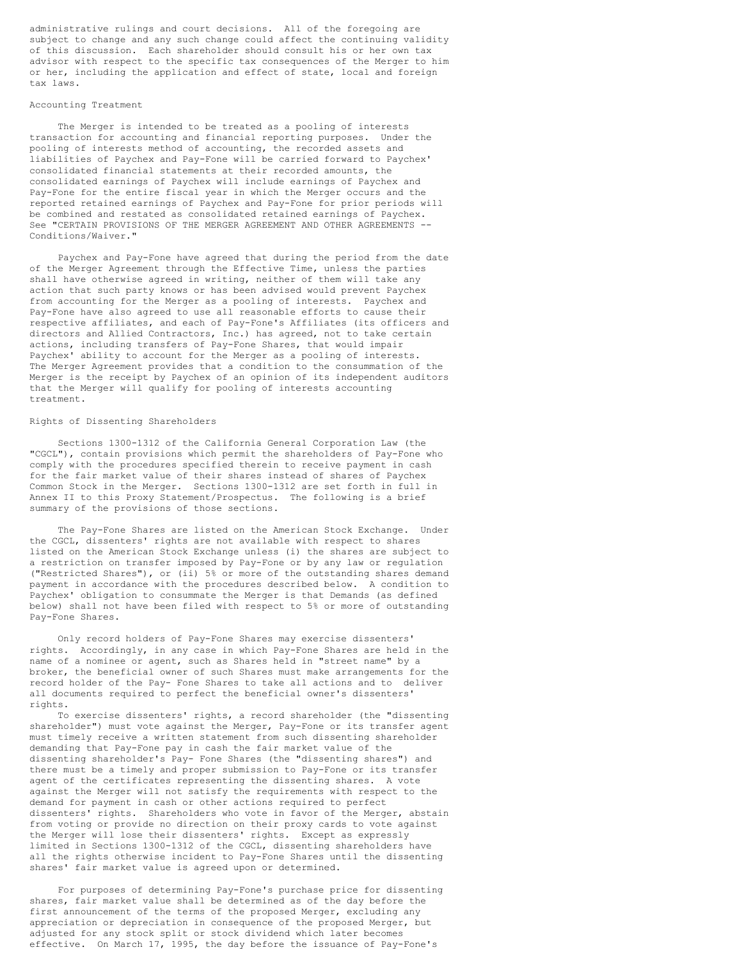administrative rulings and court decisions. All of the foregoing are subject to change and any such change could affect the continuing validity of this discussion. Each shareholder should consult his or her own tax advisor with respect to the specific tax consequences of the Merger to him or her, including the application and effect of state, local and foreign tax laws.

# Accounting Treatment

The Merger is intended to be treated as a pooling of interests transaction for accounting and financial reporting purposes. Under the pooling of interests method of accounting, the recorded assets and liabilities of Paychex and Pay-Fone will be carried forward to Paychex' consolidated financial statements at their recorded amounts, the consolidated earnings of Paychex will include earnings of Paychex and Pay-Fone for the entire fiscal year in which the Merger occurs and the reported retained earnings of Paychex and Pay-Fone for prior periods will be combined and restated as consolidated retained earnings of Paychex. See "CERTAIN PROVISIONS OF THE MERGER AGREEMENT AND OTHER AGREEMENTS -- Conditions/Waiver."

Paychex and Pay-Fone have agreed that during the period from the date of the Merger Agreement through the Effective Time, unless the parties shall have otherwise agreed in writing, neither of them will take any action that such party knows or has been advised would prevent Paychex from accounting for the Merger as a pooling of interests. Paychex and Pay-Fone have also agreed to use all reasonable efforts to cause their respective affiliates, and each of Pay-Fone's Affiliates (its officers and directors and Allied Contractors, Inc.) has agreed, not to take certain actions, including transfers of Pay-Fone Shares, that would impair Paychex' ability to account for the Merger as a pooling of interests. The Merger Agreement provides that a condition to the consummation of the Merger is the receipt by Paychex of an opinion of its independent auditors that the Merger will qualify for pooling of interests accounting treatment.

#### Rights of Dissenting Shareholders

Sections 1300-1312 of the California General Corporation Law (the "CGCL"), contain provisions which permit the shareholders of Pay-Fone who comply with the procedures specified therein to receive payment in cash for the fair market value of their shares instead of shares of Paychex Common Stock in the Merger. Sections 1300-1312 are set forth in full in Annex II to this Proxy Statement/Prospectus. The following is a brief summary of the provisions of those sections.

The Pay-Fone Shares are listed on the American Stock Exchange. Under the CGCL, dissenters' rights are not available with respect to shares listed on the American Stock Exchange unless (i) the shares are subject to a restriction on transfer imposed by Pay-Fone or by any law or regulation ("Restricted Shares"), or (ii) 5% or more of the outstanding shares demand payment in accordance with the procedures described below. A condition to Paychex' obligation to consummate the Merger is that Demands (as defined below) shall not have been filed with respect to 5% or more of outstanding Pay-Fone Shares.

Only record holders of Pay-Fone Shares may exercise dissenters' rights. Accordingly, in any case in which Pay-Fone Shares are held in the name of a nominee or agent, such as Shares held in "street name" by a broker, the beneficial owner of such Shares must make arrangements for the record holder of the Pay- Fone Shares to take all actions and to deliver all documents required to perfect the beneficial owner's dissenters' rights.

To exercise dissenters' rights, a record shareholder (the "dissenting shareholder") must vote against the Merger, Pay-Fone or its transfer agent must timely receive a written statement from such dissenting shareholder demanding that Pay-Fone pay in cash the fair market value of the dissenting shareholder's Pay- Fone Shares (the "dissenting shares") and there must be a timely and proper submission to Pay-Fone or its transfer agent of the certificates representing the dissenting shares. A vote against the Merger will not satisfy the requirements with respect to the demand for payment in cash or other actions required to perfect dissenters' rights. Shareholders who vote in favor of the Merger, abstain from voting or provide no direction on their proxy cards to vote against the Merger will lose their dissenters' rights. Except as expressly limited in Sections 1300-1312 of the CGCL, dissenting shareholders have all the rights otherwise incident to Pay-Fone Shares until the dissenting shares' fair market value is agreed upon or determined.

For purposes of determining Pay-Fone's purchase price for dissenting shares, fair market value shall be determined as of the day before the first announcement of the terms of the proposed Merger, excluding any appreciation or depreciation in consequence of the proposed Merger, but adjusted for any stock split or stock dividend which later becomes effective. On March 17, 1995, the day before the issuance of Pay-Fone's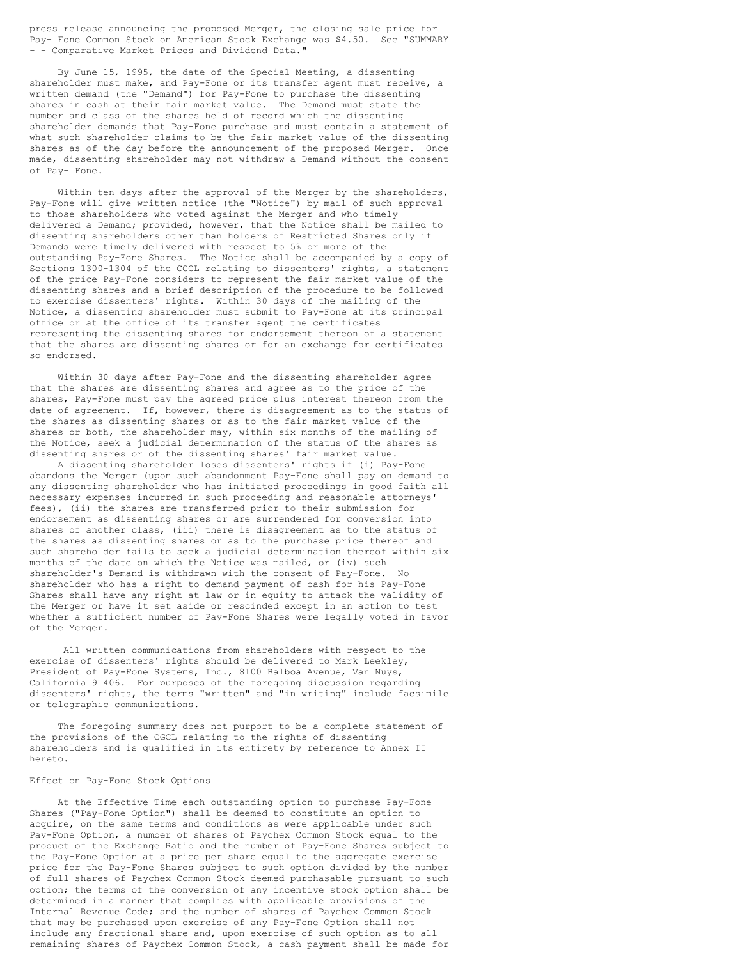press release announcing the proposed Merger, the closing sale price for Pay- Fone Common Stock on American Stock Exchange was \$4.50. See "SUMMARY - - Comparative Market Prices and Dividend Data.'

By June 15, 1995, the date of the Special Meeting, a dissenting shareholder must make, and Pay-Fone or its transfer agent must receive, a written demand (the "Demand") for Pay-Fone to purchase the dissenting shares in cash at their fair market value. The Demand must state the number and class of the shares held of record which the dissenting shareholder demands that Pay-Fone purchase and must contain a statement of what such shareholder claims to be the fair market value of the dissenting shares as of the day before the announcement of the proposed Merger. Once made, dissenting shareholder may not withdraw a Demand without the consent of Pay- Fone.

Within ten days after the approval of the Merger by the shareholders, Pay-Fone will give written notice (the "Notice") by mail of such approval to those shareholders who voted against the Merger and who timely delivered a Demand; provided, however, that the Notice shall be mailed to dissenting shareholders other than holders of Restricted Shares only if Demands were timely delivered with respect to 5% or more of the outstanding Pay-Fone Shares. The Notice shall be accompanied by a copy of Sections 1300-1304 of the CGCL relating to dissenters' rights, a statement of the price Pay-Fone considers to represent the fair market value of the dissenting shares and a brief description of the procedure to be followed to exercise dissenters' rights. Within 30 days of the mailing of the Notice, a dissenting shareholder must submit to Pay-Fone at its principal office or at the office of its transfer agent the certificates representing the dissenting shares for endorsement thereon of a statement that the shares are dissenting shares or for an exchange for certificates so endorsed.

Within 30 days after Pay-Fone and the dissenting shareholder agree that the shares are dissenting shares and agree as to the price of the shares, Pay-Fone must pay the agreed price plus interest thereon from the date of agreement. If, however, there is disagreement as to the status of the shares as dissenting shares or as to the fair market value of the shares or both, the shareholder may, within six months of the mailing of the Notice, seek a judicial determination of the status of the shares as dissenting shares or of the dissenting shares' fair market value.

A dissenting shareholder loses dissenters' rights if (i) Pay-Fone abandons the Merger (upon such abandonment Pay-Fone shall pay on demand to any dissenting shareholder who has initiated proceedings in good faith all necessary expenses incurred in such proceeding and reasonable attorneys' fees), (ii) the shares are transferred prior to their submission for endorsement as dissenting shares or are surrendered for conversion into shares of another class, (iii) there is disagreement as to the status of the shares as dissenting shares or as to the purchase price thereof and such shareholder fails to seek a judicial determination thereof within six months of the date on which the Notice was mailed, or (iv) such shareholder's Demand is withdrawn with the consent of Pay-Fone. No shareholder who has a right to demand payment of cash for his Pay-Fone Shares shall have any right at law or in equity to attack the validity of the Merger or have it set aside or rescinded except in an action to test whether a sufficient number of Pay-Fone Shares were legally voted in favor of the Merger.

All written communications from shareholders with respect to the exercise of dissenters' rights should be delivered to Mark Leekley, President of Pay-Fone Systems, Inc., 8100 Balboa Avenue, Van Nuys, California 91406. For purposes of the foregoing discussion regarding dissenters' rights, the terms "written" and "in writing" include facsimile or telegraphic communications.

The foregoing summary does not purport to be a complete statement of the provisions of the CGCL relating to the rights of dissenting shareholders and is qualified in its entirety by reference to Annex II hereto.

### Effect on Pay-Fone Stock Options

At the Effective Time each outstanding option to purchase Pay-Fone Shares ("Pay-Fone Option") shall be deemed to constitute an option to acquire, on the same terms and conditions as were applicable under such Pay-Fone Option, a number of shares of Paychex Common Stock equal to the product of the Exchange Ratio and the number of Pay-Fone Shares subject to the Pay-Fone Option at a price per share equal to the aggregate exercise price for the Pay-Fone Shares subject to such option divided by the number of full shares of Paychex Common Stock deemed purchasable pursuant to such option; the terms of the conversion of any incentive stock option shall be determined in a manner that complies with applicable provisions of the Internal Revenue Code; and the number of shares of Paychex Common Stock that may be purchased upon exercise of any Pay-Fone Option shall not include any fractional share and, upon exercise of such option as to all remaining shares of Paychex Common Stock, a cash payment shall be made for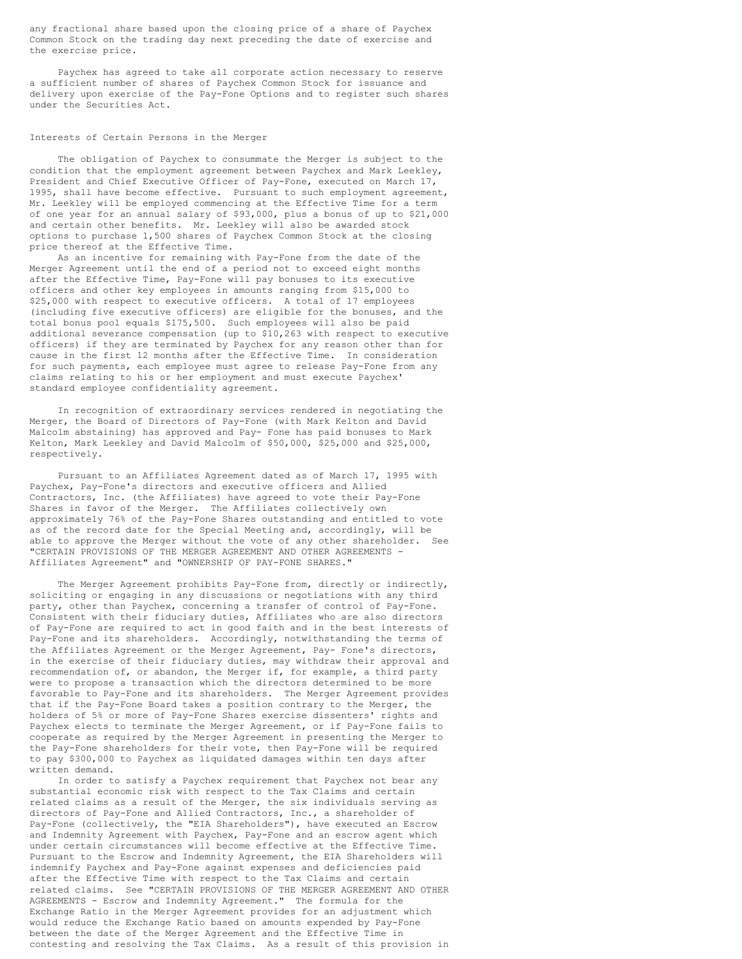any fractional share based upon the closing price of a share of Paychex Common Stock on the trading day next preceding the date of exercise and the exercise price.

Paychex has agreed to take all corporate action necessary to reserve a sufficient number of shares of Paychex Common Stock for issuance and delivery upon exercise of the Pay-Fone Options and to register such shares under the Securities Act.

### Interests of Certain Persons in the Merger

The obligation of Paychex to consummate the Merger is subject to the condition that the employment agreement between Paychex and Mark Leekley, President and Chief Executive Officer of Pay-Fone, executed on March 17, 1995, shall have become effective. Pursuant to such employment agreement, Mr. Leekley will be employed commencing at the Effective Time for a term of one year for an annual salary of \$93,000, plus a bonus of up to \$21,000 and certain other benefits. Mr. Leekley will also be awarded stock options to purchase 1,500 shares of Paychex Common Stock at the closing price thereof at the Effective Time.

As an incentive for remaining with Pay-Fone from the date of the Merger Agreement until the end of a period not to exceed eight months after the Effective Time, Pay-Fone will pay bonuses to its executive officers and other key employees in amounts ranging from \$15,000 to \$25,000 with respect to executive officers. A total of 17 employees (including five executive officers) are eligible for the bonuses, and the total bonus pool equals \$175,500. Such employees will also be paid additional severance compensation (up to \$10,263 with respect to executive officers) if they are terminated by Paychex for any reason other than for cause in the first 12 months after the Effective Time. In consideration for such payments, each employee must agree to release Pay-Fone from any claims relating to his or her employment and must execute Paychex' standard employee confidentiality agreement.

In recognition of extraordinary services rendered in negotiating the Merger, the Board of Directors of Pay-Fone (with Mark Kelton and David Malcolm abstaining) has approved and Pay- Fone has paid bonuses to Mark Kelton, Mark Leekley and David Malcolm of \$50,000, \$25,000 and \$25,000, respectively.

Pursuant to an Affiliates Agreement dated as of March 17, 1995 with Paychex, Pay-Fone's directors and executive officers and Allied Contractors, Inc. (the Affiliates) have agreed to vote their Pay-Fone Shares in favor of the Merger. The Affiliates collectively own approximately 76% of the Pay-Fone Shares outstanding and entitled to vote as of the record date for the Special Meeting and, accordingly, will be able to approve the Merger without the vote of any other shareholder. See "CERTAIN PROVISIONS OF THE MERGER AGREEMENT AND OTHER AGREEMENTS - Affiliates Agreement" and "OWNERSHIP OF PAY-FONE SHARES."

The Merger Agreement prohibits Pay-Fone from, directly or indirectly, soliciting or engaging in any discussions or negotiations with any third party, other than Paychex, concerning a transfer of control of Pay-Fone. Consistent with their fiduciary duties, Affiliates who are also directors of Pay-Fone are required to act in good faith and in the best interests of Pay-Fone and its shareholders. Accordingly, notwithstanding the terms of the Affiliates Agreement or the Merger Agreement, Pay- Fone's directors, in the exercise of their fiduciary duties, may withdraw their approval and recommendation of, or abandon, the Merger if, for example, a third party were to propose a transaction which the directors determined to be more favorable to Pay-Fone and its shareholders. The Merger Agreement provides that if the Pay-Fone Board takes a position contrary to the Merger, the holders of 5% or more of Pay-Fone Shares exercise dissenters' rights and Paychex elects to terminate the Merger Agreement, or if Pay-Fone fails to cooperate as required by the Merger Agreement in presenting the Merger to the Pay-Fone shareholders for their vote, then Pay-Fone will be required to pay \$300,000 to Paychex as liquidated damages within ten days after written demand.

In order to satisfy a Paychex requirement that Paychex not bear any substantial economic risk with respect to the Tax Claims and certain related claims as a result of the Merger, the six individuals serving as directors of Pay-Fone and Allied Contractors, Inc., a shareholder of Pay-Fone (collectively, the "EIA Shareholders"), have executed an Escrow and Indemnity Agreement with Paychex, Pay-Fone and an escrow agent which under certain circumstances will become effective at the Effective Time. Pursuant to the Escrow and Indemnity Agreement, the EIA Shareholders will indemnify Paychex and Pay-Fone against expenses and deficiencies paid after the Effective Time with respect to the Tax Claims and certain related claims. See "CERTAIN PROVISIONS OF THE MERGER AGREEMENT AND OTHER AGREEMENTS - Escrow and Indemnity Agreement." The formula for the Exchange Ratio in the Merger Agreement provides for an adjustment which would reduce the Exchange Ratio based on amounts expended by Pay-Fone between the date of the Merger Agreement and the Effective Time in contesting and resolving the Tax Claims. As a result of this provision in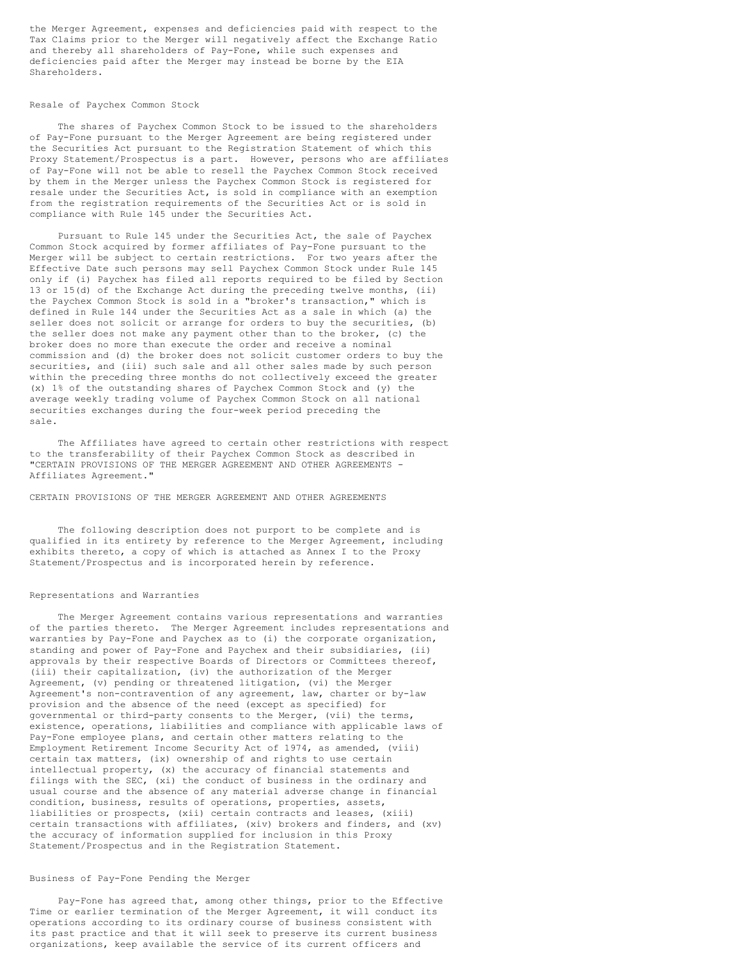the Merger Agreement, expenses and deficiencies paid with respect to the Tax Claims prior to the Merger will negatively affect the Exchange Ratio and thereby all shareholders of Pay-Fone, while such expenses and deficiencies paid after the Merger may instead be borne by the EIA Shareholders.

### Resale of Paychex Common Stock

The shares of Paychex Common Stock to be issued to the shareholders of Pay-Fone pursuant to the Merger Agreement are being registered under the Securities Act pursuant to the Registration Statement of which this Proxy Statement/Prospectus is a part. However, persons who are affiliates of Pay-Fone will not be able to resell the Paychex Common Stock received by them in the Merger unless the Paychex Common Stock is registered for resale under the Securities Act, is sold in compliance with an exemption from the registration requirements of the Securities Act or is sold in compliance with Rule 145 under the Securities Act.

Pursuant to Rule 145 under the Securities Act, the sale of Paychex Common Stock acquired by former affiliates of Pay-Fone pursuant to the Merger will be subject to certain restrictions. For two years after the Effective Date such persons may sell Paychex Common Stock under Rule 145 only if (i) Paychex has filed all reports required to be filed by Section 13 or 15(d) of the Exchange Act during the preceding twelve months, (ii) the Paychex Common Stock is sold in a "broker's transaction," which is defined in Rule 144 under the Securities Act as a sale in which (a) the seller does not solicit or arrange for orders to buy the securities, (b) the seller does not make any payment other than to the broker, (c) the broker does no more than execute the order and receive a nominal commission and (d) the broker does not solicit customer orders to buy the securities, and (iii) such sale and all other sales made by such person within the preceding three months do not collectively exceed the greater (x) 1% of the outstanding shares of Paychex Common Stock and (y) the average weekly trading volume of Paychex Common Stock on all national securities exchanges during the four-week period preceding the sale.

The Affiliates have agreed to certain other restrictions with respect to the transferability of their Paychex Common Stock as described in "CERTAIN PROVISIONS OF THE MERGER AGREEMENT AND OTHER AGREEMENTS - Affiliates Agreement."

CERTAIN PROVISIONS OF THE MERGER AGREEMENT AND OTHER AGREEMENTS

The following description does not purport to be complete and is qualified in its entirety by reference to the Merger Agreement, including exhibits thereto, a copy of which is attached as Annex I to the Proxy Statement/Prospectus and is incorporated herein by reference.

#### Representations and Warranties

The Merger Agreement contains various representations and warranties of the parties thereto. The Merger Agreement includes representations and warranties by Pay-Fone and Paychex as to (i) the corporate organization, standing and power of Pay-Fone and Paychex and their subsidiaries, (ii) approvals by their respective Boards of Directors or Committees thereof, (iii) their capitalization, (iv) the authorization of the Merger Agreement, (v) pending or threatened litigation, (vi) the Merger Agreement's non-contravention of any agreement, law, charter or by-law provision and the absence of the need (except as specified) for governmental or third-party consents to the Merger, (vii) the terms, existence, operations, liabilities and compliance with applicable laws of Pay-Fone employee plans, and certain other matters relating to the Employment Retirement Income Security Act of 1974, as amended, (viii) certain tax matters, (ix) ownership of and rights to use certain intellectual property, (x) the accuracy of financial statements and filings with the SEC, (xi) the conduct of business in the ordinary and usual course and the absence of any material adverse change in financial condition, business, results of operations, properties, assets, liabilities or prospects, (xii) certain contracts and leases, (xiii) certain transactions with affiliates, (xiv) brokers and finders, and (xv) the accuracy of information supplied for inclusion in this Proxy Statement/Prospectus and in the Registration Statement.

### Business of Pay-Fone Pending the Merger

Pay-Fone has agreed that, among other things, prior to the Effective Time or earlier termination of the Merger Agreement, it will conduct its operations according to its ordinary course of business consistent with its past practice and that it will seek to preserve its current business organizations, keep available the service of its current officers and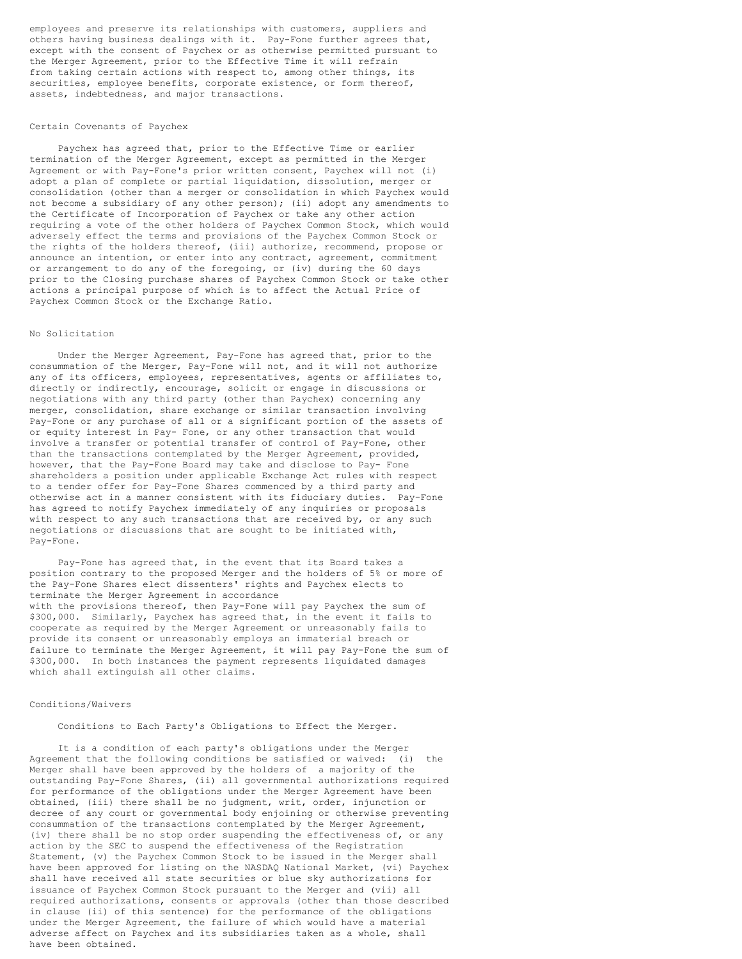employees and preserve its relationships with customers, suppliers and others having business dealings with it. Pay-Fone further agrees that, except with the consent of Paychex or as otherwise permitted pursuant to the Merger Agreement, prior to the Effective Time it will refrain from taking certain actions with respect to, among other things, its securities, employee benefits, corporate existence, or form thereof, assets, indebtedness, and major transactions.

#### Certain Covenants of Paychex

Paychex has agreed that, prior to the Effective Time or earlier termination of the Merger Agreement, except as permitted in the Merger Agreement or with Pay-Fone's prior written consent, Paychex will not (i) adopt a plan of complete or partial liquidation, dissolution, merger or consolidation (other than a merger or consolidation in which Paychex would not become a subsidiary of any other person); (ii) adopt any amendments to the Certificate of Incorporation of Paychex or take any other action requiring a vote of the other holders of Paychex Common Stock, which would adversely effect the terms and provisions of the Paychex Common Stock or the rights of the holders thereof, (iii) authorize, recommend, propose or announce an intention, or enter into any contract, agreement, commitment or arrangement to do any of the foregoing, or (iv) during the 60 days prior to the Closing purchase shares of Paychex Common Stock or take other actions a principal purpose of which is to affect the Actual Price of Paychex Common Stock or the Exchange Ratio.

#### No Solicitation

Under the Merger Agreement, Pay-Fone has agreed that, prior to the consummation of the Merger, Pay-Fone will not, and it will not authorize any of its officers, employees, representatives, agents or affiliates to, directly or indirectly, encourage, solicit or engage in discussions or negotiations with any third party (other than Paychex) concerning any merger, consolidation, share exchange or similar transaction involving Pay-Fone or any purchase of all or a significant portion of the assets of or equity interest in Pay- Fone, or any other transaction that would involve a transfer or potential transfer of control of Pay-Fone, other than the transactions contemplated by the Merger Agreement, provided, however, that the Pay-Fone Board may take and disclose to Pay- Fone shareholders a position under applicable Exchange Act rules with respect to a tender offer for Pay-Fone Shares commenced by a third party and otherwise act in a manner consistent with its fiduciary duties. Pay-Fone has agreed to notify Paychex immediately of any inquiries or proposals with respect to any such transactions that are received by, or any such negotiations or discussions that are sought to be initiated with, Pay-Fone.

Pay-Fone has agreed that, in the event that its Board takes a position contrary to the proposed Merger and the holders of 5% or more of the Pay-Fone Shares elect dissenters' rights and Paychex elects to terminate the Merger Agreement in accordance with the provisions thereof, then Pay-Fone will pay Paychex the sum of \$300,000. Similarly, Paychex has agreed that, in the event it fails to cooperate as required by the Merger Agreement or unreasonably fails to provide its consent or unreasonably employs an immaterial breach or failure to terminate the Merger Agreement, it will pay Pay-Fone the sum of \$300,000. In both instances the payment represents liquidated damages which shall extinguish all other claims.

# Conditions/Waivers

Conditions to Each Party's Obligations to Effect the Merger.

It is a condition of each party's obligations under the Merger Agreement that the following conditions be satisfied or waived: (i) the Merger shall have been approved by the holders of a majority of the outstanding Pay-Fone Shares, (ii) all governmental authorizations required for performance of the obligations under the Merger Agreement have been obtained, (iii) there shall be no judgment, writ, order, injunction or decree of any court or governmental body enjoining or otherwise preventing consummation of the transactions contemplated by the Merger Agreement, (iv) there shall be no stop order suspending the effectiveness of, or any action by the SEC to suspend the effectiveness of the Registration Statement, (v) the Paychex Common Stock to be issued in the Merger shall have been approved for listing on the NASDAQ National Market, (vi) Paychex shall have received all state securities or blue sky authorizations for issuance of Paychex Common Stock pursuant to the Merger and (vii) all required authorizations, consents or approvals (other than those described in clause (ii) of this sentence) for the performance of the obligations under the Merger Agreement, the failure of which would have a material adverse affect on Paychex and its subsidiaries taken as a whole, shall have been obtained.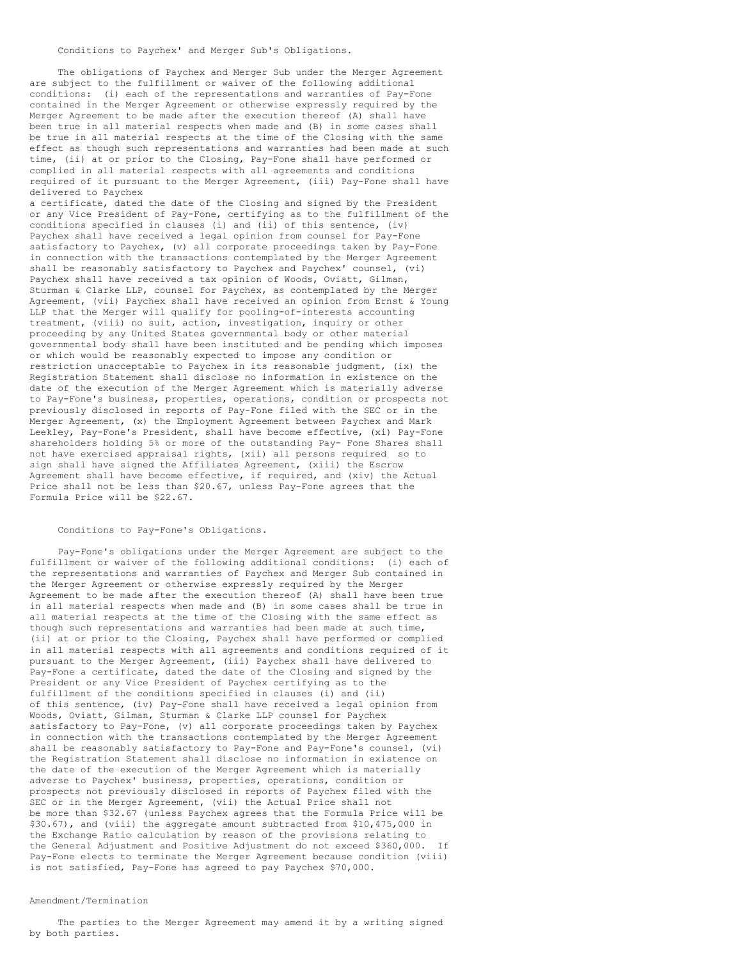The obligations of Paychex and Merger Sub under the Merger Agreement are subject to the fulfillment or waiver of the following additional conditions: (i) each of the representations and warranties of Pay-Fone contained in the Merger Agreement or otherwise expressly required by the Merger Agreement to be made after the execution thereof (A) shall have been true in all material respects when made and (B) in some cases shall be true in all material respects at the time of the Closing with the same effect as though such representations and warranties had been made at such time, (ii) at or prior to the Closing, Pay-Fone shall have performed or complied in all material respects with all agreements and conditions required of it pursuant to the Merger Agreement, (iii) Pay-Fone shall have delivered to Paychex

a certificate, dated the date of the Closing and signed by the President or any Vice President of Pay-Fone, certifying as to the fulfillment of the conditions specified in clauses (i) and (ii) of this sentence, (iv) Paychex shall have received a legal opinion from counsel for Pay-Fone satisfactory to Paychex, (v) all corporate proceedings taken by Pay-Fone in connection with the transactions contemplated by the Merger Agreement shall be reasonably satisfactory to Paychex and Paychex' counsel, (vi) Paychex shall have received a tax opinion of Woods, Oviatt, Gilman, Sturman & Clarke LLP, counsel for Paychex, as contemplated by the Merger Agreement, (vii) Paychex shall have received an opinion from Ernst & Young LLP that the Merger will qualify for pooling-of-interests accounting treatment, (viii) no suit, action, investigation, inquiry or other proceeding by any United States governmental body or other material governmental body shall have been instituted and be pending which imposes or which would be reasonably expected to impose any condition or restriction unacceptable to Paychex in its reasonable judgment, (ix) the Registration Statement shall disclose no information in existence on the date of the execution of the Merger Agreement which is materially adverse to Pay-Fone's business, properties, operations, condition or prospects not previously disclosed in reports of Pay-Fone filed with the SEC or in the Merger Agreement, (x) the Employment Agreement between Paychex and Mark Leekley, Pay-Fone's President, shall have become effective, (xi) Pay-Fone shareholders holding 5% or more of the outstanding Pay- Fone Shares shall not have exercised appraisal rights, (xii) all persons required so to sign shall have signed the Affiliates Agreement, (xiii) the Escrow Agreement shall have become effective, if required, and (xiv) the Actual Price shall not be less than \$20.67, unless Pay-Fone agrees that the Formula Price will be \$22.67.

#### Conditions to Pay-Fone's Obligations.

Pay-Fone's obligations under the Merger Agreement are subject to the fulfillment or waiver of the following additional conditions: (i) each of the representations and warranties of Paychex and Merger Sub contained in the Merger Agreement or otherwise expressly required by the Merger Agreement to be made after the execution thereof (A) shall have been true in all material respects when made and (B) in some cases shall be true in all material respects at the time of the Closing with the same effect as though such representations and warranties had been made at such time, (ii) at or prior to the Closing, Paychex shall have performed or complied in all material respects with all agreements and conditions required of it pursuant to the Merger Agreement, (iii) Paychex shall have delivered to Pay-Fone a certificate, dated the date of the Closing and signed by the President or any Vice President of Paychex certifying as to the fulfillment of the conditions specified in clauses (i) and (ii) of this sentence, (iv) Pay-Fone shall have received a legal opinion from Woods, Oviatt, Gilman, Sturman & Clarke LLP counsel for Paychex satisfactory to Pay-Fone, (v) all corporate proceedings taken by Paychex in connection with the transactions contemplated by the Merger Agreement shall be reasonably satisfactory to Pay-Fone and Pay-Fone's counsel, (vi) the Registration Statement shall disclose no information in existence on the date of the execution of the Merger Agreement which is materially adverse to Paychex' business, properties, operations, condition or prospects not previously disclosed in reports of Paychex filed with the SEC or in the Merger Agreement, (vii) the Actual Price shall not be more than \$32.67 (unless Paychex agrees that the Formula Price will be \$30.67), and (viii) the aggregate amount subtracted from \$10,475,000 in the Exchange Ratio calculation by reason of the provisions relating to the General Adjustment and Positive Adjustment do not exceed \$360,000. If Pay-Fone elects to terminate the Merger Agreement because condition (viii) is not satisfied, Pay-Fone has agreed to pay Paychex \$70,000.

### Amendment/Termination

The parties to the Merger Agreement may amend it by a writing signed by both parties.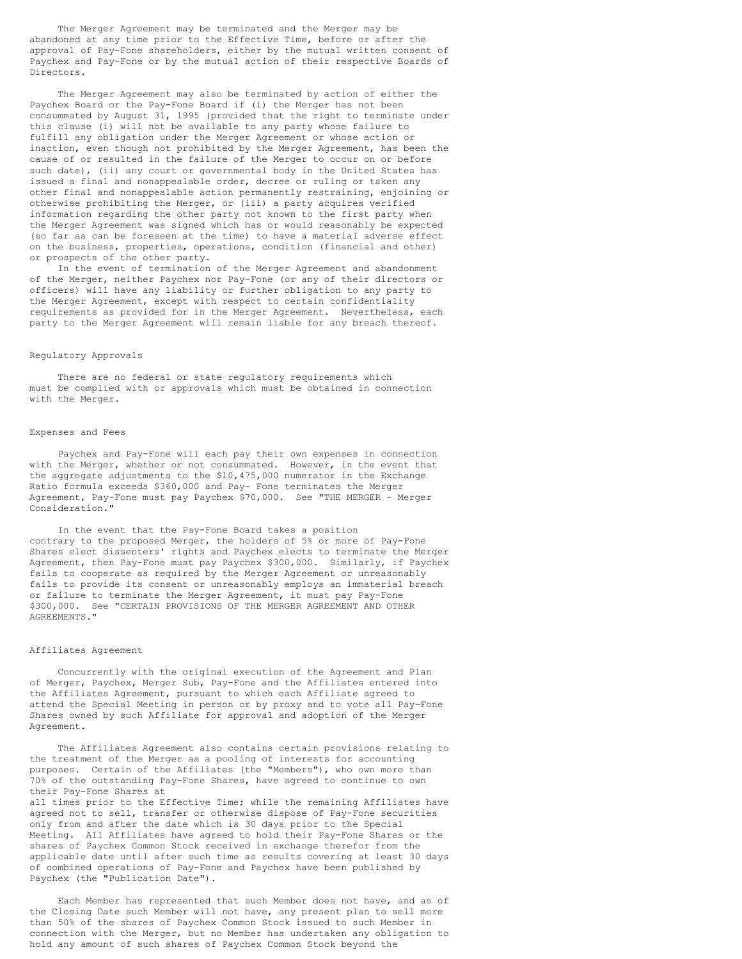The Merger Agreement may be terminated and the Merger may be abandoned at any time prior to the Effective Time, before or after the approval of Pay-Fone shareholders, either by the mutual written consent of Paychex and Pay-Fone or by the mutual action of their respective Boards of Directors.

The Merger Agreement may also be terminated by action of either the Paychex Board or the Pay-Fone Board if (i) the Merger has not been consummated by August 31, 1995 (provided that the right to terminate under this clause (i) will not be available to any party whose failure to fulfill any obligation under the Merger Agreement or whose action or inaction, even though not prohibited by the Merger Agreement, has been the cause of or resulted in the failure of the Merger to occur on or before such date), (ii) any court or governmental body in the United States has issued a final and nonappealable order, decree or ruling or taken any other final and nonappealable action permanently restraining, enjoining or otherwise prohibiting the Merger, or (iii) a party acquires verified information regarding the other party not known to the first party when the Merger Agreement was signed which has or would reasonably be expected (so far as can be foreseen at the time) to have a material adverse effect on the business, properties, operations, condition (financial and other) or prospects of the other party.

In the event of termination of the Merger Agreement and abandonment of the Merger, neither Paychex nor Pay-Fone (or any of their directors or officers) will have any liability or further obligation to any party to the Merger Agreement, except with respect to certain confidentiality requirements as provided for in the Merger Agreement. Nevertheless, each party to the Merger Agreement will remain liable for any breach thereof.

#### Regulatory Approvals

There are no federal or state regulatory requirements which must be complied with or approvals which must be obtained in connection with the Merger.

### Expenses and Fees

Paychex and Pay-Fone will each pay their own expenses in connection with the Merger, whether or not consummated. However, in the event that the aggregate adjustments to the \$10,475,000 numerator in the Exchange Ratio formula exceeds \$360,000 and Pay- Fone terminates the Merger Agreement, Pay-Fone must pay Paychex \$70,000. See "THE MERGER - Merger Consideration."

In the event that the Pay-Fone Board takes a position contrary to the proposed Merger, the holders of 5% or more of Pay-Fone Shares elect dissenters' rights and Paychex elects to terminate the Merger Agreement, then Pay-Fone must pay Paychex \$300,000. Similarly, if Paychex fails to cooperate as required by the Merger Agreement or unreasonably fails to provide its consent or unreasonably employs an immaterial breach or failure to terminate the Merger Agreement, it must pay Pay-Fone \$300,000. See "CERTAIN PROVISIONS OF THE MERGER AGREEMENT AND OTHER AGREEMENTS."

#### Affiliates Agreement

Concurrently with the original execution of the Agreement and Plan of Merger, Paychex, Merger Sub, Pay-Fone and the Affiliates entered into the Affiliates Agreement, pursuant to which each Affiliate agreed to attend the Special Meeting in person or by proxy and to vote all Pay-Fone Shares owned by such Affiliate for approval and adoption of the Merger Agreement.

The Affiliates Agreement also contains certain provisions relating to the treatment of the Merger as a pooling of interests for accounting purposes. Certain of the Affiliates (the "Members"), who own more than 70% of the outstanding Pay-Fone Shares, have agreed to continue to own their Pay-Fone Shares at

all times prior to the Effective Time; while the remaining Affiliates have agreed not to sell, transfer or otherwise dispose of Pay-Fone securities only from and after the date which is 30 days prior to the Special Meeting. All Affiliates have agreed to hold their Pay-Fone Shares or the shares of Paychex Common Stock received in exchange therefor from the applicable date until after such time as results covering at least 30 days of combined operations of Pay-Fone and Paychex have been published by Paychex (the "Publication Date").

Each Member has represented that such Member does not have, and as of the Closing Date such Member will not have, any present plan to sell more than 50% of the shares of Paychex Common Stock issued to such Member in connection with the Merger, but no Member has undertaken any obligation to hold any amount of such shares of Paychex Common Stock beyond the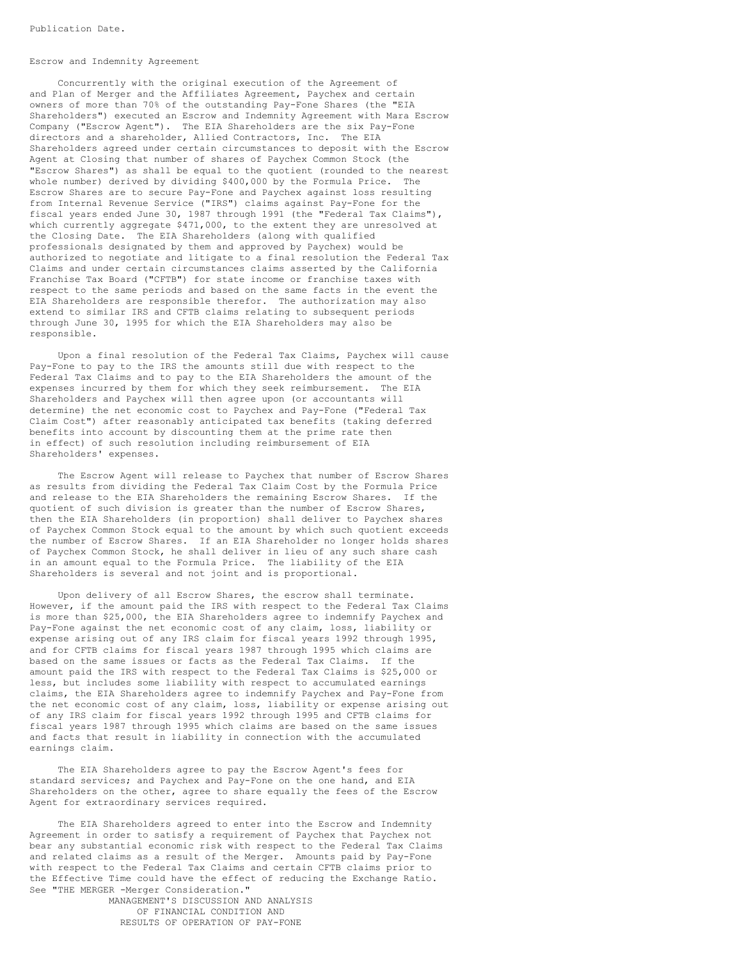# Escrow and Indemnity Agreement

Concurrently with the original execution of the Agreement of and Plan of Merger and the Affiliates Agreement, Paychex and certain owners of more than 70% of the outstanding Pay-Fone Shares (the "EIA Shareholders") executed an Escrow and Indemnity Agreement with Mara Escrow Company ("Escrow Agent"). The EIA Shareholders are the six Pay-Fone directors and a shareholder, Allied Contractors, Inc. The EIA Shareholders agreed under certain circumstances to deposit with the Escrow Agent at Closing that number of shares of Paychex Common Stock (the "Escrow Shares") as shall be equal to the quotient (rounded to the nearest whole number) derived by dividing \$400,000 by the Formula Price. The Escrow Shares are to secure Pay-Fone and Paychex against loss resulting from Internal Revenue Service ("IRS") claims against Pay-Fone for the fiscal years ended June 30, 1987 through 1991 (the "Federal Tax Claims"), which currently aggregate \$471,000, to the extent they are unresolved at the Closing Date. The EIA Shareholders (along with qualified professionals designated by them and approved by Paychex) would be authorized to negotiate and litigate to a final resolution the Federal Tax Claims and under certain circumstances claims asserted by the California Franchise Tax Board ("CFTB") for state income or franchise taxes with respect to the same periods and based on the same facts in the event the EIA Shareholders are responsible therefor. The authorization may also extend to similar IRS and CFTB claims relating to subsequent periods through June 30, 1995 for which the EIA Shareholders may also be responsible.

Upon a final resolution of the Federal Tax Claims, Paychex will cause Pay-Fone to pay to the IRS the amounts still due with respect to the Federal Tax Claims and to pay to the EIA Shareholders the amount of the expenses incurred by them for which they seek reimbursement. The EIA Shareholders and Paychex will then agree upon (or accountants will determine) the net economic cost to Paychex and Pay-Fone ("Federal Tax Claim Cost") after reasonably anticipated tax benefits (taking deferred benefits into account by discounting them at the prime rate then in effect) of such resolution including reimbursement of EIA Shareholders' expenses.

The Escrow Agent will release to Paychex that number of Escrow Shares as results from dividing the Federal Tax Claim Cost by the Formula Price and release to the EIA Shareholders the remaining Escrow Shares. If the quotient of such division is greater than the number of Escrow Shares, then the EIA Shareholders (in proportion) shall deliver to Paychex shares of Paychex Common Stock equal to the amount by which such quotient exceeds the number of Escrow Shares. If an EIA Shareholder no longer holds shares of Paychex Common Stock, he shall deliver in lieu of any such share cash in an amount equal to the Formula Price. The liability of the EIA Shareholders is several and not joint and is proportional.

Upon delivery of all Escrow Shares, the escrow shall terminate. However, if the amount paid the IRS with respect to the Federal Tax Claims is more than \$25,000, the EIA Shareholders agree to indemnify Paychex and Pay-Fone against the net economic cost of any claim, loss, liability or expense arising out of any IRS claim for fiscal years 1992 through 1995, and for CFTB claims for fiscal years 1987 through 1995 which claims are based on the same issues or facts as the Federal Tax Claims. If the amount paid the IRS with respect to the Federal Tax Claims is \$25,000 or less, but includes some liability with respect to accumulated earnings claims, the EIA Shareholders agree to indemnify Paychex and Pay-Fone from the net economic cost of any claim, loss, liability or expense arising out of any IRS claim for fiscal years 1992 through 1995 and CFTB claims for fiscal years 1987 through 1995 which claims are based on the same issues and facts that result in liability in connection with the accumulated earnings claim.

The EIA Shareholders agree to pay the Escrow Agent's fees for standard services; and Paychex and Pay-Fone on the one hand, and EIA Shareholders on the other, agree to share equally the fees of the Escrow Agent for extraordinary services required.

The EIA Shareholders agreed to enter into the Escrow and Indemnity Agreement in order to satisfy a requirement of Paychex that Paychex not bear any substantial economic risk with respect to the Federal Tax Claims and related claims as a result of the Merger. Amounts paid by Pay-Fone with respect to the Federal Tax Claims and certain CFTB claims prior to the Effective Time could have the effect of reducing the Exchange Ratio. See "THE MERGER -Merger Consideration."

MANAGEMENT'S DISCUSSION AND ANALYSIS OF FINANCIAL CONDITION AND RESULTS OF OPERATION OF PAY-FONE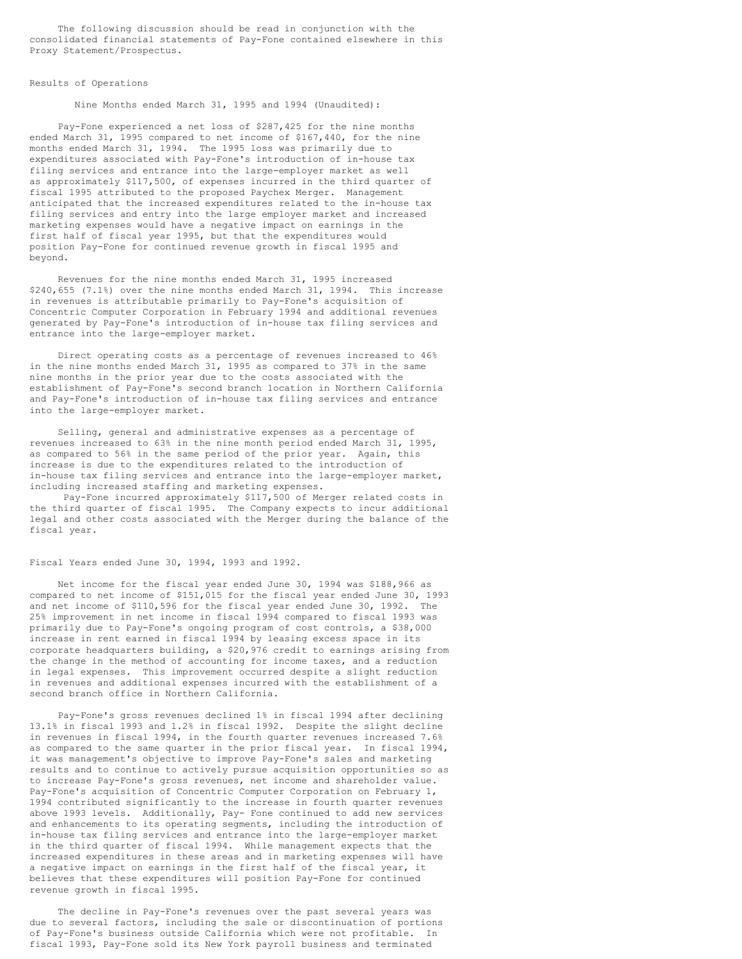The following discussion should be read in conjunction with the consolidated financial statements of Pay-Fone contained elsewhere in this Proxy Statement/Prospectus.

#### Results of Operations

Nine Months ended March 31, 1995 and 1994 (Unaudited):

Pay-Fone experienced a net loss of \$287,425 for the nine months ended March 31, 1995 compared to net income of \$167,440, for the nine months ended March 31, 1994. The 1995 loss was primarily due to expenditures associated with Pay-Fone's introduction of in-house tax filing services and entrance into the large-employer market as well as approximately \$117,500, of expenses incurred in the third quarter of fiscal 1995 attributed to the proposed Paychex Merger. Management anticipated that the increased expenditures related to the in-house tax filing services and entry into the large employer market and increased marketing expenses would have a negative impact on earnings in the first half of fiscal year 1995, but that the expenditures would position Pay-Fone for continued revenue growth in fiscal 1995 and beyond.

Revenues for the nine months ended March 31, 1995 increased \$240,655 (7.1%) over the nine months ended March 31, 1994. This increase in revenues is attributable primarily to Pay-Fone's acquisition of Concentric Computer Corporation in February 1994 and additional revenues generated by Pay-Fone's introduction of in-house tax filing services and entrance into the large-employer market.

Direct operating costs as a percentage of revenues increased to 46% in the nine months ended March 31, 1995 as compared to 37% in the same nine months in the prior year due to the costs associated with the establishment of Pay-Fone's second branch location in Northern California and Pay-Fone's introduction of in-house tax filing services and entrance into the large-employer market.

Selling, general and administrative expenses as a percentage of revenues increased to 63% in the nine month period ended March 31, 1995, as compared to 56% in the same period of the prior year. Again, this increase is due to the expenditures related to the introduction of in-house tax filing services and entrance into the large-employer market, including increased staffing and marketing expenses.

Pay-Fone incurred approximately \$117,500 of Merger related costs in the third quarter of fiscal 1995. The Company expects to incur additional legal and other costs associated with the Merger during the balance of the fiscal year.

#### Fiscal Years ended June 30, 1994, 1993 and 1992.

Net income for the fiscal year ended June 30, 1994 was \$188,966 as compared to net income of \$151,015 for the fiscal year ended June 30, 1993 and net income of \$110,596 for the fiscal year ended June 30, 1992. The 25% improvement in net income in fiscal 1994 compared to fiscal 1993 was primarily due to Pay-Fone's ongoing program of cost controls, a \$38,000 increase in rent earned in fiscal 1994 by leasing excess space in its corporate headquarters building, a \$20,976 credit to earnings arising from the change in the method of accounting for income taxes, and a reduction in legal expenses. This improvement occurred despite a slight reduction in revenues and additional expenses incurred with the establishment of a second branch office in Northern California.

Pay-Fone's gross revenues declined 1% in fiscal 1994 after declining 13.1% in fiscal 1993 and 1.2% in fiscal 1992. Despite the slight decline in revenues in fiscal 1994, in the fourth quarter revenues increased 7.6% as compared to the same quarter in the prior fiscal year. In fiscal 1994, it was management's objective to improve Pay-Fone's sales and marketing results and to continue to actively pursue acquisition opportunities so as to increase Pay-Fone's gross revenues, net income and shareholder value. Pay-Fone's acquisition of Concentric Computer Corporation on February 1, 1994 contributed significantly to the increase in fourth quarter revenues above 1993 levels. Additionally, Pay- Fone continued to add new services and enhancements to its operating segments, including the introduction of in-house tax filing services and entrance into the large-employer market in the third quarter of fiscal 1994. While management expects that the increased expenditures in these areas and in marketing expenses will have a negative impact on earnings in the first half of the fiscal year, it believes that these expenditures will position Pay-Fone for continued revenue growth in fiscal 1995.

The decline in Pay-Fone's revenues over the past several years was due to several factors, including the sale or discontinuation of portions of Pay-Fone's business outside California which were not profitable. In fiscal 1993, Pay-Fone sold its New York payroll business and terminated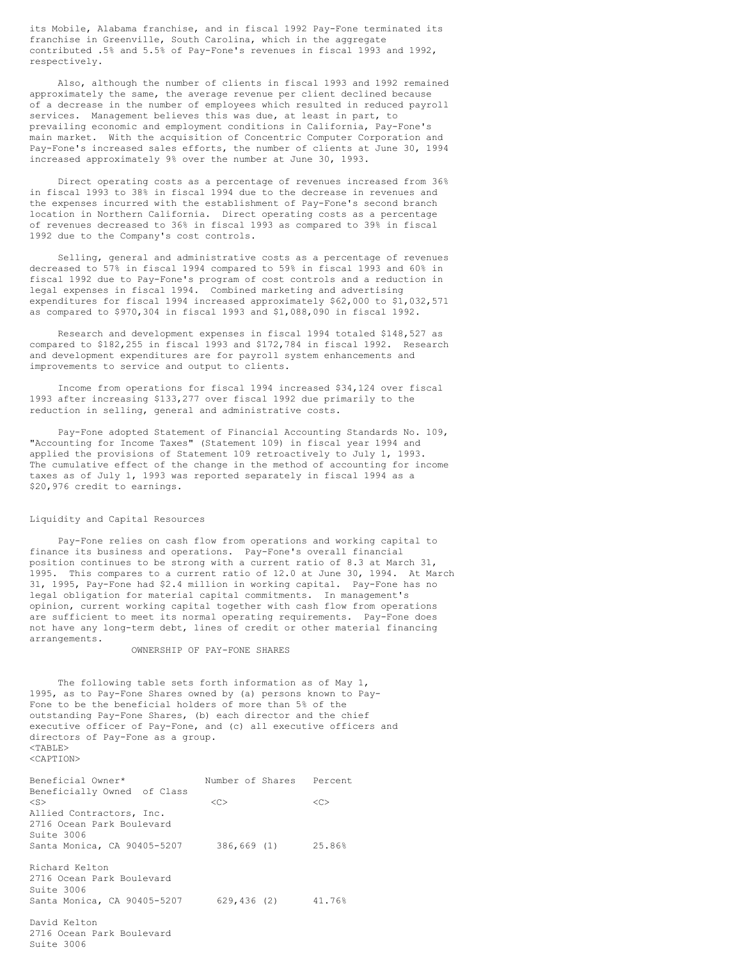its Mobile, Alabama franchise, and in fiscal 1992 Pay-Fone terminated its franchise in Greenville, South Carolina, which in the aggregate contributed .5% and 5.5% of Pay-Fone's revenues in fiscal 1993 and 1992, respectively.

Also, although the number of clients in fiscal 1993 and 1992 remained approximately the same, the average revenue per client declined because of a decrease in the number of employees which resulted in reduced payroll services. Management believes this was due, at least in part, to prevailing economic and employment conditions in California, Pay-Fone's main market. With the acquisition of Concentric Computer Corporation and Pay-Fone's increased sales efforts, the number of clients at June 30, 1994 increased approximately 9% over the number at June 30, 1993.

Direct operating costs as a percentage of revenues increased from 36% in fiscal 1993 to 38% in fiscal 1994 due to the decrease in revenues and the expenses incurred with the establishment of Pay-Fone's second branch location in Northern California. Direct operating costs as a percentage of revenues decreased to 36% in fiscal 1993 as compared to 39% in fiscal 1992 due to the Company's cost controls.

Selling, general and administrative costs as a percentage of revenues decreased to 57% in fiscal 1994 compared to 59% in fiscal 1993 and 60% in fiscal 1992 due to Pay-Fone's program of cost controls and a reduction in legal expenses in fiscal 1994. Combined marketing and advertising expenditures for fiscal 1994 increased approximately \$62,000 to \$1,032,571 as compared to \$970,304 in fiscal 1993 and \$1,088,090 in fiscal 1992.

Research and development expenses in fiscal 1994 totaled \$148,527 as compared to \$182,255 in fiscal 1993 and \$172,784 in fiscal 1992. Research and development expenditures are for payroll system enhancements and improvements to service and output to clients.

Income from operations for fiscal 1994 increased \$34,124 over fiscal 1993 after increasing \$133,277 over fiscal 1992 due primarily to the reduction in selling, general and administrative costs.

Pay-Fone adopted Statement of Financial Accounting Standards No. 109, "Accounting for Income Taxes" (Statement 109) in fiscal year 1994 and applied the provisions of Statement 109 retroactively to July 1, 1993. The cumulative effect of the change in the method of accounting for income taxes as of July 1, 1993 was reported separately in fiscal 1994 as a \$20,976 credit to earnings.

# Liquidity and Capital Resources

Pay-Fone relies on cash flow from operations and working capital to finance its business and operations. Pay-Fone's overall financial position continues to be strong with a current ratio of 8.3 at March 31, 1995. This compares to a current ratio of 12.0 at June 30, 1994. At March 31, 1995, Pay-Fone had \$2.4 million in working capital. Pay-Fone has no legal obligation for material capital commitments. In management's opinion, current working capital together with cash flow from operations are sufficient to meet its normal operating requirements. Pay-Fone does not have any long-term debt, lines of credit or other material financing arrangements.

OWNERSHIP OF PAY-FONE SHARES

The following table sets forth information as of May 1, 1995, as to Pay-Fone Shares owned by (a) persons known to Pay-Fone to be the beneficial holders of more than 5% of the outstanding Pay-Fone Shares, (b) each director and the chief executive officer of Pay-Fone, and (c) all executive officers and directors of Pay-Fone as a group. <TABLE> <CAPTION>

| Beneficial Owner*           | Number of Shares Percent |    |
|-----------------------------|--------------------------|----|
| Beneficially Owned of Class |                          |    |
| $<$ S $>$                   | < <sub></sub>            | << |
| Allied Contractors, Inc.    |                          |    |
| 2716 Ocean Park Boulevard   |                          |    |
| Suite 3006                  |                          |    |
| Santa Monica, CA 90405-5207 | 386,669 (1) 25.86%       |    |
| Richard Kelton              |                          |    |
| 2716 Ocean Park Boulevard   |                          |    |
| Suite 3006                  |                          |    |
| Santa Monica, CA 90405-5207 | 629,436 (2) 41.76%       |    |
| David Kelton                |                          |    |
| 2716 Ocean Park Boulevard   |                          |    |
| Suite 3006                  |                          |    |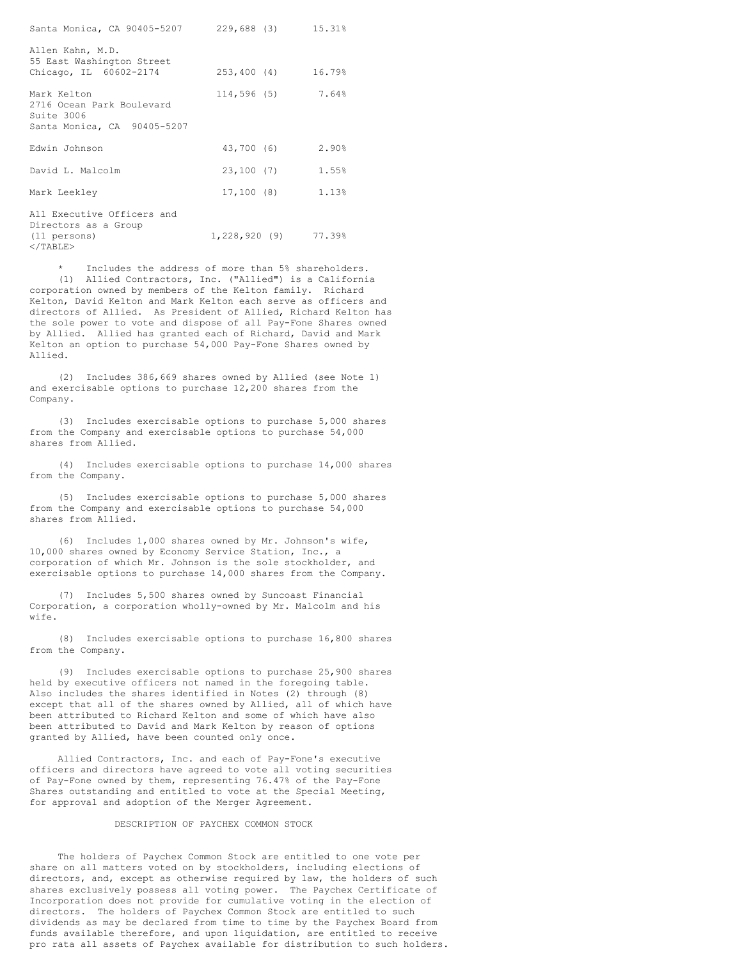| Santa Monica, CA 90405-5207 229,688 (3) 15.31%                                          |                       |       |
|-----------------------------------------------------------------------------------------|-----------------------|-------|
| Allen Kahn, M.D.<br>55 East Washington Street                                           |                       |       |
| Chicago, IL 60602-2174                                                                  | 253,400 (4) 16.79%    |       |
| Mark Kelton<br>2716 Ocean Park Boulevard<br>Suite 3006<br>Santa Monica, CA 90405-5207   | 114,596 (5)           | 7.64% |
| Edwin Johnson                                                                           | 43,700 (6)            | 2.90% |
| David L. Malcolm                                                                        | 23,100 (7)            | 1.55% |
| Mark Leekley                                                                            | 17,100(8)             | 1.13% |
| All Executive Officers and<br>Directors as a Group<br>(11 persons)<br>$\langle$ /TABLE> | $1,228,920(9)$ 77.39% |       |

Includes the address of more than 5% shareholders. (1) Allied Contractors, Inc. ("Allied") is a California corporation owned by members of the Kelton family. Richard Kelton, David Kelton and Mark Kelton each serve as officers and directors of Allied. As President of Allied, Richard Kelton has the sole power to vote and dispose of all Pay-Fone Shares owned by Allied. Allied has granted each of Richard, David and Mark Kelton an option to purchase 54,000 Pay-Fone Shares owned by Allied.

(2) Includes 386,669 shares owned by Allied (see Note 1) and exercisable options to purchase 12,200 shares from the Company.

(3) Includes exercisable options to purchase 5,000 shares from the Company and exercisable options to purchase 54,000 shares from Allied.

(4) Includes exercisable options to purchase 14,000 shares from the Company.

(5) Includes exercisable options to purchase 5,000 shares from the Company and exercisable options to purchase 54,000 shares from Allied.

(6) Includes 1,000 shares owned by Mr. Johnson's wife, 10,000 shares owned by Economy Service Station, Inc., a corporation of which Mr. Johnson is the sole stockholder, and exercisable options to purchase 14,000 shares from the Company.

(7) Includes 5,500 shares owned by Suncoast Financial Corporation, a corporation wholly-owned by Mr. Malcolm and his wife.

(8) Includes exercisable options to purchase 16,800 shares from the Company.

(9) Includes exercisable options to purchase 25,900 shares held by executive officers not named in the foregoing table. Also includes the shares identified in Notes (2) through (8) except that all of the shares owned by Allied, all of which have been attributed to Richard Kelton and some of which have also been attributed to David and Mark Kelton by reason of options granted by Allied, have been counted only once.

Allied Contractors, Inc. and each of Pay-Fone's executive officers and directors have agreed to vote all voting securities of Pay-Fone owned by them, representing 76.47% of the Pay-Fone Shares outstanding and entitled to vote at the Special Meeting, for approval and adoption of the Merger Agreement.

# DESCRIPTION OF PAYCHEX COMMON STOCK

The holders of Paychex Common Stock are entitled to one vote per share on all matters voted on by stockholders, including elections of directors, and, except as otherwise required by law, the holders of such shares exclusively possess all voting power. The Paychex Certificate of Incorporation does not provide for cumulative voting in the election of directors. The holders of Paychex Common Stock are entitled to such dividends as may be declared from time to time by the Paychex Board from funds available therefore, and upon liquidation, are entitled to receive pro rata all assets of Paychex available for distribution to such holders.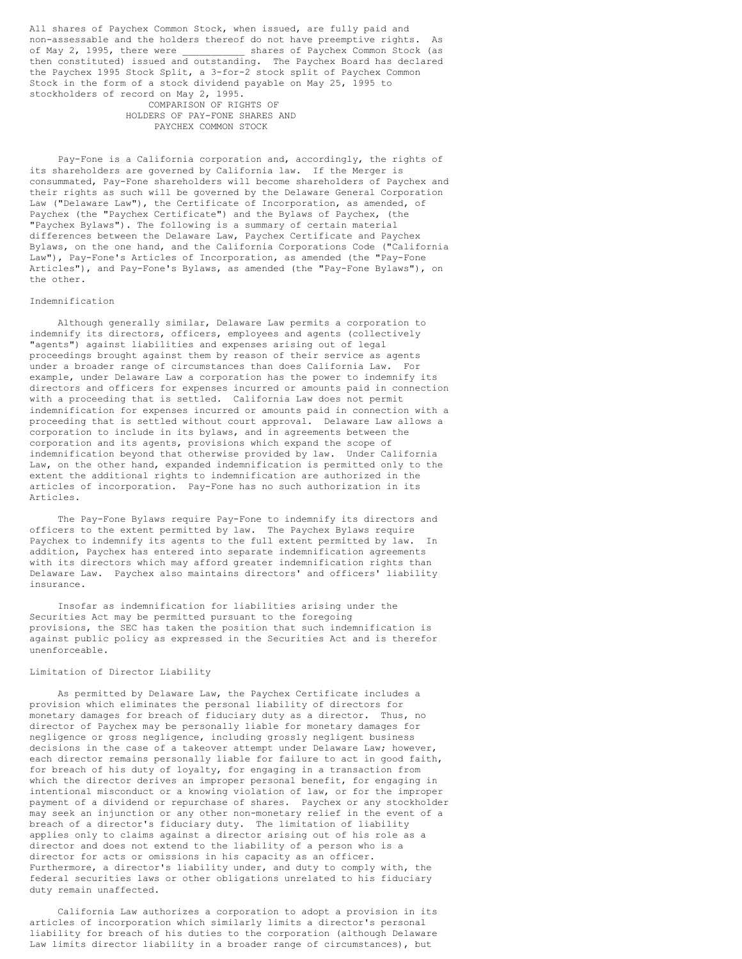All shares of Paychex Common Stock, when issued, are fully paid and non-assessable and the holders thereof do not have preemptive rights. As<br>of May 2, 1995, there were shares of Paychex Common Stock (as shares of Paychex Common Stock (as then constituted) issued and outstanding. The Paychex Board has declared the Paychex 1995 Stock Split, a 3-for-2 stock split of Paychex Common Stock in the form of a stock dividend payable on May 25, 1995 to stockholders of record on May 2, 1995. COMPARISON OF RIGHTS OF

HOLDERS OF PAY-FONE SHARES AND PAYCHEX COMMON STOCK

Pay-Fone is a California corporation and, accordingly, the rights of its shareholders are governed by California law. If the Merger is consummated, Pay-Fone shareholders will become shareholders of Paychex and their rights as such will be governed by the Delaware General Corporation Law ("Delaware Law"), the Certificate of Incorporation, as amended, of Paychex (the "Paychex Certificate") and the Bylaws of Paychex, (the "Paychex Bylaws"). The following is a summary of certain material differences between the Delaware Law, Paychex Certificate and Paychex Bylaws, on the one hand, and the California Corporations Code ("California Law"), Pay-Fone's Articles of Incorporation, as amended (the "Pay-Fone Articles"), and Pay-Fone's Bylaws, as amended (the "Pay-Fone Bylaws"), on the other.

## Indemnification

Although generally similar, Delaware Law permits a corporation to indemnify its directors, officers, employees and agents (collectively "agents") against liabilities and expenses arising out of legal proceedings brought against them by reason of their service as agents under a broader range of circumstances than does California Law. For example, under Delaware Law a corporation has the power to indemnify its directors and officers for expenses incurred or amounts paid in connection with a proceeding that is settled. California Law does not permit indemnification for expenses incurred or amounts paid in connection with a proceeding that is settled without court approval. Delaware Law allows a corporation to include in its bylaws, and in agreements between the corporation and its agents, provisions which expand the scope of indemnification beyond that otherwise provided by law. Under California Law, on the other hand, expanded indemnification is permitted only to the extent the additional rights to indemnification are authorized in the articles of incorporation. Pay-Fone has no such authorization in its Articles.

The Pay-Fone Bylaws require Pay-Fone to indemnify its directors and officers to the extent permitted by law. The Paychex Bylaws require Paychex to indemnify its agents to the full extent permitted by law. In addition, Paychex has entered into separate indemnification agreements with its directors which may afford greater indemnification rights than Delaware Law. Paychex also maintains directors' and officers' liability insurance.

Insofar as indemnification for liabilities arising under the Securities Act may be permitted pursuant to the foregoing provisions, the SEC has taken the position that such indemnification is against public policy as expressed in the Securities Act and is therefor unenforceable.

## Limitation of Director Liability

As permitted by Delaware Law, the Paychex Certificate includes a provision which eliminates the personal liability of directors for monetary damages for breach of fiduciary duty as a director. Thus, no director of Paychex may be personally liable for monetary damages for negligence or gross negligence, including grossly negligent business decisions in the case of a takeover attempt under Delaware Law; however, each director remains personally liable for failure to act in good faith, for breach of his duty of loyalty, for engaging in a transaction from which the director derives an improper personal benefit, for engaging in intentional misconduct or a knowing violation of law, or for the improper payment of a dividend or repurchase of shares. Paychex or any stockholder may seek an injunction or any other non-monetary relief in the event of a breach of a director's fiduciary duty. The limitation of liability applies only to claims against a director arising out of his role as a director and does not extend to the liability of a person who is a director for acts or omissions in his capacity as an officer. Furthermore, a director's liability under, and duty to comply with, the federal securities laws or other obligations unrelated to his fiduciary duty remain unaffected.

California Law authorizes a corporation to adopt a provision in its articles of incorporation which similarly limits a director's personal liability for breach of his duties to the corporation (although Delaware Law limits director liability in a broader range of circumstances), but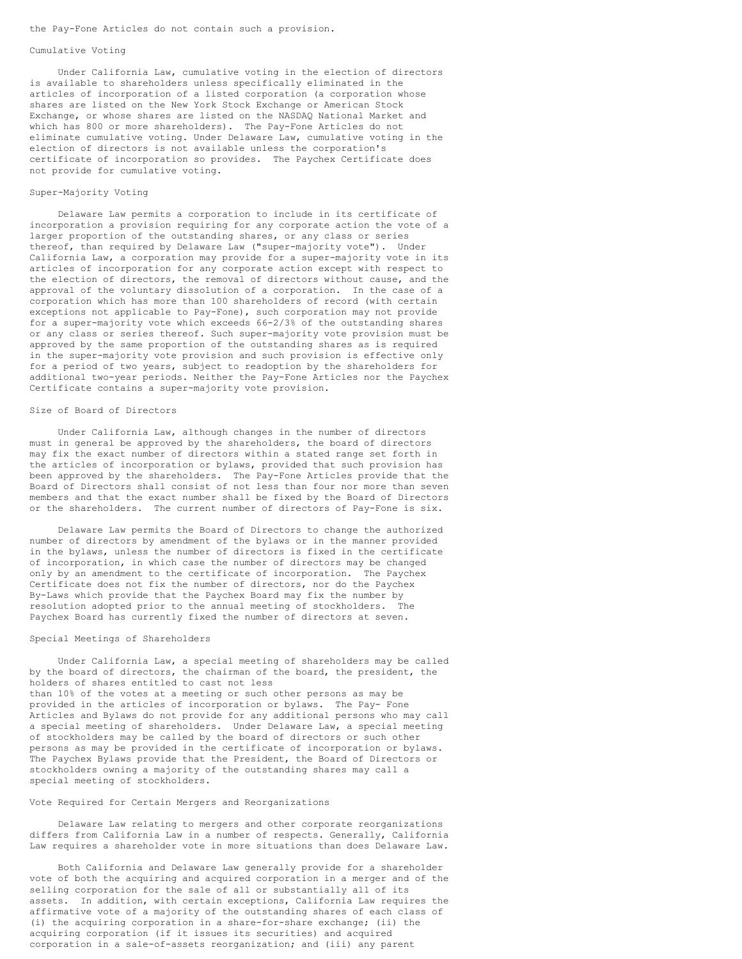#### the Pay-Fone Articles do not contain such a provision.

#### Cumulative Voting

Under California Law, cumulative voting in the election of directors is available to shareholders unless specifically eliminated in the articles of incorporation of a listed corporation (a corporation whose shares are listed on the New York Stock Exchange or American Stock Exchange, or whose shares are listed on the NASDAQ National Market and which has 800 or more shareholders). The Pay-Fone Articles do not eliminate cumulative voting. Under Delaware Law, cumulative voting in the election of directors is not available unless the corporation's certificate of incorporation so provides. The Paychex Certificate does not provide for cumulative voting.

## Super-Majority Voting

Delaware Law permits a corporation to include in its certificate of incorporation a provision requiring for any corporate action the vote of a larger proportion of the outstanding shares, or any class or series thereof, than required by Delaware Law ("super-majority vote"). Under California Law, a corporation may provide for a super-majority vote in its articles of incorporation for any corporate action except with respect to the election of directors, the removal of directors without cause, and the approval of the voluntary dissolution of a corporation. In the case of a corporation which has more than 100 shareholders of record (with certain exceptions not applicable to Pay-Fone), such corporation may not provide for a super-majority vote which exceeds 66-2/3% of the outstanding shares or any class or series thereof. Such super-majority vote provision must be approved by the same proportion of the outstanding shares as is required in the super-majority vote provision and such provision is effective only for a period of two years, subject to readoption by the shareholders for additional two-year periods. Neither the Pay-Fone Articles nor the Paychex Certificate contains a super-majority vote provision.

#### Size of Board of Directors

Under California Law, although changes in the number of directors must in general be approved by the shareholders, the board of directors may fix the exact number of directors within a stated range set forth in the articles of incorporation or bylaws, provided that such provision has been approved by the shareholders. The Pay-Fone Articles provide that the Board of Directors shall consist of not less than four nor more than seven members and that the exact number shall be fixed by the Board of Directors or the shareholders. The current number of directors of Pay-Fone is six.

Delaware Law permits the Board of Directors to change the authorized number of directors by amendment of the bylaws or in the manner provided in the bylaws, unless the number of directors is fixed in the certificate of incorporation, in which case the number of directors may be changed only by an amendment to the certificate of incorporation. The Paychex Certificate does not fix the number of directors, nor do the Paychex By-Laws which provide that the Paychex Board may fix the number by resolution adopted prior to the annual meeting of stockholders. The Paychex Board has currently fixed the number of directors at seven.

## Special Meetings of Shareholders

Under California Law, a special meeting of shareholders may be called by the board of directors, the chairman of the board, the president, the holders of shares entitled to cast not less than 10% of the votes at a meeting or such other persons as may be provided in the articles of incorporation or bylaws. The Pay- Fone Articles and Bylaws do not provide for any additional persons who may call a special meeting of shareholders. Under Delaware Law, a special meeting of stockholders may be called by the board of directors or such other persons as may be provided in the certificate of incorporation or bylaws. The Paychex Bylaws provide that the President, the Board of Directors or stockholders owning a majority of the outstanding shares may call a special meeting of stockholders.

### Vote Required for Certain Mergers and Reorganizations

Delaware Law relating to mergers and other corporate reorganizations differs from California Law in a number of respects. Generally, California Law requires a shareholder vote in more situations than does Delaware Law.

Both California and Delaware Law generally provide for a shareholder vote of both the acquiring and acquired corporation in a merger and of the selling corporation for the sale of all or substantially all of its assets. In addition, with certain exceptions, California Law requires the affirmative vote of a majority of the outstanding shares of each class of (i) the acquiring corporation in a share-for-share exchange; (ii) the acquiring corporation (if it issues its securities) and acquired corporation in a sale-of-assets reorganization; and (iii) any parent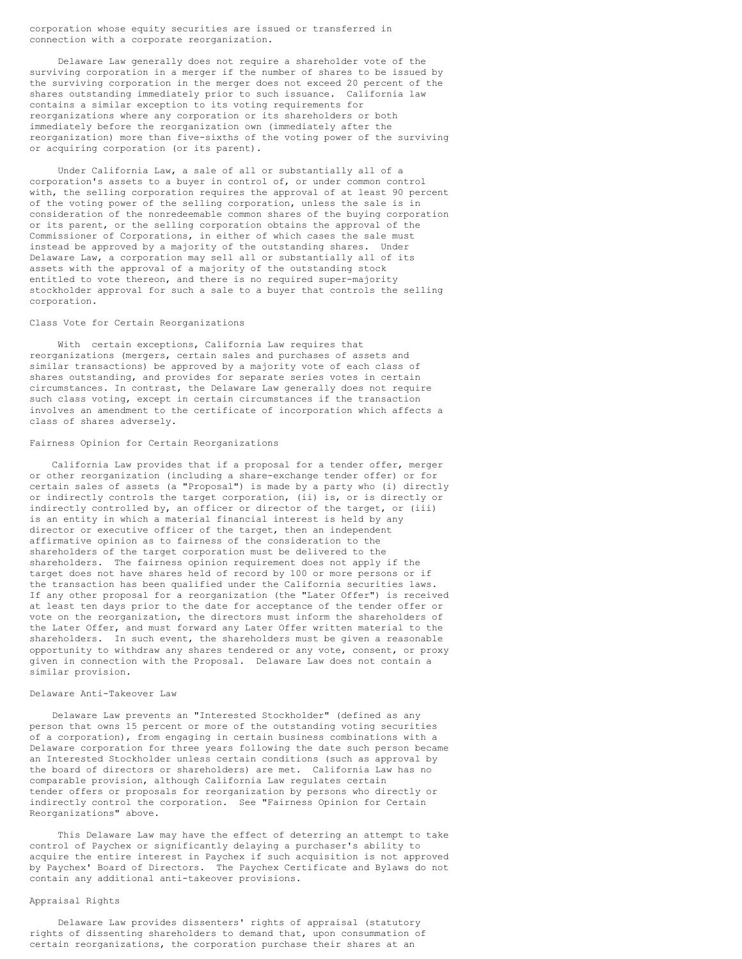corporation whose equity securities are issued or transferred in connection with a corporate reorganization.

Delaware Law generally does not require a shareholder vote of the surviving corporation in a merger if the number of shares to be issued by the surviving corporation in the merger does not exceed 20 percent of the shares outstanding immediately prior to such issuance. California law contains a similar exception to its voting requirements for reorganizations where any corporation or its shareholders or both immediately before the reorganization own (immediately after the reorganization) more than five-sixths of the voting power of the surviving or acquiring corporation (or its parent).

Under California Law, a sale of all or substantially all of a corporation's assets to a buyer in control of, or under common control with, the selling corporation requires the approval of at least 90 percent of the voting power of the selling corporation, unless the sale is in consideration of the nonredeemable common shares of the buying corporation or its parent, or the selling corporation obtains the approval of the Commissioner of Corporations, in either of which cases the sale must instead be approved by a majority of the outstanding shares. Under Delaware Law, a corporation may sell all or substantially all of its assets with the approval of a majority of the outstanding stock entitled to vote thereon, and there is no required super-majority stockholder approval for such a sale to a buyer that controls the selling corporation.

## Class Vote for Certain Reorganizations

With certain exceptions, California Law requires that reorganizations (mergers, certain sales and purchases of assets and similar transactions) be approved by a majority vote of each class of shares outstanding, and provides for separate series votes in certain circumstances. In contrast, the Delaware Law generally does not require such class voting, except in certain circumstances if the transaction involves an amendment to the certificate of incorporation which affects a class of shares adversely.

#### Fairness Opinion for Certain Reorganizations

California Law provides that if a proposal for a tender offer, merger or other reorganization (including a share-exchange tender offer) or for certain sales of assets (a "Proposal") is made by a party who (i) directly or indirectly controls the target corporation, (ii) is, or is directly or indirectly controlled by, an officer or director of the target, or (iii) is an entity in which a material financial interest is held by any director or executive officer of the target, then an independent affirmative opinion as to fairness of the consideration to the shareholders of the target corporation must be delivered to the shareholders. The fairness opinion requirement does not apply if the target does not have shares held of record by 100 or more persons or if the transaction has been qualified under the California securities laws. If any other proposal for a reorganization (the "Later Offer") is received at least ten days prior to the date for acceptance of the tender offer or vote on the reorganization, the directors must inform the shareholders of the Later Offer, and must forward any Later Offer written material to the shareholders. In such event, the shareholders must be given a reasonable opportunity to withdraw any shares tendered or any vote, consent, or proxy given in connection with the Proposal. Delaware Law does not contain a similar provision.

## Delaware Anti-Takeover Law

Delaware Law prevents an "Interested Stockholder" (defined as any person that owns 15 percent or more of the outstanding voting securities of a corporation), from engaging in certain business combinations with a Delaware corporation for three years following the date such person became an Interested Stockholder unless certain conditions (such as approval by the board of directors or shareholders) are met. California Law has no comparable provision, although California Law regulates certain tender offers or proposals for reorganization by persons who directly or indirectly control the corporation. See "Fairness Opinion for Certain Reorganizations" above.

This Delaware Law may have the effect of deterring an attempt to take control of Paychex or significantly delaying a purchaser's ability to acquire the entire interest in Paychex if such acquisition is not approved by Paychex' Board of Directors. The Paychex Certificate and Bylaws do not contain any additional anti-takeover provisions.

## Appraisal Rights

Delaware Law provides dissenters' rights of appraisal (statutory rights of dissenting shareholders to demand that, upon consummation of certain reorganizations, the corporation purchase their shares at an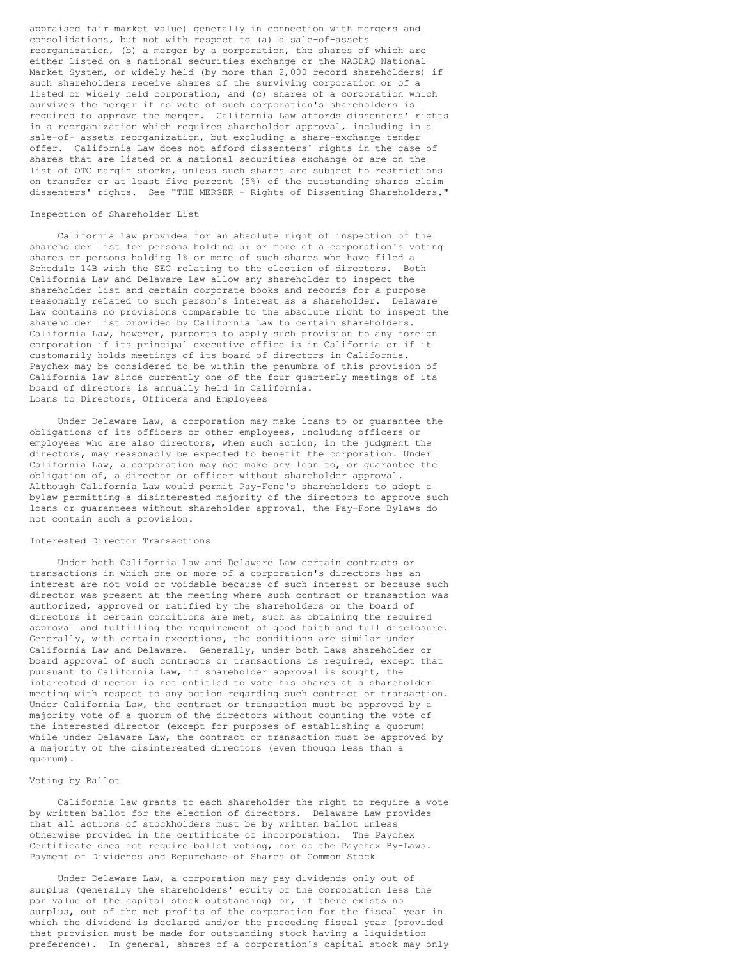appraised fair market value) generally in connection with mergers and consolidations, but not with respect to (a) a sale-of-assets reorganization, (b) a merger by a corporation, the shares of which are either listed on a national securities exchange or the NASDAQ National Market System, or widely held (by more than 2,000 record shareholders) if such shareholders receive shares of the surviving corporation or of a listed or widely held corporation, and (c) shares of a corporation which survives the merger if no vote of such corporation's shareholders is required to approve the merger. California Law affords dissenters' rights in a reorganization which requires shareholder approval, including in a sale-of- assets reorganization, but excluding a share-exchange tender offer. California Law does not afford dissenters' rights in the case of shares that are listed on a national securities exchange or are on the list of OTC margin stocks, unless such shares are subject to restrictions on transfer or at least five percent (5%) of the outstanding shares claim dissenters' rights. See "THE MERGER - Rights of Dissenting Shareholders."

## Inspection of Shareholder List

California Law provides for an absolute right of inspection of the shareholder list for persons holding 5% or more of a corporation's voting shares or persons holding 1% or more of such shares who have filed a Schedule 14B with the SEC relating to the election of directors. Both California Law and Delaware Law allow any shareholder to inspect the shareholder list and certain corporate books and records for a purpose reasonably related to such person's interest as a shareholder. Delaware Law contains no provisions comparable to the absolute right to inspect the shareholder list provided by California Law to certain shareholders. California Law, however, purports to apply such provision to any foreign corporation if its principal executive office is in California or if it customarily holds meetings of its board of directors in California. Paychex may be considered to be within the penumbra of this provision of California law since currently one of the four quarterly meetings of its board of directors is annually held in California. Loans to Directors, Officers and Employees

Under Delaware Law, a corporation may make loans to or guarantee the obligations of its officers or other employees, including officers or employees who are also directors, when such action, in the judgment the directors, may reasonably be expected to benefit the corporation. Under California Law, a corporation may not make any loan to, or guarantee the obligation of, a director or officer without shareholder approval. Although California Law would permit Pay-Fone's shareholders to adopt a bylaw permitting a disinterested majority of the directors to approve such loans or guarantees without shareholder approval, the Pay-Fone Bylaws do not contain such a provision.

## Interested Director Transactions

Under both California Law and Delaware Law certain contracts or transactions in which one or more of a corporation's directors has an interest are not void or voidable because of such interest or because such director was present at the meeting where such contract or transaction was authorized, approved or ratified by the shareholders or the board of directors if certain conditions are met, such as obtaining the required approval and fulfilling the requirement of good faith and full disclosure. Generally, with certain exceptions, the conditions are similar under California Law and Delaware. Generally, under both Laws shareholder or board approval of such contracts or transactions is required, except that pursuant to California Law, if shareholder approval is sought, the interested director is not entitled to vote his shares at a shareholder meeting with respect to any action regarding such contract or transaction. Under California Law, the contract or transaction must be approved by a majority vote of a quorum of the directors without counting the vote of the interested director (except for purposes of establishing a quorum) while under Delaware Law, the contract or transaction must be approved by a majority of the disinterested directors (even though less than a quorum).

## Voting by Ballot

California Law grants to each shareholder the right to require a vote by written ballot for the election of directors. Delaware Law provides that all actions of stockholders must be by written ballot unless otherwise provided in the certificate of incorporation. The Paychex Certificate does not require ballot voting, nor do the Paychex By-Laws. Payment of Dividends and Repurchase of Shares of Common Stock

Under Delaware Law, a corporation may pay dividends only out of surplus (generally the shareholders' equity of the corporation less the par value of the capital stock outstanding) or, if there exists no surplus, out of the net profits of the corporation for the fiscal year in which the dividend is declared and/or the preceding fiscal year (provided that provision must be made for outstanding stock having a liquidation preference). In general, shares of a corporation's capital stock may only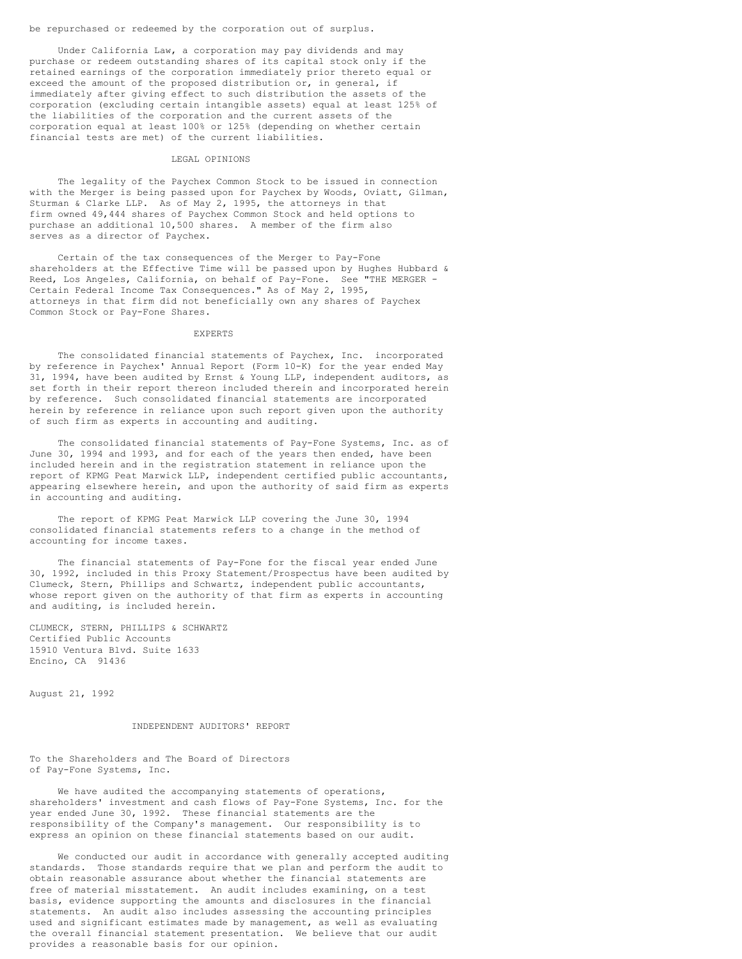be repurchased or redeemed by the corporation out of surplus.

Under California Law, a corporation may pay dividends and may purchase or redeem outstanding shares of its capital stock only if the retained earnings of the corporation immediately prior thereto equal or exceed the amount of the proposed distribution or, in general, if immediately after giving effect to such distribution the assets of the corporation (excluding certain intangible assets) equal at least 125% of the liabilities of the corporation and the current assets of the corporation equal at least 100% or 125% (depending on whether certain financial tests are met) of the current liabilities.

## LEGAL OPINIONS

The legality of the Paychex Common Stock to be issued in connection with the Merger is being passed upon for Paychex by Woods, Oviatt, Gilman, Sturman & Clarke LLP. As of May 2, 1995, the attorneys in that firm owned 49,444 shares of Paychex Common Stock and held options to purchase an additional 10,500 shares. A member of the firm also serves as a director of Paychex.

Certain of the tax consequences of the Merger to Pay-Fone shareholders at the Effective Time will be passed upon by Hughes Hubbard & Reed, Los Angeles, California, on behalf of Pay-Fone. See "THE MERGER - Certain Federal Income Tax Consequences." As of May 2, 1995, attorneys in that firm did not beneficially own any shares of Paychex Common Stock or Pay-Fone Shares.

#### EXPERTS

The consolidated financial statements of Paychex, Inc. incorporated by reference in Paychex' Annual Report (Form 10-K) for the year ended May 31, 1994, have been audited by Ernst & Young LLP, independent auditors, as set forth in their report thereon included therein and incorporated herein by reference. Such consolidated financial statements are incorporated herein by reference in reliance upon such report given upon the authority of such firm as experts in accounting and auditing.

The consolidated financial statements of Pay-Fone Systems, Inc. as of June 30, 1994 and 1993, and for each of the years then ended, have been included herein and in the registration statement in reliance upon the report of KPMG Peat Marwick LLP, independent certified public accountants, appearing elsewhere herein, and upon the authority of said firm as experts in accounting and auditing.

The report of KPMG Peat Marwick LLP covering the June 30, 1994 consolidated financial statements refers to a change in the method of accounting for income taxes.

The financial statements of Pay-Fone for the fiscal year ended June 30, 1992, included in this Proxy Statement/Prospectus have been audited by Clumeck, Stern, Phillips and Schwartz, independent public accountants, whose report given on the authority of that firm as experts in accounting and auditing, is included herein.

CLUMECK, STERN, PHILLIPS & SCHWARTZ Certified Public Accounts 15910 Ventura Blvd. Suite 1633 Encino, CA 91436

August 21, 1992

## INDEPENDENT AUDITORS' REPORT

To the Shareholders and The Board of Directors of Pay-Fone Systems, Inc.

We have audited the accompanying statements of operations, shareholders' investment and cash flows of Pay-Fone Systems, Inc. for the year ended June 30, 1992. These financial statements are the responsibility of the Company's management. Our responsibility is to express an opinion on these financial statements based on our audit.

We conducted our audit in accordance with generally accepted auditing standards. Those standards require that we plan and perform the audit to obtain reasonable assurance about whether the financial statements are free of material misstatement. An audit includes examining, on a test basis, evidence supporting the amounts and disclosures in the financial statements. An audit also includes assessing the accounting principles used and significant estimates made by management, as well as evaluating the overall financial statement presentation. We believe that our audit provides a reasonable basis for our opinion.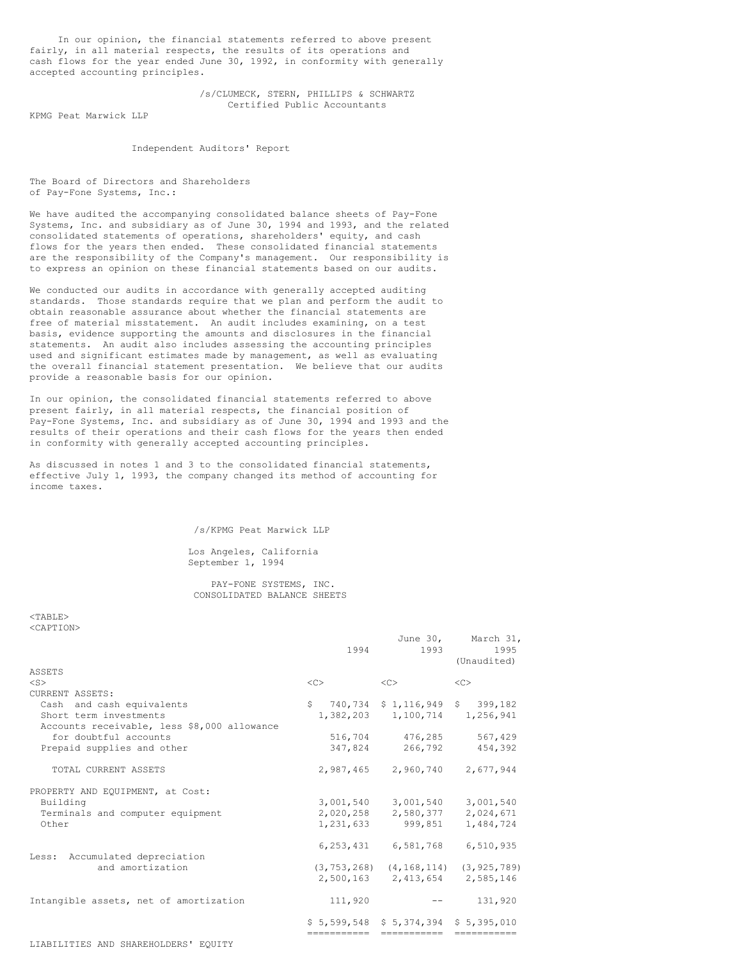In our opinion, the financial statements referred to above present fairly, in all material respects, the results of its operations and cash flows for the year ended June 30, 1992, in conformity with generally accepted accounting principles.

> /s/CLUMECK, STERN, PHILLIPS & SCHWARTZ Certified Public Accountants

KPMG Peat Marwick LLP

Independent Auditors' Report

The Board of Directors and Shareholders of Pay-Fone Systems, Inc.:

We have audited the accompanying consolidated balance sheets of Pay-Fone Systems, Inc. and subsidiary as of June 30, 1994 and 1993, and the related consolidated statements of operations, shareholders' equity, and cash flows for the years then ended. These consolidated financial statements are the responsibility of the Company's management. Our responsibility is to express an opinion on these financial statements based on our audits.

We conducted our audits in accordance with generally accepted auditing standards. Those standards require that we plan and perform the audit to obtain reasonable assurance about whether the financial statements are free of material misstatement. An audit includes examining, on a test basis, evidence supporting the amounts and disclosures in the financial statements. An audit also includes assessing the accounting principles used and significant estimates made by management, as well as evaluating the overall financial statement presentation. We believe that our audits provide a reasonable basis for our opinion.

In our opinion, the consolidated financial statements referred to above present fairly, in all material respects, the financial position of Pay-Fone Systems, Inc. and subsidiary as of June 30, 1994 and 1993 and the results of their operations and their cash flows for the years then ended in conformity with generally accepted accounting principles.

As discussed in notes 1 and 3 to the consolidated financial statements, effective July 1, 1993, the company changed its method of accounting for income taxes.

/s/KPMG Peat Marwick LLP

Los Angeles, California September 1, 1994

PAY-FONE SYSTEMS, INC. CONSOLIDATED BALANCE SHEETS

 $<$ TABLE> <CAPTION>

|                                             | 1994      | 1993                                            | June 30, March 31,<br>1995<br>(Unaudited) |
|---------------------------------------------|-----------|-------------------------------------------------|-------------------------------------------|
| ASSETS                                      |           |                                                 |                                           |
| $<$ S $>$                                   | $<\infty$ | <<                                              | <<                                        |
| CURRENT ASSETS:                             |           |                                                 |                                           |
| Cash and cash equivalents                   |           | $$740,734$ $$1,116,949$ $$399,182$              |                                           |
| Short term investments                      |           | 1,382,203 1,100,714 1,256,941                   |                                           |
| Accounts receivable, less \$8,000 allowance |           |                                                 |                                           |
| for doubtful accounts                       |           | 516,704 476,285                                 | 567,429                                   |
| Prepaid supplies and other                  | 347,824   | 266,792                                         | 454,392                                   |
| TOTAL CURRENT ASSETS                        |           | 2,987,465 2,960,740 2,677,944                   |                                           |
| PROPERTY AND EQUIPMENT, at Cost:            |           |                                                 |                                           |
| Building                                    |           | 3,001,540 3,001,540 3,001,540                   |                                           |
| Terminals and computer equipment            |           | 2,020,258 2,580,377                             | 2,024,671                                 |
| Other                                       |           | 1,231,633 999,851                               | 1,484,724                                 |
|                                             |           | 6, 253, 431 6, 581, 768                         | 6,510,935                                 |
| Less: Accumulated depreciation              |           |                                                 |                                           |
| and amortization                            |           | $(3, 753, 268)$ $(4, 168, 114)$ $(3, 925, 789)$ |                                           |
|                                             |           | 2,500,163 2,413,654 2,585,146                   |                                           |
| Intangible assets, net of amortization      | 111,920   |                                                 | 131,920                                   |
|                                             |           | $$5,599,548 \t$5,374,394 \t$5,395,010$          |                                           |
|                                             |           | ------------ -----------                        |                                           |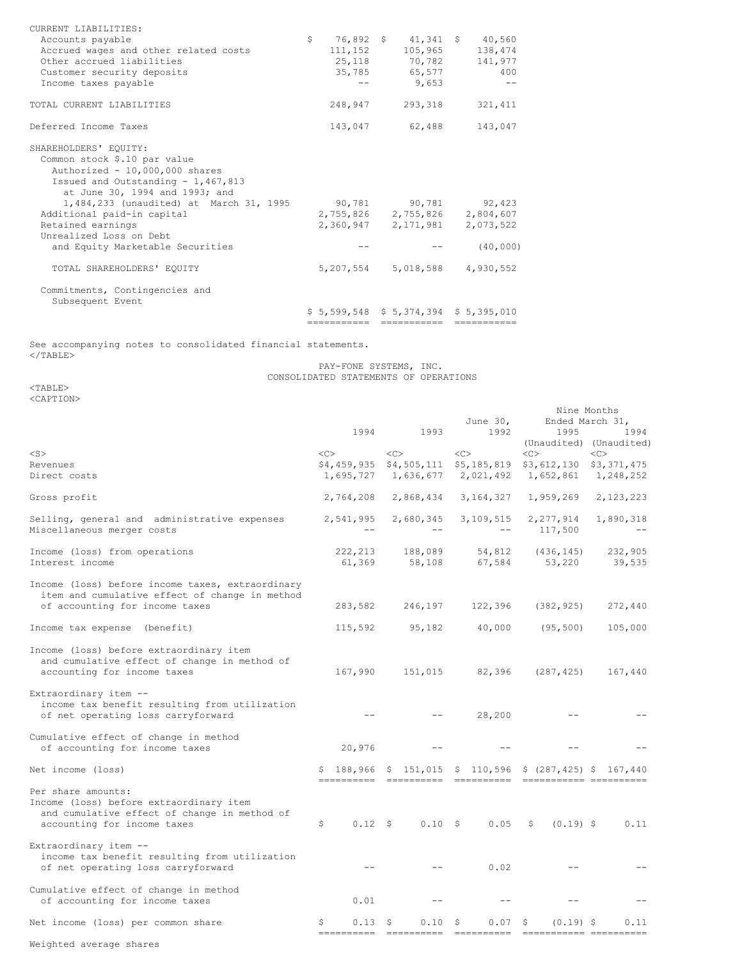| CURRENT LIABILITIES:                    |   |         |                                                                    |              |
|-----------------------------------------|---|---------|--------------------------------------------------------------------|--------------|
| Accounts payable                        | S |         | 76,892 \$ 41,341 \$ 40,560                                         |              |
| Accrued wages and other related costs   |   | 111,152 | 105,965                                                            | 138,474      |
| Other accrued liabilities               |   |         | 25,118 70,782                                                      | 141,977      |
| Customer security deposits              |   | 35,785  | 65,577                                                             | 400          |
| Income taxes payable                    |   |         | 9,653                                                              |              |
| TOTAL CURRENT LIABILITIES               |   | 248,947 | 293,318                                                            | 321, 411     |
| Deferred Income Taxes                   |   |         | 143,047 62,488                                                     | 143,047      |
| SHAREHOLDERS' EQUITY:                   |   |         |                                                                    |              |
| Common stock \$.10 par value            |   |         |                                                                    |              |
| Authorized - 10,000,000 shares          |   |         |                                                                    |              |
| Issued and Outstanding - 1,467,813      |   |         |                                                                    |              |
| at June 30, 1994 and 1993; and          |   |         |                                                                    |              |
| 1,484,233 (unaudited) at March 31, 1995 |   |         | 90,781 90,781 92,423                                               |              |
| Additional paid-in capital              |   |         | 2,755,826 2,755,826 2,804,607                                      |              |
| Retained earnings                       |   |         | 2,360,947 2,171,981                                                | 2,073,522    |
| Unrealized Loss on Debt                 |   |         |                                                                    |              |
| and Equity Marketable Securities        |   |         |                                                                    | (40, 000)    |
| TOTAL SHAREHOLDERS' EOUITY              |   |         | 5, 207, 554 5, 018, 588 4, 930, 552                                |              |
| Commitments, Contingencies and          |   |         |                                                                    |              |
| Subsequent Event                        |   |         |                                                                    |              |
|                                         |   |         | $$5,599,548$ $$5,374,394$ $$5,395,010$<br>------------ ----------- | ============ |
|                                         |   |         |                                                                    |              |

See accompanying notes to consolidated financial statements.  $\langle$ /TABLE $>$ 

#### PAY-FONE SYSTEMS, INC. CONSOLIDATED STATEMENTS OF OPERATIONS

<TABLE> <CAPTION>

|                                                                                                                                              |    |                    |      |                        | Nine Months<br>June 30,<br>Ended March 31, |                                                             |              |                      |    |                         |
|----------------------------------------------------------------------------------------------------------------------------------------------|----|--------------------|------|------------------------|--------------------------------------------|-------------------------------------------------------------|--------------|----------------------|----|-------------------------|
|                                                                                                                                              |    | 1994               | 1993 |                        |                                            | 1992                                                        |              | 1995                 |    | 1994                    |
|                                                                                                                                              |    |                    |      |                        |                                            |                                                             |              |                      |    | (Unaudited) (Unaudited) |
| $<$ S $>$<br>Revenues                                                                                                                        | << |                    | <<   |                        | <<                                         | \$4,459,935 \$4,505,111 \$5,185,819                         | <<           |                      | << | \$3,612,130 \$3,371,475 |
| Direct costs                                                                                                                                 |    | 1,695,727          |      | 1,636,677              |                                            | 2,021,492                                                   |              | 1,652,861            |    | 1,248,252               |
| Gross profit                                                                                                                                 |    | 2,764,208          |      | 2,868,434              |                                            | 3, 164, 327                                                 |              | 1,959,269            |    | 2,123,223               |
| Selling, general and administrative expenses<br>Miscellaneous merger costs                                                                   |    | 2,541,995          |      | 2,680,345              |                                            | 3,109,515                                                   |              | 2,277,914<br>117,500 |    | 1,890,318               |
| Income (loss) from operations<br>Interest income                                                                                             |    | 222, 213<br>61,369 |      | 188,089<br>58,108      |                                            | 54,812<br>67,584                                            |              | (436, 145)<br>53,220 |    | 232,905<br>39,535       |
| Income (loss) before income taxes, extraordinary<br>item and cumulative effect of change in method                                           |    |                    |      |                        |                                            |                                                             |              |                      |    |                         |
| of accounting for income taxes                                                                                                               |    | 283,582            |      | 246,197                |                                            | 122,396                                                     |              | (382, 925)           |    | 272,440                 |
| Income tax expense<br>(benefit)                                                                                                              |    | 115,592            |      | 95,182                 |                                            | 40,000                                                      |              | (95, 500)            |    | 105,000                 |
| Income (loss) before extraordinary item<br>and cumulative effect of change in method of<br>accounting for income taxes                       |    | 167,990            |      | 151,015                |                                            | 82,396                                                      |              | (287, 425)           |    | 167,440                 |
| Extraordinary item --<br>income tax benefit resulting from utilization<br>of net operating loss carryforward                                 |    |                    |      |                        |                                            | 28,200                                                      |              |                      |    |                         |
| Cumulative effect of change in method<br>of accounting for income taxes                                                                      |    | 20,976             |      |                        |                                            |                                                             |              |                      |    |                         |
| Net income (loss)                                                                                                                            |    | \$188,966          |      |                        |                                            | $$151,015$ \$ 110,596 \$ (287,425) \$ 167,440<br>========== |              |                      |    |                         |
| Per share amounts:<br>Income (loss) before extraordinary item<br>and cumulative effect of change in method of<br>accounting for income taxes | \$ | $0.12 \quad$       |      | 0.10S                  |                                            | 0.05                                                        | \$           | $(0.19)$ \$          |    | 0.11                    |
| Extraordinary item --<br>income tax benefit resulting from utilization<br>of net operating loss carryforward                                 |    |                    |      |                        |                                            | 0.02                                                        |              |                      |    |                         |
| Cumulative effect of change in method<br>of accounting for income taxes                                                                      |    | 0.01               |      |                        |                                            |                                                             |              |                      |    |                         |
| Net income (loss) per common share                                                                                                           | S  | 0.13<br>========== | -S   | 0.10<br>$=$ ========== | \$                                         | 0.07<br>$=$ ==========                                      | S<br>======= | $(0.19)$ \$          |    | 0.11<br>-----------     |
| Weighted average shares                                                                                                                      |    |                    |      |                        |                                            |                                                             |              |                      |    |                         |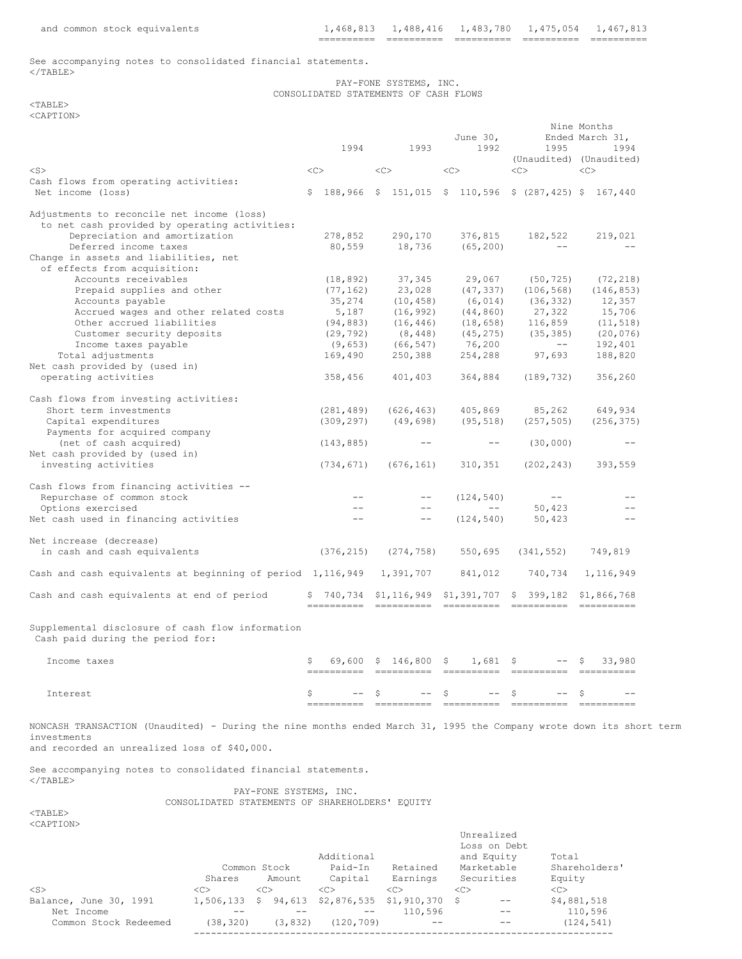See accompanying notes to consolidated financial statements.  $<$ /TABLE>

PAY-FONE SYSTEMS, INC. CONSOLIDATED STATEMENTS OF CASH FLOWS

 $<$ TABLE> <CAPTION>

|                                                                                                                                                                                    |     |            |                     |                   |    |                    | Nine Months<br>Ended March 31, |                                                              |                     |            |  |
|------------------------------------------------------------------------------------------------------------------------------------------------------------------------------------|-----|------------|---------------------|-------------------|----|--------------------|--------------------------------|--------------------------------------------------------------|---------------------|------------|--|
|                                                                                                                                                                                    |     | 1994       |                     | 1993              |    | June $301$<br>1992 |                                | 1995                                                         |                     | 1994       |  |
|                                                                                                                                                                                    |     |            |                     |                   |    |                    |                                | (Unaudited) (Unaudited)                                      |                     |            |  |
| $<$ S $>$                                                                                                                                                                          | <<> |            | <<                  |                   | << |                    | <<                             |                                                              | < <sub></sub>       |            |  |
| Cash flows from operating activities:                                                                                                                                              |     |            |                     |                   |    |                    |                                |                                                              |                     |            |  |
| Net income (loss)                                                                                                                                                                  |     |            |                     |                   |    |                    |                                | $$188,966$ $$151,015$ $$110,596$ $$(287,425)$ $$167,440$     |                     |            |  |
| Adjustments to reconcile net income (loss)                                                                                                                                         |     |            |                     |                   |    |                    |                                |                                                              |                     |            |  |
| to net cash provided by operating activities:                                                                                                                                      |     |            |                     |                   |    |                    |                                |                                                              |                     |            |  |
| Depreciation and amortization                                                                                                                                                      |     | 278,852    |                     | 290,170           |    | 376,815            |                                | 182,522                                                      |                     | 219,021    |  |
| Deferred income taxes                                                                                                                                                              |     | 80,559     |                     | 18,736            |    | (65, 200)          |                                | $- -$                                                        |                     | $ -$       |  |
| Change in assets and liabilities, net<br>of effects from acquisition:                                                                                                              |     |            |                     |                   |    |                    |                                |                                                              |                     |            |  |
| Accounts receivables                                                                                                                                                               |     | (18, 892)  |                     | 37,345            |    | 29,067             |                                | (50, 725)                                                    |                     | (72, 218)  |  |
| Prepaid supplies and other                                                                                                                                                         |     | (77, 162)  |                     | 23,028            |    | (47, 337)          |                                | (106, 568)                                                   |                     | (146, 853) |  |
| Accounts payable                                                                                                                                                                   |     | 35,274     |                     | (10, 458)         |    | (6, 014)           |                                | (36, 332)                                                    |                     | 12,357     |  |
| Accrued wages and other related costs                                                                                                                                              |     | 5,187      |                     | (16, 992)         |    | (44, 860)          |                                | 27,322                                                       |                     | 15,706     |  |
| Other accrued liabilities                                                                                                                                                          |     | (94, 883)  |                     | (16, 446)         |    | (18, 658)          |                                | 116,859                                                      |                     | (11, 518)  |  |
| Customer security deposits                                                                                                                                                         |     | (29, 792)  |                     | (8, 448)          |    | (45, 275)          |                                | (35, 385)                                                    |                     | (20, 076)  |  |
| Income taxes payable                                                                                                                                                               |     | (9, 653)   |                     | (66, 547)         |    | 76,200             |                                | $--$                                                         |                     | 192,401    |  |
| Total adjustments                                                                                                                                                                  |     | 169,490    |                     | 250,388           |    | 254,288            |                                | 97,693                                                       |                     | 188,820    |  |
| Net cash provided by (used in)                                                                                                                                                     |     |            |                     |                   |    |                    |                                |                                                              |                     |            |  |
| operating activities                                                                                                                                                               |     | 358,456    |                     | 401,403           |    | 364,884            |                                | (189, 732)                                                   |                     | 356,260    |  |
|                                                                                                                                                                                    |     |            |                     |                   |    |                    |                                |                                                              |                     |            |  |
| Cash flows from investing activities:                                                                                                                                              |     |            |                     |                   |    |                    |                                |                                                              |                     |            |  |
| Short term investments                                                                                                                                                             |     | (281, 489) |                     | (626, 463)        |    | 405,869            |                                | 85,262                                                       |                     | 649,934    |  |
| Capital expenditures<br>Payments for acquired company                                                                                                                              |     | (309, 297) |                     | (49, 698)         |    | (95, 518)          |                                | (257, 505)                                                   |                     | (256, 375) |  |
| (net of cash acquired)                                                                                                                                                             |     | (143, 885) |                     | $\qquad \qquad -$ |    | $- -$              |                                | (30,000)                                                     |                     | $ -$       |  |
| Net cash provided by (used in)                                                                                                                                                     |     |            |                     |                   |    |                    |                                |                                                              |                     |            |  |
| investing activities                                                                                                                                                               |     | (734, 671) |                     | (676, 161)        |    | 310,351            |                                | (202, 243)                                                   |                     | 393,559    |  |
|                                                                                                                                                                                    |     |            |                     |                   |    |                    |                                |                                                              |                     |            |  |
| Cash flows from financing activities --                                                                                                                                            |     |            |                     |                   |    |                    |                                |                                                              |                     |            |  |
| Repurchase of common stock                                                                                                                                                         |     |            |                     | $- -$             |    | (124, 540)         |                                | $- -$                                                        |                     |            |  |
| Options exercised                                                                                                                                                                  |     | $- -$      |                     | $- -$             |    | $- -$              |                                | 50,423                                                       |                     | $- -$      |  |
| Net cash used in financing activities                                                                                                                                              |     | $-$        |                     | $- -$             |    | (124, 540)         |                                | 50,423                                                       |                     | $- -$      |  |
| Net increase (decrease)                                                                                                                                                            |     |            |                     |                   |    |                    |                                |                                                              |                     |            |  |
| in cash and cash equivalents                                                                                                                                                       |     | (376, 215) |                     | (274, 758)        |    | 550,695            |                                | (341, 552)                                                   |                     | 749,819    |  |
|                                                                                                                                                                                    |     |            |                     |                   |    |                    |                                |                                                              |                     |            |  |
| Cash and cash equivalents at beginning of period 1,116,949                                                                                                                         |     |            |                     | 1,391,707         |    | 841,012            |                                | 740,734                                                      |                     | 1,116,949  |  |
| Cash and cash equivalents at end of period                                                                                                                                         |     |            |                     |                   |    |                    |                                | $$740,734$ $$1,116,949$ $$1,391,707$ $$399,182$ $$1,866,768$ |                     |            |  |
|                                                                                                                                                                                    |     | ---------- |                     | ==========        |    | -----------        |                                | ==========                                                   |                     | eeeeeeee   |  |
| Supplemental disclosure of cash flow information<br>Cash paid during the period for:                                                                                               |     |            |                     |                   |    |                    |                                |                                                              |                     |            |  |
| Income taxes                                                                                                                                                                       | \$  | 69,600     | $\ddot{\mathsf{s}}$ | $146,800$ \$      |    | $1,681$ \$         |                                | $- -$                                                        | $\ddot{\textrm{S}}$ | 33,980     |  |
|                                                                                                                                                                                    |     |            |                     |                   |    |                    |                                |                                                              |                     |            |  |
|                                                                                                                                                                                    |     |            |                     |                   |    |                    |                                |                                                              |                     |            |  |
| Interest                                                                                                                                                                           |     |            | S.                  | $- -$             | S. | $- -$              | S.                             | $- -$                                                        | -S                  |            |  |
|                                                                                                                                                                                    |     |            |                     |                   |    |                    |                                |                                                              |                     |            |  |
| NONCASH TRANSACTION (Unaudited) - During the nine months ended March 31, 1995 the Company wrote down its short term<br>investments<br>and recorded an unrealized loss of \$40,000. |     |            |                     |                   |    |                    |                                |                                                              |                     |            |  |
|                                                                                                                                                                                    |     |            |                     |                   |    |                    |                                |                                                              |                     |            |  |
| See accompanying notes to consolidated financial statements.<br>$\langle$ /TABLE>                                                                                                  |     |            |                     |                   |    |                    |                                |                                                              |                     |            |  |
| PAY-FONE SYSTEMS, INC.                                                                                                                                                             |     |            |                     |                   |    |                    |                                |                                                              |                     |            |  |
| CONSOLIDATED STATEMENTS OF SHAREHOLDERS' EQUITY                                                                                                                                    |     |            |                     |                   |    |                    |                                |                                                              |                     |            |  |
| $<$ TABLE>                                                                                                                                                                         |     |            |                     |                   |    |                    |                                |                                                              |                     |            |  |
| <caption></caption>                                                                                                                                                                |     |            |                     |                   |    |                    |                                |                                                              |                     |            |  |
|                                                                                                                                                                                    |     |            |                     |                   |    | Unrealized         |                                |                                                              |                     |            |  |

|                        | Common Stock  |               |          | Additional<br>Paid-In          | Retained      |               | Loss on Debt<br>and Equity<br>Marketable | Total<br>Shareholders' |
|------------------------|---------------|---------------|----------|--------------------------------|---------------|---------------|------------------------------------------|------------------------|
|                        | Shares        |               | Amount   | Capital                        | Earnings      |               | Securities                               | Equity                 |
| $<$ S>                 | < <sub></sub> | < <sub></sub> |          | < <sub></sub>                  | < <sub></sub> | < <sub></sub> |                                          | < <sub></sub>          |
| Balance, June 30, 1991 | 1,506,133     | -S            |          | 94,613 \$2,876,535 \$1,910,370 |               | - S           |                                          | \$4,881,518            |
| Net Income             |               |               |          |                                | 110,596       |               | --                                       | 110,596                |
| Common Stock Redeemed  | (38, 320)     |               | (3, 832) | (120, 709)                     |               |               | --                                       | (124, 541)             |
|                        |               |               |          |                                |               |               |                                          |                        |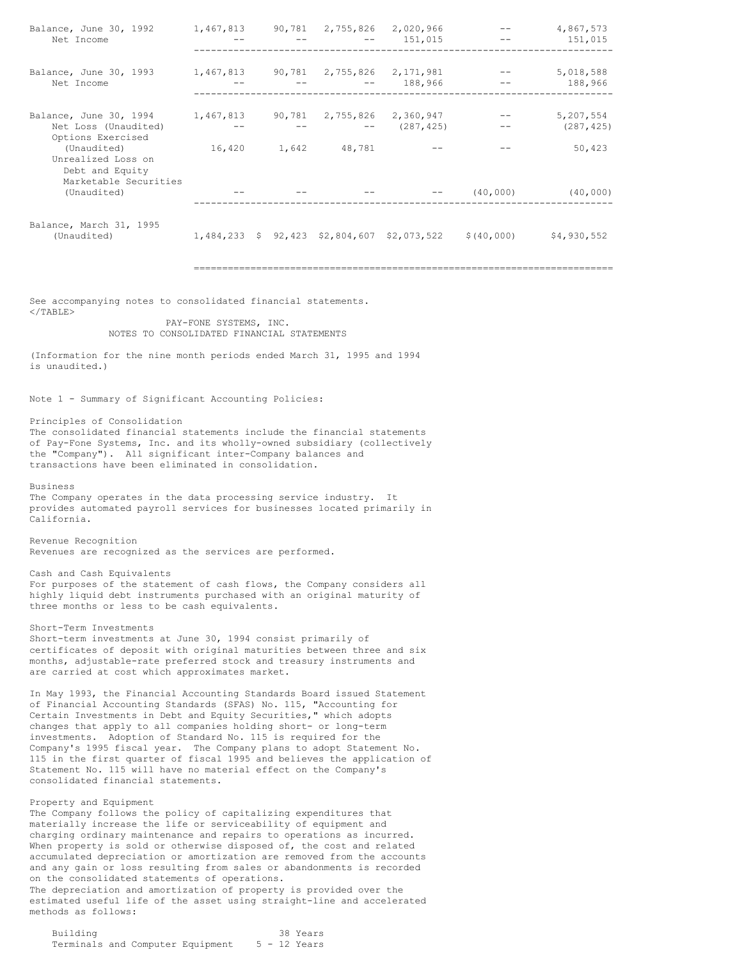| Balance, June 30, 1992<br>Net Income                                            |        |       | 1,467,813 90,781 2,755,826           | 2,020,966<br>151,015    |                                                          | 4,867,573<br>151,015    |
|---------------------------------------------------------------------------------|--------|-------|--------------------------------------|-------------------------|----------------------------------------------------------|-------------------------|
| Balance, June 30, 1993<br>Net Income                                            |        |       | 1,467,813 90,781 2,755,826 2,171,981 | 188,966                 |                                                          | 5,018,588<br>188,966    |
| Balance, June 30, 1994 1, 467, 813<br>Net Loss (Unaudited)<br>Options Exercised |        |       | 90,781 2,755,826                     | 2,360,947<br>(287, 425) |                                                          | 5,207,554<br>(287, 425) |
| (Unaudited)<br>Unrealized Loss on<br>Debt and Equity<br>Marketable Securities   | 16,420 | 1,642 | 48,781                               |                         |                                                          | 50,423                  |
| (Unaudited)                                                                     |        |       |                                      |                         | (40,000)                                                 | (40, 000)               |
| Balance, March 31, 1995<br>(Unaudited)                                          |        |       |                                      |                         | $1,484,233$ \$ 92,423 \$2,804,607 \$2,073,522 \$(40,000) | \$4,930,552             |
|                                                                                 |        |       |                                      |                         |                                                          |                         |

See accompanying notes to consolidated financial statements.  $\ell$ /TABLE $>$ 

> PAY-FONE SYSTEMS, INC. NOTES TO CONSOLIDATED FINANCIAL STATEMENTS

(Information for the nine month periods ended March 31, 1995 and 1994 is unaudited.)

Note 1 - Summary of Significant Accounting Policies:

Principles of Consolidation

The consolidated financial statements include the financial statements of Pay-Fone Systems, Inc. and its wholly-owned subsidiary (collectively the "Company"). All significant inter-Company balances and transactions have been eliminated in consolidation.

Business

The Company operates in the data processing service industry. It provides automated payroll services for businesses located primarily in California.

Revenue Recognition Revenues are recognized as the services are performed.

Cash and Cash Equivalents For purposes of the statement of cash flows, the Company considers all highly liquid debt instruments purchased with an original maturity of three months or less to be cash equivalents.

Short-Term Investments

Short-term investments at June 30, 1994 consist primarily of certificates of deposit with original maturities between three and six months, adjustable-rate preferred stock and treasury instruments and are carried at cost which approximates market.

In May 1993, the Financial Accounting Standards Board issued Statement of Financial Accounting Standards (SFAS) No. 115, "Accounting for Certain Investments in Debt and Equity Securities," which adopts changes that apply to all companies holding short- or long-term investments. Adoption of Standard No. 115 is required for the Company's 1995 fiscal year. The Company plans to adopt Statement No. 115 in the first quarter of fiscal 1995 and believes the application of Statement No. 115 will have no material effect on the Company's consolidated financial statements.

Property and Equipment

The Company follows the policy of capitalizing expenditures that materially increase the life or serviceability of equipment and charging ordinary maintenance and repairs to operations as incurred. When property is sold or otherwise disposed of, the cost and related accumulated depreciation or amortization are removed from the accounts and any gain or loss resulting from sales or abandonments is recorded on the consolidated statements of operations. The depreciation and amortization of property is provided over the estimated useful life of the asset using straight-line and accelerated methods as follows:

| Building |  |                                  |  | 38 Years     |
|----------|--|----------------------------------|--|--------------|
|          |  | Terminals and Computer Equipment |  | 5 - 12 Years |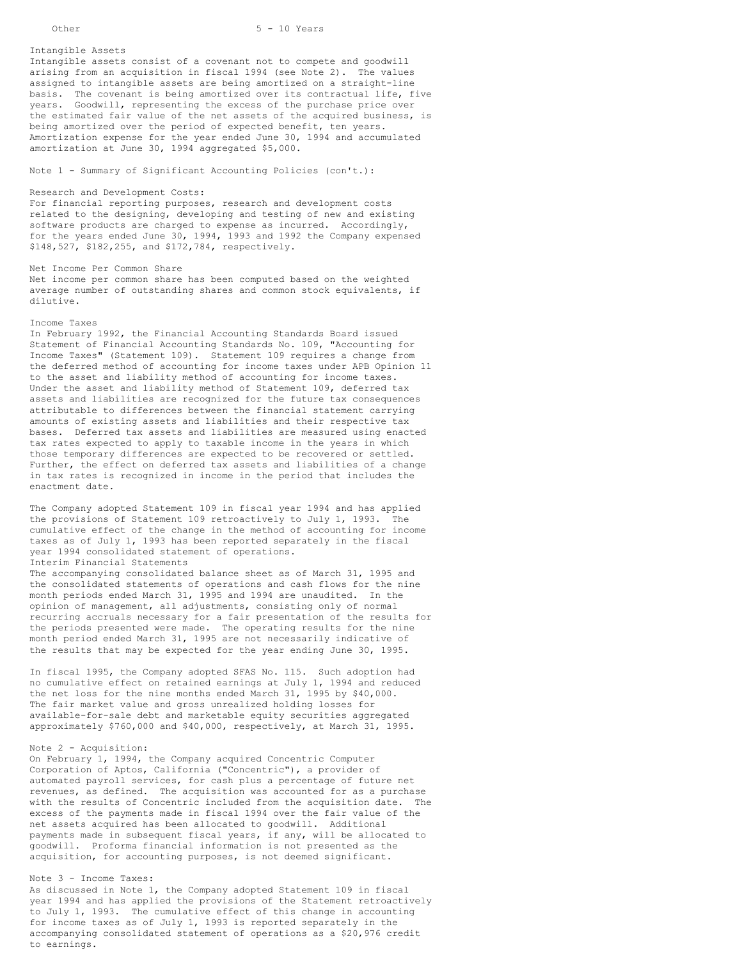## Other 5 - 10 Years

Intangible Assets

Intangible assets consist of a covenant not to compete and goodwill arising from an acquisition in fiscal 1994 (see Note 2). The values assigned to intangible assets are being amortized on a straight-line basis. The covenant is being amortized over its contractual life, five years. Goodwill, representing the excess of the purchase price over the estimated fair value of the net assets of the acquired business, is being amortized over the period of expected benefit, ten years. Amortization expense for the year ended June 30, 1994 and accumulated amortization at June 30, 1994 aggregated \$5,000.

Note 1 - Summary of Significant Accounting Policies (con't.):

## Research and Development Costs:

For financial reporting purposes, research and development costs related to the designing, developing and testing of new and existing software products are charged to expense as incurred. Accordingly, for the years ended June 30, 1994, 1993 and 1992 the Company expensed \$148,527, \$182,255, and \$172,784, respectively.

### Net Income Per Common Share

Net income per common share has been computed based on the weighted average number of outstanding shares and common stock equivalents, if dilutive.

## Income Taxes

In February 1992, the Financial Accounting Standards Board issued Statement of Financial Accounting Standards No. 109, "Accounting for Income Taxes" (Statement 109). Statement 109 requires a change from the deferred method of accounting for income taxes under APB Opinion 11 to the asset and liability method of accounting for income taxes. Under the asset and liability method of Statement 109, deferred tax assets and liabilities are recognized for the future tax consequences attributable to differences between the financial statement carrying amounts of existing assets and liabilities and their respective tax bases. Deferred tax assets and liabilities are measured using enacted tax rates expected to apply to taxable income in the years in which those temporary differences are expected to be recovered or settled. Further, the effect on deferred tax assets and liabilities of a change in tax rates is recognized in income in the period that includes the enactment date.

The Company adopted Statement 109 in fiscal year 1994 and has applied the provisions of Statement 109 retroactively to July 1, 1993. The cumulative effect of the change in the method of accounting for income taxes as of July 1, 1993 has been reported separately in the fiscal year 1994 consolidated statement of operations. Interim Financial Statements

The accompanying consolidated balance sheet as of March 31, 1995 and the consolidated statements of operations and cash flows for the nine month periods ended March 31, 1995 and 1994 are unaudited. In the opinion of management, all adjustments, consisting only of normal recurring accruals necessary for a fair presentation of the results for the periods presented were made. The operating results for the nine month period ended March 31, 1995 are not necessarily indicative of the results that may be expected for the year ending June 30, 1995.

In fiscal 1995, the Company adopted SFAS No. 115. Such adoption had no cumulative effect on retained earnings at July 1, 1994 and reduced the net loss for the nine months ended March 31, 1995 by \$40,000. The fair market value and gross unrealized holding losses for available-for-sale debt and marketable equity securities aggregated approximately \$760,000 and \$40,000, respectively, at March 31, 1995.

## Note 2 - Acquisition:

On February 1, 1994, the Company acquired Concentric Computer Corporation of Aptos, California ("Concentric"), a provider of automated payroll services, for cash plus a percentage of future net revenues, as defined. The acquisition was accounted for as a purchase with the results of Concentric included from the acquisition date. The excess of the payments made in fiscal 1994 over the fair value of the net assets acquired has been allocated to goodwill. Additional payments made in subsequent fiscal years, if any, will be allocated to goodwill. Proforma financial information is not presented as the acquisition, for accounting purposes, is not deemed significant.

# Note 3 - Income Taxes:

As discussed in Note 1, the Company adopted Statement 109 in fiscal year 1994 and has applied the provisions of the Statement retroactively to July 1, 1993. The cumulative effect of this change in accounting for income taxes as of July 1, 1993 is reported separately in the accompanying consolidated statement of operations as a \$20,976 credit to earnings.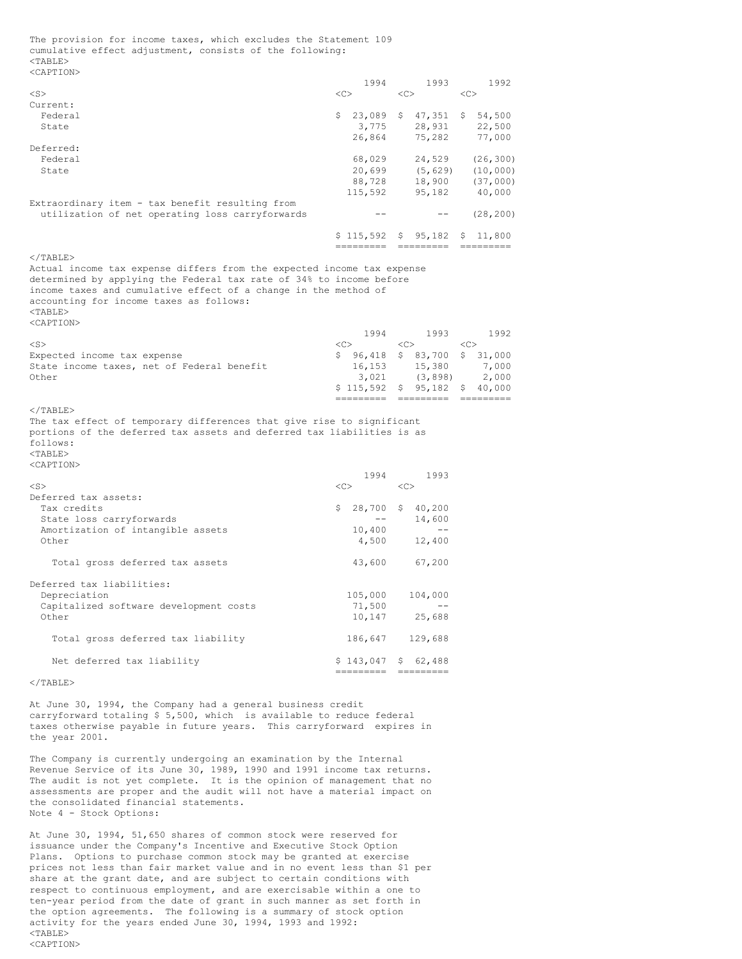The provision for income taxes, which excludes the Statement 109 cumulative effect adjustment, consists of the following: <TABLE> <CAPTION>

|                                                                           |    | 1994                 |            | 1993                                                         |              | 1992                                                                                                                                                                                                                                                                                                                                                                                                                                                                            |
|---------------------------------------------------------------------------|----|----------------------|------------|--------------------------------------------------------------|--------------|---------------------------------------------------------------------------------------------------------------------------------------------------------------------------------------------------------------------------------------------------------------------------------------------------------------------------------------------------------------------------------------------------------------------------------------------------------------------------------|
| $<$ S $>$                                                                 | << |                      |            | $<<$ $>$                                                     | <<           |                                                                                                                                                                                                                                                                                                                                                                                                                                                                                 |
| Current:                                                                  |    |                      |            |                                                              |              |                                                                                                                                                                                                                                                                                                                                                                                                                                                                                 |
| Federal<br>State                                                          |    |                      |            | $$23,089$ \$ 47,351 \$ 54,500                                |              |                                                                                                                                                                                                                                                                                                                                                                                                                                                                                 |
|                                                                           |    | 26,864               |            | 3,775 28,931 22,500<br>26,864 75,282 77,000                  |              |                                                                                                                                                                                                                                                                                                                                                                                                                                                                                 |
| Deferred:                                                                 |    |                      |            |                                                              |              |                                                                                                                                                                                                                                                                                                                                                                                                                                                                                 |
| Federal                                                                   |    |                      |            | $68,029$ 24,529 (26,300)                                     |              |                                                                                                                                                                                                                                                                                                                                                                                                                                                                                 |
| State                                                                     |    | 20,699               |            | $(5, 629)$ $(10, 000)$                                       |              |                                                                                                                                                                                                                                                                                                                                                                                                                                                                                 |
|                                                                           |    |                      |            |                                                              |              |                                                                                                                                                                                                                                                                                                                                                                                                                                                                                 |
|                                                                           |    |                      |            | $88,728$ 18,900 (37,000)<br>115,592 95,182 40,000            |              |                                                                                                                                                                                                                                                                                                                                                                                                                                                                                 |
| Extraordinary item - tax benefit resulting from                           |    |                      |            |                                                              |              |                                                                                                                                                                                                                                                                                                                                                                                                                                                                                 |
| utilization of net operating loss carryforwards                           |    | $--$                 |            |                                                              |              | $--$ (28,200)                                                                                                                                                                                                                                                                                                                                                                                                                                                                   |
|                                                                           |    |                      |            |                                                              |              |                                                                                                                                                                                                                                                                                                                                                                                                                                                                                 |
|                                                                           |    |                      |            | $$115,592$ $$95,182$ $$11,800$<br>--------- -------- ------- |              |                                                                                                                                                                                                                                                                                                                                                                                                                                                                                 |
| $<$ /TABLE>                                                               |    |                      |            |                                                              |              |                                                                                                                                                                                                                                                                                                                                                                                                                                                                                 |
| Actual income tax expense differs from the expected income tax expense    |    |                      |            |                                                              |              |                                                                                                                                                                                                                                                                                                                                                                                                                                                                                 |
| determined by applying the Federal tax rate of 34% to income before       |    |                      |            |                                                              |              |                                                                                                                                                                                                                                                                                                                                                                                                                                                                                 |
| income taxes and cumulative effect of a change in the method of           |    |                      |            |                                                              |              |                                                                                                                                                                                                                                                                                                                                                                                                                                                                                 |
| accounting for income taxes as follows:                                   |    |                      |            |                                                              |              |                                                                                                                                                                                                                                                                                                                                                                                                                                                                                 |
| $<$ TABLE>                                                                |    |                      |            |                                                              |              |                                                                                                                                                                                                                                                                                                                                                                                                                                                                                 |
| <caption></caption>                                                       |    |                      |            |                                                              |              |                                                                                                                                                                                                                                                                                                                                                                                                                                                                                 |
|                                                                           |    |                      |            | 1994 1993                                                    |              | 1992                                                                                                                                                                                                                                                                                                                                                                                                                                                                            |
| $<$ S $>$                                                                 |    | $<<$ $>$             | < <c></c>  | \$ 96,418 \$ 83,700 \$ 31,000                                | $<<$ $<$ $>$ |                                                                                                                                                                                                                                                                                                                                                                                                                                                                                 |
| Expected income tax expense<br>State income taxes, net of Federal benefit |    |                      |            |                                                              |              | 7,000                                                                                                                                                                                                                                                                                                                                                                                                                                                                           |
| Other                                                                     |    | 3,021                |            | 16,153 15,380<br>(3, 898)                                    |              | 2,000                                                                                                                                                                                                                                                                                                                                                                                                                                                                           |
|                                                                           |    |                      |            |                                                              |              |                                                                                                                                                                                                                                                                                                                                                                                                                                                                                 |
|                                                                           |    |                      |            |                                                              |              |                                                                                                                                                                                                                                                                                                                                                                                                                                                                                 |
|                                                                           |    |                      |            | $$115,592$ $$95,182$ $$40,000$<br>---------- ---------       |              | $\begin{aligned} \mathcal{L}(\mathcal{L}) = \mathcal{L}(\mathcal{L}) = \mathcal{L}(\mathcal{L}) = \mathcal{L}(\mathcal{L}) = \mathcal{L}(\mathcal{L}) = \mathcal{L}(\mathcal{L}) = \mathcal{L}(\mathcal{L}) = \mathcal{L}(\mathcal{L}) = \mathcal{L}(\mathcal{L}) = \mathcal{L}(\mathcal{L}) = \mathcal{L}(\mathcal{L}) = \mathcal{L}(\mathcal{L}) = \mathcal{L}(\mathcal{L}) = \mathcal{L}(\mathcal{L}) = \mathcal{L}(\mathcal{L}) = \mathcal{L}(\mathcal{L}) = \mathcal{L}(\$ |
| $<$ /TABLE>                                                               |    |                      |            |                                                              |              |                                                                                                                                                                                                                                                                                                                                                                                                                                                                                 |
| The tax effect of temporary differences that give rise to significant     |    |                      |            |                                                              |              |                                                                                                                                                                                                                                                                                                                                                                                                                                                                                 |
| portions of the deferred tax assets and deferred tax liabilities is as    |    |                      |            |                                                              |              |                                                                                                                                                                                                                                                                                                                                                                                                                                                                                 |
| follows:                                                                  |    |                      |            |                                                              |              |                                                                                                                                                                                                                                                                                                                                                                                                                                                                                 |
| $<$ TABLE $>$                                                             |    |                      |            |                                                              |              |                                                                                                                                                                                                                                                                                                                                                                                                                                                                                 |
| <caption></caption>                                                       |    |                      |            |                                                              |              |                                                                                                                                                                                                                                                                                                                                                                                                                                                                                 |
|                                                                           |    | 1994                 |            | 1993                                                         |              |                                                                                                                                                                                                                                                                                                                                                                                                                                                                                 |
| $<$ S $>$                                                                 |    | $<<$ $>$             | $<<$ C $>$ |                                                              |              |                                                                                                                                                                                                                                                                                                                                                                                                                                                                                 |
| Deferred tax assets:<br>Tax credits                                       |    |                      |            |                                                              |              |                                                                                                                                                                                                                                                                                                                                                                                                                                                                                 |
| State loss carryforwards                                                  |    | $$28,700$$ \$ 40,200 |            |                                                              |              |                                                                                                                                                                                                                                                                                                                                                                                                                                                                                 |
| Amortization of intangible assets                                         |    | 10,400               |            | $-- 14,600$<br>$ -$                                          |              |                                                                                                                                                                                                                                                                                                                                                                                                                                                                                 |
| Other                                                                     |    | 4,500                |            | 12,400                                                       |              |                                                                                                                                                                                                                                                                                                                                                                                                                                                                                 |
|                                                                           |    |                      |            |                                                              |              |                                                                                                                                                                                                                                                                                                                                                                                                                                                                                 |
| Total gross deferred tax assets                                           |    |                      |            | 43,600 67,200                                                |              |                                                                                                                                                                                                                                                                                                                                                                                                                                                                                 |
|                                                                           |    |                      |            |                                                              |              |                                                                                                                                                                                                                                                                                                                                                                                                                                                                                 |
| Deferred tax liabilities:                                                 |    |                      |            |                                                              |              |                                                                                                                                                                                                                                                                                                                                                                                                                                                                                 |
| Depreciation                                                              |    | 105,000              |            | 104,000<br>$-\,-$                                            |              |                                                                                                                                                                                                                                                                                                                                                                                                                                                                                 |
| Capitalized software development costs<br>Other                           |    | 71,500               |            |                                                              |              |                                                                                                                                                                                                                                                                                                                                                                                                                                                                                 |
|                                                                           |    | 10,147 25,688        |            |                                                              |              |                                                                                                                                                                                                                                                                                                                                                                                                                                                                                 |
| Total gross deferred tax liability                                        |    | 186,647 129,688      |            |                                                              |              |                                                                                                                                                                                                                                                                                                                                                                                                                                                                                 |
|                                                                           |    |                      |            |                                                              |              |                                                                                                                                                                                                                                                                                                                                                                                                                                                                                 |
| Net deferred tax liability                                                |    | $$143,047$ $$62,488$ |            |                                                              |              |                                                                                                                                                                                                                                                                                                                                                                                                                                                                                 |
| $<$ /TABLE>                                                               |    | ===================  |            |                                                              |              |                                                                                                                                                                                                                                                                                                                                                                                                                                                                                 |

At June 30, 1994, the Company had a general business credit carryforward totaling \$ 5,500, which is available to reduce federal taxes otherwise payable in future years. This carryforward expires in the year 2001.

The Company is currently undergoing an examination by the Internal Revenue Service of its June 30, 1989, 1990 and 1991 income tax returns. The audit is not yet complete. It is the opinion of management that no assessments are proper and the audit will not have a material impact on the consolidated financial statements. Note 4 - Stock Options:

At June 30, 1994, 51,650 shares of common stock were reserved for issuance under the Company's Incentive and Executive Stock Option Plans. Options to purchase common stock may be granted at exercise prices not less than fair market value and in no event less than \$1 per share at the grant date, and are subject to certain conditions with respect to continuous employment, and are exercisable within a one to ten-year period from the date of grant in such manner as set forth in the option agreements. The following is a summary of stock option activity for the years ended June 30, 1994, 1993 and 1992: <TABLE> <CAPTION>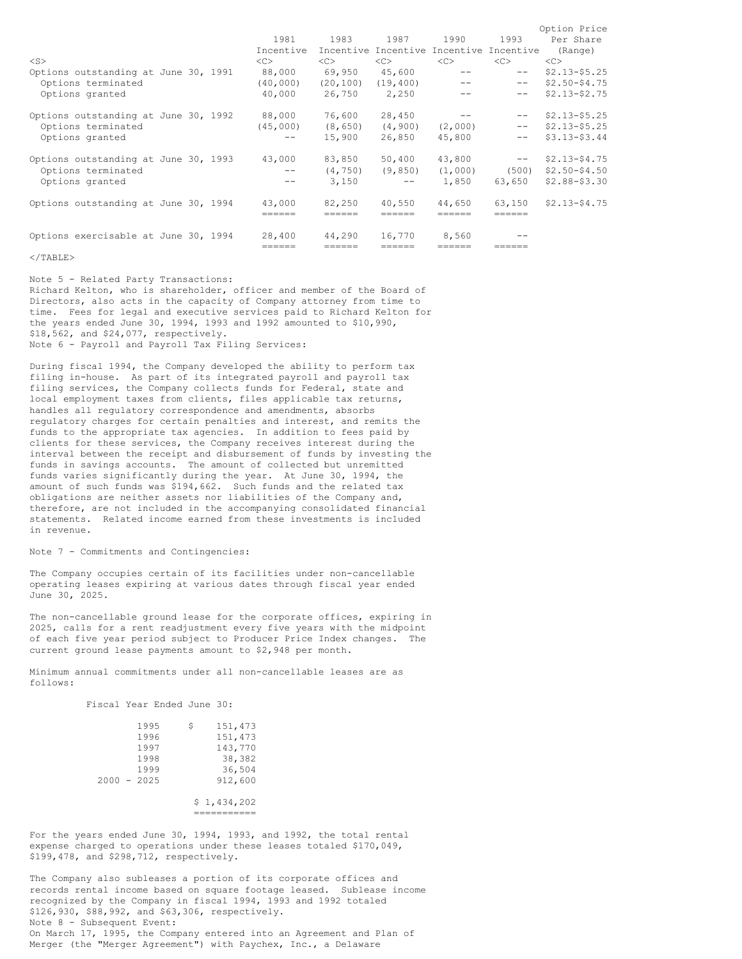|                                      |                   |           |            |                                         |                                | Option Price    |
|--------------------------------------|-------------------|-----------|------------|-----------------------------------------|--------------------------------|-----------------|
|                                      | 1981              | 1983      |            | 1987 1990                               | 1993                           | Per Share       |
|                                      | Incentive         |           |            | Incentive Incentive Incentive Incentive |                                | (Range)         |
| $<$ S $>$                            | <<>               | <<>       | $<\infty$  | <<                                      | <<                             | <<              |
| Options outstanding at June 30, 1991 | 88,000            | 69,950    | 45,600     | $\qquad \qquad -$                       | $- -$                          | $$2.13 - $5.25$ |
| Options terminated                   | (40, 000)         | (20, 100) | (19, 400)  | $\qquad \qquad -$                       | $--$                           | $$2.50 - $4.75$ |
| Options granted                      | 40,000            | 26,750    | 2,250      | $- -$                                   | $\qquad \qquad -$              | $$2.13 - $2.75$ |
| Options outstanding at June 30, 1992 | 88,000            | 76,600    | 28,450     | $\sim$ $-$                              | $--$                           | $$2.13 - $5.25$ |
| Options terminated                   | (45,000)          | (8, 650)  | (4, 900)   | (2,000)                                 | $--$                           | $$2.13 - $5.25$ |
| Options granted                      | $- -$             | 15,900    | 26,850     | 45,800                                  | $--$                           | $$3.13 - $3.44$ |
| Options outstanding at June 30, 1993 | 43,000            | 83,850    | 50,400     | 43,800                                  | and the company of the company | $$2.13 - $4.75$ |
| Options terminated                   | $\qquad \qquad -$ | (4, 750)  | (9, 850)   | (1,000)                                 | (500)                          | $$2.50 - $4.50$ |
| Options granted                      | $\qquad \qquad -$ | 3,150     | $\sim$ $-$ | 1,850                                   | 63,650                         | \$2.88-\$3.30   |
| Options outstanding at June 30, 1994 | 43,000            | 82,250    | 40,550     | 44,650                                  | 63,150                         | $$2.13 - $4.75$ |
|                                      | ======            | ======    | ======     | ======                                  | ======                         |                 |
| Options exercisable at June 30, 1994 | 28,400            | 44,290    | 16,770     | 8,560                                   |                                |                 |
|                                      |                   |           | ======     | =====                                   |                                |                 |

#### $\langle$ /TABLE>

Note 5 - Related Party Transactions: Richard Kelton, who is shareholder, officer and member of the Board of Directors, also acts in the capacity of Company attorney from time to time. Fees for legal and executive services paid to Richard Kelton for the years ended June 30, 1994, 1993 and 1992 amounted to \$10,990, \$18,562, and \$24,077, respectively. Note 6 - Payroll and Payroll Tax Filing Services:

During fiscal 1994, the Company developed the ability to perform tax filing in-house. As part of its integrated payroll and payroll tax filing services, the Company collects funds for Federal, state and local employment taxes from clients, files applicable tax returns, handles all regulatory correspondence and amendments, absorbs regulatory charges for certain penalties and interest, and remits the funds to the appropriate tax agencies. In addition to fees paid by clients for these services, the Company receives interest during the interval between the receipt and disbursement of funds by investing the funds in savings accounts. The amount of collected but unremitted funds varies significantly during the year. At June 30, 1994, the amount of such funds was \$194,662. Such funds and the related tax obligations are neither assets nor liabilities of the Company and, therefore, are not included in the accompanying consolidated financial statements. Related income earned from these investments is included in revenue.

#### Note 7 - Commitments and Contingencies:

The Company occupies certain of its facilities under non-cancellable operating leases expiring at various dates through fiscal year ended June 30, 2025.

The non-cancellable ground lease for the corporate offices, expiring in 2025, calls for a rent readjustment every five years with the midpoint of each five year period subject to Producer Price Index changes. The current ground lease payments amount to \$2,948 per month.

Minimum annual commitments under all non-cancellable leases are as follows:

| Fiscal Year Ended June 30: |  |  |
|----------------------------|--|--|
|                            |  |  |

|  | 1995          | \$ | 151,473     |
|--|---------------|----|-------------|
|  | 1996          |    | 151,473     |
|  | 1997          |    | 143,770     |
|  | 1998          |    | 38,382      |
|  | 1999          |    | 36,504      |
|  | $2000 - 2025$ |    | 912,600     |
|  |               |    | \$1,434,202 |

===========

For the years ended June 30, 1994, 1993, and 1992, the total rental expense charged to operations under these leases totaled \$170,049, \$199,478, and \$298,712, respectively.

The Company also subleases a portion of its corporate offices and records rental income based on square footage leased. Sublease income recognized by the Company in fiscal 1994, 1993 and 1992 totaled \$126,930, \$88,992, and \$63,306, respectively. Note 8 - Subsequent Event: On March 17, 1995, the Company entered into an Agreement and Plan of Merger (the "Merger Agreement") with Paychex, Inc., a Delaware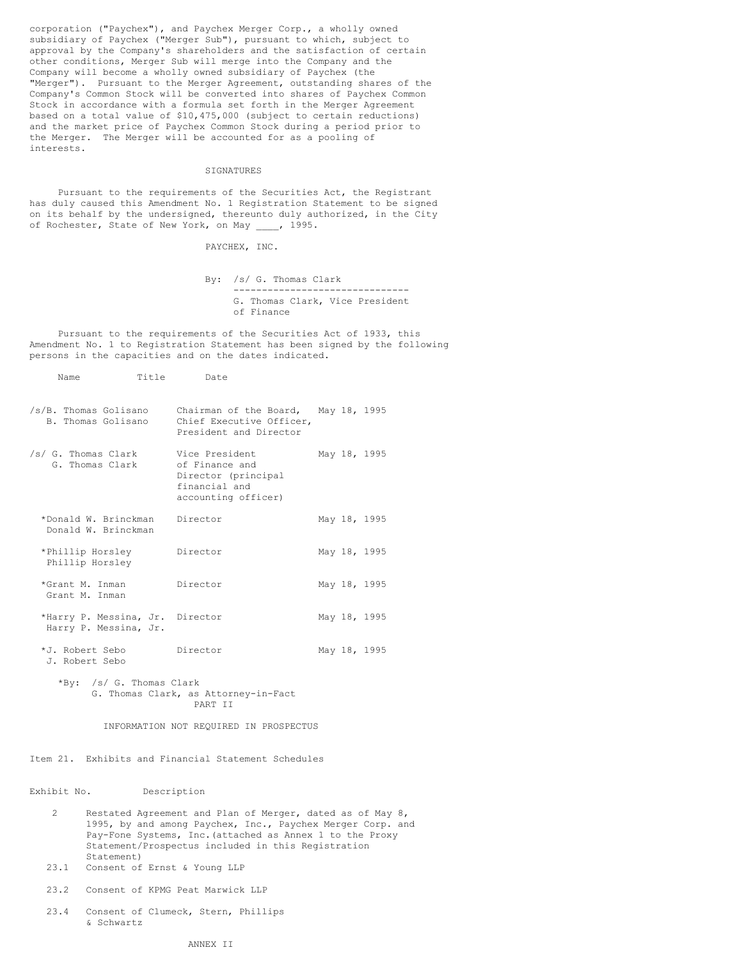corporation ("Paychex"), and Paychex Merger Corp., a wholly owned subsidiary of Paychex ("Merger Sub"), pursuant to which, subject to approval by the Company's shareholders and the satisfaction of certain other conditions, Merger Sub will merge into the Company and the Company will become a wholly owned subsidiary of Paychex (the "Merger"). Pursuant to the Merger Agreement, outstanding shares of the Company's Common Stock will be converted into shares of Paychex Common Stock in accordance with a formula set forth in the Merger Agreement based on a total value of \$10,475,000 (subject to certain reductions) and the market price of Paychex Common Stock during a period prior to the Merger. The Merger will be accounted for as a pooling of interests.

### SIGNATURES

Pursuant to the requirements of the Securities Act, the Registrant has duly caused this Amendment No. 1 Registration Statement to be signed on its behalf by the undersigned, thereunto duly authorized, in the City of Rochester, State of New York, on May \_\_\_\_, 1995.

PAYCHEX, INC.

By: /s/ G. Thomas Clark ------------------------------- G. Thomas Clark, Vice President of Finance

Pursuant to the requirements of the Securities Act of 1933, this Amendment No. 1 to Registration Statement has been signed by the following persons in the capacities and on the dates indicated.

| Name                                                     | Title Date                                                                                      |  |              |  |
|----------------------------------------------------------|-------------------------------------------------------------------------------------------------|--|--------------|--|
| /s/B. Thomas Golisano<br>B. Thomas Golisano              | Chairman of the Board, May 18, 1995<br>Chief Executive Officer,<br>President and Director       |  |              |  |
| /s/ G. Thomas Clark<br>G. Thomas Clark                   | Vice President<br>of Finance and<br>Director (principal<br>financial and<br>accounting officer) |  | May 18, 1995 |  |
| *Donald W. Brinckman Director<br>Donald W. Brinckman     |                                                                                                 |  | May 18, 1995 |  |
| *Phillip Horsley<br>Phillip Horsley                      | Director                                                                                        |  | May 18, 1995 |  |
| *Grant M. Inman<br>Grant M. Inman                        | Director                                                                                        |  | May 18, 1995 |  |
| *Harry P. Messina, Jr. Director<br>Harry P. Messina, Jr. |                                                                                                 |  | May 18, 1995 |  |
| *J. Robert Sebo<br>J. Robert Sebo                        | Director Di                                                                                     |  | May 18, 1995 |  |

\*By: /s/ G. Thomas Clark G. Thomas Clark, as Attorney-in-Fact PART II

INFORMATION NOT REQUIRED IN PROSPECTUS

Item 21. Exhibits and Financial Statement Schedules

Exhibit No. Description

- 2 Restated Agreement and Plan of Merger, dated as of May 8, 1995, by and among Paychex, Inc., Paychex Merger Corp. and Pay-Fone Systems, Inc.(attached as Annex 1 to the Proxy Statement/Prospectus included in this Registration Statement)
- 23.1 Consent of Ernst & Young LLP
- 23.2 Consent of KPMG Peat Marwick LLP
- 23.4 Consent of Clumeck, Stern, Phillips & Schwartz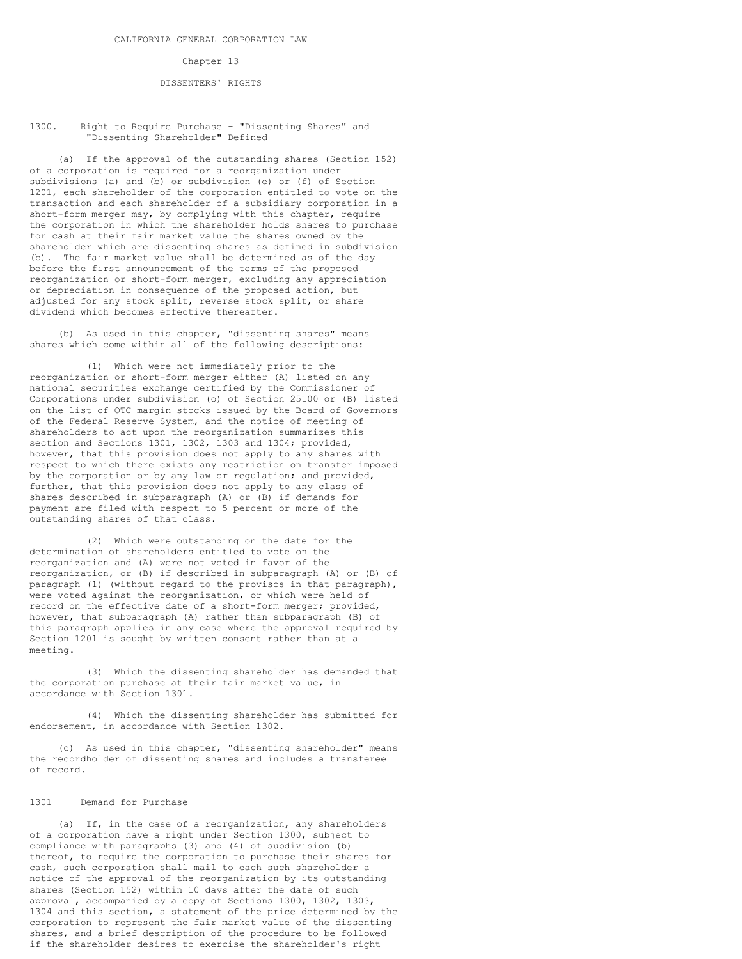## Chapter 13

#### DISSENTERS' RIGHTS

## 1300. Right to Require Purchase - "Dissenting Shares" and "Dissenting Shareholder" Defined

(a) If the approval of the outstanding shares (Section 152) of a corporation is required for a reorganization under subdivisions (a) and (b) or subdivision (e) or (f) of Section 1201, each shareholder of the corporation entitled to vote on the transaction and each shareholder of a subsidiary corporation in a short-form merger may, by complying with this chapter, require the corporation in which the shareholder holds shares to purchase for cash at their fair market value the shares owned by the shareholder which are dissenting shares as defined in subdivision (b). The fair market value shall be determined as of the day before the first announcement of the terms of the proposed reorganization or short-form merger, excluding any appreciation or depreciation in consequence of the proposed action, but adjusted for any stock split, reverse stock split, or share dividend which becomes effective thereafter.

(b) As used in this chapter, "dissenting shares" means shares which come within all of the following descriptions:

(1) Which were not immediately prior to the reorganization or short-form merger either (A) listed on any national securities exchange certified by the Commissioner of Corporations under subdivision (o) of Section 25100 or (B) listed on the list of OTC margin stocks issued by the Board of Governors of the Federal Reserve System, and the notice of meeting of shareholders to act upon the reorganization summarizes this section and Sections 1301, 1302, 1303 and 1304; provided, however, that this provision does not apply to any shares with respect to which there exists any restriction on transfer imposed by the corporation or by any law or regulation; and provided, further, that this provision does not apply to any class of shares described in subparagraph (A) or (B) if demands for payment are filed with respect to 5 percent or more of the outstanding shares of that class.

(2) Which were outstanding on the date for the determination of shareholders entitled to vote on the reorganization and (A) were not voted in favor of the reorganization, or (B) if described in subparagraph (A) or (B) of paragraph (1) (without regard to the provisos in that paragraph), were voted against the reorganization, or which were held of record on the effective date of a short-form merger; provided, however, that subparagraph (A) rather than subparagraph (B) of this paragraph applies in any case where the approval required by Section 1201 is sought by written consent rather than at a meeting.

(3) Which the dissenting shareholder has demanded that the corporation purchase at their fair market value, in accordance with Section 1301.

(4) Which the dissenting shareholder has submitted for endorsement, in accordance with Section 1302.

(c) As used in this chapter, "dissenting shareholder" means the recordholder of dissenting shares and includes a transferee of record.

#### 1301 Demand for Purchase

(a) If, in the case of a reorganization, any shareholders of a corporation have a right under Section 1300, subject to compliance with paragraphs (3) and (4) of subdivision (b) thereof, to require the corporation to purchase their shares for cash, such corporation shall mail to each such shareholder a notice of the approval of the reorganization by its outstanding shares (Section 152) within 10 days after the date of such approval, accompanied by a copy of Sections 1300, 1302, 1303, 1304 and this section, a statement of the price determined by the corporation to represent the fair market value of the dissenting shares, and a brief description of the procedure to be followed if the shareholder desires to exercise the shareholder's right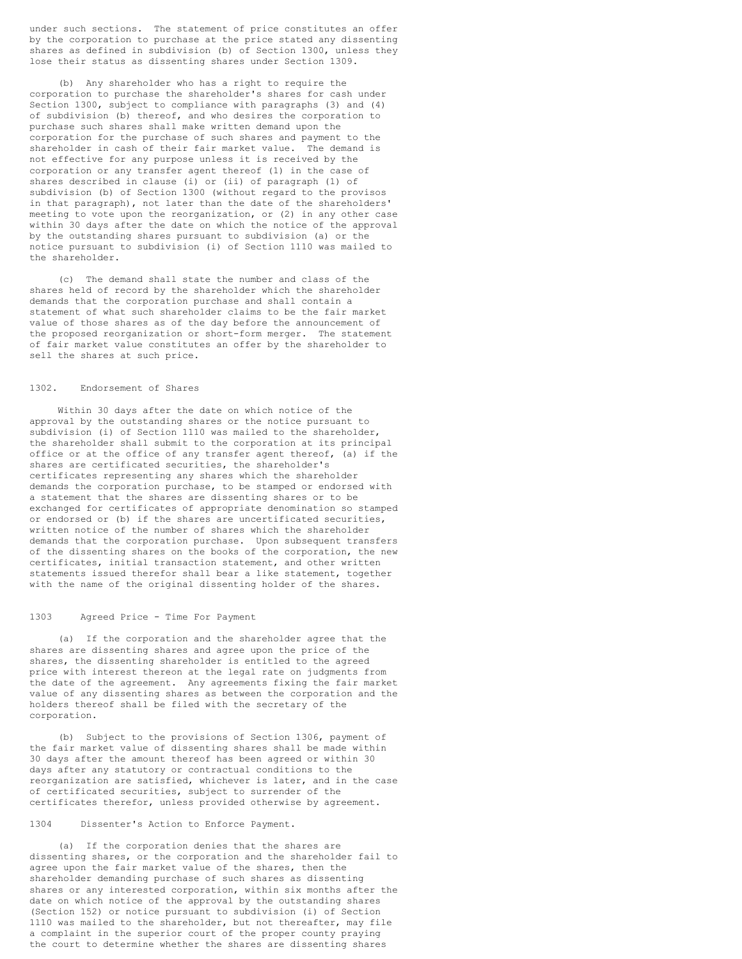under such sections. The statement of price constitutes an offer by the corporation to purchase at the price stated any dissenting shares as defined in subdivision (b) of Section 1300, unless they lose their status as dissenting shares under Section 1309.

(b) Any shareholder who has a right to require the corporation to purchase the shareholder's shares for cash under Section 1300, subject to compliance with paragraphs (3) and (4) of subdivision (b) thereof, and who desires the corporation to purchase such shares shall make written demand upon the corporation for the purchase of such shares and payment to the shareholder in cash of their fair market value. The demand is not effective for any purpose unless it is received by the corporation or any transfer agent thereof (1) in the case of shares described in clause (i) or (ii) of paragraph (1) of subdivision (b) of Section 1300 (without regard to the provisos in that paragraph), not later than the date of the shareholders' meeting to vote upon the reorganization, or (2) in any other case within 30 days after the date on which the notice of the approval by the outstanding shares pursuant to subdivision (a) or the notice pursuant to subdivision (i) of Section 1110 was mailed to the shareholder.

(c) The demand shall state the number and class of the shares held of record by the shareholder which the shareholder demands that the corporation purchase and shall contain a statement of what such shareholder claims to be the fair market value of those shares as of the day before the announcement of the proposed reorganization or short-form merger. The statement of fair market value constitutes an offer by the shareholder to sell the shares at such price.

#### 1302. Endorsement of Shares

Within 30 days after the date on which notice of the approval by the outstanding shares or the notice pursuant to subdivision (i) of Section 1110 was mailed to the shareholder, the shareholder shall submit to the corporation at its principal office or at the office of any transfer agent thereof, (a) if the shares are certificated securities, the shareholder's certificates representing any shares which the shareholder demands the corporation purchase, to be stamped or endorsed with a statement that the shares are dissenting shares or to be exchanged for certificates of appropriate denomination so stamped or endorsed or (b) if the shares are uncertificated securities, written notice of the number of shares which the shareholder demands that the corporation purchase. Upon subsequent transfers of the dissenting shares on the books of the corporation, the new certificates, initial transaction statement, and other written statements issued therefor shall bear a like statement, together with the name of the original dissenting holder of the shares.

## 1303 Agreed Price - Time For Payment

(a) If the corporation and the shareholder agree that the shares are dissenting shares and agree upon the price of the shares, the dissenting shareholder is entitled to the agreed price with interest thereon at the legal rate on judgments from the date of the agreement. Any agreements fixing the fair market value of any dissenting shares as between the corporation and the holders thereof shall be filed with the secretary of the corporation.

(b) Subject to the provisions of Section 1306, payment of the fair market value of dissenting shares shall be made within 30 days after the amount thereof has been agreed or within 30 days after any statutory or contractual conditions to the reorganization are satisfied, whichever is later, and in the case of certificated securities, subject to surrender of the certificates therefor, unless provided otherwise by agreement.

## 1304 Dissenter's Action to Enforce Payment.

(a) If the corporation denies that the shares are dissenting shares, or the corporation and the shareholder fail to agree upon the fair market value of the shares, then the shareholder demanding purchase of such shares as dissenting shares or any interested corporation, within six months after the date on which notice of the approval by the outstanding shares (Section 152) or notice pursuant to subdivision (i) of Section 1110 was mailed to the shareholder, but not thereafter, may file a complaint in the superior court of the proper county praying the court to determine whether the shares are dissenting shares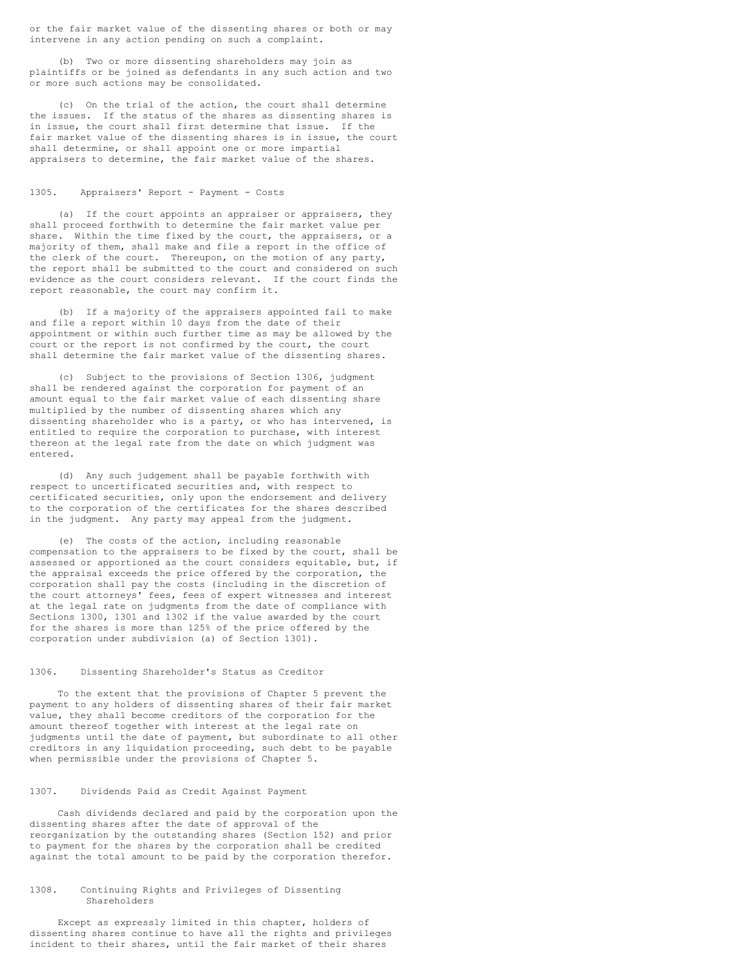or the fair market value of the dissenting shares or both or may intervene in any action pending on such a complaint.

(b) Two or more dissenting shareholders may join as plaintiffs or be joined as defendants in any such action and two or more such actions may be consolidated.

(c) On the trial of the action, the court shall determine the issues. If the status of the shares as dissenting shares is in issue, the court shall first determine that issue. If the fair market value of the dissenting shares is in issue, the court shall determine, or shall appoint one or more impartial appraisers to determine, the fair market value of the shares.

### 1305. Appraisers' Report - Payment - Costs

(a) If the court appoints an appraiser or appraisers, they shall proceed forthwith to determine the fair market value per share. Within the time fixed by the court, the appraisers, or a majority of them, shall make and file a report in the office of the clerk of the court. Thereupon, on the motion of any party, the report shall be submitted to the court and considered on such evidence as the court considers relevant. If the court finds the report reasonable, the court may confirm it.

(b) If a majority of the appraisers appointed fail to make and file a report within 10 days from the date of their appointment or within such further time as may be allowed by the court or the report is not confirmed by the court, the court shall determine the fair market value of the dissenting shares.

(c) Subject to the provisions of Section 1306, judgment shall be rendered against the corporation for payment of an amount equal to the fair market value of each dissenting share multiplied by the number of dissenting shares which any dissenting shareholder who is a party, or who has intervened, is entitled to require the corporation to purchase, with interest thereon at the legal rate from the date on which judgment was entered.

(d) Any such judgement shall be payable forthwith with respect to uncertificated securities and, with respect to certificated securities, only upon the endorsement and delivery to the corporation of the certificates for the shares described in the judgment. Any party may appeal from the judgment.

(e) The costs of the action, including reasonable compensation to the appraisers to be fixed by the court, shall be assessed or apportioned as the court considers equitable, but, if the appraisal exceeds the price offered by the corporation, the corporation shall pay the costs (including in the discretion of the court attorneys' fees, fees of expert witnesses and interest at the legal rate on judgments from the date of compliance with Sections 1300, 1301 and 1302 if the value awarded by the court for the shares is more than 125% of the price offered by the corporation under subdivision (a) of Section 1301).

## 1306. Dissenting Shareholder's Status as Creditor

To the extent that the provisions of Chapter 5 prevent the payment to any holders of dissenting shares of their fair market value, they shall become creditors of the corporation for the amount thereof together with interest at the legal rate on judgments until the date of payment, but subordinate to all other creditors in any liquidation proceeding, such debt to be payable when permissible under the provisions of Chapter 5.

## 1307. Dividends Paid as Credit Against Payment

Cash dividends declared and paid by the corporation upon the dissenting shares after the date of approval of the reorganization by the outstanding shares (Section 152) and prior to payment for the shares by the corporation shall be credited against the total amount to be paid by the corporation therefor.

## 1308. Continuing Rights and Privileges of Dissenting Shareholders

Except as expressly limited in this chapter, holders of dissenting shares continue to have all the rights and privileges incident to their shares, until the fair market of their shares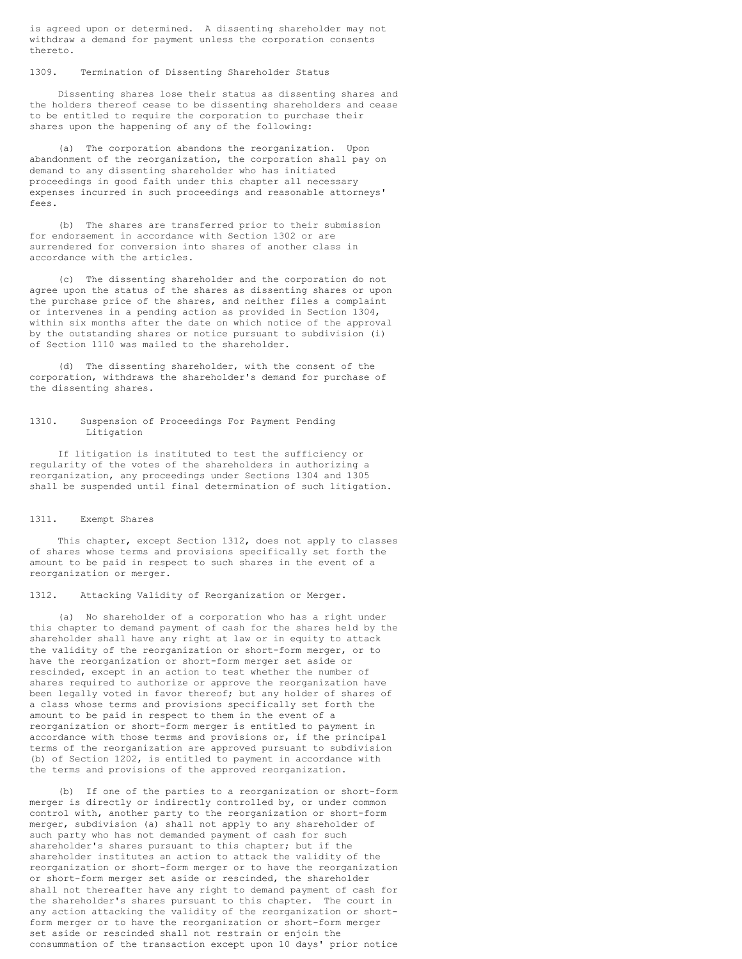is agreed upon or determined. A dissenting shareholder may not withdraw a demand for payment unless the corporation consents thereto.

1309. Termination of Dissenting Shareholder Status

Dissenting shares lose their status as dissenting shares and the holders thereof cease to be dissenting shareholders and cease to be entitled to require the corporation to purchase their shares upon the happening of any of the following:

(a) The corporation abandons the reorganization. Upon abandonment of the reorganization, the corporation shall pay on demand to any dissenting shareholder who has initiated proceedings in good faith under this chapter all necessary expenses incurred in such proceedings and reasonable attorneys' fees.

(b) The shares are transferred prior to their submission for endorsement in accordance with Section 1302 or are surrendered for conversion into shares of another class in accordance with the articles.

(c) The dissenting shareholder and the corporation do not agree upon the status of the shares as dissenting shares or upon the purchase price of the shares, and neither files a complaint or intervenes in a pending action as provided in Section 1304, within six months after the date on which notice of the approval by the outstanding shares or notice pursuant to subdivision (i) of Section 1110 was mailed to the shareholder.

(d) The dissenting shareholder, with the consent of the corporation, withdraws the shareholder's demand for purchase of the dissenting shares.

### 1310. Suspension of Proceedings For Payment Pending Litigation

If litigation is instituted to test the sufficiency or regularity of the votes of the shareholders in authorizing a reorganization, any proceedings under Sections 1304 and 1305 shall be suspended until final determination of such litigation.

## 1311. Exempt Shares

This chapter, except Section 1312, does not apply to classes of shares whose terms and provisions specifically set forth the amount to be paid in respect to such shares in the event of a reorganization or merger.

1312. Attacking Validity of Reorganization or Merger.

(a) No shareholder of a corporation who has a right under this chapter to demand payment of cash for the shares held by the shareholder shall have any right at law or in equity to attack the validity of the reorganization or short-form merger, or to have the reorganization or short-form merger set aside or rescinded, except in an action to test whether the number of shares required to authorize or approve the reorganization have been legally voted in favor thereof; but any holder of shares of a class whose terms and provisions specifically set forth the amount to be paid in respect to them in the event of a reorganization or short-form merger is entitled to payment in accordance with those terms and provisions or, if the principal terms of the reorganization are approved pursuant to subdivision (b) of Section 1202, is entitled to payment in accordance with the terms and provisions of the approved reorganization.

(b) If one of the parties to a reorganization or short-form merger is directly or indirectly controlled by, or under common control with, another party to the reorganization or short-form merger, subdivision (a) shall not apply to any shareholder of such party who has not demanded payment of cash for such shareholder's shares pursuant to this chapter; but if the shareholder institutes an action to attack the validity of the reorganization or short-form merger or to have the reorganization or short-form merger set aside or rescinded, the shareholder shall not thereafter have any right to demand payment of cash for the shareholder's shares pursuant to this chapter. The court in any action attacking the validity of the reorganization or shortform merger or to have the reorganization or short-form merger set aside or rescinded shall not restrain or enjoin the consummation of the transaction except upon 10 days' prior notice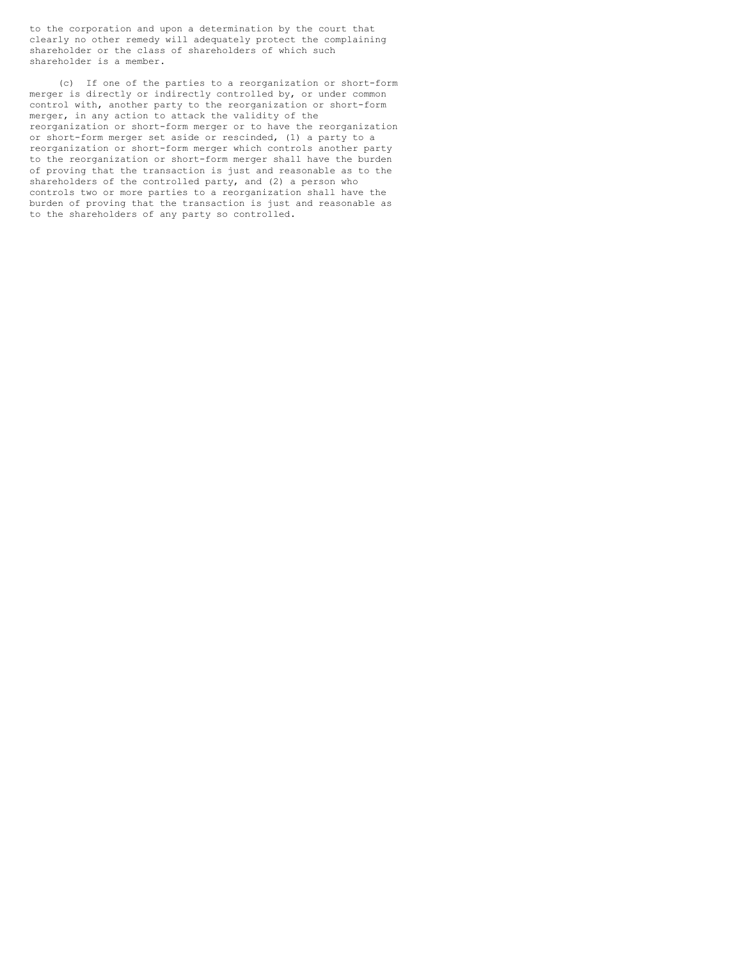to the corporation and upon a determination by the court that clearly no other remedy will adequately protect the complaining shareholder or the class of shareholders of which such shareholder is a member.

(c) If one of the parties to a reorganization or short-form merger is directly or indirectly controlled by, or under common control with, another party to the reorganization or short-form merger, in any action to attack the validity of the reorganization or short-form merger or to have the reorganization or short-form merger set aside or rescinded, (1) a party to a reorganization or short-form merger which controls another party to the reorganization or short-form merger shall have the burden of proving that the transaction is just and reasonable as to the shareholders of the controlled party, and (2) a person who controls two or more parties to a reorganization shall have the burden of proving that the transaction is just and reasonable as to the shareholders of any party so controlled.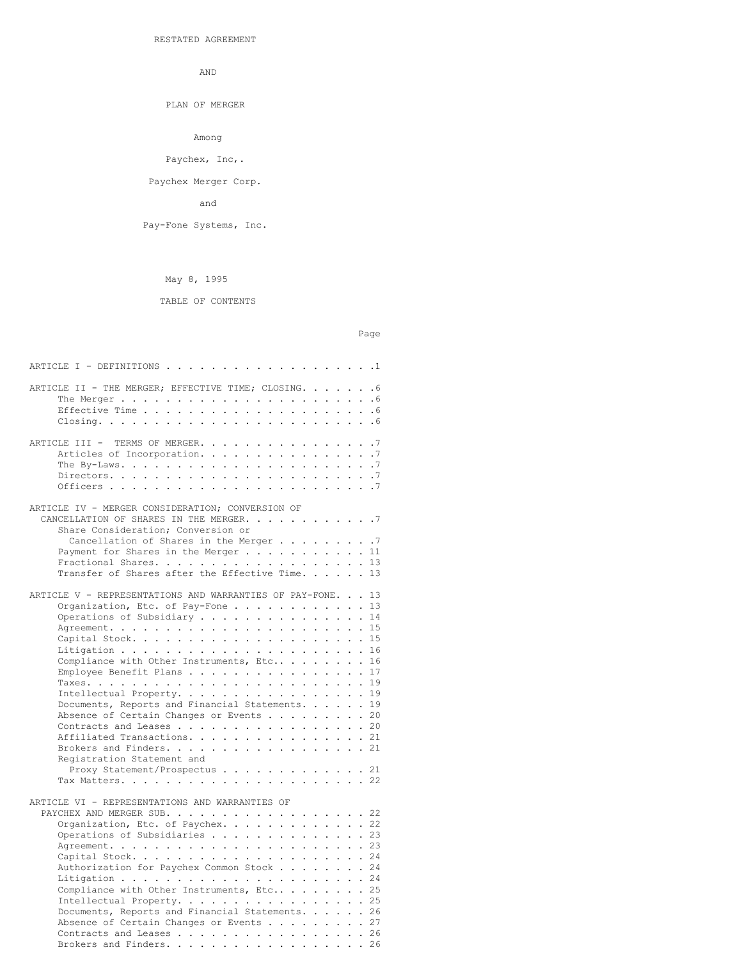RESTATED AGREEMENT

AND

PLAN OF MERGER

Among

Paychex, Inc,.

Paychex Merger Corp.

and

Pay-Fone Systems, Inc.

# May 8, 1995

# TABLE OF CONTENTS

## Page

| ARTICLE I - DEFINITIONS $\ldots \ldots \ldots \ldots \ldots \ldots \ldots \ldots$                        |  |
|----------------------------------------------------------------------------------------------------------|--|
| ARTICLE II - THE MERGER; EFFECTIVE TIME; CLOSING. 6                                                      |  |
| The Merger $\ldots$ $\ldots$ $\ldots$ $\ldots$ $\ldots$ $\ldots$ $\ldots$ $\ldots$ $\ldots$ $\ldots$ . 6 |  |
|                                                                                                          |  |
|                                                                                                          |  |
|                                                                                                          |  |
| ARTICLE III - TERMS OF MERGER. 7                                                                         |  |
| Articles of Incorporation. 7                                                                             |  |
|                                                                                                          |  |
|                                                                                                          |  |
|                                                                                                          |  |
|                                                                                                          |  |
| ARTICLE IV - MERGER CONSIDERATION; CONVERSION OF                                                         |  |
| CANCELLATION OF SHARES IN THE MERGER. 7                                                                  |  |
| Share Consideration; Conversion or                                                                       |  |
| Cancellation of Shares in the Merger 7                                                                   |  |
| Payment for Shares in the Merger 11                                                                      |  |
| Fractional Shares. 13                                                                                    |  |
| Transfer of Shares after the Effective Time. 13                                                          |  |
|                                                                                                          |  |
| ARTICLE V - REPRESENTATIONS AND WARRANTIES OF PAY-FONE. 13                                               |  |
| Organization, Etc. of Pay-Fone 13                                                                        |  |
| Operations of Subsidiary 14                                                                              |  |
|                                                                                                          |  |
|                                                                                                          |  |
|                                                                                                          |  |
|                                                                                                          |  |
| Compliance with Other Instruments, Etc 16                                                                |  |
| Employee Benefit Plans 17                                                                                |  |
|                                                                                                          |  |
| Intellectual Property. 19                                                                                |  |
| Documents, Reports and Financial Statements. 19                                                          |  |
| Absence of Certain Changes or Events 20                                                                  |  |
| Contracts and Leases 20                                                                                  |  |
| Affiliated Transactions. 21                                                                              |  |
| Brokers and Finders. 21                                                                                  |  |
| Registration Statement and                                                                               |  |
| Proxy Statement/Prospectus 21                                                                            |  |
|                                                                                                          |  |
|                                                                                                          |  |
| ARTICLE VI - REPRESENTATIONS AND WARRANTIES OF                                                           |  |
| PAYCHEX AND MERGER SUB. 22                                                                               |  |
| Organization, Etc. of Paychex. 22                                                                        |  |
| Operations of Subsidiaries 23                                                                            |  |
|                                                                                                          |  |
|                                                                                                          |  |
|                                                                                                          |  |
| Authorization for Paychex Common Stock 24                                                                |  |
|                                                                                                          |  |
| Compliance with Other Instruments, Etc 25                                                                |  |
| Intellectual Property. 25                                                                                |  |
| Documents, Reports and Financial Statements. 26                                                          |  |
| Absence of Certain Changes or Events 27                                                                  |  |
| Contracts and Leases 26                                                                                  |  |

Brokers and Finders. . . . . . . . . . . . . . . . . 26  $\,$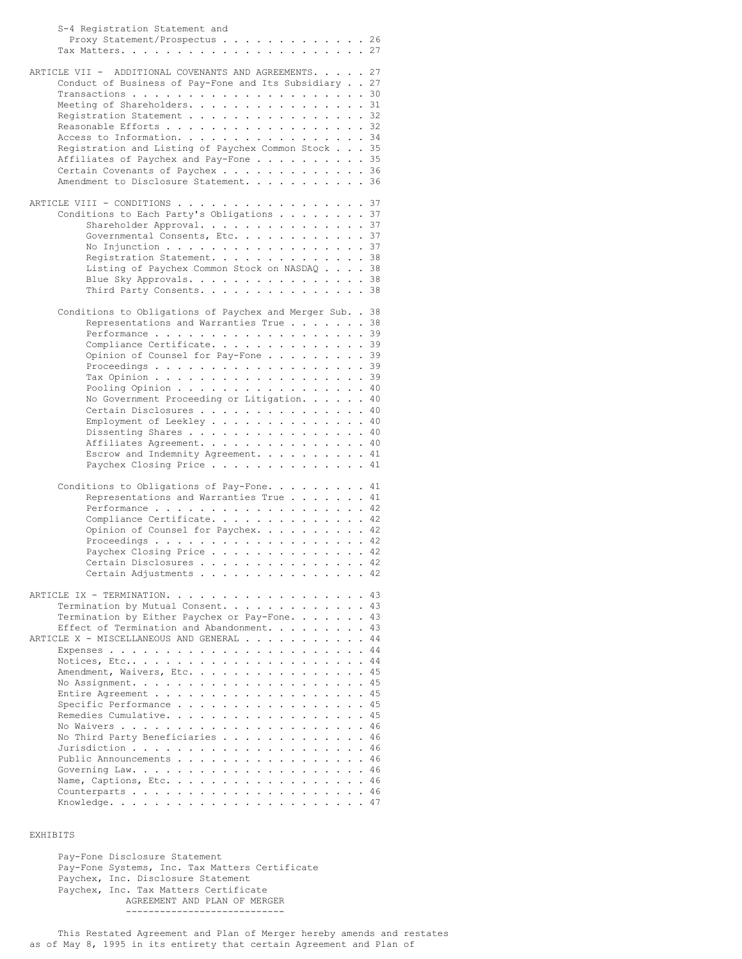| S-4 Registration Statement and                                                                                |  |
|---------------------------------------------------------------------------------------------------------------|--|
| Proxy Statement/Prospectus 26                                                                                 |  |
|                                                                                                               |  |
|                                                                                                               |  |
| ARTICLE VII - ADDITIONAL COVENANTS AND AGREEMENTS. 27                                                         |  |
| Conduct of Business of Pay-Fone and Its Subsidiary 27                                                         |  |
|                                                                                                               |  |
| Meeting of Shareholders. 31                                                                                   |  |
| Registration Statement 32                                                                                     |  |
| Reasonable Efforts 32<br>Access to Information. 34                                                            |  |
| Registration and Listing of Paychex Common Stock 35                                                           |  |
| Affiliates of Paychex and Pay-Fone 35                                                                         |  |
| Certain Covenants of Paychex 36                                                                               |  |
| Amendment to Disclosure Statement. 36                                                                         |  |
|                                                                                                               |  |
| ARTICLE VIII - CONDITIONS 37                                                                                  |  |
| Conditions to Each Party's Obligations 37                                                                     |  |
| Shareholder Approval. 37                                                                                      |  |
| Governmental Consents, Etc. 37                                                                                |  |
| No Injunction 37                                                                                              |  |
| Registration Statement. 38                                                                                    |  |
| Listing of Paychex Common Stock on NASDAQ 38                                                                  |  |
| Blue Sky Approvals. 38                                                                                        |  |
| Third Party Consents. 38                                                                                      |  |
|                                                                                                               |  |
| Conditions to Obligations of Paychex and Merger Sub. . 38                                                     |  |
| Representations and Warranties True 38                                                                        |  |
| Performance 39                                                                                                |  |
| Compliance Certificate. 39                                                                                    |  |
| Opinion of Counsel for Pay-Fone<br>-39                                                                        |  |
| Proceedings $\ldots$ $\ldots$ $\ldots$ $\ldots$ $\ldots$ $\ldots$ $\ldots$ $\ldots$ 39                        |  |
| Tax Opinion 39                                                                                                |  |
| Pooling Opinion $\ldots$ 40                                                                                   |  |
| No Government Proceeding or Litigation. 40                                                                    |  |
| Certain Disclosures 40                                                                                        |  |
| Employment of Leekley 40                                                                                      |  |
| Dissenting Shares 40<br>Affiliates Agreement. 40                                                              |  |
| Escrow and Indemnity Agreement. 41                                                                            |  |
| Paychex Closing Price 41                                                                                      |  |
|                                                                                                               |  |
| Conditions to Obligations of Pay-Fone 41                                                                      |  |
| Representations and Warranties True 41                                                                        |  |
| Performance 42                                                                                                |  |
| Compliance Certificate. 42                                                                                    |  |
| Opinion of Counsel for Paychex. $\ldots$ 42                                                                   |  |
| Proceedings 42                                                                                                |  |
| Paychex Closing Price 42                                                                                      |  |
| Certain Disclosures<br>-42                                                                                    |  |
| Certain Adjustments 42                                                                                        |  |
|                                                                                                               |  |
| ARTICLE IX - TERMINATION.<br>. 43                                                                             |  |
| Termination by Mutual Consent. 43                                                                             |  |
| Termination by Either Paychex or Pay-Fone. 43                                                                 |  |
| Effect of Termination and Abandonment. 43                                                                     |  |
| ARTICLE X - MISCELLANEOUS AND GENERAL<br>. 44<br>$\mathbf{1}$ $\mathbf{1}$ $\mathbf{1}$                       |  |
| Expenses<br>. 44<br>. 44<br>Notices, Etc                                                                      |  |
| $\ddot{\phantom{0}}$<br>Amendment, Waivers, Etc.<br>45<br>$\cdot$ $\cdot$ $\cdot$ $\cdot$                     |  |
| $\ddot{\phantom{a}}$<br>$\ddot{\phantom{0}}$<br>No Assignment.<br>-45<br>$\ddot{\phantom{0}}$                 |  |
| Entire Agreement<br>45<br>$\ddot{\phantom{a}}$<br>$\cdot$ $\cdot$ $\cdot$ $\cdot$<br>$\ddot{\phantom{0}}$     |  |
| Specific Performance<br>45<br>$\ddot{\phantom{0}}$<br>$\sim$ $\sim$<br>$\ddotsc$<br>$\ddot{\phantom{0}}$      |  |
| Remedies Cumulative.<br>45<br>$\ddot{\phantom{a}}$<br>$\ddot{\phantom{0}}$<br>$\cdot$ $\cdot$ $\cdot$ $\cdot$ |  |
| No Waivers<br>. 46<br>$\cdot$ $\cdot$ $\cdot$ $\cdot$ $\cdot$<br>$\ddot{\phantom{0}}$                         |  |
| No Third Party Beneficiaries<br>$\cdots$ . 46<br>$\ddot{\phantom{a}}$<br>$\ddot{\phantom{0}}$                 |  |
| Jurisdiction<br>. 46<br>$\cdots$<br>$\ddot{\phantom{0}}$<br>$\ddot{\phantom{0}}$                              |  |
| Public Announcements<br>. 46<br>$\ddot{\phantom{a}}$<br>$\ddot{\phantom{0}}$                                  |  |
| Governing Law.<br>. 46                                                                                        |  |
| Name, Captions, Etc. $\ldots$ 46                                                                              |  |
|                                                                                                               |  |
|                                                                                                               |  |

## EXHIBITS

Pay-Fone Disclosure Statement Pay-Fone Systems, Inc. Tax Matters Certificate Paychex, Inc. Disclosure Statement Paychex, Inc. Tax Matters Certificate AGREEMENT AND PLAN OF MERGER ----------------------------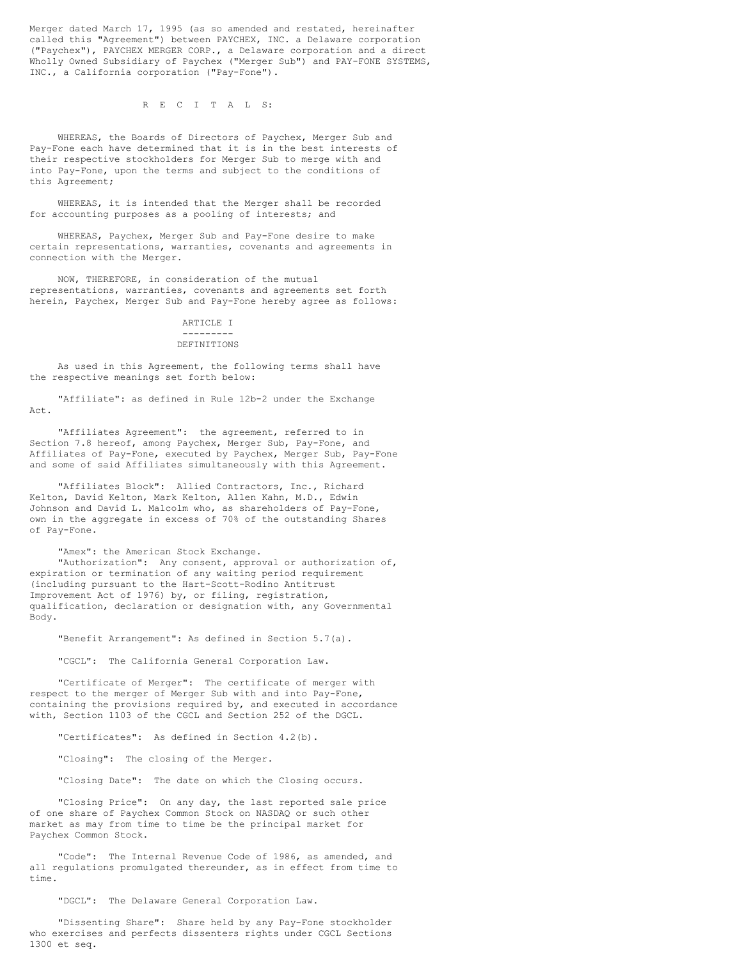Merger dated March 17, 1995 (as so amended and restated, hereinafter called this "Agreement") between PAYCHEX, INC. a Delaware corporation ("Paychex"), PAYCHEX MERGER CORP., a Delaware corporation and a direct Wholly Owned Subsidiary of Paychex ("Merger Sub") and PAY-FONE SYSTEMS, INC., a California corporation ("Pay-Fone").

R E C I T A L S:

WHEREAS, the Boards of Directors of Paychex, Merger Sub and Pay-Fone each have determined that it is in the best interests of their respective stockholders for Merger Sub to merge with and into Pay-Fone, upon the terms and subject to the conditions of this Agreement;

WHEREAS, it is intended that the Merger shall be recorded for accounting purposes as a pooling of interests; and

WHEREAS, Paychex, Merger Sub and Pay-Fone desire to make certain representations, warranties, covenants and agreements in connection with the Merger.

NOW, THEREFORE, in consideration of the mutual representations, warranties, covenants and agreements set forth herein, Paychex, Merger Sub and Pay-Fone hereby agree as follows:

## ARTICLE I ---------

## DEFINITIONS

As used in this Agreement, the following terms shall have the respective meanings set forth below:

"Affiliate": as defined in Rule 12b-2 under the Exchange Act.

"Affiliates Agreement": the agreement, referred to in Section 7.8 hereof, among Paychex, Merger Sub, Pay-Fone, and Affiliates of Pay-Fone, executed by Paychex, Merger Sub, Pay-Fone and some of said Affiliates simultaneously with this Agreement.

"Affiliates Block": Allied Contractors, Inc., Richard Kelton, David Kelton, Mark Kelton, Allen Kahn, M.D., Edwin Johnson and David L. Malcolm who, as shareholders of Pay-Fone, own in the aggregate in excess of 70% of the outstanding Shares of Pay-Fone.

"Amex": the American Stock Exchange.

"Authorization": Any consent, approval or authorization of, expiration or termination of any waiting period requirement (including pursuant to the Hart-Scott-Rodino Antitrust Improvement Act of 1976) by, or filing, registration, qualification, declaration or designation with, any Governmental Body.

"Benefit Arrangement": As defined in Section 5.7(a).

"CGCL": The California General Corporation Law.

"Certificate of Merger": The certificate of merger with respect to the merger of Merger Sub with and into Pay-Fone, containing the provisions required by, and executed in accordance with, Section 1103 of the CGCL and Section 252 of the DGCL.

"Certificates": As defined in Section 4.2(b).

"Closing": The closing of the Merger.

"Closing Date": The date on which the Closing occurs.

"Closing Price": On any day, the last reported sale price of one share of Paychex Common Stock on NASDAQ or such other market as may from time to time be the principal market for Paychex Common Stock.

"Code": The Internal Revenue Code of 1986, as amended, and all regulations promulgated thereunder, as in effect from time to time.

"DGCL": The Delaware General Corporation Law.

"Dissenting Share": Share held by any Pay-Fone stockholder who exercises and perfects dissenters rights under CGCL Sections 1300 et seq.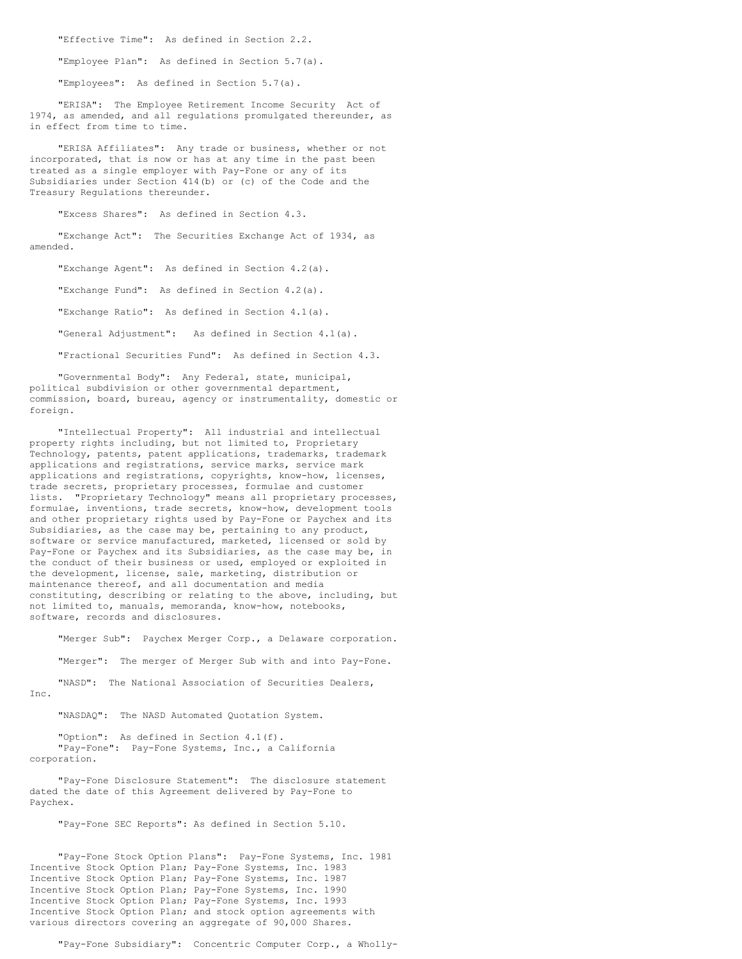"Effective Time": As defined in Section 2.2.

"Employee Plan": As defined in Section 5.7(a).

"Employees": As defined in Section 5.7(a).

"ERISA": The Employee Retirement Income Security Act of 1974, as amended, and all regulations promulgated thereunder, as in effect from time to time.

"ERISA Affiliates": Any trade or business, whether or not incorporated, that is now or has at any time in the past been treated as a single employer with Pay-Fone or any of its Subsidiaries under Section 414(b) or (c) of the Code and the Treasury Regulations thereunder.

"Excess Shares": As defined in Section 4.3.

"Exchange Act": The Securities Exchange Act of 1934, as amended.

"Exchange Agent": As defined in Section 4.2(a).

"Exchange Fund": As defined in Section 4.2(a).

"Exchange Ratio": As defined in Section 4.1(a).

"General Adjustment": As defined in Section 4.1(a).

"Fractional Securities Fund": As defined in Section 4.3.

"Governmental Body": Any Federal, state, municipal, political subdivision or other governmental department, commission, board, bureau, agency or instrumentality, domestic or foreign.

"Intellectual Property": All industrial and intellectual property rights including, but not limited to, Proprietary Technology, patents, patent applications, trademarks, trademark applications and registrations, service marks, service mark applications and registrations, copyrights, know-how, licenses, trade secrets, proprietary processes, formulae and customer lists. "Proprietary Technology" means all proprietary processes, formulae, inventions, trade secrets, know-how, development tools and other proprietary rights used by Pay-Fone or Paychex and its Subsidiaries, as the case may be, pertaining to any product, software or service manufactured, marketed, licensed or sold by Pay-Fone or Paychex and its Subsidiaries, as the case may be, in the conduct of their business or used, employed or exploited in the development, license, sale, marketing, distribution or maintenance thereof, and all documentation and media constituting, describing or relating to the above, including, but not limited to, manuals, memoranda, know-how, notebooks, software, records and disclosures.

"Merger Sub": Paychex Merger Corp., a Delaware corporation.

"Merger": The merger of Merger Sub with and into Pay-Fone.

"NASD": The National Association of Securities Dealers, Inc.

"NASDAQ": The NASD Automated Quotation System.

"Option": As defined in Section 4.1(f). "Pay-Fone": Pay-Fone Systems, Inc., a California corporation.

"Pay-Fone Disclosure Statement": The disclosure statement dated the date of this Agreement delivered by Pay-Fone to Paychex.

"Pay-Fone SEC Reports": As defined in Section 5.10.

"Pay-Fone Stock Option Plans": Pay-Fone Systems, Inc. 1981 Incentive Stock Option Plan; Pay-Fone Systems, Inc. 1983 Incentive Stock Option Plan; Pay-Fone Systems, Inc. 1987 Incentive Stock Option Plan; Pay-Fone Systems, Inc. 1990 Incentive Stock Option Plan; Pay-Fone Systems, Inc. 1993 Incentive Stock Option Plan; and stock option agreements with various directors covering an aggregate of 90,000 Shares.

"Pay-Fone Subsidiary": Concentric Computer Corp., a Wholly-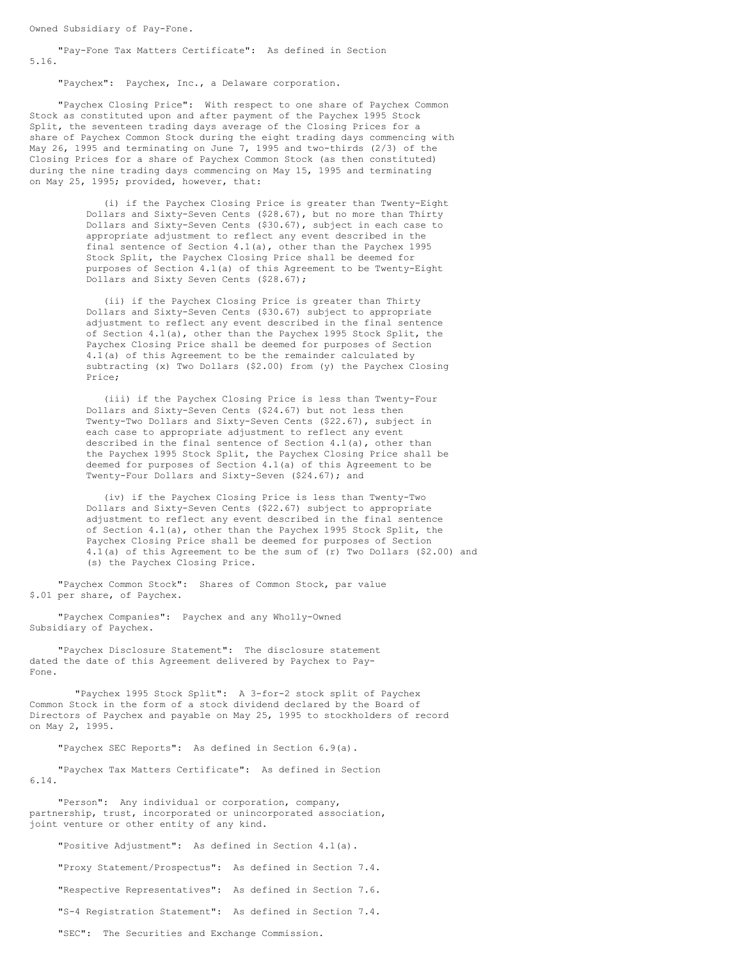Owned Subsidiary of Pay-Fone.

"Pay-Fone Tax Matters Certificate": As defined in Section 5.16.

"Paychex": Paychex, Inc., a Delaware corporation.

"Paychex Closing Price": With respect to one share of Paychex Common Stock as constituted upon and after payment of the Paychex 1995 Stock Split, the seventeen trading days average of the Closing Prices for a share of Paychex Common Stock during the eight trading days commencing with May 26, 1995 and terminating on June 7, 1995 and two-thirds (2/3) of the Closing Prices for a share of Paychex Common Stock (as then constituted) during the nine trading days commencing on May 15, 1995 and terminating on May 25, 1995; provided, however, that:

> (i) if the Paychex Closing Price is greater than Twenty-Eight Dollars and Sixty-Seven Cents (\$28.67), but no more than Thirty Dollars and Sixty-Seven Cents (\$30.67), subject in each case to appropriate adjustment to reflect any event described in the final sentence of Section 4.1(a), other than the Paychex 1995 Stock Split, the Paychex Closing Price shall be deemed for purposes of Section 4.1(a) of this Agreement to be Twenty-Eight Dollars and Sixty Seven Cents (\$28.67);

> (ii) if the Paychex Closing Price is greater than Thirty Dollars and Sixty-Seven Cents (\$30.67) subject to appropriate adjustment to reflect any event described in the final sentence of Section 4.1(a), other than the Paychex 1995 Stock Split, the Paychex Closing Price shall be deemed for purposes of Section 4.1(a) of this Agreement to be the remainder calculated by subtracting (x) Two Dollars (\$2.00) from (y) the Paychex Closing Price;

> (iii) if the Paychex Closing Price is less than Twenty-Four Dollars and Sixty-Seven Cents (\$24.67) but not less then Twenty-Two Dollars and Sixty-Seven Cents (\$22.67), subject in each case to appropriate adjustment to reflect any event described in the final sentence of Section 4.1(a), other than the Paychex 1995 Stock Split, the Paychex Closing Price shall be deemed for purposes of Section 4.1(a) of this Agreement to be Twenty-Four Dollars and Sixty-Seven (\$24.67); and

(iv) if the Paychex Closing Price is less than Twenty-Two Dollars and Sixty-Seven Cents (\$22.67) subject to appropriate adjustment to reflect any event described in the final sentence of Section 4.1(a), other than the Paychex 1995 Stock Split, the Paychex Closing Price shall be deemed for purposes of Section 4.1(a) of this Agreement to be the sum of (r) Two Dollars (\$2.00) and (s) the Paychex Closing Price.

"Paychex Common Stock": Shares of Common Stock, par value \$.01 per share, of Paychex.

"Paychex Companies": Paychex and any Wholly-Owned Subsidiary of Paychex.

"Paychex Disclosure Statement": The disclosure statement dated the date of this Agreement delivered by Paychex to Pay-Fone.

"Paychex 1995 Stock Split": A 3-for-2 stock split of Paychex Common Stock in the form of a stock dividend declared by the Board of Directors of Paychex and payable on May 25, 1995 to stockholders of record on May 2, 1995.

"Paychex SEC Reports": As defined in Section 6.9(a).

"Paychex Tax Matters Certificate": As defined in Section 6.14.

"Person": Any individual or corporation, company, partnership, trust, incorporated or unincorporated association, joint venture or other entity of any kind.

"Positive Adjustment": As defined in Section 4.1(a).

"Proxy Statement/Prospectus": As defined in Section 7.4. "Respective Representatives": As defined in Section 7.6. "S-4 Registration Statement": As defined in Section 7.4.

"SEC": The Securities and Exchange Commission.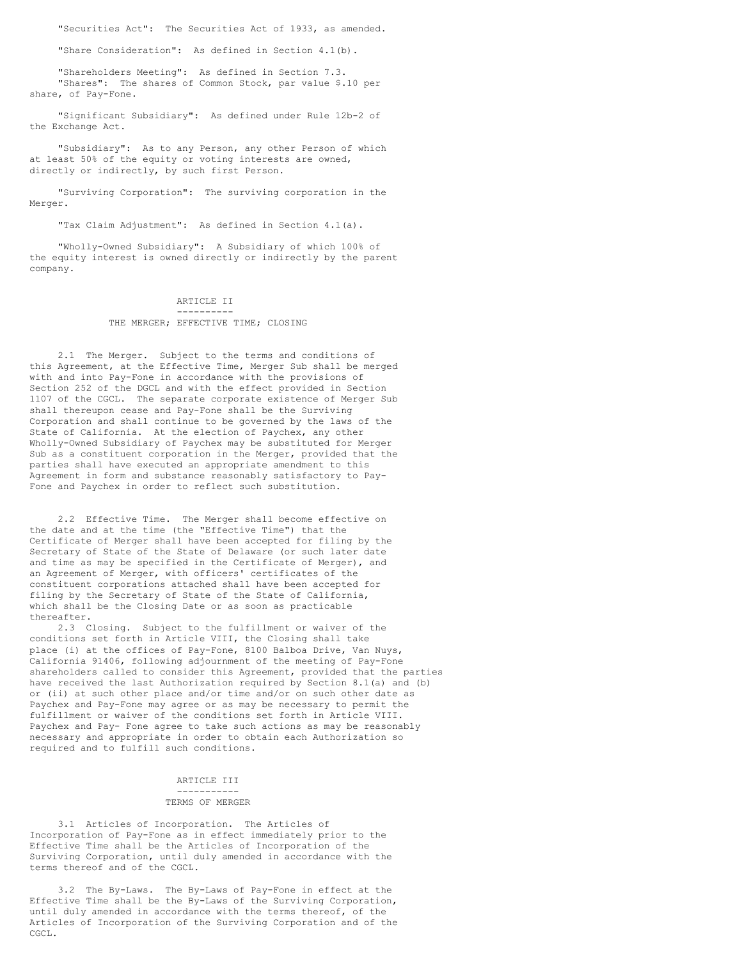"Securities Act": The Securities Act of 1933, as amended.

"Share Consideration": As defined in Section 4.1(b).

"Shareholders Meeting": As defined in Section 7.3. "Shares": The shares of Common Stock, par value \$.10 per share, of Pay-Fone.

"Significant Subsidiary": As defined under Rule 12b-2 of the Exchange Act.

"Subsidiary": As to any Person, any other Person of which at least 50% of the equity or voting interests are owned, directly or indirectly, by such first Person.

"Surviving Corporation": The surviving corporation in the Merger.

"Tax Claim Adjustment": As defined in Section 4.1(a).

"Wholly-Owned Subsidiary": A Subsidiary of which 100% of the equity interest is owned directly or indirectly by the parent company.

#### ARTICLE II ----------

#### THE MERGER; EFFECTIVE TIME; CLOSING

2.1 The Merger. Subject to the terms and conditions of this Agreement, at the Effective Time, Merger Sub shall be merged with and into Pay-Fone in accordance with the provisions of Section 252 of the DGCL and with the effect provided in Section 1107 of the CGCL. The separate corporate existence of Merger Sub shall thereupon cease and Pay-Fone shall be the Surviving Corporation and shall continue to be governed by the laws of the State of California. At the election of Paychex, any other Wholly-Owned Subsidiary of Paychex may be substituted for Merger Sub as a constituent corporation in the Merger, provided that the parties shall have executed an appropriate amendment to this Agreement in form and substance reasonably satisfactory to Pay-Fone and Paychex in order to reflect such substitution.

2.2 Effective Time. The Merger shall become effective on the date and at the time (the "Effective Time") that the Certificate of Merger shall have been accepted for filing by the Secretary of State of the State of Delaware (or such later date and time as may be specified in the Certificate of Merger), and an Agreement of Merger, with officers' certificates of the constituent corporations attached shall have been accepted for filing by the Secretary of State of the State of California, which shall be the Closing Date or as soon as practicable thereafter.

2.3 Closing. Subject to the fulfillment or waiver of the conditions set forth in Article VIII, the Closing shall take place (i) at the offices of Pay-Fone, 8100 Balboa Drive, Van Nuys, California 91406, following adjournment of the meeting of Pay-Fone shareholders called to consider this Agreement, provided that the parties have received the last Authorization required by Section 8.1(a) and (b) or (ii) at such other place and/or time and/or on such other date as Paychex and Pay-Fone may agree or as may be necessary to permit the fulfillment or waiver of the conditions set forth in Article VIII. Paychex and Pay- Fone agree to take such actions as may be reasonably necessary and appropriate in order to obtain each Authorization so required and to fulfill such conditions.

#### ARTICLE III -----------

### TERMS OF MERGER

3.1 Articles of Incorporation. The Articles of Incorporation of Pay-Fone as in effect immediately prior to the Effective Time shall be the Articles of Incorporation of the Surviving Corporation, until duly amended in accordance with the terms thereof and of the CGCL.

3.2 The By-Laws. The By-Laws of Pay-Fone in effect at the Effective Time shall be the By-Laws of the Surviving Corporation, until duly amended in accordance with the terms thereof, of the Articles of Incorporation of the Surviving Corporation and of the CGCL.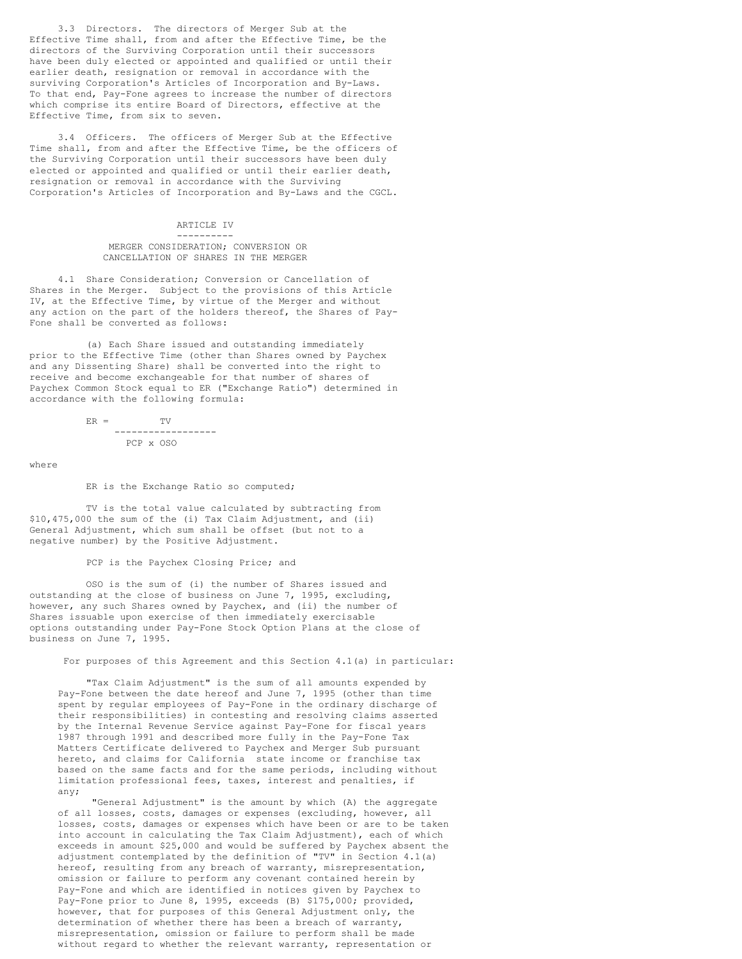3.3 Directors. The directors of Merger Sub at the Effective Time shall, from and after the Effective Time, be the directors of the Surviving Corporation until their successors have been duly elected or appointed and qualified or until their earlier death, resignation or removal in accordance with the surviving Corporation's Articles of Incorporation and By-Laws. To that end, Pay-Fone agrees to increase the number of directors which comprise its entire Board of Directors, effective at the Effective Time, from six to seven.

3.4 Officers. The officers of Merger Sub at the Effective Time shall, from and after the Effective Time, be the officers of the Surviving Corporation until their successors have been duly elected or appointed and qualified or until their earlier death, resignation or removal in accordance with the Surviving Corporation's Articles of Incorporation and By-Laws and the CGCL.

#### ARTICLE IV ----------

## MERGER CONSIDERATION; CONVERSION OR CANCELLATION OF SHARES IN THE MERGER

4.1 Share Consideration; Conversion or Cancellation of Shares in the Merger. Subject to the provisions of this Article IV, at the Effective Time, by virtue of the Merger and without any action on the part of the holders thereof, the Shares of Pay-Fone shall be converted as follows:

(a) Each Share issued and outstanding immediately prior to the Effective Time (other than Shares owned by Paychex and any Dissenting Share) shall be converted into the right to receive and become exchangeable for that number of shares of Paychex Common Stock equal to ER ("Exchange Ratio") determined in accordance with the following formula:

$$
ER = \n\begin{array}{cc}\nTV \\
--\n\end{array}
$$
\n
$$
PCP \times OSO
$$

where

#### ER is the Exchange Ratio so computed;

TV is the total value calculated by subtracting from \$10,475,000 the sum of the (i) Tax Claim Adjustment, and (ii) General Adjustment, which sum shall be offset (but not to a negative number) by the Positive Adjustment.

PCP is the Paychex Closing Price; and

OSO is the sum of (i) the number of Shares issued and outstanding at the close of business on June 7, 1995, excluding, however, any such Shares owned by Paychex, and (ii) the number of Shares issuable upon exercise of then immediately exercisable options outstanding under Pay-Fone Stock Option Plans at the close of business on June 7, 1995.

For purposes of this Agreement and this Section 4.1(a) in particular:

"Tax Claim Adjustment" is the sum of all amounts expended by Pay-Fone between the date hereof and June 7, 1995 (other than time spent by regular employees of Pay-Fone in the ordinary discharge of their responsibilities) in contesting and resolving claims asserted by the Internal Revenue Service against Pay-Fone for fiscal years 1987 through 1991 and described more fully in the Pay-Fone Tax Matters Certificate delivered to Paychex and Merger Sub pursuant hereto, and claims for California state income or franchise tax based on the same facts and for the same periods, including without limitation professional fees, taxes, interest and penalties, if any;

"General Adjustment" is the amount by which (A) the aggregate of all losses, costs, damages or expenses (excluding, however, all losses, costs, damages or expenses which have been or are to be taken into account in calculating the Tax Claim Adjustment), each of which exceeds in amount \$25,000 and would be suffered by Paychex absent the adjustment contemplated by the definition of "TV" in Section 4.1(a) hereof, resulting from any breach of warranty, misrepresentation, omission or failure to perform any covenant contained herein by Pay-Fone and which are identified in notices given by Paychex to Pay-Fone prior to June 8, 1995, exceeds (B) \$175,000; provided, however, that for purposes of this General Adjustment only, the determination of whether there has been a breach of warranty, misrepresentation, omission or failure to perform shall be made without regard to whether the relevant warranty, representation or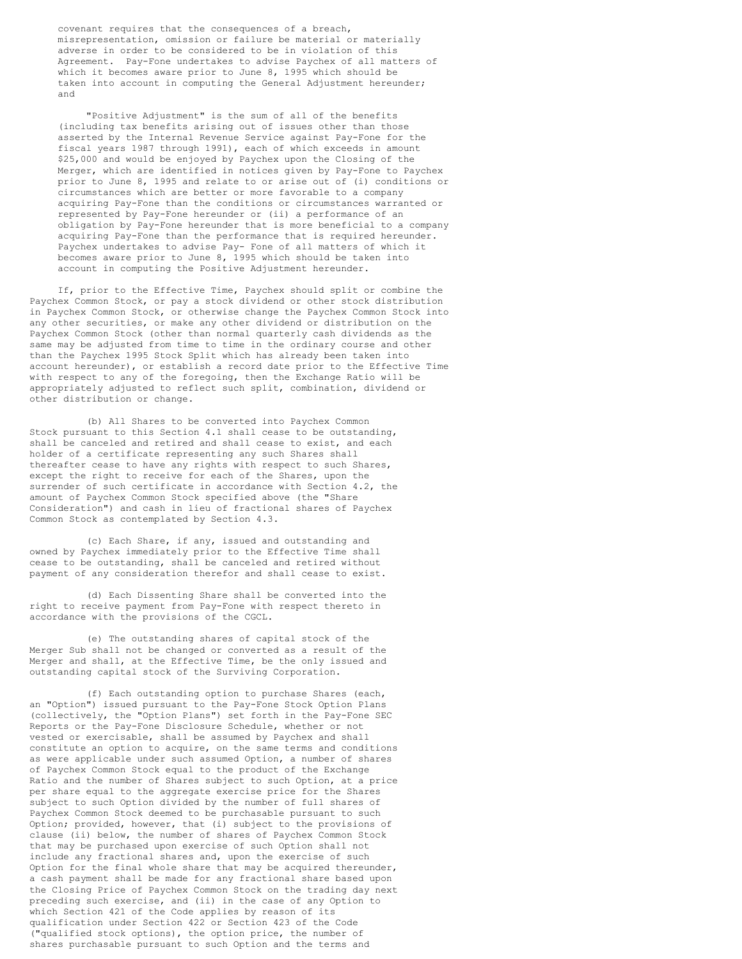covenant requires that the consequences of a breach, misrepresentation, omission or failure be material or materially adverse in order to be considered to be in violation of this Agreement. Pay-Fone undertakes to advise Paychex of all matters of which it becomes aware prior to June 8, 1995 which should be taken into account in computing the General Adjustment hereunder; and

"Positive Adjustment" is the sum of all of the benefits (including tax benefits arising out of issues other than those asserted by the Internal Revenue Service against Pay-Fone for the fiscal years 1987 through 1991), each of which exceeds in amount \$25,000 and would be enjoyed by Paychex upon the Closing of the Merger, which are identified in notices given by Pay-Fone to Paychex prior to June 8, 1995 and relate to or arise out of (i) conditions or circumstances which are better or more favorable to a company acquiring Pay-Fone than the conditions or circumstances warranted or represented by Pay-Fone hereunder or (ii) a performance of an obligation by Pay-Fone hereunder that is more beneficial to a company acquiring Pay-Fone than the performance that is required hereunder. Paychex undertakes to advise Pay- Fone of all matters of which it becomes aware prior to June 8, 1995 which should be taken into account in computing the Positive Adjustment hereunder.

If, prior to the Effective Time, Paychex should split or combine the Paychex Common Stock, or pay a stock dividend or other stock distribution in Paychex Common Stock, or otherwise change the Paychex Common Stock into any other securities, or make any other dividend or distribution on the Paychex Common Stock (other than normal quarterly cash dividends as the same may be adjusted from time to time in the ordinary course and other than the Paychex 1995 Stock Split which has already been taken into account hereunder), or establish a record date prior to the Effective Time with respect to any of the foregoing, then the Exchange Ratio will be appropriately adjusted to reflect such split, combination, dividend or other distribution or change.

(b) All Shares to be converted into Paychex Common Stock pursuant to this Section 4.1 shall cease to be outstanding, shall be canceled and retired and shall cease to exist, and each holder of a certificate representing any such Shares shall thereafter cease to have any rights with respect to such Shares, except the right to receive for each of the Shares, upon the surrender of such certificate in accordance with Section 4.2, the amount of Paychex Common Stock specified above (the "Share Consideration") and cash in lieu of fractional shares of Paychex Common Stock as contemplated by Section 4.3.

(c) Each Share, if any, issued and outstanding and owned by Paychex immediately prior to the Effective Time shall cease to be outstanding, shall be canceled and retired without payment of any consideration therefor and shall cease to exist.

(d) Each Dissenting Share shall be converted into the right to receive payment from Pay-Fone with respect thereto in accordance with the provisions of the CGCL.

(e) The outstanding shares of capital stock of the Merger Sub shall not be changed or converted as a result of the Merger and shall, at the Effective Time, be the only issued and outstanding capital stock of the Surviving Corporation.

(f) Each outstanding option to purchase Shares (each, an "Option") issued pursuant to the Pay-Fone Stock Option Plans (collectively, the "Option Plans") set forth in the Pay-Fone SEC Reports or the Pay-Fone Disclosure Schedule, whether or not vested or exercisable, shall be assumed by Paychex and shall constitute an option to acquire, on the same terms and conditions as were applicable under such assumed Option, a number of shares of Paychex Common Stock equal to the product of the Exchange Ratio and the number of Shares subject to such Option, at a price per share equal to the aggregate exercise price for the Shares subject to such Option divided by the number of full shares of Paychex Common Stock deemed to be purchasable pursuant to such Option; provided, however, that (i) subject to the provisions of clause (ii) below, the number of shares of Paychex Common Stock that may be purchased upon exercise of such Option shall not include any fractional shares and, upon the exercise of such Option for the final whole share that may be acquired thereunder, a cash payment shall be made for any fractional share based upon the Closing Price of Paychex Common Stock on the trading day next preceding such exercise, and (ii) in the case of any Option to which Section 421 of the Code applies by reason of its qualification under Section 422 or Section 423 of the Code ("qualified stock options), the option price, the number of shares purchasable pursuant to such Option and the terms and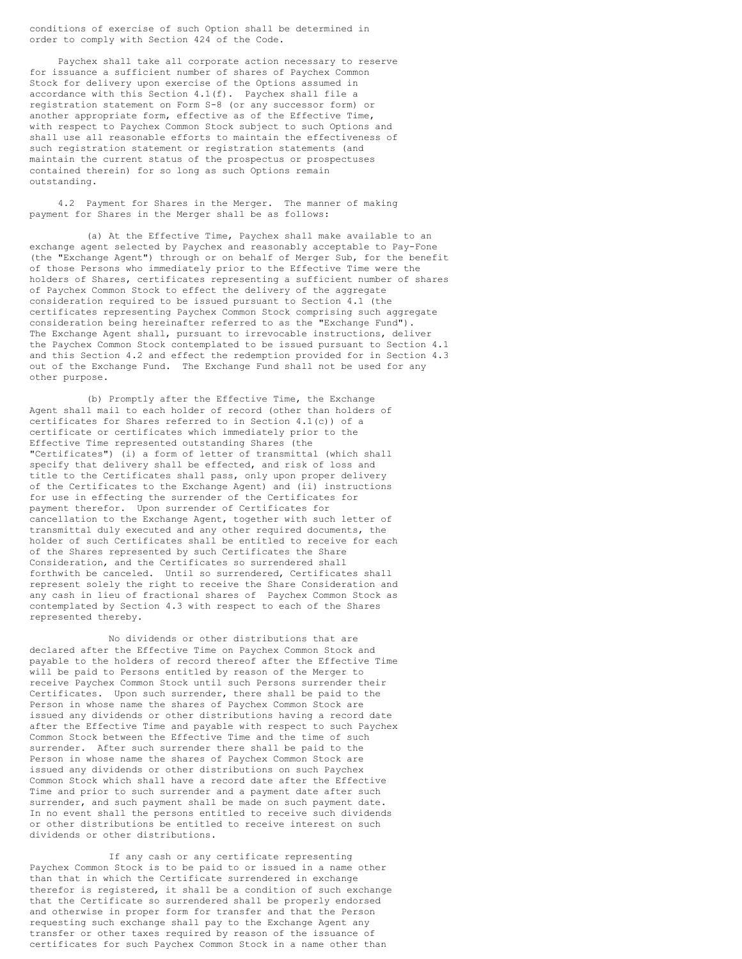conditions of exercise of such Option shall be determined in order to comply with Section 424 of the Code.

Paychex shall take all corporate action necessary to reserve for issuance a sufficient number of shares of Paychex Common Stock for delivery upon exercise of the Options assumed in accordance with this Section 4.1(f). Paychex shall file a registration statement on Form S-8 (or any successor form) or another appropriate form, effective as of the Effective Time, with respect to Paychex Common Stock subject to such Options and shall use all reasonable efforts to maintain the effectiveness of such registration statement or registration statements (and maintain the current status of the prospectus or prospectuses contained therein) for so long as such Options remain outstanding.

4.2 Payment for Shares in the Merger. The manner of making payment for Shares in the Merger shall be as follows:

(a) At the Effective Time, Paychex shall make available to an exchange agent selected by Paychex and reasonably acceptable to Pay-Fone (the "Exchange Agent") through or on behalf of Merger Sub, for the benefit of those Persons who immediately prior to the Effective Time were the holders of Shares, certificates representing a sufficient number of shares of Paychex Common Stock to effect the delivery of the aggregate consideration required to be issued pursuant to Section 4.1 (the certificates representing Paychex Common Stock comprising such aggregate consideration being hereinafter referred to as the "Exchange Fund"). The Exchange Agent shall, pursuant to irrevocable instructions, deliver the Paychex Common Stock contemplated to be issued pursuant to Section 4.1 and this Section 4.2 and effect the redemption provided for in Section 4.3 out of the Exchange Fund. The Exchange Fund shall not be used for any other purpose.

(b) Promptly after the Effective Time, the Exchange Agent shall mail to each holder of record (other than holders of certificates for Shares referred to in Section 4.1(c)) of a certificate or certificates which immediately prior to the Effective Time represented outstanding Shares (the "Certificates") (i) a form of letter of transmittal (which shall specify that delivery shall be effected, and risk of loss and title to the Certificates shall pass, only upon proper delivery of the Certificates to the Exchange Agent) and (ii) instructions for use in effecting the surrender of the Certificates for payment therefor. Upon surrender of Certificates for cancellation to the Exchange Agent, together with such letter of transmittal duly executed and any other required documents, the holder of such Certificates shall be entitled to receive for each of the Shares represented by such Certificates the Share Consideration, and the Certificates so surrendered shall forthwith be canceled. Until so surrendered, Certificates shall represent solely the right to receive the Share Consideration and any cash in lieu of fractional shares of Paychex Common Stock as contemplated by Section 4.3 with respect to each of the Shares represented thereby.

No dividends or other distributions that are declared after the Effective Time on Paychex Common Stock and payable to the holders of record thereof after the Effective Time will be paid to Persons entitled by reason of the Merger to receive Paychex Common Stock until such Persons surrender their Certificates. Upon such surrender, there shall be paid to the Person in whose name the shares of Paychex Common Stock are issued any dividends or other distributions having a record date after the Effective Time and payable with respect to such Paychex Common Stock between the Effective Time and the time of such surrender. After such surrender there shall be paid to the Person in whose name the shares of Paychex Common Stock are issued any dividends or other distributions on such Paychex Common Stock which shall have a record date after the Effective Time and prior to such surrender and a payment date after such surrender, and such payment shall be made on such payment date. In no event shall the persons entitled to receive such dividends or other distributions be entitled to receive interest on such dividends or other distributions.

If any cash or any certificate representing Paychex Common Stock is to be paid to or issued in a name other than that in which the Certificate surrendered in exchange therefor is registered, it shall be a condition of such exchange that the Certificate so surrendered shall be properly endorsed and otherwise in proper form for transfer and that the Person requesting such exchange shall pay to the Exchange Agent any transfer or other taxes required by reason of the issuance of certificates for such Paychex Common Stock in a name other than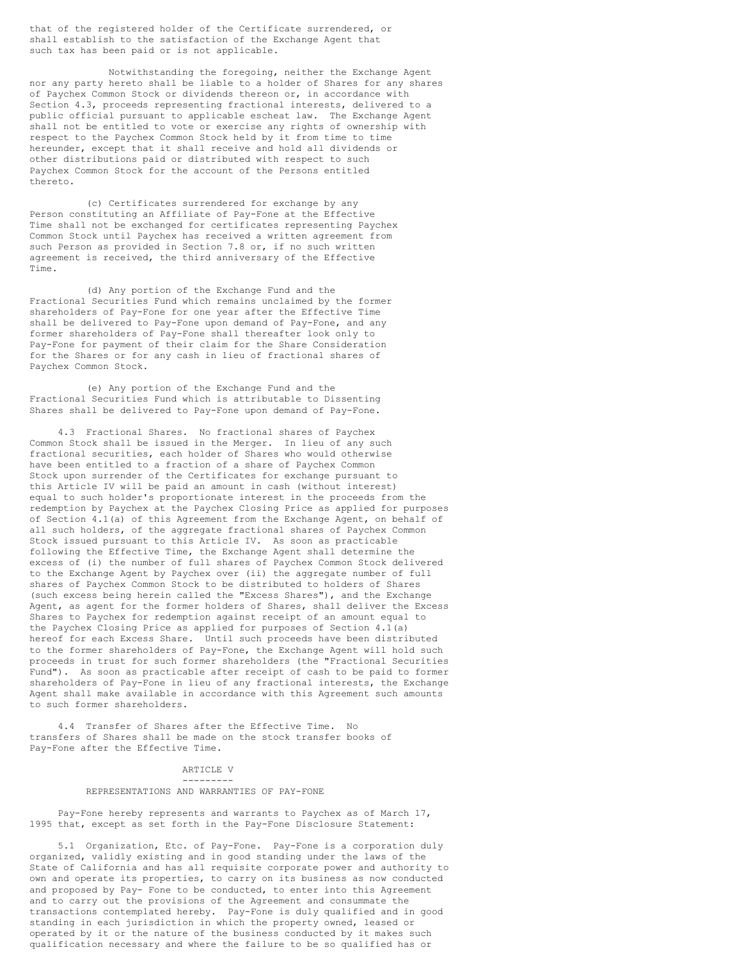that of the registered holder of the Certificate surrendered, or shall establish to the satisfaction of the Exchange Agent that such tax has been paid or is not applicable.

Notwithstanding the foregoing, neither the Exchange Agent nor any party hereto shall be liable to a holder of Shares for any shares of Paychex Common Stock or dividends thereon or, in accordance with Section 4.3, proceeds representing fractional interests, delivered to a public official pursuant to applicable escheat law. The Exchange Agent shall not be entitled to vote or exercise any rights of ownership with respect to the Paychex Common Stock held by it from time to time hereunder, except that it shall receive and hold all dividends or other distributions paid or distributed with respect to such Paychex Common Stock for the account of the Persons entitled thereto.

(c) Certificates surrendered for exchange by any Person constituting an Affiliate of Pay-Fone at the Effective Time shall not be exchanged for certificates representing Paychex Common Stock until Paychex has received a written agreement from such Person as provided in Section 7.8 or, if no such written agreement is received, the third anniversary of the Effective Time.

(d) Any portion of the Exchange Fund and the Fractional Securities Fund which remains unclaimed by the former shareholders of Pay-Fone for one year after the Effective Time shall be delivered to Pay-Fone upon demand of Pay-Fone, and any former shareholders of Pay-Fone shall thereafter look only to Pay-Fone for payment of their claim for the Share Consideration for the Shares or for any cash in lieu of fractional shares of Paychex Common Stock.

(e) Any portion of the Exchange Fund and the Fractional Securities Fund which is attributable to Dissenting Shares shall be delivered to Pay-Fone upon demand of Pay-Fone.

4.3 Fractional Shares. No fractional shares of Paychex Common Stock shall be issued in the Merger. In lieu of any such fractional securities, each holder of Shares who would otherwise have been entitled to a fraction of a share of Paychex Common Stock upon surrender of the Certificates for exchange pursuant to this Article IV will be paid an amount in cash (without interest) equal to such holder's proportionate interest in the proceeds from the redemption by Paychex at the Paychex Closing Price as applied for purposes of Section 4.1(a) of this Agreement from the Exchange Agent, on behalf of all such holders, of the aggregate fractional shares of Paychex Common Stock issued pursuant to this Article IV. As soon as practicable following the Effective Time, the Exchange Agent shall determine the excess of (i) the number of full shares of Paychex Common Stock delivered to the Exchange Agent by Paychex over (ii) the aggregate number of full shares of Paychex Common Stock to be distributed to holders of Shares (such excess being herein called the "Excess Shares"), and the Exchange Agent, as agent for the former holders of Shares, shall deliver the Excess Shares to Paychex for redemption against receipt of an amount equal to the Paychex Closing Price as applied for purposes of Section 4.1(a) hereof for each Excess Share. Until such proceeds have been distributed to the former shareholders of Pay-Fone, the Exchange Agent will hold such proceeds in trust for such former shareholders (the "Fractional Securities Fund"). As soon as practicable after receipt of cash to be paid to former shareholders of Pay-Fone in lieu of any fractional interests, the Exchange Agent shall make available in accordance with this Agreement such amounts to such former shareholders.

4.4 Transfer of Shares after the Effective Time. No transfers of Shares shall be made on the stock transfer books of Pay-Fone after the Effective Time.

## ARTICLE V ---------

#### REPRESENTATIONS AND WARRANTIES OF PAY-FONE

Pay-Fone hereby represents and warrants to Paychex as of March 17, 1995 that, except as set forth in the Pay-Fone Disclosure Statement:

5.1 Organization, Etc. of Pay-Fone. Pay-Fone is a corporation duly organized, validly existing and in good standing under the laws of the State of California and has all requisite corporate power and authority to own and operate its properties, to carry on its business as now conducted and proposed by Pay- Fone to be conducted, to enter into this Agreement and to carry out the provisions of the Agreement and consummate the transactions contemplated hereby. Pay-Fone is duly qualified and in good standing in each jurisdiction in which the property owned, leased or operated by it or the nature of the business conducted by it makes such qualification necessary and where the failure to be so qualified has or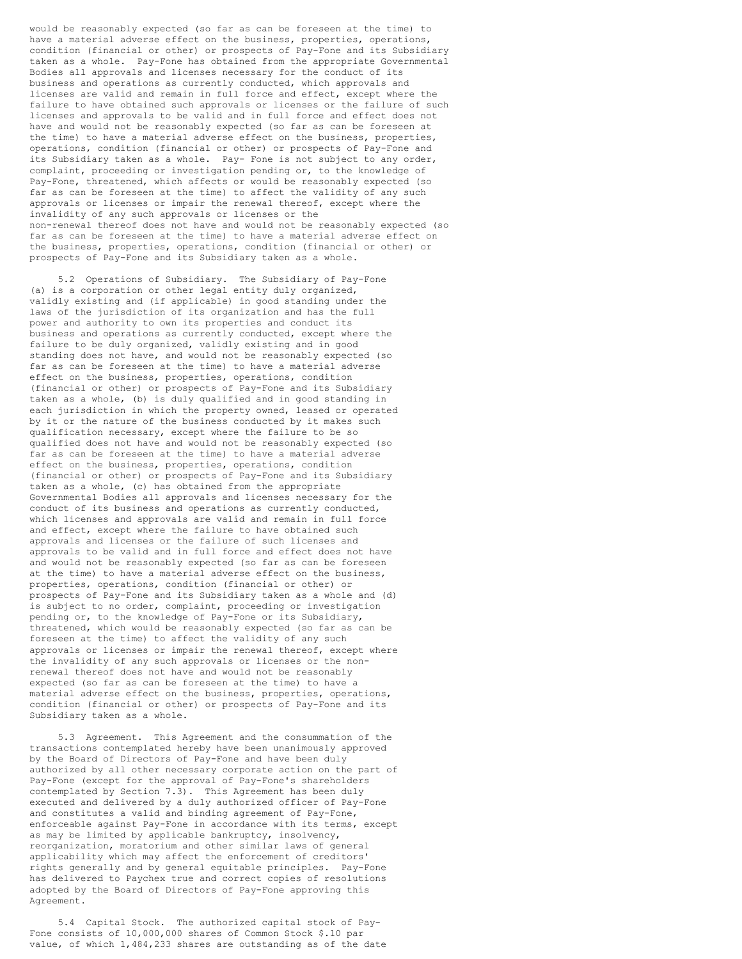would be reasonably expected (so far as can be foreseen at the time) to have a material adverse effect on the business, properties, operations, condition (financial or other) or prospects of Pay-Fone and its Subsidiary taken as a whole. Pay-Fone has obtained from the appropriate Governmental Bodies all approvals and licenses necessary for the conduct of its business and operations as currently conducted, which approvals and licenses are valid and remain in full force and effect, except where the failure to have obtained such approvals or licenses or the failure of such licenses and approvals to be valid and in full force and effect does not have and would not be reasonably expected (so far as can be foreseen at the time) to have a material adverse effect on the business, properties, operations, condition (financial or other) or prospects of Pay-Fone and its Subsidiary taken as a whole. Pay- Fone is not subject to any order, complaint, proceeding or investigation pending or, to the knowledge of Pay-Fone, threatened, which affects or would be reasonably expected (so far as can be foreseen at the time) to affect the validity of any such approvals or licenses or impair the renewal thereof, except where the invalidity of any such approvals or licenses or the non-renewal thereof does not have and would not be reasonably expected (so far as can be foreseen at the time) to have a material adverse effect on the business, properties, operations, condition (financial or other) or prospects of Pay-Fone and its Subsidiary taken as a whole.

5.2 Operations of Subsidiary. The Subsidiary of Pay-Fone (a) is a corporation or other legal entity duly organized, validly existing and (if applicable) in good standing under the laws of the jurisdiction of its organization and has the full power and authority to own its properties and conduct its business and operations as currently conducted, except where the failure to be duly organized, validly existing and in good standing does not have, and would not be reasonably expected (so far as can be foreseen at the time) to have a material adverse effect on the business, properties, operations, condition (financial or other) or prospects of Pay-Fone and its Subsidiary taken as a whole, (b) is duly qualified and in good standing in each jurisdiction in which the property owned, leased or operated by it or the nature of the business conducted by it makes such qualification necessary, except where the failure to be so qualified does not have and would not be reasonably expected (so far as can be foreseen at the time) to have a material adverse effect on the business, properties, operations, condition (financial or other) or prospects of Pay-Fone and its Subsidiary taken as a whole, (c) has obtained from the appropriate Governmental Bodies all approvals and licenses necessary for the conduct of its business and operations as currently conducted, which licenses and approvals are valid and remain in full force and effect, except where the failure to have obtained such approvals and licenses or the failure of such licenses and approvals to be valid and in full force and effect does not have and would not be reasonably expected (so far as can be foreseen at the time) to have a material adverse effect on the business, properties, operations, condition (financial or other) or prospects of Pay-Fone and its Subsidiary taken as a whole and (d) is subject to no order, complaint, proceeding or investigation pending or, to the knowledge of Pay-Fone or its Subsidiary, threatened, which would be reasonably expected (so far as can be foreseen at the time) to affect the validity of any such approvals or licenses or impair the renewal thereof, except where the invalidity of any such approvals or licenses or the nonrenewal thereof does not have and would not be reasonably expected (so far as can be foreseen at the time) to have a material adverse effect on the business, properties, operations, condition (financial or other) or prospects of Pay-Fone and its Subsidiary taken as a whole.

5.3 Agreement. This Agreement and the consummation of the transactions contemplated hereby have been unanimously approved by the Board of Directors of Pay-Fone and have been duly authorized by all other necessary corporate action on the part of Pay-Fone (except for the approval of Pay-Fone's shareholders contemplated by Section 7.3). This Agreement has been duly executed and delivered by a duly authorized officer of Pay-Fone and constitutes a valid and binding agreement of Pay-Fone, enforceable against Pay-Fone in accordance with its terms, except as may be limited by applicable bankruptcy, insolvency, reorganization, moratorium and other similar laws of general applicability which may affect the enforcement of creditors' rights generally and by general equitable principles. Pay-Fone has delivered to Paychex true and correct copies of resolutions adopted by the Board of Directors of Pay-Fone approving this Agreement.

5.4 Capital Stock. The authorized capital stock of Pay-Fone consists of 10,000,000 shares of Common Stock \$.10 par value, of which 1,484,233 shares are outstanding as of the date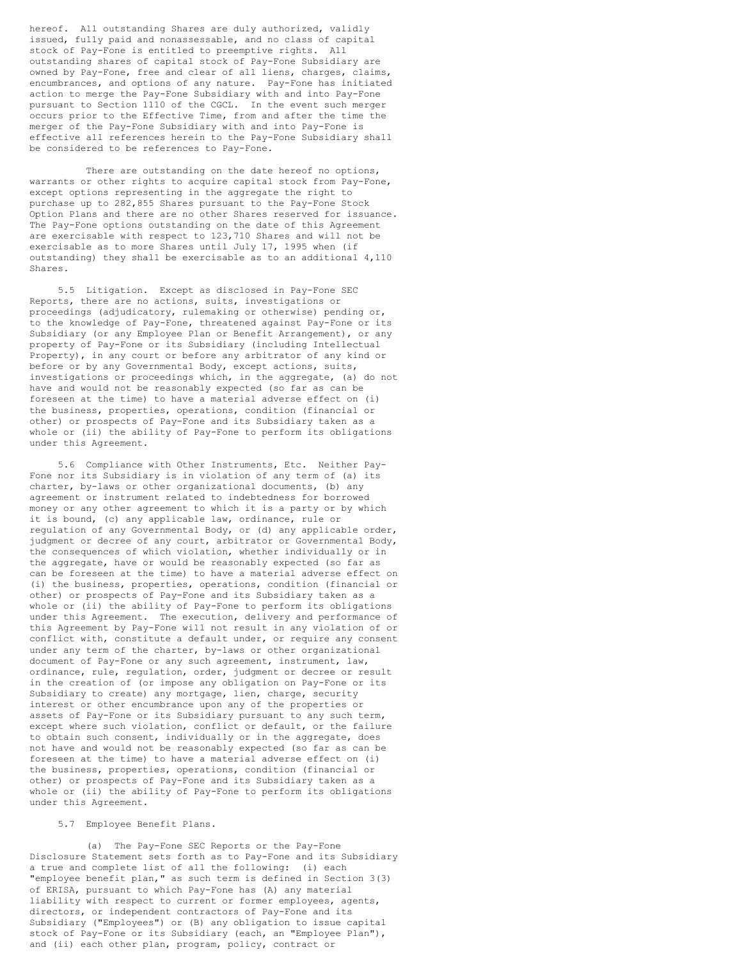hereof. All outstanding Shares are duly authorized, validly issued, fully paid and nonassessable, and no class of capital stock of Pay-Fone is entitled to preemptive rights. All outstanding shares of capital stock of Pay-Fone Subsidiary are owned by Pay-Fone, free and clear of all liens, charges, claims, encumbrances, and options of any nature. Pay-Fone has initiated action to merge the Pay-Fone Subsidiary with and into Pay-Fone pursuant to Section 1110 of the CGCL. In the event such merger occurs prior to the Effective Time, from and after the time the merger of the Pay-Fone Subsidiary with and into Pay-Fone is effective all references herein to the Pay-Fone Subsidiary shall be considered to be references to Pay-Fone.

There are outstanding on the date hereof no options, warrants or other rights to acquire capital stock from Pay-Fone, except options representing in the aggregate the right to purchase up to 282,855 Shares pursuant to the Pay-Fone Stock Option Plans and there are no other Shares reserved for issuance. The Pay-Fone options outstanding on the date of this Agreement are exercisable with respect to 123,710 Shares and will not be exercisable as to more Shares until July 17, 1995 when (if outstanding) they shall be exercisable as to an additional 4,110 Shares.

5.5 Litigation. Except as disclosed in Pay-Fone SEC Reports, there are no actions, suits, investigations or proceedings (adjudicatory, rulemaking or otherwise) pending or, to the knowledge of Pay-Fone, threatened against Pay-Fone or its Subsidiary (or any Employee Plan or Benefit Arrangement), or any property of Pay-Fone or its Subsidiary (including Intellectual Property), in any court or before any arbitrator of any kind or before or by any Governmental Body, except actions, suits, investigations or proceedings which, in the aggregate, (a) do not have and would not be reasonably expected (so far as can be foreseen at the time) to have a material adverse effect on (i) the business, properties, operations, condition (financial or other) or prospects of Pay-Fone and its Subsidiary taken as a whole or (ii) the ability of Pay-Fone to perform its obligations under this Agreement.

5.6 Compliance with Other Instruments, Etc. Neither Pay-Fone nor its Subsidiary is in violation of any term of (a) its charter, by-laws or other organizational documents, (b) any agreement or instrument related to indebtedness for borrowed money or any other agreement to which it is a party or by which it is bound, (c) any applicable law, ordinance, rule or regulation of any Governmental Body, or (d) any applicable order, judgment or decree of any court, arbitrator or Governmental Body, the consequences of which violation, whether individually or in the aggregate, have or would be reasonably expected (so far as can be foreseen at the time) to have a material adverse effect on (i) the business, properties, operations, condition (financial or other) or prospects of Pay-Fone and its Subsidiary taken as a whole or (ii) the ability of Pay-Fone to perform its obligations under this Agreement. The execution, delivery and performance of this Agreement by Pay-Fone will not result in any violation of or conflict with, constitute a default under, or require any consent under any term of the charter, by-laws or other organizational document of Pay-Fone or any such agreement, instrument, law, ordinance, rule, regulation, order, judgment or decree or result in the creation of (or impose any obligation on Pay-Fone or its Subsidiary to create) any mortgage, lien, charge, security interest or other encumbrance upon any of the properties or assets of Pay-Fone or its Subsidiary pursuant to any such term, except where such violation, conflict or default, or the failure to obtain such consent, individually or in the aggregate, does not have and would not be reasonably expected (so far as can be foreseen at the time) to have a material adverse effect on (i) the business, properties, operations, condition (financial or other) or prospects of Pay-Fone and its Subsidiary taken as a whole or (ii) the ability of Pay-Fone to perform its obligations under this Agreement.

## 5.7 Employee Benefit Plans.

(a) The Pay-Fone SEC Reports or the Pay-Fone Disclosure Statement sets forth as to Pay-Fone and its Subsidiary a true and complete list of all the following: (i) each "employee benefit plan," as such term is defined in Section 3(3) of ERISA, pursuant to which Pay-Fone has (A) any material liability with respect to current or former employees, agents, directors, or independent contractors of Pay-Fone and its Subsidiary ("Employees") or (B) any obligation to issue capital stock of Pay-Fone or its Subsidiary (each, an "Employee Plan"), and (ii) each other plan, program, policy, contract or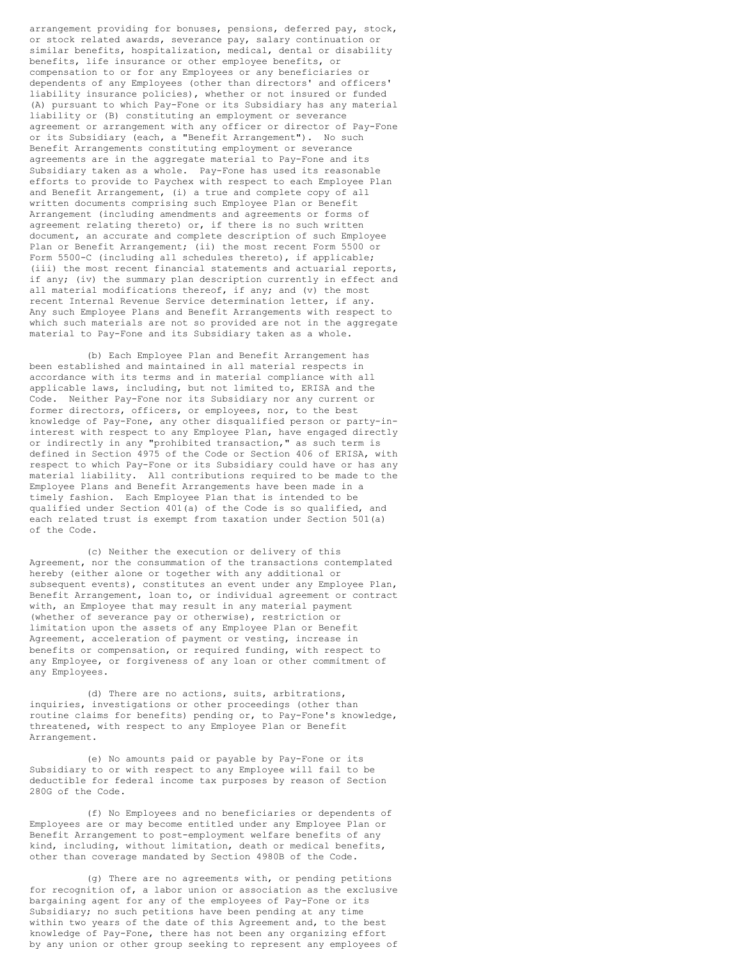arrangement providing for bonuses, pensions, deferred pay, stock, or stock related awards, severance pay, salary continuation or similar benefits, hospitalization, medical, dental or disability benefits, life insurance or other employee benefits, or compensation to or for any Employees or any beneficiaries or dependents of any Employees (other than directors' and officers' liability insurance policies), whether or not insured or funded (A) pursuant to which Pay-Fone or its Subsidiary has any material liability or (B) constituting an employment or severance agreement or arrangement with any officer or director of Pay-Fone or its Subsidiary (each, a "Benefit Arrangement"). No such Benefit Arrangements constituting employment or severance agreements are in the aggregate material to Pay-Fone and its Subsidiary taken as a whole. Pay-Fone has used its reasonable efforts to provide to Paychex with respect to each Employee Plan and Benefit Arrangement, (i) a true and complete copy of all written documents comprising such Employee Plan or Benefit Arrangement (including amendments and agreements or forms of agreement relating thereto) or, if there is no such written document, an accurate and complete description of such Employee Plan or Benefit Arrangement; (ii) the most recent Form 5500 or Form 5500-C (including all schedules thereto), if applicable; (iii) the most recent financial statements and actuarial reports, if any; (iv) the summary plan description currently in effect and all material modifications thereof, if any; and (v) the most recent Internal Revenue Service determination letter, if any. Any such Employee Plans and Benefit Arrangements with respect to which such materials are not so provided are not in the aggregate material to Pay-Fone and its Subsidiary taken as a whole.

(b) Each Employee Plan and Benefit Arrangement has been established and maintained in all material respects in accordance with its terms and in material compliance with all applicable laws, including, but not limited to, ERISA and the Code. Neither Pay-Fone nor its Subsidiary nor any current or former directors, officers, or employees, nor, to the best knowledge of Pay-Fone, any other disqualified person or party-ininterest with respect to any Employee Plan, have engaged directly or indirectly in any "prohibited transaction," as such term is defined in Section 4975 of the Code or Section 406 of ERISA, with respect to which Pay-Fone or its Subsidiary could have or has any material liability. All contributions required to be made to the Employee Plans and Benefit Arrangements have been made in a timely fashion. Each Employee Plan that is intended to be qualified under Section 401(a) of the Code is so qualified, and each related trust is exempt from taxation under Section 501(a) of the Code.

(c) Neither the execution or delivery of this Agreement, nor the consummation of the transactions contemplated hereby (either alone or together with any additional or subsequent events), constitutes an event under any Employee Plan, Benefit Arrangement, loan to, or individual agreement or contract with, an Employee that may result in any material payment (whether of severance pay or otherwise), restriction or limitation upon the assets of any Employee Plan or Benefit Agreement, acceleration of payment or vesting, increase in benefits or compensation, or required funding, with respect to any Employee, or forgiveness of any loan or other commitment of any Employees.

(d) There are no actions, suits, arbitrations, inquiries, investigations or other proceedings (other than routine claims for benefits) pending or, to Pay-Fone's knowledge, threatened, with respect to any Employee Plan or Benefit Arrangement.

(e) No amounts paid or payable by Pay-Fone or its Subsidiary to or with respect to any Employee will fail to be deductible for federal income tax purposes by reason of Section 280G of the Code.

(f) No Employees and no beneficiaries or dependents of Employees are or may become entitled under any Employee Plan or Benefit Arrangement to post-employment welfare benefits of any kind, including, without limitation, death or medical benefits, other than coverage mandated by Section 4980B of the Code.

(g) There are no agreements with, or pending petitions for recognition of, a labor union or association as the exclusive bargaining agent for any of the employees of Pay-Fone or its Subsidiary; no such petitions have been pending at any time within two years of the date of this Agreement and, to the best knowledge of Pay-Fone, there has not been any organizing effort by any union or other group seeking to represent any employees of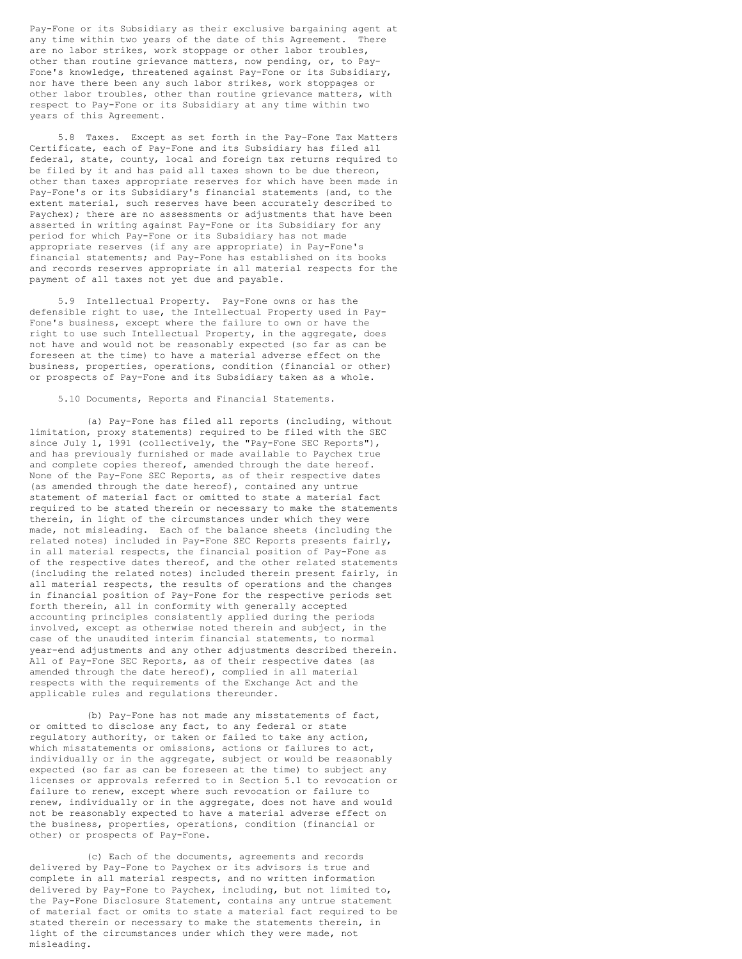Pay-Fone or its Subsidiary as their exclusive bargaining agent at any time within two years of the date of this Agreement. There are no labor strikes, work stoppage or other labor troubles, other than routine grievance matters, now pending, or, to Pay-Fone's knowledge, threatened against Pay-Fone or its Subsidiary, nor have there been any such labor strikes, work stoppages or other labor troubles, other than routine grievance matters, with respect to Pay-Fone or its Subsidiary at any time within two years of this Agreement.

5.8 Taxes. Except as set forth in the Pay-Fone Tax Matters Certificate, each of Pay-Fone and its Subsidiary has filed all federal, state, county, local and foreign tax returns required to be filed by it and has paid all taxes shown to be due thereon, other than taxes appropriate reserves for which have been made in Pay-Fone's or its Subsidiary's financial statements (and, to the extent material, such reserves have been accurately described to Paychex); there are no assessments or adjustments that have been asserted in writing against Pay-Fone or its Subsidiary for any period for which Pay-Fone or its Subsidiary has not made appropriate reserves (if any are appropriate) in Pay-Fone's financial statements; and Pay-Fone has established on its books and records reserves appropriate in all material respects for the payment of all taxes not yet due and payable.

5.9 Intellectual Property. Pay-Fone owns or has the defensible right to use, the Intellectual Property used in Pay-Fone's business, except where the failure to own or have the right to use such Intellectual Property, in the aggregate, does not have and would not be reasonably expected (so far as can be foreseen at the time) to have a material adverse effect on the business, properties, operations, condition (financial or other) or prospects of Pay-Fone and its Subsidiary taken as a whole.

5.10 Documents, Reports and Financial Statements.

(a) Pay-Fone has filed all reports (including, without limitation, proxy statements) required to be filed with the SEC since July 1, 1991 (collectively, the "Pay-Fone SEC Reports"), and has previously furnished or made available to Paychex true and complete copies thereof, amended through the date hereof. None of the Pay-Fone SEC Reports, as of their respective dates (as amended through the date hereof), contained any untrue statement of material fact or omitted to state a material fact required to be stated therein or necessary to make the statements therein, in light of the circumstances under which they were made, not misleading. Each of the balance sheets (including the related notes) included in Pay-Fone SEC Reports presents fairly, in all material respects, the financial position of Pay-Fone as of the respective dates thereof, and the other related statements (including the related notes) included therein present fairly, in all material respects, the results of operations and the changes in financial position of Pay-Fone for the respective periods set forth therein, all in conformity with generally accepted accounting principles consistently applied during the periods involved, except as otherwise noted therein and subject, in the case of the unaudited interim financial statements, to normal year-end adjustments and any other adjustments described therein. All of Pay-Fone SEC Reports, as of their respective dates (as amended through the date hereof), complied in all material respects with the requirements of the Exchange Act and the applicable rules and regulations thereunder.

(b) Pay-Fone has not made any misstatements of fact, or omitted to disclose any fact, to any federal or state regulatory authority, or taken or failed to take any action, which misstatements or omissions, actions or failures to act, individually or in the aggregate, subject or would be reasonably expected (so far as can be foreseen at the time) to subject any licenses or approvals referred to in Section 5.1 to revocation or failure to renew, except where such revocation or failure to renew, individually or in the aggregate, does not have and would not be reasonably expected to have a material adverse effect on the business, properties, operations, condition (financial or other) or prospects of Pay-Fone.

(c) Each of the documents, agreements and records delivered by Pay-Fone to Paychex or its advisors is true and complete in all material respects, and no written information delivered by Pay-Fone to Paychex, including, but not limited to, the Pay-Fone Disclosure Statement, contains any untrue statement of material fact or omits to state a material fact required to be stated therein or necessary to make the statements therein, in light of the circumstances under which they were made, not misleading.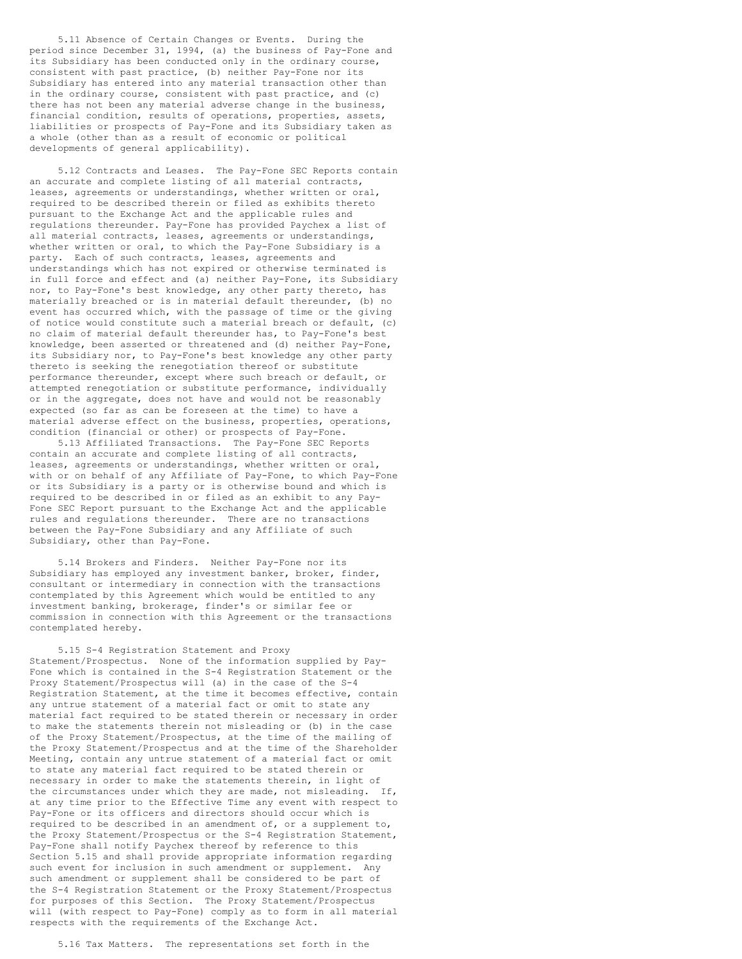5.11 Absence of Certain Changes or Events. During the period since December 31, 1994, (a) the business of Pay-Fone and .<br>its Subsidiary has been conducted only in the ordinary course, consistent with past practice, (b) neither Pay-Fone nor its Subsidiary has entered into any material transaction other than in the ordinary course, consistent with past practice, and (c) there has not been any material adverse change in the business, financial condition, results of operations, properties, assets, liabilities or prospects of Pay-Fone and its Subsidiary taken as a whole (other than as a result of economic or political developments of general applicability).

5.12 Contracts and Leases. The Pay-Fone SEC Reports contain an accurate and complete listing of all material contracts, leases, agreements or understandings, whether written or oral, required to be described therein or filed as exhibits thereto pursuant to the Exchange Act and the applicable rules and regulations thereunder. Pay-Fone has provided Paychex a list of all material contracts, leases, agreements or understandings, whether written or oral, to which the Pay-Fone Subsidiary is a party. Each of such contracts, leases, agreements and understandings which has not expired or otherwise terminated is in full force and effect and (a) neither Pay-Fone, its Subsidiary nor, to Pay-Fone's best knowledge, any other party thereto, has materially breached or is in material default thereunder, (b) no event has occurred which, with the passage of time or the giving of notice would constitute such a material breach or default, (c) no claim of material default thereunder has, to Pay-Fone's best knowledge, been asserted or threatened and (d) neither Pay-Fone, its Subsidiary nor, to Pay-Fone's best knowledge any other party thereto is seeking the renegotiation thereof or substitute performance thereunder, except where such breach or default, or attempted renegotiation or substitute performance, individually or in the aggregate, does not have and would not be reasonably expected (so far as can be foreseen at the time) to have a material adverse effect on the business, properties, operations, condition (financial or other) or prospects of Pay-Fone.

5.13 Affiliated Transactions. The Pay-Fone SEC Reports contain an accurate and complete listing of all contracts, leases, agreements or understandings, whether written or oral, with or on behalf of any Affiliate of Pay-Fone, to which Pay-Fone or its Subsidiary is a party or is otherwise bound and which is required to be described in or filed as an exhibit to any Pay-Fone SEC Report pursuant to the Exchange Act and the applicable rules and regulations thereunder. There are no transactions between the Pay-Fone Subsidiary and any Affiliate of such Subsidiary, other than Pay-Fone.

5.14 Brokers and Finders. Neither Pay-Fone nor its Subsidiary has employed any investment banker, broker, finder, consultant or intermediary in connection with the transactions contemplated by this Agreement which would be entitled to any investment banking, brokerage, finder's or similar fee or commission in connection with this Agreement or the transactions contemplated hereby.

5.15 S-4 Registration Statement and Proxy Statement/Prospectus. None of the information supplied by Pay-Fone which is contained in the S-4 Registration Statement or the Proxy Statement/Prospectus will (a) in the case of the S-4 Registration Statement, at the time it becomes effective, contain any untrue statement of a material fact or omit to state any material fact required to be stated therein or necessary in order to make the statements therein not misleading or (b) in the case of the Proxy Statement/Prospectus, at the time of the mailing of the Proxy Statement/Prospectus and at the time of the Shareholder Meeting, contain any untrue statement of a material fact or omit to state any material fact required to be stated therein or necessary in order to make the statements therein, in light of the circumstances under which they are made, not misleading. If, at any time prior to the Effective Time any event with respect to Pay-Fone or its officers and directors should occur which is required to be described in an amendment of, or a supplement to, the Proxy Statement/Prospectus or the S-4 Registration Statement, Pay-Fone shall notify Paychex thereof by reference to this Section 5.15 and shall provide appropriate information regarding such event for inclusion in such amendment or supplement. Any such amendment or supplement shall be considered to be part of the S-4 Registration Statement or the Proxy Statement/Prospectus for purposes of this Section. The Proxy Statement/Prospectus will (with respect to Pay-Fone) comply as to form in all material respects with the requirements of the Exchange Act.

5.16 Tax Matters. The representations set forth in the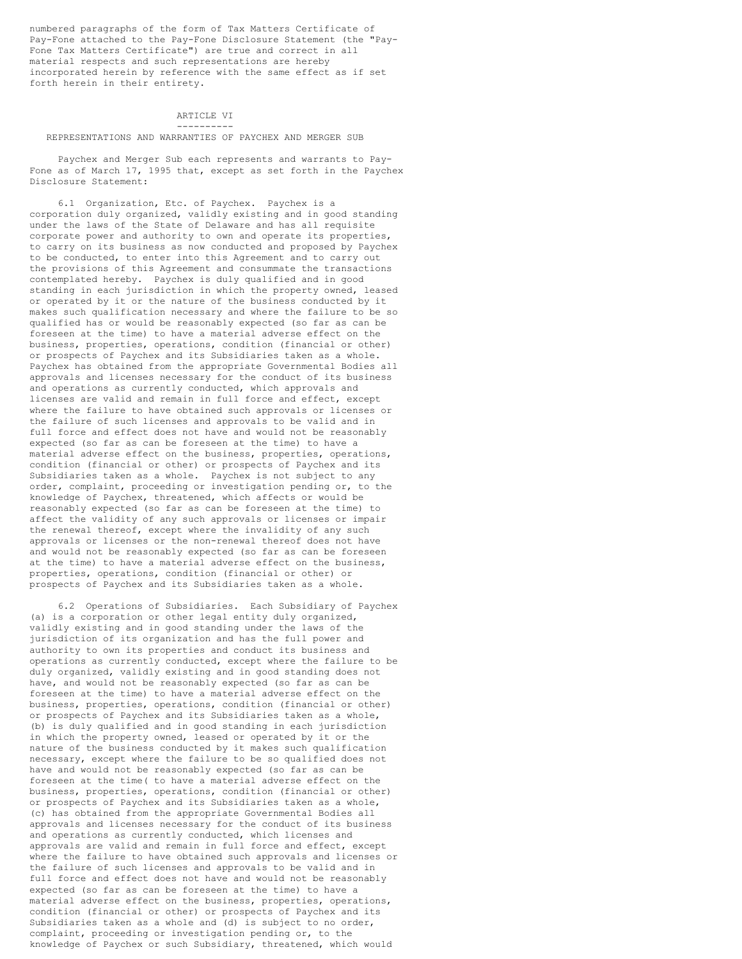numbered paragraphs of the form of Tax Matters Certificate of Pay-Fone attached to the Pay-Fone Disclosure Statement (the "Pay-Fone Tax Matters Certificate") are true and correct in all material respects and such representations are hereby incorporated herein by reference with the same effect as if set forth herein in their entirety.

## ARTICLE VI ----------

#### REPRESENTATIONS AND WARRANTIES OF PAYCHEX AND MERGER SUB

Paychex and Merger Sub each represents and warrants to Pay-Fone as of March 17, 1995 that, except as set forth in the Paychex Disclosure Statement:

6.1 Organization, Etc. of Paychex. Paychex is a corporation duly organized, validly existing and in good standing under the laws of the State of Delaware and has all requisite corporate power and authority to own and operate its properties, to carry on its business as now conducted and proposed by Paychex to be conducted, to enter into this Agreement and to carry out the provisions of this Agreement and consummate the transactions contemplated hereby. Paychex is duly qualified and in good standing in each jurisdiction in which the property owned, leased or operated by it or the nature of the business conducted by it makes such qualification necessary and where the failure to be so qualified has or would be reasonably expected (so far as can be foreseen at the time) to have a material adverse effect on the business, properties, operations, condition (financial or other) or prospects of Paychex and its Subsidiaries taken as a whole. Paychex has obtained from the appropriate Governmental Bodies all approvals and licenses necessary for the conduct of its business and operations as currently conducted, which approvals and licenses are valid and remain in full force and effect, except where the failure to have obtained such approvals or licenses or the failure of such licenses and approvals to be valid and in full force and effect does not have and would not be reasonably expected (so far as can be foreseen at the time) to have a material adverse effect on the business, properties, operations, condition (financial or other) or prospects of Paychex and its Subsidiaries taken as a whole. Paychex is not subject to any order, complaint, proceeding or investigation pending or, to the knowledge of Paychex, threatened, which affects or would be reasonably expected (so far as can be foreseen at the time) to affect the validity of any such approvals or licenses or impair the renewal thereof, except where the invalidity of any such approvals or licenses or the non-renewal thereof does not have and would not be reasonably expected (so far as can be foreseen at the time) to have a material adverse effect on the business, properties, operations, condition (financial or other) or prospects of Paychex and its Subsidiaries taken as a whole.

6.2 Operations of Subsidiaries. Each Subsidiary of Paychex (a) is a corporation or other legal entity duly organized, validly existing and in good standing under the laws of the jurisdiction of its organization and has the full power and authority to own its properties and conduct its business and operations as currently conducted, except where the failure to be duly organized, validly existing and in good standing does not have, and would not be reasonably expected (so far as can be foreseen at the time) to have a material adverse effect on the business, properties, operations, condition (financial or other) or prospects of Paychex and its Subsidiaries taken as a whole, (b) is duly qualified and in good standing in each jurisdiction in which the property owned, leased or operated by it or the nature of the business conducted by it makes such qualification necessary, except where the failure to be so qualified does not have and would not be reasonably expected (so far as can be foreseen at the time( to have a material adverse effect on the business, properties, operations, condition (financial or other) or prospects of Paychex and its Subsidiaries taken as a whole, (c) has obtained from the appropriate Governmental Bodies all approvals and licenses necessary for the conduct of its business and operations as currently conducted, which licenses and approvals are valid and remain in full force and effect, except where the failure to have obtained such approvals and licenses or the failure of such licenses and approvals to be valid and in full force and effect does not have and would not be reasonably expected (so far as can be foreseen at the time) to have a material adverse effect on the business, properties, operations, condition (financial or other) or prospects of Paychex and its Subsidiaries taken as a whole and (d) is subject to no order, complaint, proceeding or investigation pending or, to the knowledge of Paychex or such Subsidiary, threatened, which would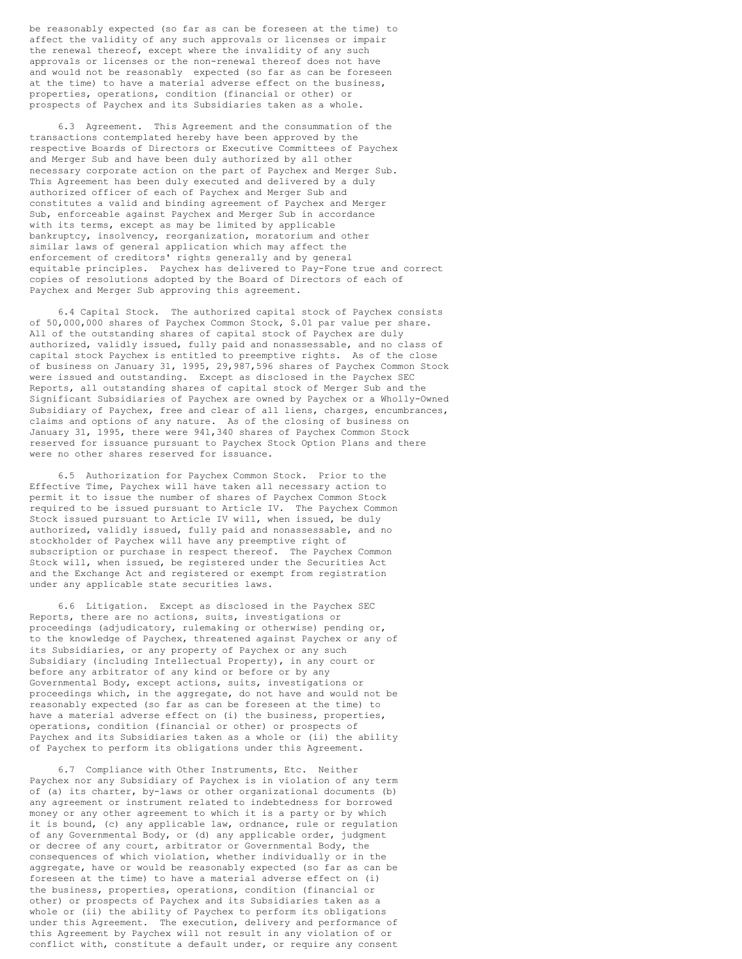be reasonably expected (so far as can be foreseen at the time) to affect the validity of any such approvals or licenses or impair the renewal thereof, except where the invalidity of any such approvals or licenses or the non-renewal thereof does not have and would not be reasonably expected (so far as can be foreseen at the time) to have a material adverse effect on the business, properties, operations, condition (financial or other) or prospects of Paychex and its Subsidiaries taken as a whole.

6.3 Agreement. This Agreement and the consummation of the transactions contemplated hereby have been approved by the respective Boards of Directors or Executive Committees of Paychex and Merger Sub and have been duly authorized by all other necessary corporate action on the part of Paychex and Merger Sub. This Agreement has been duly executed and delivered by a duly authorized officer of each of Paychex and Merger Sub and constitutes a valid and binding agreement of Paychex and Merger Sub, enforceable against Paychex and Merger Sub in accordance with its terms, except as may be limited by applicable bankruptcy, insolvency, reorganization, moratorium and other similar laws of general application which may affect the enforcement of creditors' rights generally and by general equitable principles. Paychex has delivered to Pay-Fone true and correct copies of resolutions adopted by the Board of Directors of each of Paychex and Merger Sub approving this agreement.

6.4 Capital Stock. The authorized capital stock of Paychex consists of 50,000,000 shares of Paychex Common Stock, \$.01 par value per share. All of the outstanding shares of capital stock of Paychex are duly authorized, validly issued, fully paid and nonassessable, and no class of capital stock Paychex is entitled to preemptive rights. As of the close of business on January 31, 1995, 29,987,596 shares of Paychex Common Stock were issued and outstanding. Except as disclosed in the Paychex SEC Reports, all outstanding shares of capital stock of Merger Sub and the Significant Subsidiaries of Paychex are owned by Paychex or a Wholly-Owned Subsidiary of Paychex, free and clear of all liens, charges, encumbrances, claims and options of any nature. As of the closing of business on January 31, 1995, there were 941,340 shares of Paychex Common Stock reserved for issuance pursuant to Paychex Stock Option Plans and there were no other shares reserved for issuance.

6.5 Authorization for Paychex Common Stock. Prior to the Effective Time, Paychex will have taken all necessary action to permit it to issue the number of shares of Paychex Common Stock required to be issued pursuant to Article IV. The Paychex Common Stock issued pursuant to Article IV will, when issued, be duly authorized, validly issued, fully paid and nonassessable, and no stockholder of Paychex will have any preemptive right of subscription or purchase in respect thereof. The Paychex Common Stock will, when issued, be registered under the Securities Act and the Exchange Act and registered or exempt from registration under any applicable state securities laws.

6.6 Litigation. Except as disclosed in the Paychex SEC Reports, there are no actions, suits, investigations or proceedings (adjudicatory, rulemaking or otherwise) pending or, to the knowledge of Paychex, threatened against Paychex or any of its Subsidiaries, or any property of Paychex or any such Subsidiary (including Intellectual Property), in any court or before any arbitrator of any kind or before or by any Governmental Body, except actions, suits, investigations or proceedings which, in the aggregate, do not have and would not be reasonably expected (so far as can be foreseen at the time) to have a material adverse effect on (i) the business, properties, operations, condition (financial or other) or prospects of Paychex and its Subsidiaries taken as a whole or (ii) the ability of Paychex to perform its obligations under this Agreement.

6.7 Compliance with Other Instruments, Etc. Neither Paychex nor any Subsidiary of Paychex is in violation of any term of (a) its charter, by-laws or other organizational documents (b) any agreement or instrument related to indebtedness for borrowed money or any other agreement to which it is a party or by which it is bound, (c) any applicable law, ordnance, rule or regulation of any Governmental Body, or (d) any applicable order, judgment or decree of any court, arbitrator or Governmental Body, the consequences of which violation, whether individually or in the aggregate, have or would be reasonably expected (so far as can be foreseen at the time) to have a material adverse effect on (i) the business, properties, operations, condition (financial or other) or prospects of Paychex and its Subsidiaries taken as a whole or (ii) the ability of Paychex to perform its obligations under this Agreement. The execution, delivery and performance of this Agreement by Paychex will not result in any violation of or conflict with, constitute a default under, or require any consent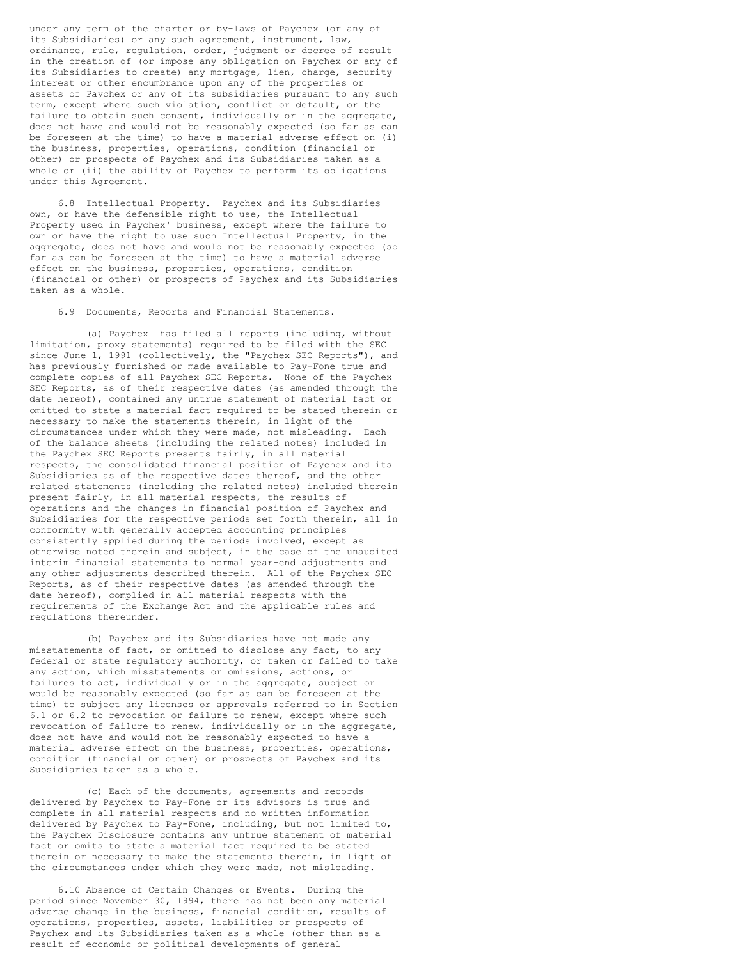under any term of the charter or by-laws of Paychex (or any of its Subsidiaries) or any such agreement, instrument, law, ordinance, rule, regulation, order, judgment or decree of result in the creation of (or impose any obligation on Paychex or any of its Subsidiaries to create) any mortgage, lien, charge, security interest or other encumbrance upon any of the properties or assets of Paychex or any of its subsidiaries pursuant to any such term, except where such violation, conflict or default, or the failure to obtain such consent, individually or in the aggregate, does not have and would not be reasonably expected (so far as can be foreseen at the time) to have a material adverse effect on (i) the business, properties, operations, condition (financial or other) or prospects of Paychex and its Subsidiaries taken as a whole or (ii) the ability of Paychex to perform its obligations under this Agreement.

6.8 Intellectual Property. Paychex and its Subsidiaries own, or have the defensible right to use, the Intellectual Property used in Paychex' business, except where the failure to own or have the right to use such Intellectual Property, in the aggregate, does not have and would not be reasonably expected (so far as can be foreseen at the time) to have a material adverse effect on the business, properties, operations, condition (financial or other) or prospects of Paychex and its Subsidiaries taken as a whole.

6.9 Documents, Reports and Financial Statements.

(a) Paychex has filed all reports (including, without limitation, proxy statements) required to be filed with the SEC since June 1, 1991 (collectively, the "Paychex SEC Reports"), and has previously furnished or made available to Pay-Fone true and complete copies of all Paychex SEC Reports. None of the Paychex SEC Reports, as of their respective dates (as amended through the date hereof), contained any untrue statement of material fact or omitted to state a material fact required to be stated therein or necessary to make the statements therein, in light of the circumstances under which they were made, not misleading. Each of the balance sheets (including the related notes) included in the Paychex SEC Reports presents fairly, in all material respects, the consolidated financial position of Paychex and its Subsidiaries as of the respective dates thereof, and the other related statements (including the related notes) included therein present fairly, in all material respects, the results of operations and the changes in financial position of Paychex and Subsidiaries for the respective periods set forth therein, all in conformity with generally accepted accounting principles consistently applied during the periods involved, except as otherwise noted therein and subject, in the case of the unaudited interim financial statements to normal year-end adjustments and any other adjustments described therein. All of the Paychex SEC Reports, as of their respective dates (as amended through the date hereof), complied in all material respects with the requirements of the Exchange Act and the applicable rules and regulations thereunder.

(b) Paychex and its Subsidiaries have not made any misstatements of fact, or omitted to disclose any fact, to any federal or state regulatory authority, or taken or failed to take any action, which misstatements or omissions, actions, or failures to act, individually or in the aggregate, subject or would be reasonably expected (so far as can be foreseen at the time) to subject any licenses or approvals referred to in Section 6.1 or 6.2 to revocation or failure to renew, except where such revocation of failure to renew, individually or in the aggregate, does not have and would not be reasonably expected to have a material adverse effect on the business, properties, operations, condition (financial or other) or prospects of Paychex and its Subsidiaries taken as a whole.

(c) Each of the documents, agreements and records delivered by Paychex to Pay-Fone or its advisors is true and complete in all material respects and no written information delivered by Paychex to Pay-Fone, including, but not limited to, the Paychex Disclosure contains any untrue statement of material fact or omits to state a material fact required to be stated therein or necessary to make the statements therein, in light of the circumstances under which they were made, not misleading.

6.10 Absence of Certain Changes or Events. During the period since November 30, 1994, there has not been any material adverse change in the business, financial condition, results of operations, properties, assets, liabilities or prospects of Paychex and its Subsidiaries taken as a whole (other than as a result of economic or political developments of general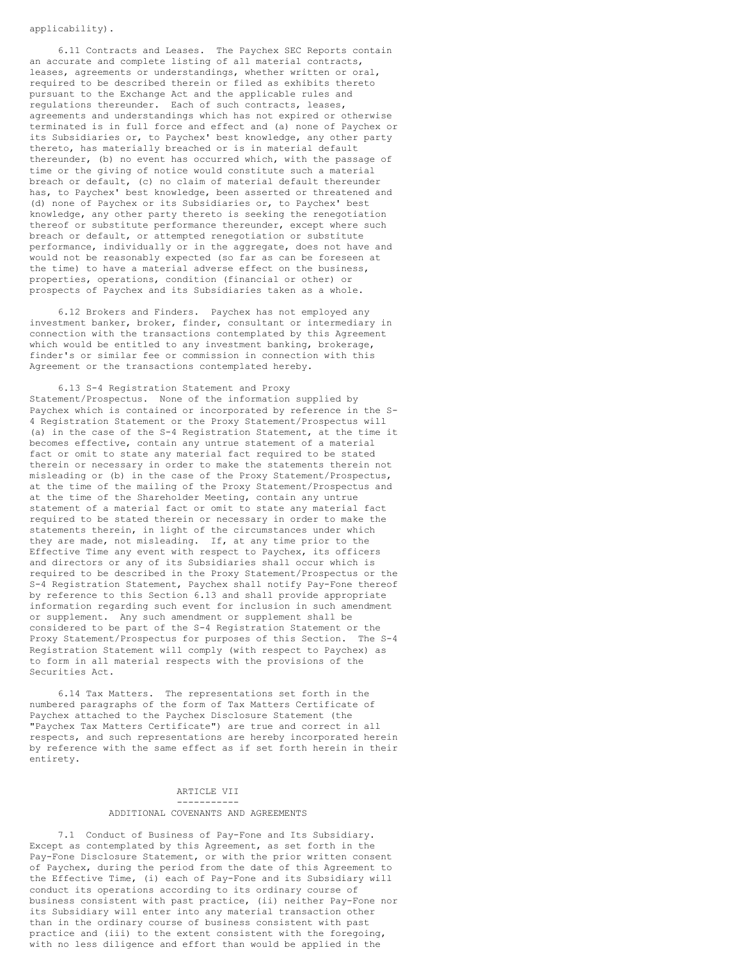# applicability).

6.11 Contracts and Leases. The Paychex SEC Reports contain an accurate and complete listing of all material contracts, leases, agreements or understandings, whether written or oral, required to be described therein or filed as exhibits thereto pursuant to the Exchange Act and the applicable rules and regulations thereunder. Each of such contracts, leases, agreements and understandings which has not expired or otherwise terminated is in full force and effect and (a) none of Paychex or its Subsidiaries or, to Paychex' best knowledge, any other party thereto, has materially breached or is in material default thereunder, (b) no event has occurred which, with the passage of time or the giving of notice would constitute such a material breach or default, (c) no claim of material default thereunder has, to Paychex' best knowledge, been asserted or threatened and (d) none of Paychex or its Subsidiaries or, to Paychex' best knowledge, any other party thereto is seeking the renegotiation thereof or substitute performance thereunder, except where such breach or default, or attempted renegotiation or substitute performance, individually or in the aggregate, does not have and would not be reasonably expected (so far as can be foreseen at the time) to have a material adverse effect on the business, properties, operations, condition (financial or other) or prospects of Paychex and its Subsidiaries taken as a whole.

6.12 Brokers and Finders. Paychex has not employed any investment banker, broker, finder, consultant or intermediary in connection with the transactions contemplated by this Agreement which would be entitled to any investment banking, brokerage, finder's or similar fee or commission in connection with this Agreement or the transactions contemplated hereby.

6.13 S-4 Registration Statement and Proxy Statement/Prospectus. None of the information supplied by Paychex which is contained or incorporated by reference in the S-4 Registration Statement or the Proxy Statement/Prospectus will (a) in the case of the S-4 Registration Statement, at the time it becomes effective, contain any untrue statement of a material fact or omit to state any material fact required to be stated therein or necessary in order to make the statements therein not misleading or (b) in the case of the Proxy Statement/Prospectus, at the time of the mailing of the Proxy Statement/Prospectus and at the time of the Shareholder Meeting, contain any untrue statement of a material fact or omit to state any material fact required to be stated therein or necessary in order to make the statements therein, in light of the circumstances under which they are made, not misleading. If, at any time prior to the Effective Time any event with respect to Paychex, its officers and directors or any of its Subsidiaries shall occur which is required to be described in the Proxy Statement/Prospectus or the S-4 Registration Statement, Paychex shall notify Pay-Fone thereof by reference to this Section 6.13 and shall provide appropriate information regarding such event for inclusion in such amendment or supplement. Any such amendment or supplement shall be considered to be part of the S-4 Registration Statement or the Proxy Statement/Prospectus for purposes of this Section. The S-4 Registration Statement will comply (with respect to Paychex) as to form in all material respects with the provisions of the Securities Act.

6.14 Tax Matters. The representations set forth in the numbered paragraphs of the form of Tax Matters Certificate of Paychex attached to the Paychex Disclosure Statement (the "Paychex Tax Matters Certificate") are true and correct in all respects, and such representations are hereby incorporated herein by reference with the same effect as if set forth herein in their entirety.

# ARTICLE VII

#### ----------- ADDITIONAL COVENANTS AND AGREEMENTS

7.1 Conduct of Business of Pay-Fone and Its Subsidiary. Except as contemplated by this Agreement, as set forth in the Pay-Fone Disclosure Statement, or with the prior written consent of Paychex, during the period from the date of this Agreement to the Effective Time, (i) each of Pay-Fone and its Subsidiary will conduct its operations according to its ordinary course of business consistent with past practice, (ii) neither Pay-Fone nor its Subsidiary will enter into any material transaction other than in the ordinary course of business consistent with past practice and (iii) to the extent consistent with the foregoing, with no less diligence and effort than would be applied in the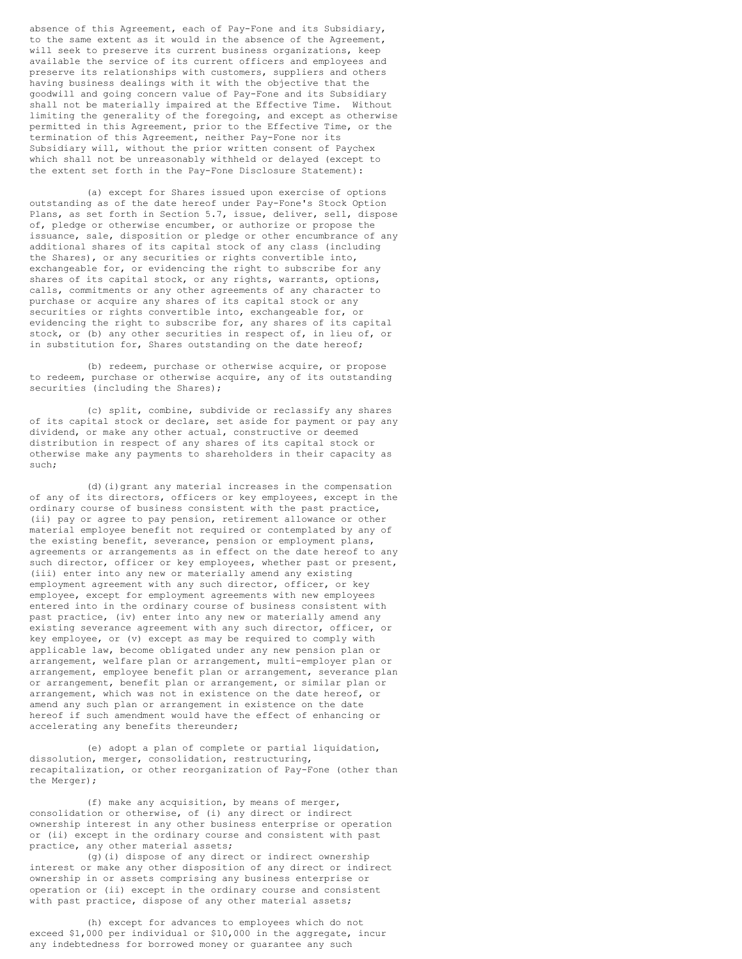absence of this Agreement, each of Pay-Fone and its Subsidiary, to the same extent as it would in the absence of the Agreement, will seek to preserve its current business organizations, keep available the service of its current officers and employees and preserve its relationships with customers, suppliers and others having business dealings with it with the objective that the goodwill and going concern value of Pay-Fone and its Subsidiary shall not be materially impaired at the Effective Time. Without limiting the generality of the foregoing, and except as otherwise permitted in this Agreement, prior to the Effective Time, or the termination of this Agreement, neither Pay-Fone nor its Subsidiary will, without the prior written consent of Paychex which shall not be unreasonably withheld or delayed (except to the extent set forth in the Pay-Fone Disclosure Statement):

(a) except for Shares issued upon exercise of options outstanding as of the date hereof under Pay-Fone's Stock Option Plans, as set forth in Section 5.7, issue, deliver, sell, dispose of, pledge or otherwise encumber, or authorize or propose the issuance, sale, disposition or pledge or other encumbrance of any additional shares of its capital stock of any class (including the Shares), or any securities or rights convertible into, exchangeable for, or evidencing the right to subscribe for any shares of its capital stock, or any rights, warrants, options, calls, commitments or any other agreements of any character to purchase or acquire any shares of its capital stock or any securities or rights convertible into, exchangeable for, or evidencing the right to subscribe for, any shares of its capital stock, or (b) any other securities in respect of, in lieu of, or in substitution for, Shares outstanding on the date hereof;

(b) redeem, purchase or otherwise acquire, or propose to redeem, purchase or otherwise acquire, any of its outstanding securities (including the Shares);

(c) split, combine, subdivide or reclassify any shares of its capital stock or declare, set aside for payment or pay any dividend, or make any other actual, constructive or deemed distribution in respect of any shares of its capital stock or otherwise make any payments to shareholders in their capacity as such;

(d)(i)grant any material increases in the compensation of any of its directors, officers or key employees, except in the ordinary course of business consistent with the past practice, (ii) pay or agree to pay pension, retirement allowance or other material employee benefit not required or contemplated by any of the existing benefit, severance, pension or employment plans, agreements or arrangements as in effect on the date hereof to any such director, officer or key employees, whether past or present, (iii) enter into any new or materially amend any existing employment agreement with any such director, officer, or key employee, except for employment agreements with new employees entered into in the ordinary course of business consistent with past practice, (iv) enter into any new or materially amend any existing severance agreement with any such director, officer, or key employee, or (v) except as may be required to comply with applicable law, become obligated under any new pension plan or arrangement, welfare plan or arrangement, multi-employer plan or arrangement, employee benefit plan or arrangement, severance plan or arrangement, benefit plan or arrangement, or similar plan or arrangement, which was not in existence on the date hereof, or amend any such plan or arrangement in existence on the date hereof if such amendment would have the effect of enhancing or accelerating any benefits thereunder;

(e) adopt a plan of complete or partial liquidation, dissolution, merger, consolidation, restructuring, recapitalization, or other reorganization of Pay-Fone (other than the Merger);

(f) make any acquisition, by means of merger, consolidation or otherwise, of (i) any direct or indirect ownership interest in any other business enterprise or operation or (ii) except in the ordinary course and consistent with past practice, any other material assets;

(g)(i) dispose of any direct or indirect ownership interest or make any other disposition of any direct or indirect ownership in or assets comprising any business enterprise or operation or (ii) except in the ordinary course and consistent with past practice, dispose of any other material assets;

(h) except for advances to employees which do not exceed \$1,000 per individual or \$10,000 in the aggregate, incur any indebtedness for borrowed money or guarantee any such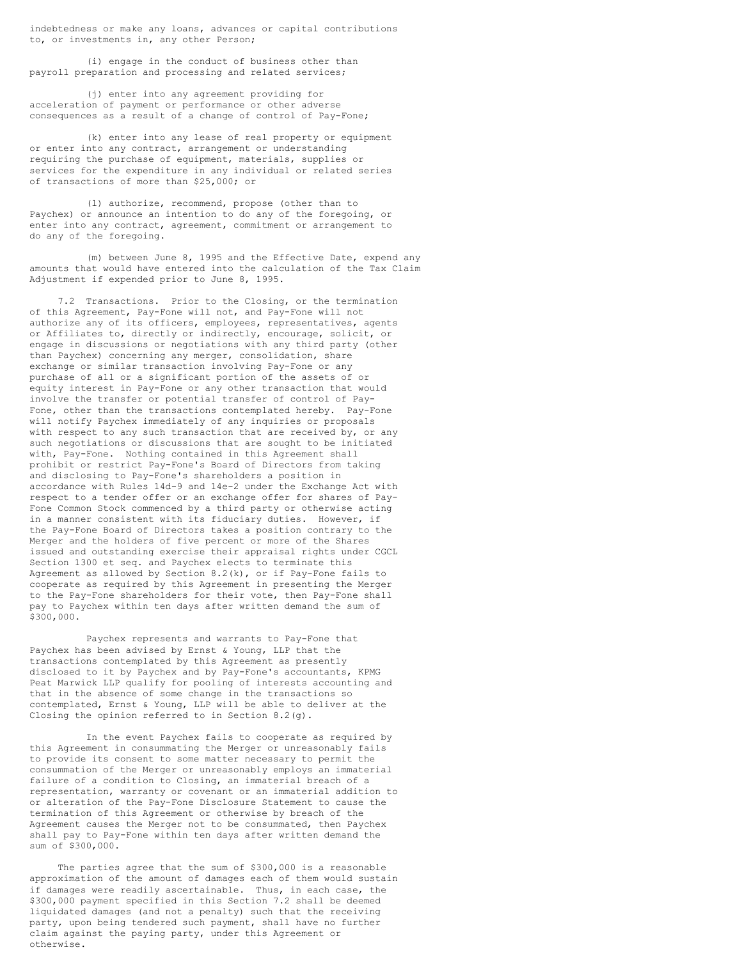indebtedness or make any loans, advances or capital contributions to, or investments in, any other Person;

(i) engage in the conduct of business other than payroll preparation and processing and related services;

(j) enter into any agreement providing for acceleration of payment or performance or other adverse consequences as a result of a change of control of Pay-Fone;

(k) enter into any lease of real property or equipment or enter into any contract, arrangement or understanding requiring the purchase of equipment, materials, supplies or services for the expenditure in any individual or related series of transactions of more than \$25,000; or

(l) authorize, recommend, propose (other than to Paychex) or announce an intention to do any of the foregoing, or enter into any contract, agreement, commitment or arrangement to do any of the foregoing.

(m) between June 8, 1995 and the Effective Date, expend any amounts that would have entered into the calculation of the Tax Claim Adjustment if expended prior to June 8, 1995.

7.2 Transactions. Prior to the Closing, or the termination of this Agreement, Pay-Fone will not, and Pay-Fone will not authorize any of its officers, employees, representatives, agents or Affiliates to, directly or indirectly, encourage, solicit, or engage in discussions or negotiations with any third party (other than Paychex) concerning any merger, consolidation, share exchange or similar transaction involving Pay-Fone or any purchase of all or a significant portion of the assets of or equity interest in Pay-Fone or any other transaction that would involve the transfer or potential transfer of control of Pay-Fone, other than the transactions contemplated hereby. Pay-Fone will notify Paychex immediately of any inquiries or proposals with respect to any such transaction that are received by, or any such negotiations or discussions that are sought to be initiated with, Pay-Fone. Nothing contained in this Agreement shall prohibit or restrict Pay-Fone's Board of Directors from taking and disclosing to Pay-Fone's shareholders a position in accordance with Rules 14d-9 and 14e-2 under the Exchange Act with respect to a tender offer or an exchange offer for shares of Pay-Fone Common Stock commenced by a third party or otherwise acting in a manner consistent with its fiduciary duties. However, if the Pay-Fone Board of Directors takes a position contrary to the Merger and the holders of five percent or more of the Shares issued and outstanding exercise their appraisal rights under CGCL Section 1300 et seq. and Paychex elects to terminate this Agreement as allowed by Section 8.2(k), or if Pay-Fone fails to cooperate as required by this Agreement in presenting the Merger to the Pay-Fone shareholders for their vote, then Pay-Fone shall pay to Paychex within ten days after written demand the sum of \$300,000.

Paychex represents and warrants to Pay-Fone that Paychex has been advised by Ernst & Young, LLP that the transactions contemplated by this Agreement as presently disclosed to it by Paychex and by Pay-Fone's accountants, KPMG Peat Marwick LLP qualify for pooling of interests accounting and that in the absence of some change in the transactions so contemplated, Ernst & Young, LLP will be able to deliver at the Closing the opinion referred to in Section 8.2(g).

In the event Paychex fails to cooperate as required by this Agreement in consummating the Merger or unreasonably fails to provide its consent to some matter necessary to permit the consummation of the Merger or unreasonably employs an immaterial failure of a condition to Closing, an immaterial breach of a representation, warranty or covenant or an immaterial addition to or alteration of the Pay-Fone Disclosure Statement to cause the termination of this Agreement or otherwise by breach of the Agreement causes the Merger not to be consummated, then Paychex shall pay to Pay-Fone within ten days after written demand the sum of \$300,000.

The parties agree that the sum of \$300,000 is a reasonable approximation of the amount of damages each of them would sustain if damages were readily ascertainable. Thus, in each case, the \$300,000 payment specified in this Section 7.2 shall be deemed liquidated damages (and not a penalty) such that the receiving party, upon being tendered such payment, shall have no further claim against the paying party, under this Agreement or otherwise.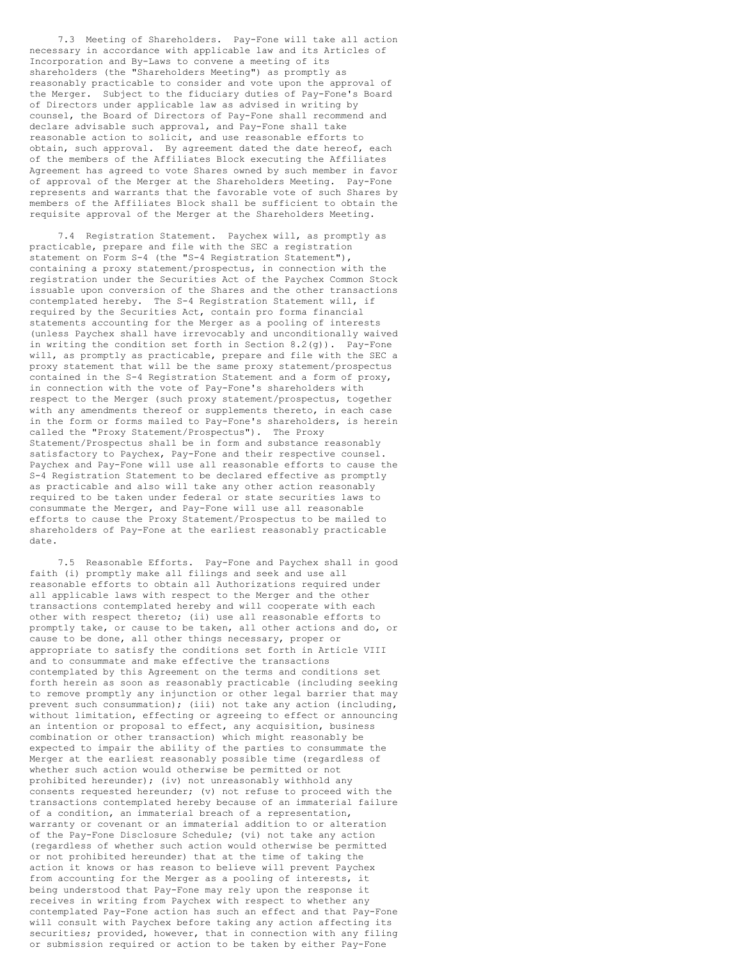7.3 Meeting of Shareholders. Pay-Fone will take all action necessary in accordance with applicable law and its Articles of Incorporation and By-Laws to convene a meeting of its shareholders (the "Shareholders Meeting") as promptly as reasonably practicable to consider and vote upon the approval of the Merger. Subject to the fiduciary duties of Pay-Fone's Board of Directors under applicable law as advised in writing by counsel, the Board of Directors of Pay-Fone shall recommend and declare advisable such approval, and Pay-Fone shall take reasonable action to solicit, and use reasonable efforts to obtain, such approval. By agreement dated the date hereof, each of the members of the Affiliates Block executing the Affiliates Agreement has agreed to vote Shares owned by such member in favor of approval of the Merger at the Shareholders Meeting. Pay-Fone represents and warrants that the favorable vote of such Shares by members of the Affiliates Block shall be sufficient to obtain the requisite approval of the Merger at the Shareholders Meeting.

7.4 Registration Statement. Paychex will, as promptly as practicable, prepare and file with the SEC a registration statement on Form S-4 (the "S-4 Registration Statement"), containing a proxy statement/prospectus, in connection with the registration under the Securities Act of the Paychex Common Stock issuable upon conversion of the Shares and the other transactions contemplated hereby. The S-4 Registration Statement will, if required by the Securities Act, contain pro forma financial statements accounting for the Merger as a pooling of interests (unless Paychex shall have irrevocably and unconditionally waived in writing the condition set forth in Section 8.2(g)). Pay-Fone will, as promptly as practicable, prepare and file with the SEC a proxy statement that will be the same proxy statement/prospectus contained in the S-4 Registration Statement and a form of proxy, in connection with the vote of Pay-Fone's shareholders with respect to the Merger (such proxy statement/prospectus, together with any amendments thereof or supplements thereto, in each case in the form or forms mailed to Pay-Fone's shareholders, is herein called the "Proxy Statement/Prospectus"). The Proxy Statement/Prospectus shall be in form and substance reasonably satisfactory to Paychex, Pay-Fone and their respective counsel. Paychex and Pay-Fone will use all reasonable efforts to cause the S-4 Registration Statement to be declared effective as promptly as practicable and also will take any other action reasonably required to be taken under federal or state securities laws to consummate the Merger, and Pay-Fone will use all reasonable efforts to cause the Proxy Statement/Prospectus to be mailed to shareholders of Pay-Fone at the earliest reasonably practicable date.

7.5 Reasonable Efforts. Pay-Fone and Paychex shall in good faith (i) promptly make all filings and seek and use all reasonable efforts to obtain all Authorizations required under all applicable laws with respect to the Merger and the other transactions contemplated hereby and will cooperate with each other with respect thereto; (ii) use all reasonable efforts to promptly take, or cause to be taken, all other actions and do, or cause to be done, all other things necessary, proper or appropriate to satisfy the conditions set forth in Article VIII and to consummate and make effective the transactions contemplated by this Agreement on the terms and conditions set forth herein as soon as reasonably practicable (including seeking to remove promptly any injunction or other legal barrier that may prevent such consummation); (iii) not take any action (including, without limitation, effecting or agreeing to effect or announcing an intention or proposal to effect, any acquisition, business combination or other transaction) which might reasonably be expected to impair the ability of the parties to consummate the Merger at the earliest reasonably possible time (regardless of whether such action would otherwise be permitted or not prohibited hereunder); (iv) not unreasonably withhold any consents requested hereunder; (v) not refuse to proceed with the transactions contemplated hereby because of an immaterial failure of a condition, an immaterial breach of a representation, warranty or covenant or an immaterial addition to or alteration of the Pay-Fone Disclosure Schedule; (vi) not take any action (regardless of whether such action would otherwise be permitted or not prohibited hereunder) that at the time of taking the action it knows or has reason to believe will prevent Paychex from accounting for the Merger as a pooling of interests, it being understood that Pay-Fone may rely upon the response it receives in writing from Paychex with respect to whether any contemplated Pay-Fone action has such an effect and that Pay-Fone will consult with Paychex before taking any action affecting its securities; provided, however, that in connection with any filing or submission required or action to be taken by either Pay-Fone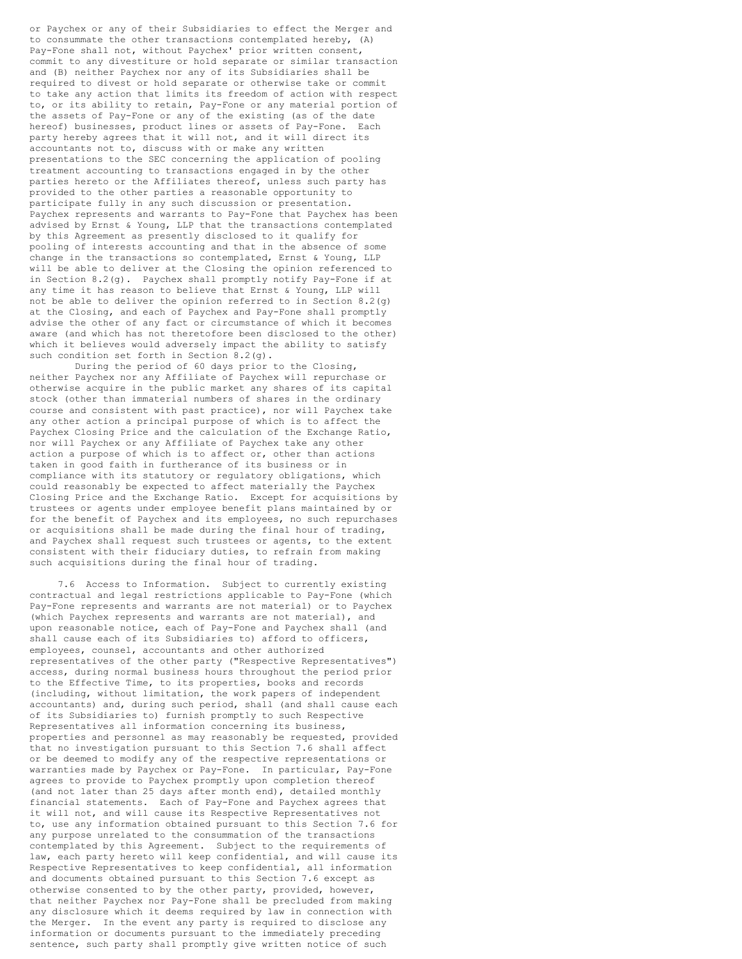or Paychex or any of their Subsidiaries to effect the Merger and to consummate the other transactions contemplated hereby, (A) Pay-Fone shall not, without Paychex' prior written consent, commit to any divestiture or hold separate or similar transaction and (B) neither Paychex nor any of its Subsidiaries shall be required to divest or hold separate or otherwise take or commit to take any action that limits its freedom of action with respect to, or its ability to retain, Pay-Fone or any material portion of the assets of Pay-Fone or any of the existing (as of the date hereof) businesses, product lines or assets of Pay-Fone. Each party hereby agrees that it will not, and it will direct its accountants not to, discuss with or make any written presentations to the SEC concerning the application of pooling treatment accounting to transactions engaged in by the other parties hereto or the Affiliates thereof, unless such party has provided to the other parties a reasonable opportunity to participate fully in any such discussion or presentation. Paychex represents and warrants to Pay-Fone that Paychex has been advised by Ernst & Young, LLP that the transactions contemplated by this Agreement as presently disclosed to it qualify for pooling of interests accounting and that in the absence of some change in the transactions so contemplated, Ernst & Young, LLP will be able to deliver at the Closing the opinion referenced to in Section 8.2(g). Paychex shall promptly notify Pay-Fone if at any time it has reason to believe that Ernst & Young, LLP will not be able to deliver the opinion referred to in Section 8.2(g) at the Closing, and each of Paychex and Pay-Fone shall promptly advise the other of any fact or circumstance of which it becomes aware (and which has not theretofore been disclosed to the other) which it believes would adversely impact the ability to satisfy such condition set forth in Section 8.2(g).

During the period of 60 days prior to the Closing, neither Paychex nor any Affiliate of Paychex will repurchase or otherwise acquire in the public market any shares of its capital stock (other than immaterial numbers of shares in the ordinary course and consistent with past practice), nor will Paychex take any other action a principal purpose of which is to affect the Paychex Closing Price and the calculation of the Exchange Ratio, nor will Paychex or any Affiliate of Paychex take any other action a purpose of which is to affect or, other than actions taken in good faith in furtherance of its business or in compliance with its statutory or regulatory obligations, which could reasonably be expected to affect materially the Paychex Closing Price and the Exchange Ratio. Except for acquisitions by trustees or agents under employee benefit plans maintained by or for the benefit of Paychex and its employees, no such repurchases or acquisitions shall be made during the final hour of trading, and Paychex shall request such trustees or agents, to the extent consistent with their fiduciary duties, to refrain from making such acquisitions during the final hour of trading.

7.6 Access to Information. Subject to currently existing contractual and legal restrictions applicable to Pay-Fone (which Pay-Fone represents and warrants are not material) or to Paychex (which Paychex represents and warrants are not material), and upon reasonable notice, each of Pay-Fone and Paychex shall (and shall cause each of its Subsidiaries to) afford to officers, employees, counsel, accountants and other authorized representatives of the other party ("Respective Representatives") access, during normal business hours throughout the period prior to the Effective Time, to its properties, books and records (including, without limitation, the work papers of independent accountants) and, during such period, shall (and shall cause each of its Subsidiaries to) furnish promptly to such Respective Representatives all information concerning its business, properties and personnel as may reasonably be requested, provided that no investigation pursuant to this Section 7.6 shall affect or be deemed to modify any of the respective representations or warranties made by Paychex or Pay-Fone. In particular, Pay-Fone agrees to provide to Paychex promptly upon completion thereof (and not later than 25 days after month end), detailed monthly financial statements. Each of Pay-Fone and Paychex agrees that it will not, and will cause its Respective Representatives not to, use any information obtained pursuant to this Section 7.6 for any purpose unrelated to the consummation of the transactions contemplated by this Agreement. Subject to the requirements of law, each party hereto will keep confidential, and will cause its Respective Representatives to keep confidential, all information and documents obtained pursuant to this Section 7.6 except as otherwise consented to by the other party, provided, however, that neither Paychex nor Pay-Fone shall be precluded from making any disclosure which it deems required by law in connection with the Merger. In the event any party is required to disclose any information or documents pursuant to the immediately preceding sentence, such party shall promptly give written notice of such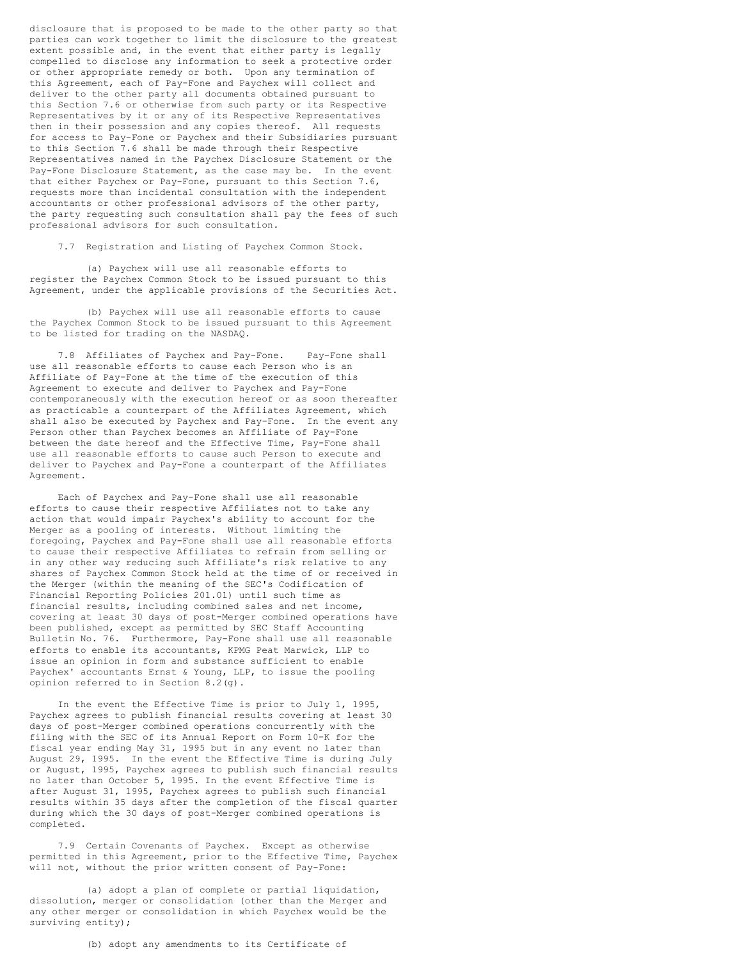disclosure that is proposed to be made to the other party so that parties can work together to limit the disclosure to the greatest extent possible and, in the event that either party is legally compelled to disclose any information to seek a protective order or other appropriate remedy or both. Upon any termination of this Agreement, each of Pay-Fone and Paychex will collect and deliver to the other party all documents obtained pursuant to this Section 7.6 or otherwise from such party or its Respective Representatives by it or any of its Respective Representatives then in their possession and any copies thereof. All requests for access to Pay-Fone or Paychex and their Subsidiaries pursuant to this Section 7.6 shall be made through their Respective Representatives named in the Paychex Disclosure Statement or the Pay-Fone Disclosure Statement, as the case may be. In the event that either Paychex or Pay-Fone, pursuant to this Section 7.6, requests more than incidental consultation with the independent accountants or other professional advisors of the other party, the party requesting such consultation shall pay the fees of such professional advisors for such consultation.

7.7 Registration and Listing of Paychex Common Stock.

(a) Paychex will use all reasonable efforts to register the Paychex Common Stock to be issued pursuant to this Agreement, under the applicable provisions of the Securities Act.

(b) Paychex will use all reasonable efforts to cause the Paychex Common Stock to be issued pursuant to this Agreement to be listed for trading on the NASDAQ.

7.8 Affiliates of Paychex and Pay-Fone. Pay-Fone shall use all reasonable efforts to cause each Person who is an Affiliate of Pay-Fone at the time of the execution of this Agreement to execute and deliver to Paychex and Pay-Fone contemporaneously with the execution hereof or as soon thereafter as practicable a counterpart of the Affiliates Agreement, which shall also be executed by Paychex and Pay-Fone. In the event any Person other than Paychex becomes an Affiliate of Pay-Fone between the date hereof and the Effective Time, Pay-Fone shall use all reasonable efforts to cause such Person to execute and deliver to Paychex and Pay-Fone a counterpart of the Affiliates Agreement.

Each of Paychex and Pay-Fone shall use all reasonable efforts to cause their respective Affiliates not to take any action that would impair Paychex's ability to account for the Merger as a pooling of interests. Without limiting the foregoing, Paychex and Pay-Fone shall use all reasonable efforts to cause their respective Affiliates to refrain from selling or in any other way reducing such Affiliate's risk relative to any shares of Paychex Common Stock held at the time of or received in the Merger (within the meaning of the SEC's Codification of Financial Reporting Policies 201.01) until such time as financial results, including combined sales and net income, covering at least 30 days of post-Merger combined operations have been published, except as permitted by SEC Staff Accounting Bulletin No. 76. Furthermore, Pay-Fone shall use all reasonable efforts to enable its accountants, KPMG Peat Marwick, LLP to issue an opinion in form and substance sufficient to enable Paychex' accountants Ernst & Young, LLP, to issue the pooling opinion referred to in Section 8.2(g).

In the event the Effective Time is prior to July 1, 1995, Paychex agrees to publish financial results covering at least 30 days of post-Merger combined operations concurrently with the filing with the SEC of its Annual Report on Form 10-K for the fiscal year ending May 31, 1995 but in any event no later than August 29, 1995. In the event the Effective Time is during July or August, 1995, Paychex agrees to publish such financial results no later than October 5, 1995. In the event Effective Time is after August 31, 1995, Paychex agrees to publish such financial results within 35 days after the completion of the fiscal quarter during which the 30 days of post-Merger combined operations is completed.

7.9 Certain Covenants of Paychex. Except as otherwise permitted in this Agreement, prior to the Effective Time, Paychex will not, without the prior written consent of Pay-Fone:

(a) adopt a plan of complete or partial liquidation, dissolution, merger or consolidation (other than the Merger and any other merger or consolidation in which Paychex would be the surviving entity);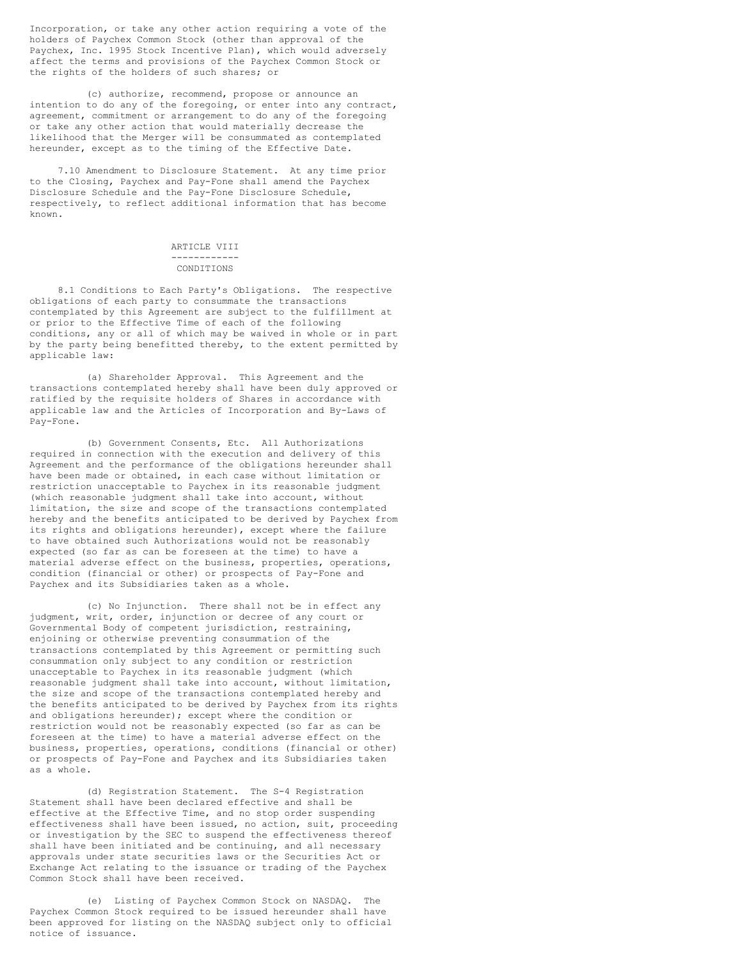Incorporation, or take any other action requiring a vote of the holders of Paychex Common Stock (other than approval of the Paychex, Inc. 1995 Stock Incentive Plan), which would adversely affect the terms and provisions of the Paychex Common Stock or the rights of the holders of such shares; or

(c) authorize, recommend, propose or announce an intention to do any of the foregoing, or enter into any contract, agreement, commitment or arrangement to do any of the foregoing or take any other action that would materially decrease the likelihood that the Merger will be consummated as contemplated hereunder, except as to the timing of the Effective Date.

7.10 Amendment to Disclosure Statement. At any time prior to the Closing, Paychex and Pay-Fone shall amend the Paychex Disclosure Schedule and the Pay-Fone Disclosure Schedule, respectively, to reflect additional information that has become known.

## ARTICLE VIII ------------ CONDITIONS

8.1 Conditions to Each Party's Obligations. The respective obligations of each party to consummate the transactions contemplated by this Agreement are subject to the fulfillment at or prior to the Effective Time of each of the following conditions, any or all of which may be waived in whole or in part by the party being benefitted thereby, to the extent permitted by applicable law:

(a) Shareholder Approval. This Agreement and the transactions contemplated hereby shall have been duly approved or ratified by the requisite holders of Shares in accordance with applicable law and the Articles of Incorporation and By-Laws of Pay-Fone.

(b) Government Consents, Etc. All Authorizations required in connection with the execution and delivery of this Agreement and the performance of the obligations hereunder shall have been made or obtained, in each case without limitation or restriction unacceptable to Paychex in its reasonable judgment (which reasonable judgment shall take into account, without limitation, the size and scope of the transactions contemplated hereby and the benefits anticipated to be derived by Paychex from its rights and obligations hereunder), except where the failure to have obtained such Authorizations would not be reasonably expected (so far as can be foreseen at the time) to have a material adverse effect on the business, properties, operations, condition (financial or other) or prospects of Pay-Fone and Paychex and its Subsidiaries taken as a whole.

(c) No Injunction. There shall not be in effect any judgment, writ, order, injunction or decree of any court or Governmental Body of competent jurisdiction, restraining, enjoining or otherwise preventing consummation of the transactions contemplated by this Agreement or permitting such consummation only subject to any condition or restriction unacceptable to Paychex in its reasonable judgment (which reasonable judgment shall take into account, without limitation, the size and scope of the transactions contemplated hereby and the benefits anticipated to be derived by Paychex from its rights and obligations hereunder); except where the condition or restriction would not be reasonably expected (so far as can be foreseen at the time) to have a material adverse effect on the business, properties, operations, conditions (financial or other) or prospects of Pay-Fone and Paychex and its Subsidiaries taken as a whole.

(d) Registration Statement. The S-4 Registration Statement shall have been declared effective and shall be effective at the Effective Time, and no stop order suspending effectiveness shall have been issued, no action, suit, proceeding or investigation by the SEC to suspend the effectiveness thereof shall have been initiated and be continuing, and all necessary approvals under state securities laws or the Securities Act or Exchange Act relating to the issuance or trading of the Paychex Common Stock shall have been received.

(e) Listing of Paychex Common Stock on NASDAQ. The Paychex Common Stock required to be issued hereunder shall have been approved for listing on the NASDAQ subject only to official notice of issuance.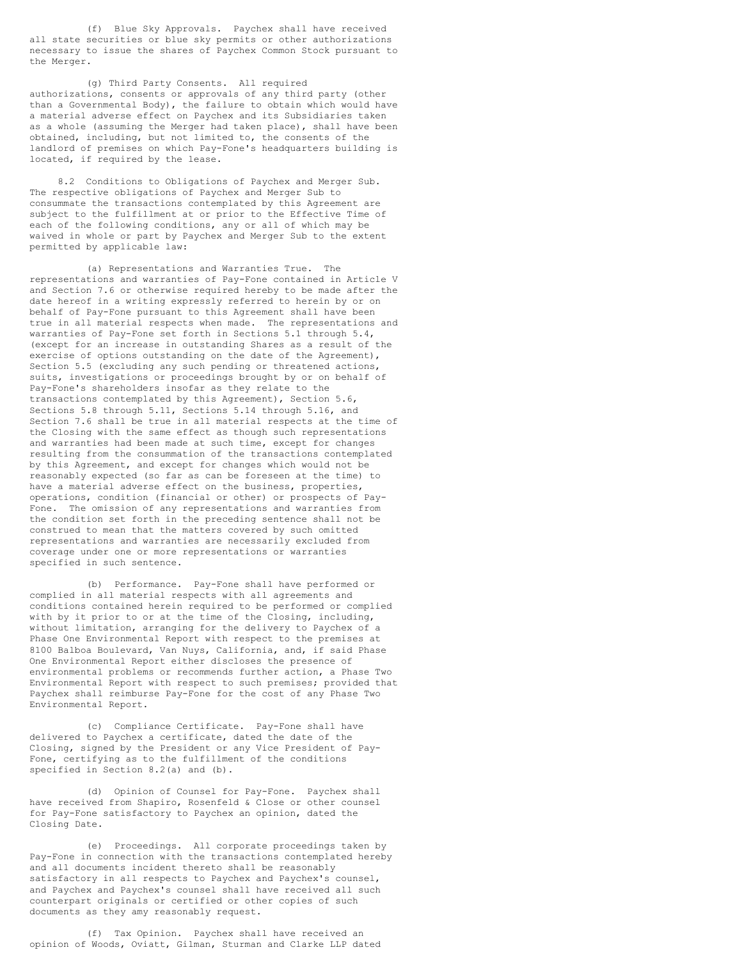(f) Blue Sky Approvals. Paychex shall have received all state securities or blue sky permits or other authorizations necessary to issue the shares of Paychex Common Stock pursuant to the Merger.

(g) Third Party Consents. All required authorizations, consents or approvals of any third party (other than a Governmental Body), the failure to obtain which would have a material adverse effect on Paychex and its Subsidiaries taken as a whole (assuming the Merger had taken place), shall have been obtained, including, but not limited to, the consents of the landlord of premises on which Pay-Fone's headquarters building is located, if required by the lease.

8.2 Conditions to Obligations of Paychex and Merger Sub. The respective obligations of Paychex and Merger Sub to consummate the transactions contemplated by this Agreement are subject to the fulfillment at or prior to the Effective Time of each of the following conditions, any or all of which may be waived in whole or part by Paychex and Merger Sub to the extent permitted by applicable law:

(a) Representations and Warranties True. The representations and warranties of Pay-Fone contained in Article V and Section 7.6 or otherwise required hereby to be made after the date hereof in a writing expressly referred to herein by or on behalf of Pay-Fone pursuant to this Agreement shall have been true in all material respects when made. The representations and warranties of Pay-Fone set forth in Sections 5.1 through 5.4, (except for an increase in outstanding Shares as a result of the exercise of options outstanding on the date of the Agreement), Section 5.5 (excluding any such pending or threatened actions, suits, investigations or proceedings brought by or on behalf of Pay-Fone's shareholders insofar as they relate to the transactions contemplated by this Agreement), Section 5.6, Sections 5.8 through 5.11, Sections 5.14 through 5.16, and Section 7.6 shall be true in all material respects at the time of the Closing with the same effect as though such representations and warranties had been made at such time, except for changes resulting from the consummation of the transactions contemplated by this Agreement, and except for changes which would not be reasonably expected (so far as can be foreseen at the time) to have a material adverse effect on the business, properties, operations, condition (financial or other) or prospects of Pay-Fone. The omission of any representations and warranties from the condition set forth in the preceding sentence shall not be construed to mean that the matters covered by such omitted representations and warranties are necessarily excluded from coverage under one or more representations or warranties specified in such sentence.

(b) Performance. Pay-Fone shall have performed or complied in all material respects with all agreements and conditions contained herein required to be performed or complied with by it prior to or at the time of the Closing, including, without limitation, arranging for the delivery to Paychex of a Phase One Environmental Report with respect to the premises at 8100 Balboa Boulevard, Van Nuys, California, and, if said Phase One Environmental Report either discloses the presence of environmental problems or recommends further action, a Phase Two Environmental Report with respect to such premises; provided that Paychex shall reimburse Pay-Fone for the cost of any Phase Two Environmental Report.

(c) Compliance Certificate. Pay-Fone shall have delivered to Paychex a certificate, dated the date of the Closing, signed by the President or any Vice President of Pay-Fone, certifying as to the fulfillment of the conditions specified in Section 8.2(a) and (b).

(d) Opinion of Counsel for Pay-Fone. Paychex shall have received from Shapiro, Rosenfeld & Close or other counsel for Pay-Fone satisfactory to Paychex an opinion, dated the Closing Date.

(e) Proceedings. All corporate proceedings taken by Pay-Fone in connection with the transactions contemplated hereby and all documents incident thereto shall be reasonably satisfactory in all respects to Paychex and Paychex's counsel, and Paychex and Paychex's counsel shall have received all such counterpart originals or certified or other copies of such documents as they amy reasonably request.

(f) Tax Opinion. Paychex shall have received an opinion of Woods, Oviatt, Gilman, Sturman and Clarke LLP dated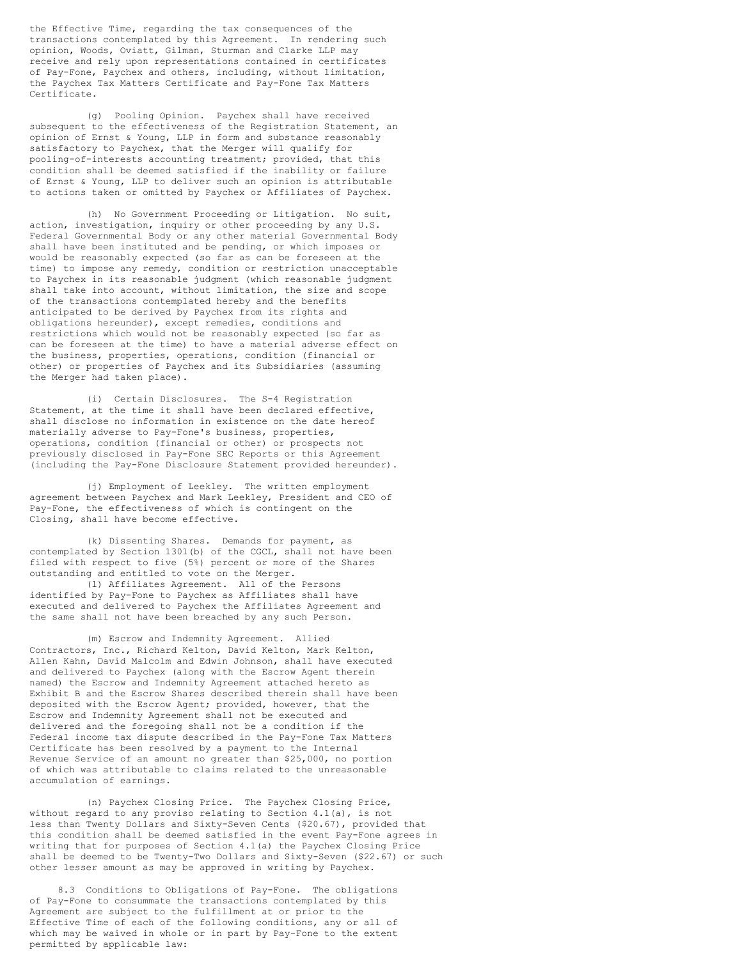the Effective Time, regarding the tax consequences of the transactions contemplated by this Agreement. In rendering such opinion, Woods, Oviatt, Gilman, Sturman and Clarke LLP may receive and rely upon representations contained in certificates of Pay-Fone, Paychex and others, including, without limitation, the Paychex Tax Matters Certificate and Pay-Fone Tax Matters Certificate.

(g) Pooling Opinion. Paychex shall have received subsequent to the effectiveness of the Registration Statement, an opinion of Ernst & Young, LLP in form and substance reasonably satisfactory to Paychex, that the Merger will qualify for pooling-of-interests accounting treatment; provided, that this condition shall be deemed satisfied if the inability or failure of Ernst & Young, LLP to deliver such an opinion is attributable to actions taken or omitted by Paychex or Affiliates of Paychex.

(h) No Government Proceeding or Litigation. No suit, action, investigation, inquiry or other proceeding by any U.S. Federal Governmental Body or any other material Governmental Body shall have been instituted and be pending, or which imposes or would be reasonably expected (so far as can be foreseen at the time) to impose any remedy, condition or restriction unacceptable to Paychex in its reasonable judgment (which reasonable judgment shall take into account, without limitation, the size and scope of the transactions contemplated hereby and the benefits anticipated to be derived by Paychex from its rights and obligations hereunder), except remedies, conditions and restrictions which would not be reasonably expected (so far as can be foreseen at the time) to have a material adverse effect on the business, properties, operations, condition (financial or other) or properties of Paychex and its Subsidiaries (assuming the Merger had taken place).

(i) Certain Disclosures. The S-4 Registration Statement, at the time it shall have been declared effective, shall disclose no information in existence on the date hereof materially adverse to Pay-Fone's business, properties, operations, condition (financial or other) or prospects not previously disclosed in Pay-Fone SEC Reports or this Agreement (including the Pay-Fone Disclosure Statement provided hereunder).

(j) Employment of Leekley. The written employment agreement between Paychex and Mark Leekley, President and CEO of Pay-Fone, the effectiveness of which is contingent on the Closing, shall have become effective.

(k) Dissenting Shares. Demands for payment, as contemplated by Section 1301(b) of the CGCL, shall not have been filed with respect to five (5%) percent or more of the Shares outstanding and entitled to vote on the Merger.

(l) Affiliates Agreement. All of the Persons identified by Pay-Fone to Paychex as Affiliates shall have executed and delivered to Paychex the Affiliates Agreement and the same shall not have been breached by any such Person.

(m) Escrow and Indemnity Agreement. Allied Contractors, Inc., Richard Kelton, David Kelton, Mark Kelton, Allen Kahn, David Malcolm and Edwin Johnson, shall have executed and delivered to Paychex (along with the Escrow Agent therein named) the Escrow and Indemnity Agreement attached hereto as Exhibit B and the Escrow Shares described therein shall have been deposited with the Escrow Agent; provided, however, that the Escrow and Indemnity Agreement shall not be executed and delivered and the foregoing shall not be a condition if the Federal income tax dispute described in the Pay-Fone Tax Matters Certificate has been resolved by a payment to the Internal Revenue Service of an amount no greater than \$25,000, no portion of which was attributable to claims related to the unreasonable accumulation of earnings.

(n) Paychex Closing Price. The Paychex Closing Price, without regard to any proviso relating to Section 4.1(a), is not less than Twenty Dollars and Sixty-Seven Cents (\$20.67), provided that this condition shall be deemed satisfied in the event Pay-Fone agrees in writing that for purposes of Section 4.1(a) the Paychex Closing Price shall be deemed to be Twenty-Two Dollars and Sixty-Seven (\$22.67) or such other lesser amount as may be approved in writing by Paychex.

8.3 Conditions to Obligations of Pay-Fone. The obligations of Pay-Fone to consummate the transactions contemplated by this Agreement are subject to the fulfillment at or prior to the Effective Time of each of the following conditions, any or all of which may be waived in whole or in part by Pay-Fone to the extent permitted by applicable law: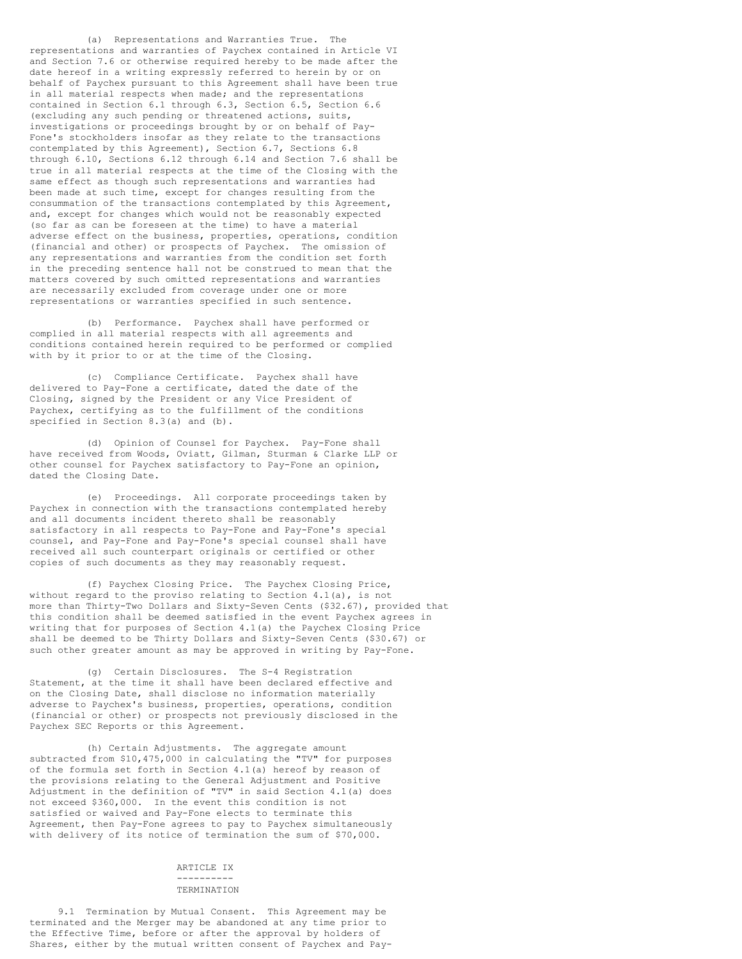(a) Representations and Warranties True. The representations and warranties of Paychex contained in Article VI and Section 7.6 or otherwise required hereby to be made after the date hereof in a writing expressly referred to herein by or on behalf of Paychex pursuant to this Agreement shall have been true in all material respects when made; and the representations contained in Section 6.1 through 6.3, Section 6.5, Section 6.6 (excluding any such pending or threatened actions, suits, investigations or proceedings brought by or on behalf of Pay-Fone's stockholders insofar as they relate to the transactions contemplated by this Agreement), Section 6.7, Sections 6.8 through 6.10, Sections 6.12 through 6.14 and Section 7.6 shall be true in all material respects at the time of the Closing with the same effect as though such representations and warranties had been made at such time, except for changes resulting from the consummation of the transactions contemplated by this Agreement, and, except for changes which would not be reasonably expected (so far as can be foreseen at the time) to have a material adverse effect on the business, properties, operations, condition (financial and other) or prospects of Paychex. The omission of any representations and warranties from the condition set forth in the preceding sentence hall not be construed to mean that the matters covered by such omitted representations and warranties are necessarily excluded from coverage under one or more representations or warranties specified in such sentence.

(b) Performance. Paychex shall have performed or complied in all material respects with all agreements and conditions contained herein required to be performed or complied with by it prior to or at the time of the Closing.

(c) Compliance Certificate. Paychex shall have delivered to Pay-Fone a certificate, dated the date of the Closing, signed by the President or any Vice President of Paychex, certifying as to the fulfillment of the conditions specified in Section 8.3(a) and (b).

(d) Opinion of Counsel for Paychex. Pay-Fone shall have received from Woods, Oviatt, Gilman, Sturman & Clarke LLP or other counsel for Paychex satisfactory to Pay-Fone an opinion, dated the Closing Date.

(e) Proceedings. All corporate proceedings taken by Paychex in connection with the transactions contemplated hereby and all documents incident thereto shall be reasonably satisfactory in all respects to Pay-Fone and Pay-Fone's special counsel, and Pay-Fone and Pay-Fone's special counsel shall have received all such counterpart originals or certified or other copies of such documents as they may reasonably request.

(f) Paychex Closing Price. The Paychex Closing Price, without regard to the proviso relating to Section 4.1(a), is not more than Thirty-Two Dollars and Sixty-Seven Cents (\$32.67), provided that this condition shall be deemed satisfied in the event Paychex agrees in writing that for purposes of Section 4.1(a) the Paychex Closing Price shall be deemed to be Thirty Dollars and Sixty-Seven Cents (\$30.67) or such other greater amount as may be approved in writing by Pay-Fone.

(g) Certain Disclosures. The S-4 Registration Statement, at the time it shall have been declared effective and on the Closing Date, shall disclose no information materially adverse to Paychex's business, properties, operations, condition (financial or other) or prospects not previously disclosed in the Paychex SEC Reports or this Agreement.

(h) Certain Adjustments. The aggregate amount subtracted from \$10,475,000 in calculating the "TV" for purposes of the formula set forth in Section 4.1(a) hereof by reason of the provisions relating to the General Adjustment and Positive Adjustment in the definition of "TV" in said Section 4.1(a) does not exceed \$360,000. In the event this condition is not satisfied or waived and Pay-Fone elects to terminate this Agreement, then Pay-Fone agrees to pay to Paychex simultaneously with delivery of its notice of termination the sum of \$70,000.

#### ARTICLE IX ----------

# TERMINATION

9.1 Termination by Mutual Consent. This Agreement may be terminated and the Merger may be abandoned at any time prior to the Effective Time, before or after the approval by holders of Shares, either by the mutual written consent of Paychex and Pay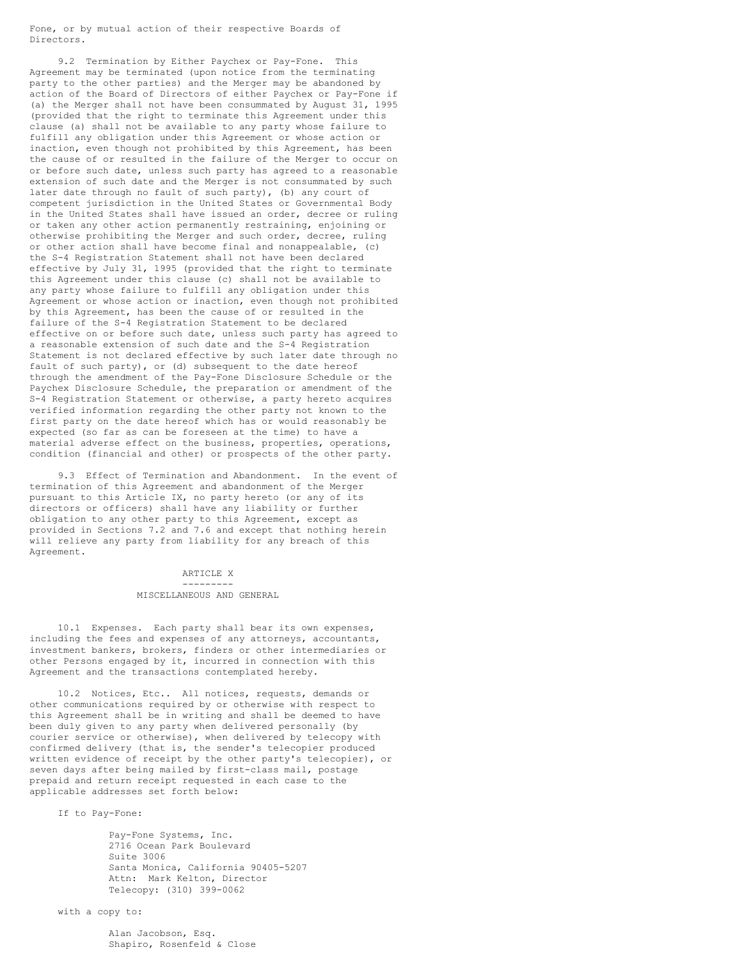Fone, or by mutual action of their respective Boards of Directors.

9.2 Termination by Either Paychex or Pay-Fone. This Agreement may be terminated (upon notice from the terminating party to the other parties) and the Merger may be abandoned by action of the Board of Directors of either Paychex or Pay-Fone if (a) the Merger shall not have been consummated by August 31, 1995 (provided that the right to terminate this Agreement under this clause (a) shall not be available to any party whose failure to fulfill any obligation under this Agreement or whose action or inaction, even though not prohibited by this Agreement, has been the cause of or resulted in the failure of the Merger to occur on or before such date, unless such party has agreed to a reasonable extension of such date and the Merger is not consummated by such later date through no fault of such party), (b) any court of competent jurisdiction in the United States or Governmental Body in the United States shall have issued an order, decree or ruling or taken any other action permanently restraining, enjoining or otherwise prohibiting the Merger and such order, decree, ruling or other action shall have become final and nonappealable, (c) the S-4 Registration Statement shall not have been declared effective by July 31, 1995 (provided that the right to terminate this Agreement under this clause (c) shall not be available to any party whose failure to fulfill any obligation under this Agreement or whose action or inaction, even though not prohibited by this Agreement, has been the cause of or resulted in the failure of the S-4 Registration Statement to be declared effective on or before such date, unless such party has agreed to a reasonable extension of such date and the S-4 Registration Statement is not declared effective by such later date through no fault of such party), or (d) subsequent to the date hereof through the amendment of the Pay-Fone Disclosure Schedule or the Paychex Disclosure Schedule, the preparation or amendment of the S-4 Registration Statement or otherwise, a party hereto acquires verified information regarding the other party not known to the first party on the date hereof which has or would reasonably be expected (so far as can be foreseen at the time) to have a material adverse effect on the business, properties, operations, condition (financial and other) or prospects of the other party.

9.3 Effect of Termination and Abandonment. In the event of termination of this Agreement and abandonment of the Merger pursuant to this Article IX, no party hereto (or any of its directors or officers) shall have any liability or further obligation to any other party to this Agreement, except as provided in Sections 7.2 and 7.6 and except that nothing herein will relieve any party from liability for any breach of this Agreement.

#### ARTICLE X ---------

#### MISCELLANEOUS AND GENERAL

10.1 Expenses. Each party shall bear its own expenses, including the fees and expenses of any attorneys, accountants, investment bankers, brokers, finders or other intermediaries or other Persons engaged by it, incurred in connection with this Agreement and the transactions contemplated hereby.

10.2 Notices, Etc.. All notices, requests, demands or other communications required by or otherwise with respect to this Agreement shall be in writing and shall be deemed to have been duly given to any party when delivered personally (by courier service or otherwise), when delivered by telecopy with confirmed delivery (that is, the sender's telecopier produced written evidence of receipt by the other party's telecopier), or seven days after being mailed by first-class mail, postage prepaid and return receipt requested in each case to the applicable addresses set forth below:

If to Pay-Fone:

Pay-Fone Systems, Inc. 2716 Ocean Park Boulevard Suite 3006 Santa Monica, California 90405-5207 Attn: Mark Kelton, Director Telecopy: (310) 399-0062

with a copy to:

Alan Jacobson, Esq. Shapiro, Rosenfeld & Close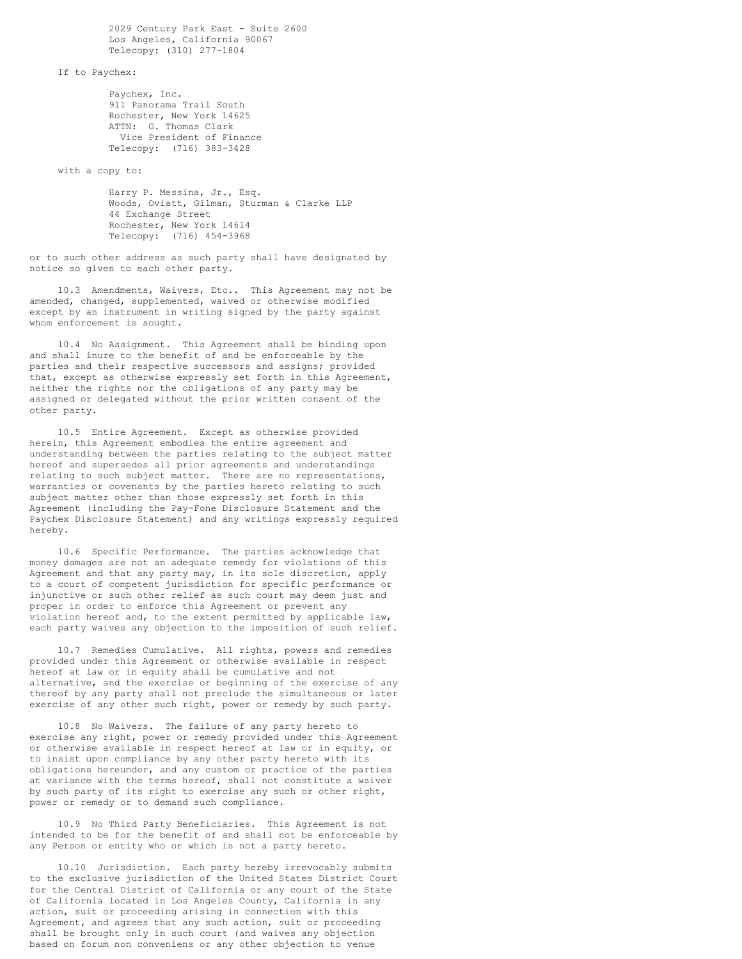2029 Century Park East - Suite 2600 Los Angeles, California 90067 Telecopy: (310) 277-1804

If to Paychex:

Paychex, Inc. 911 Panorama Trail South Rochester, New York 14625 ATTN: G. Thomas Clark Vice President of Finance Telecopy: (716) 383-3428

with a copy to:

Harry P. Messina, Jr., Esq. Woods, Oviatt, Gilman, Sturman & Clarke LLP 44 Exchange Street Rochester, New York 14614 Telecopy: (716) 454-3968

or to such other address as such party shall have designated by notice so given to each other party.

10.3 Amendments, Waivers, Etc.. This Agreement may not be amended, changed, supplemented, waived or otherwise modified except by an instrument in writing signed by the party against whom enforcement is sought.

10.4 No Assignment. This Agreement shall be binding upon and shall inure to the benefit of and be enforceable by the parties and their respective successors and assigns; provided that, except as otherwise expressly set forth in this Agreement, neither the rights nor the obligations of any party may be assigned or delegated without the prior written consent of the other party.

10.5 Entire Agreement. Except as otherwise provided herein, this Agreement embodies the entire agreement and understanding between the parties relating to the subject matter hereof and supersedes all prior agreements and understandings relating to such subject matter. There are no representations, warranties or covenants by the parties hereto relating to such subject matter other than those expressly set forth in this Agreement (including the Pay-Fone Disclosure Statement and the Paychex Disclosure Statement) and any writings expressly required hereby.

10.6 Specific Performance. The parties acknowledge that money damages are not an adequate remedy for violations of this Agreement and that any party may, in its sole discretion, apply to a court of competent jurisdiction for specific performance or injunctive or such other relief as such court may deem just and proper in order to enforce this Agreement or prevent any violation hereof and, to the extent permitted by applicable law, each party waives any objection to the imposition of such relief.

10.7 Remedies Cumulative. All rights, powers and remedies provided under this Agreement or otherwise available in respect hereof at law or in equity shall be cumulative and not alternative, and the exercise or beginning of the exercise of any thereof by any party shall not preclude the simultaneous or later exercise of any other such right, power or remedy by such party.

10.8 No Waivers. The failure of any party hereto to exercise any right, power or remedy provided under this Agreement or otherwise available in respect hereof at law or in equity, or to insist upon compliance by any other party hereto with its obligations hereunder, and any custom or practice of the parties at variance with the terms hereof, shall not constitute a waiver by such party of its right to exercise any such or other right, power or remedy or to demand such compliance.

10.9 No Third Party Beneficiaries. This Agreement is not intended to be for the benefit of and shall not be enforceable by any Person or entity who or which is not a party hereto.

10.10 Jurisdiction. Each party hereby irrevocably submits to the exclusive jurisdiction of the United States District Court for the Central District of California or any court of the State of California located in Los Angeles County, California in any action, suit or proceeding arising in connection with this Agreement, and agrees that any such action, suit or proceeding shall be brought only in such court (and waives any objection based on forum non conveniens or any other objection to venue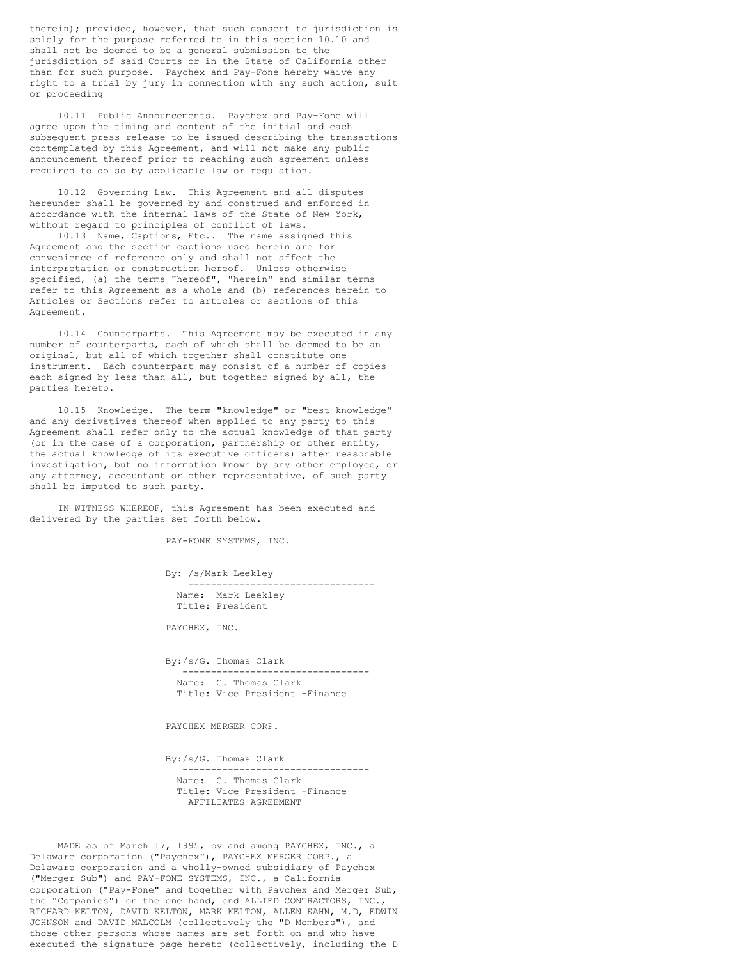therein); provided, however, that such consent to jurisdiction is solely for the purpose referred to in this section 10.10 and shall not be deemed to be a general submission to the jurisdiction of said Courts or in the State of California other than for such purpose. Paychex and Pay-Fone hereby waive any right to a trial by jury in connection with any such action, suit or proceeding

10.11 Public Announcements. Paychex and Pay-Fone will agree upon the timing and content of the initial and each subsequent press release to be issued describing the transactions contemplated by this Agreement, and will not make any public announcement thereof prior to reaching such agreement unless required to do so by applicable law or regulation.

10.12 Governing Law. This Agreement and all disputes hereunder shall be governed by and construed and enforced in accordance with the internal laws of the State of New York, without regard to principles of conflict of laws.

10.13 Name, Captions, Etc.. The name assigned this Agreement and the section captions used herein are for convenience of reference only and shall not affect the interpretation or construction hereof. Unless otherwise specified, (a) the terms "hereof", "herein" and similar terms refer to this Agreement as a whole and (b) references herein to Articles or Sections refer to articles or sections of this Agreement.

10.14 Counterparts. This Agreement may be executed in any number of counterparts, each of which shall be deemed to be an original, but all of which together shall constitute one instrument. Each counterpart may consist of a number of copies each signed by less than all, but together signed by all, the parties hereto.

10.15 Knowledge. The term "knowledge" or "best knowledge" and any derivatives thereof when applied to any party to this Agreement shall refer only to the actual knowledge of that party (or in the case of a corporation, partnership or other entity, the actual knowledge of its executive officers) after reasonable investigation, but no information known by any other employee, or any attorney, accountant or other representative, of such party shall be imputed to such party.

IN WITNESS WHEREOF, this Agreement has been executed and delivered by the parties set forth below.

PAY-FONE SYSTEMS, INC.

By: /s/Mark Leekley ---------------------------------

Name: Mark Leekley Title: President

PAYCHEX, INC.

By:/s/G. Thomas Clark --------------------------------- Name: G. Thomas Clark Title: Vice President -Finance

PAYCHEX MERGER CORP.

By:/s/G. Thomas Clark

--------------------------------- Name: G. Thomas Clark Title: Vice President -Finance AFFILIATES AGREEMENT

MADE as of March 17, 1995, by and among PAYCHEX, INC., a Delaware corporation ("Paychex"), PAYCHEX MERGER CORP., a Delaware corporation and a wholly-owned subsidiary of Paychex ("Merger Sub") and PAY-FONE SYSTEMS, INC., a California corporation ("Pay-Fone" and together with Paychex and Merger Sub, the "Companies") on the one hand, and ALLIED CONTRACTORS, INC., RICHARD KELTON, DAVID KELTON, MARK KELTON, ALLEN KAHN, M.D, EDWIN JOHNSON and DAVID MALCOLM (collectively the "D Members"), and those other persons whose names are set forth on and who have executed the signature page hereto (collectively, including the D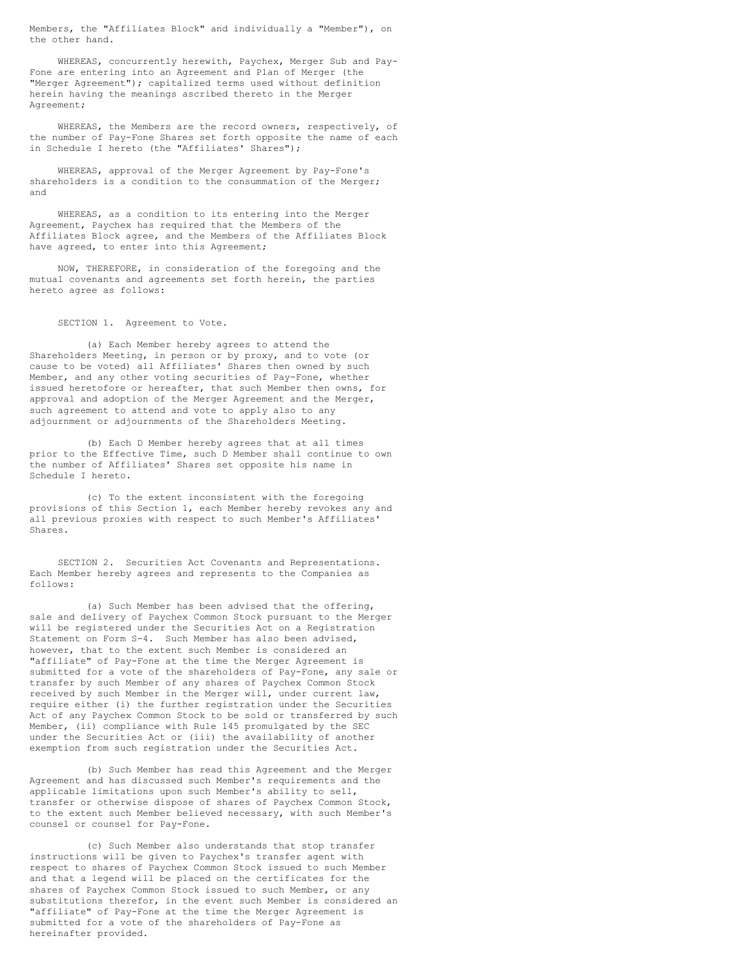Members, the "Affiliates Block" and individually a "Member"), on the other hand.

WHEREAS, concurrently herewith, Paychex, Merger Sub and Pay-Fone are entering into an Agreement and Plan of Merger (the "Merger Agreement"); capitalized terms used without definition herein having the meanings ascribed thereto in the Merger Agreement;

WHEREAS, the Members are the record owners, respectively, of the number of Pay-Fone Shares set forth opposite the name of each in Schedule I hereto (the "Affiliates' Shares");

WHEREAS, approval of the Merger Agreement by Pay-Fone's shareholders is a condition to the consummation of the Merger; and

WHEREAS, as a condition to its entering into the Merger Agreement, Paychex has required that the Members of the Affiliates Block agree, and the Members of the Affiliates Block have agreed, to enter into this Agreement;

NOW, THEREFORE, in consideration of the foregoing and the mutual covenants and agreements set forth herein, the parties hereto agree as follows:

SECTION 1. Agreement to Vote.

(a) Each Member hereby agrees to attend the Shareholders Meeting, in person or by proxy, and to vote (or cause to be voted) all Affiliates' Shares then owned by such Member, and any other voting securities of Pay-Fone, whether issued heretofore or hereafter, that such Member then owns, for approval and adoption of the Merger Agreement and the Merger, such agreement to attend and vote to apply also to any adjournment or adjournments of the Shareholders Meeting.

(b) Each D Member hereby agrees that at all times prior to the Effective Time, such D Member shall continue to own the number of Affiliates' Shares set opposite his name in Schedule I hereto.

(c) To the extent inconsistent with the foregoing provisions of this Section 1, each Member hereby revokes any and .<br>all previous proxies with respect to such Member's Affiliates' Shares.

SECTION 2. Securities Act Covenants and Representations. Each Member hereby agrees and represents to the Companies as follows:

(a) Such Member has been advised that the offering, sale and delivery of Paychex Common Stock pursuant to the Merger will be registered under the Securities Act on a Registration Statement on Form S-4. Such Member has also been advised, however, that to the extent such Member is considered an "affiliate" of Pay-Fone at the time the Merger Agreement is submitted for a vote of the shareholders of Pay-Fone, any sale or transfer by such Member of any shares of Paychex Common Stock received by such Member in the Merger will, under current law, require either (i) the further registration under the Securities Act of any Paychex Common Stock to be sold or transferred by such Member, (ii) compliance with Rule 145 promulgated by the SEC under the Securities Act or (iii) the availability of another exemption from such registration under the Securities Act.

(b) Such Member has read this Agreement and the Merger Agreement and has discussed such Member's requirements and the applicable limitations upon such Member's ability to sell, transfer or otherwise dispose of shares of Paychex Common Stock, to the extent such Member believed necessary, with such Member's counsel or counsel for Pay-Fone.

(c) Such Member also understands that stop transfer instructions will be given to Paychex's transfer agent with respect to shares of Paychex Common Stock issued to such Member and that a legend will be placed on the certificates for the shares of Paychex Common Stock issued to such Member, or any substitutions therefor, in the event such Member is considered an "affiliate" of Pay-Fone at the time the Merger Agreement is submitted for a vote of the shareholders of Pay-Fone as hereinafter provided.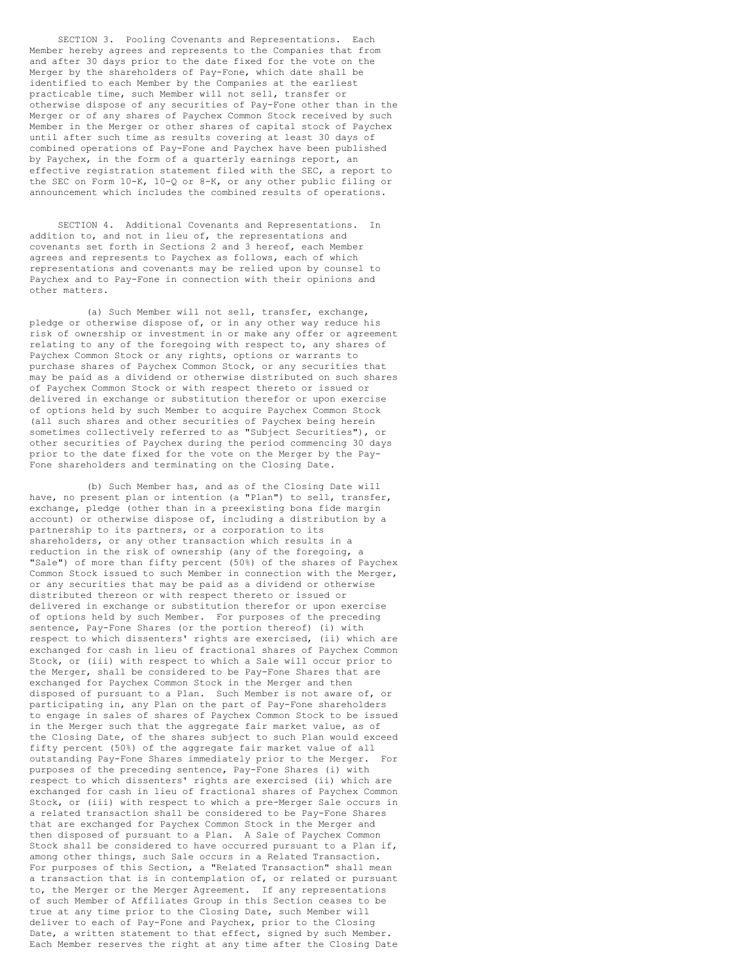SECTION 3. Pooling Covenants and Representations. Each Member hereby agrees and represents to the Companies that from and after 30 days prior to the date fixed for the vote on the Merger by the shareholders of Pay-Fone, which date shall be identified to each Member by the Companies at the earliest practicable time, such Member will not sell, transfer or otherwise dispose of any securities of Pay-Fone other than in the Merger or of any shares of Paychex Common Stock received by such Member in the Merger or other shares of capital stock of Paychex until after such time as results covering at least 30 days of combined operations of Pay-Fone and Paychex have been published by Paychex, in the form of a quarterly earnings report, an effective registration statement filed with the SEC, a report to the SEC on Form 10-K, 10-Q or 8-K, or any other public filing or announcement which includes the combined results of operations.

SECTION 4. Additional Covenants and Representations. In addition to, and not in lieu of, the representations and covenants set forth in Sections 2 and 3 hereof, each Member agrees and represents to Paychex as follows, each of which representations and covenants may be relied upon by counsel to Paychex and to Pay-Fone in connection with their opinions and other matters.

(a) Such Member will not sell, transfer, exchange, pledge or otherwise dispose of, or in any other way reduce his risk of ownership or investment in or make any offer or agreement relating to any of the foregoing with respect to, any shares of Paychex Common Stock or any rights, options or warrants to purchase shares of Paychex Common Stock, or any securities that may be paid as a dividend or otherwise distributed on such shares of Paychex Common Stock or with respect thereto or issued or delivered in exchange or substitution therefor or upon exercise of options held by such Member to acquire Paychex Common Stock (all such shares and other securities of Paychex being herein sometimes collectively referred to as "Subject Securities"), or other securities of Paychex during the period commencing 30 days prior to the date fixed for the vote on the Merger by the Pay-Fone shareholders and terminating on the Closing Date.

(b) Such Member has, and as of the Closing Date will have, no present plan or intention (a "Plan") to sell, transfer, exchange, pledge (other than in a preexisting bona fide margin account) or otherwise dispose of, including a distribution by a partnership to its partners, or a corporation to its shareholders, or any other transaction which results in a reduction in the risk of ownership (any of the foregoing, a "Sale") of more than fifty percent (50%) of the shares of Paychex Common Stock issued to such Member in connection with the Merger, or any securities that may be paid as a dividend or otherwise distributed thereon or with respect thereto or issued or delivered in exchange or substitution therefor or upon exercise of options held by such Member. For purposes of the preceding sentence, Pay-Fone Shares (or the portion thereof) (i) with respect to which dissenters' rights are exercised, (ii) which are exchanged for cash in lieu of fractional shares of Paychex Common Stock, or (iii) with respect to which a Sale will occur prior to the Merger, shall be considered to be Pay-Fone Shares that are exchanged for Paychex Common Stock in the Merger and then disposed of pursuant to a Plan. Such Member is not aware of, or participating in, any Plan on the part of Pay-Fone shareholders to engage in sales of shares of Paychex Common Stock to be issued in the Merger such that the aggregate fair market value, as of the Closing Date, of the shares subject to such Plan would exceed fifty percent (50%) of the aggregate fair market value of all outstanding Pay-Fone Shares immediately prior to the Merger. For purposes of the preceding sentence, Pay-Fone Shares (i) with respect to which dissenters' rights are exercised (ii) which are exchanged for cash in lieu of fractional shares of Paychex Common Stock, or (iii) with respect to which a pre-Merger Sale occurs in a related transaction shall be considered to be Pay-Fone Shares that are exchanged for Paychex Common Stock in the Merger and then disposed of pursuant to a Plan. A Sale of Paychex Common Stock shall be considered to have occurred pursuant to a Plan if, among other things, such Sale occurs in a Related Transaction. For purposes of this Section, a "Related Transaction" shall mean a transaction that is in contemplation of, or related or pursuant to, the Merger or the Merger Agreement. If any representations of such Member of Affiliates Group in this Section ceases to be true at any time prior to the Closing Date, such Member will deliver to each of Pay-Fone and Paychex, prior to the Closing Date, a written statement to that effect, signed by such Member. Each Member reserves the right at any time after the Closing Date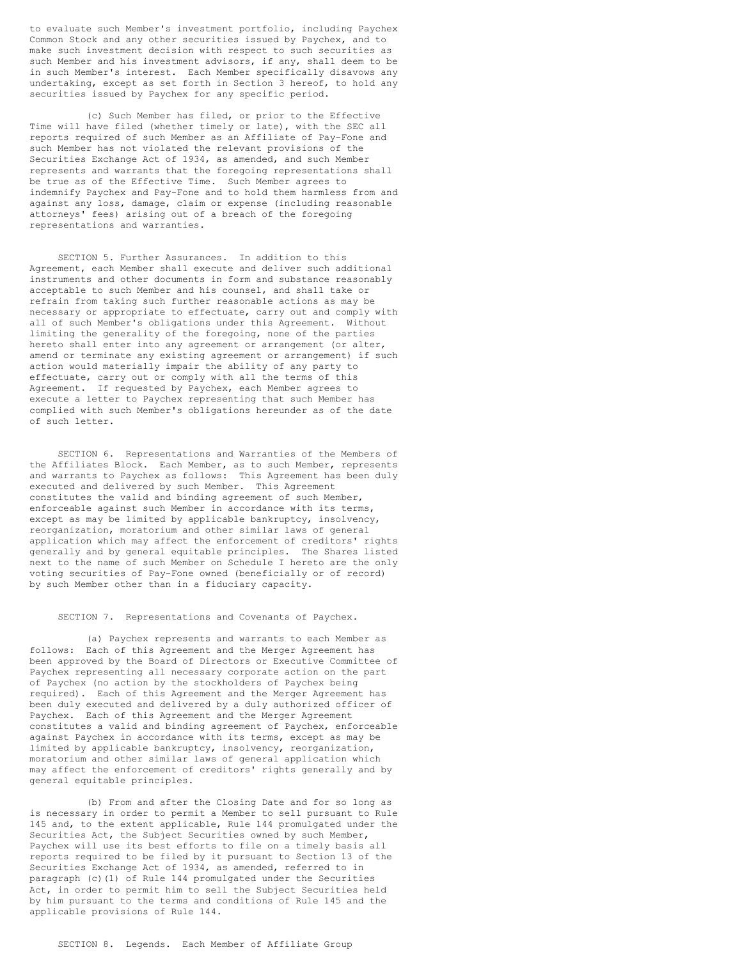to evaluate such Member's investment portfolio, including Paychex Common Stock and any other securities issued by Paychex, and to make such investment decision with respect to such securities as such Member and his investment advisors, if any, shall deem to be in such Member's interest. Each Member specifically disavows any undertaking, except as set forth in Section 3 hereof, to hold any securities issued by Paychex for any specific period.

(c) Such Member has filed, or prior to the Effective Time will have filed (whether timely or late), with the SEC all reports required of such Member as an Affiliate of Pay-Fone and such Member has not violated the relevant provisions of the Securities Exchange Act of 1934, as amended, and such Member represents and warrants that the foregoing representations shall be true as of the Effective Time. Such Member agrees to indemnify Paychex and Pay-Fone and to hold them harmless from and against any loss, damage, claim or expense (including reasonable attorneys' fees) arising out of a breach of the foregoing representations and warranties.

SECTION 5. Further Assurances. In addition to this Agreement, each Member shall execute and deliver such additional instruments and other documents in form and substance reasonably acceptable to such Member and his counsel, and shall take or refrain from taking such further reasonable actions as may be necessary or appropriate to effectuate, carry out and comply with all of such Member's obligations under this Agreement. Without limiting the generality of the foregoing, none of the parties hereto shall enter into any agreement or arrangement (or alter, amend or terminate any existing agreement or arrangement) if such action would materially impair the ability of any party to effectuate, carry out or comply with all the terms of this Agreement. If requested by Paychex, each Member agrees to execute a letter to Paychex representing that such Member has complied with such Member's obligations hereunder as of the date of such letter.

SECTION 6. Representations and Warranties of the Members of the Affiliates Block. Each Member, as to such Member, represents and warrants to Paychex as follows: This Agreement has been duly executed and delivered by such Member. This Agreement constitutes the valid and binding agreement of such Member, enforceable against such Member in accordance with its terms, except as may be limited by applicable bankruptcy, insolvency, reorganization, moratorium and other similar laws of general application which may affect the enforcement of creditors' rights generally and by general equitable principles. The Shares listed next to the name of such Member on Schedule I hereto are the only voting securities of Pay-Fone owned (beneficially or of record) by such Member other than in a fiduciary capacity.

## SECTION 7. Representations and Covenants of Paychex.

(a) Paychex represents and warrants to each Member as follows: Each of this Agreement and the Merger Agreement has been approved by the Board of Directors or Executive Committee of Paychex representing all necessary corporate action on the part of Paychex (no action by the stockholders of Paychex being required). Each of this Agreement and the Merger Agreement has been duly executed and delivered by a duly authorized officer of Paychex. Each of this Agreement and the Merger Agreement constitutes a valid and binding agreement of Paychex, enforceable against Paychex in accordance with its terms, except as may be limited by applicable bankruptcy, insolvency, reorganization, moratorium and other similar laws of general application which may affect the enforcement of creditors' rights generally and by general equitable principles.

(b) From and after the Closing Date and for so long as is necessary in order to permit a Member to sell pursuant to Rule 145 and, to the extent applicable, Rule 144 promulgated under the Securities Act, the Subject Securities owned by such Member, Paychex will use its best efforts to file on a timely basis all reports required to be filed by it pursuant to Section 13 of the Securities Exchange Act of 1934, as amended, referred to in paragraph (c)(1) of Rule 144 promulgated under the Securities Act, in order to permit him to sell the Subject Securities held by him pursuant to the terms and conditions of Rule 145 and the applicable provisions of Rule 144.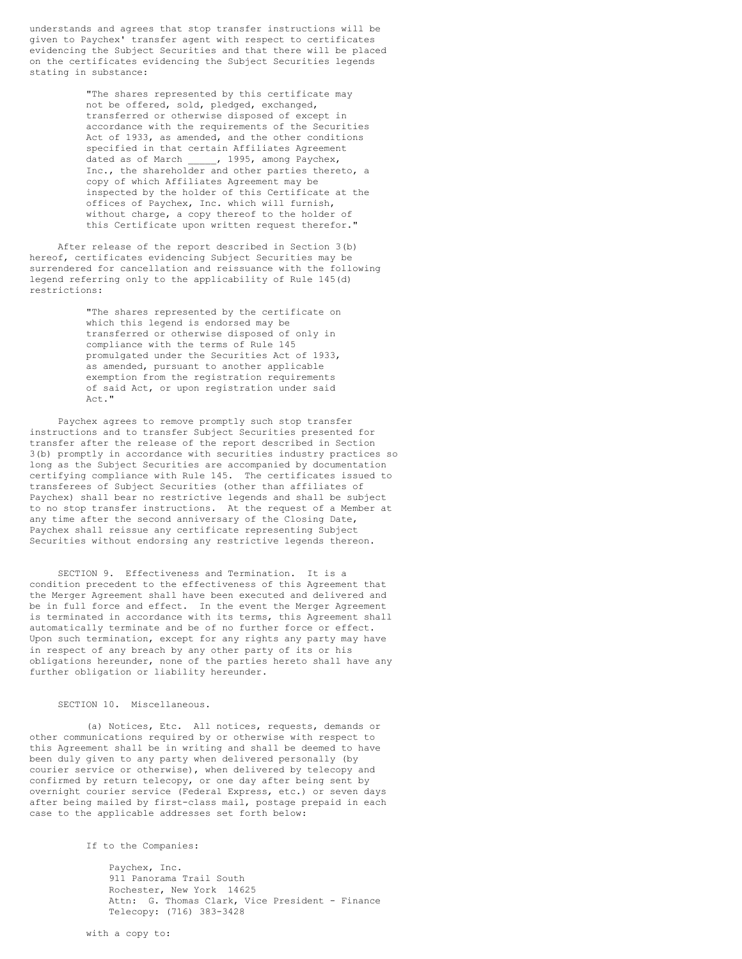understands and agrees that stop transfer instructions will be given to Paychex' transfer agent with respect to certificates evidencing the Subject Securities and that there will be placed on the certificates evidencing the Subject Securities legends stating in substance:

> "The shares represented by this certificate may not be offered, sold, pledged, exchanged, transferred or otherwise disposed of except in accordance with the requirements of the Securities Act of 1933, as amended, and the other conditions specified in that certain Affiliates Agreement dated as of March \_\_\_\_\_, 1995, among Paychex, Inc., the shareholder and other parties thereto, a copy of which Affiliates Agreement may be inspected by the holder of this Certificate at the offices of Paychex, Inc. which will furnish, without charge, a copy thereof to the holder of this Certificate upon written request therefor."

After release of the report described in Section 3(b) hereof, certificates evidencing Subject Securities may be surrendered for cancellation and reissuance with the following legend referring only to the applicability of Rule 145(d) restrictions:

> "The shares represented by the certificate on which this legend is endorsed may be transferred or otherwise disposed of only in compliance with the terms of Rule 145 promulgated under the Securities Act of 1933, as amended, pursuant to another applicable exemption from the registration requirements of said Act, or upon registration under said Act."

Paychex agrees to remove promptly such stop transfer instructions and to transfer Subject Securities presented for transfer after the release of the report described in Section 3(b) promptly in accordance with securities industry practices so long as the Subject Securities are accompanied by documentation certifying compliance with Rule 145. The certificates issued to transferees of Subject Securities (other than affiliates of Paychex) shall bear no restrictive legends and shall be subject to no stop transfer instructions. At the request of a Member at any time after the second anniversary of the Closing Date, Paychex shall reissue any certificate representing Subject Securities without endorsing any restrictive legends thereon.

SECTION 9. Effectiveness and Termination. It is a condition precedent to the effectiveness of this Agreement that the Merger Agreement shall have been executed and delivered and be in full force and effect. In the event the Merger Agreement is terminated in accordance with its terms, this Agreement shall automatically terminate and be of no further force or effect. Upon such termination, except for any rights any party may have in respect of any breach by any other party of its or his obligations hereunder, none of the parties hereto shall have any further obligation or liability hereunder.

SECTION 10. Miscellaneous.

(a) Notices, Etc. All notices, requests, demands or other communications required by or otherwise with respect to this Agreement shall be in writing and shall be deemed to have been duly given to any party when delivered personally (by courier service or otherwise), when delivered by telecopy and confirmed by return telecopy, or one day after being sent by overnight courier service (Federal Express, etc.) or seven days after being mailed by first-class mail, postage prepaid in each case to the applicable addresses set forth below:

If to the Companies:

Paychex, Inc. 911 Panorama Trail South Rochester, New York 14625 Attn: G. Thomas Clark, Vice President - Finance Telecopy: (716) 383-3428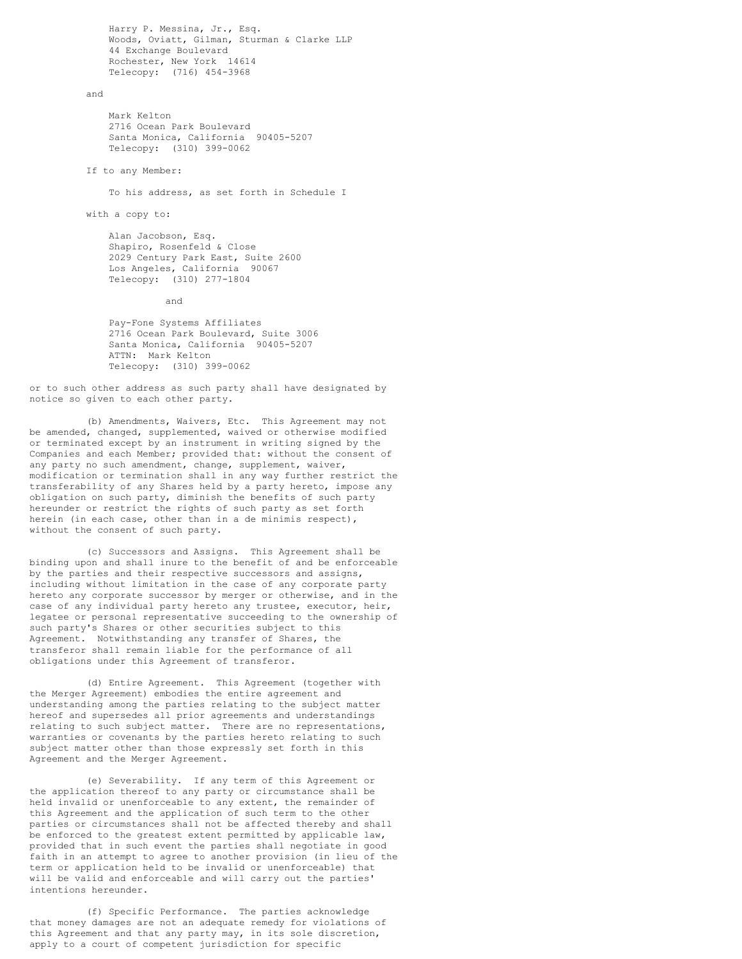Harry P. Messina, Jr., Esq. Woods, Oviatt, Gilman, Sturman & Clarke LLP 44 Exchange Boulevard Rochester, New York 14614 Telecopy: (716) 454-3968

#### and

Mark Kelton 2716 Ocean Park Boulevard Santa Monica, California 90405-5207 Telecopy: (310) 399-0062

If to any Member:

To his address, as set forth in Schedule I

with a copy to:

Alan Jacobson, Esq. Shapiro, Rosenfeld & Close 2029 Century Park East, Suite 2600 Los Angeles, California 90067 Telecopy: (310) 277-1804

and

Pay-Fone Systems Affiliates 2716 Ocean Park Boulevard, Suite 3006 Santa Monica, California 90405-5207 ATTN: Mark Kelton Telecopy: (310) 399-0062

or to such other address as such party shall have designated by notice so given to each other party.

(b) Amendments, Waivers, Etc. This Agreement may not be amended, changed, supplemented, waived or otherwise modified or terminated except by an instrument in writing signed by the Companies and each Member; provided that: without the consent of any party no such amendment, change, supplement, waiver, modification or termination shall in any way further restrict the transferability of any Shares held by a party hereto, impose any obligation on such party, diminish the benefits of such party hereunder or restrict the rights of such party as set forth herein (in each case, other than in a de minimis respect), without the consent of such party.

(c) Successors and Assigns. This Agreement shall be binding upon and shall inure to the benefit of and be enforceable by the parties and their respective successors and assigns, including without limitation in the case of any corporate party hereto any corporate successor by merger or otherwise, and in the case of any individual party hereto any trustee, executor, heir, legatee or personal representative succeeding to the ownership of such party's Shares or other securities subject to this Agreement. Notwithstanding any transfer of Shares, the transferor shall remain liable for the performance of all obligations under this Agreement of transferor.

(d) Entire Agreement. This Agreement (together with the Merger Agreement) embodies the entire agreement and understanding among the parties relating to the subject matter hereof and supersedes all prior agreements and understandings relating to such subject matter. There are no representations, warranties or covenants by the parties hereto relating to such subject matter other than those expressly set forth in this Agreement and the Merger Agreement.

(e) Severability. If any term of this Agreement or the application thereof to any party or circumstance shall be held invalid or unenforceable to any extent, the remainder of this Agreement and the application of such term to the other parties or circumstances shall not be affected thereby and shall be enforced to the greatest extent permitted by applicable law, provided that in such event the parties shall negotiate in good faith in an attempt to agree to another provision (in lieu of the term or application held to be invalid or unenforceable) that will be valid and enforceable and will carry out the parties' intentions hereunder.

(f) Specific Performance. The parties acknowledge that money damages are not an adequate remedy for violations of this Agreement and that any party may, in its sole discretion, apply to a court of competent jurisdiction for specific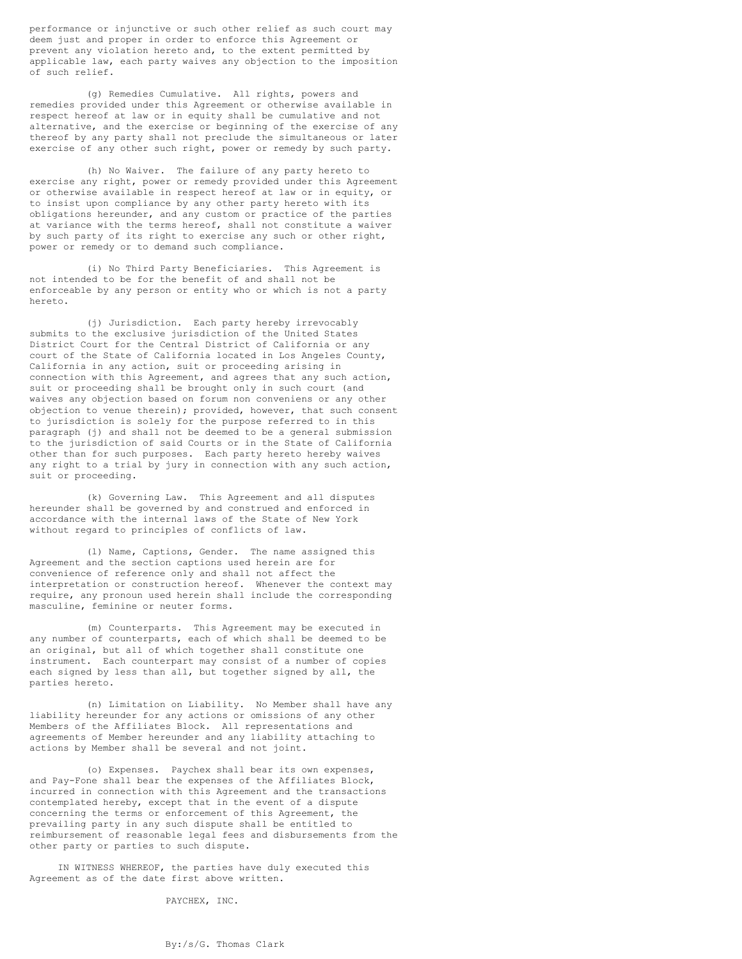performance or injunctive or such other relief as such court may deem just and proper in order to enforce this Agreement or prevent any violation hereto and, to the extent permitted by applicable law, each party waives any objection to the imposition of such relief.

(g) Remedies Cumulative. All rights, powers and remedies provided under this Agreement or otherwise available in respect hereof at law or in equity shall be cumulative and not alternative, and the exercise or beginning of the exercise of any thereof by any party shall not preclude the simultaneous or later exercise of any other such right, power or remedy by such party.

(h) No Waiver. The failure of any party hereto to exercise any right, power or remedy provided under this Agreement or otherwise available in respect hereof at law or in equity, or to insist upon compliance by any other party hereto with its obligations hereunder, and any custom or practice of the parties at variance with the terms hereof, shall not constitute a waiver by such party of its right to exercise any such or other right, power or remedy or to demand such compliance.

(i) No Third Party Beneficiaries. This Agreement is not intended to be for the benefit of and shall not be enforceable by any person or entity who or which is not a party hereto.

(j) Jurisdiction. Each party hereby irrevocably submits to the exclusive jurisdiction of the United States District Court for the Central District of California or any court of the State of California located in Los Angeles County, California in any action, suit or proceeding arising in connection with this Agreement, and agrees that any such action, suit or proceeding shall be brought only in such court (and waives any objection based on forum non conveniens or any other objection to venue therein); provided, however, that such consent to jurisdiction is solely for the purpose referred to in this paragraph (j) and shall not be deemed to be a general submission to the jurisdiction of said Courts or in the State of California other than for such purposes. Each party hereto hereby waives any right to a trial by jury in connection with any such action, suit or proceeding.

(k) Governing Law. This Agreement and all disputes hereunder shall be governed by and construed and enforced in accordance with the internal laws of the State of New York without regard to principles of conflicts of law.

(l) Name, Captions, Gender. The name assigned this Agreement and the section captions used herein are for convenience of reference only and shall not affect the interpretation or construction hereof. Whenever the context may require, any pronoun used herein shall include the corresponding masculine, feminine or neuter forms.

(m) Counterparts. This Agreement may be executed in any number of counterparts, each of which shall be deemed to be an original, but all of which together shall constitute one instrument. Each counterpart may consist of a number of copies each signed by less than all, but together signed by all, the parties hereto.

(n) Limitation on Liability. No Member shall have any liability hereunder for any actions or omissions of any other Members of the Affiliates Block. All representations and agreements of Member hereunder and any liability attaching to actions by Member shall be several and not joint.

(o) Expenses. Paychex shall bear its own expenses, and Pay-Fone shall bear the expenses of the Affiliates Block, incurred in connection with this Agreement and the transactions contemplated hereby, except that in the event of a dispute concerning the terms or enforcement of this Agreement, the prevailing party in any such dispute shall be entitled to reimbursement of reasonable legal fees and disbursements from the other party or parties to such dispute.

IN WITNESS WHEREOF, the parties have duly executed this Agreement as of the date first above written.

PAYCHEX, INC.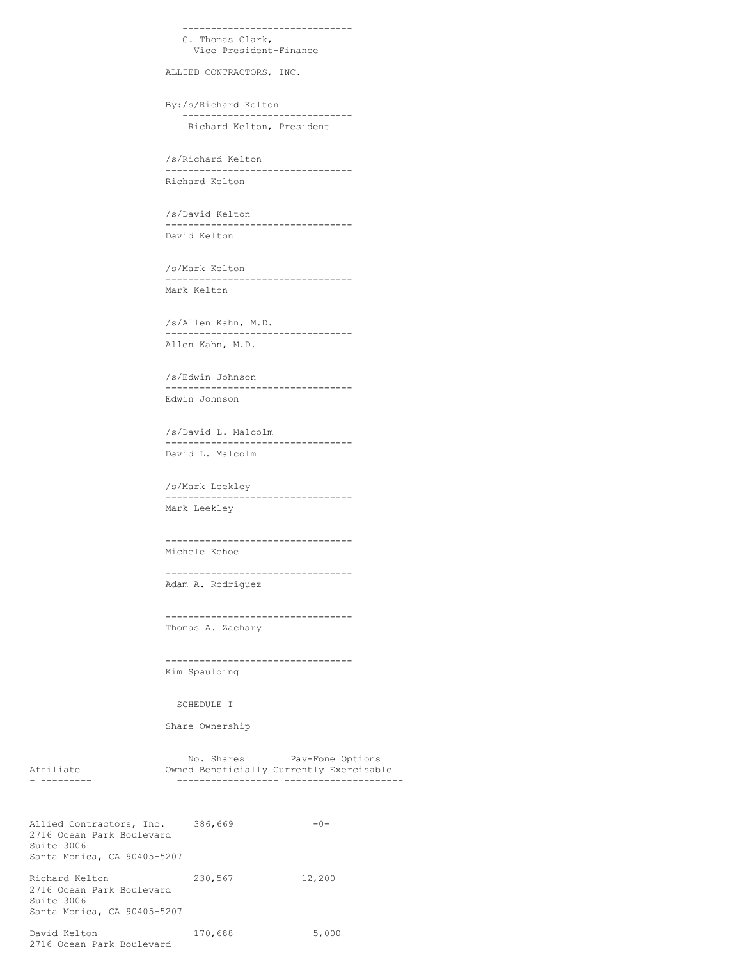```
------------------------------
  G. Thomas Clark,
     Vice President-Finance
ALLIED CONTRACTORS, INC.
By:/s/Richard Kelton
```
------------------------------ Richard Kelton, President

/s/Richard Kelton --------------------------------- Richard Kelton

/s/David Kelton --------------------------------- David Kelton

/s/Mark Kelton --------------------------------- Mark Kelton

/s/Allen Kahn, M.D. --------------------------------- Allen Kahn, M.D.

/s/Edwin Johnson --------------------------------- Edwin Johnson

/s/David L. Malcolm --------------------------------- David L. Malcolm

/s/Mark Leekley --------------------------------- Mark Leekley

--------------------------------- Michele Kehoe

--------------------------------- Adam A. Rodriguez

--------------------------------- Thomas A. Zachary

--------------------------------- Kim Spaulding

SCHEDULE I

Share Ownership

2716 Ocean Park Boulevard

No. Shares Pay-Fone Options Affiliate Owned Beneficially Currently Exercisable - --------- ------------------ ---------------------

Allied Contractors, Inc. 386,669 -0-2716 Ocean Park Boulevard Suite 3006 Santa Monica, CA 90405-5207 Richard Kelton 230,567 12,200 2716 Ocean Park Boulevard Suite 3006 Santa Monica, CA 90405-5207 David Kelton 170,688 5,000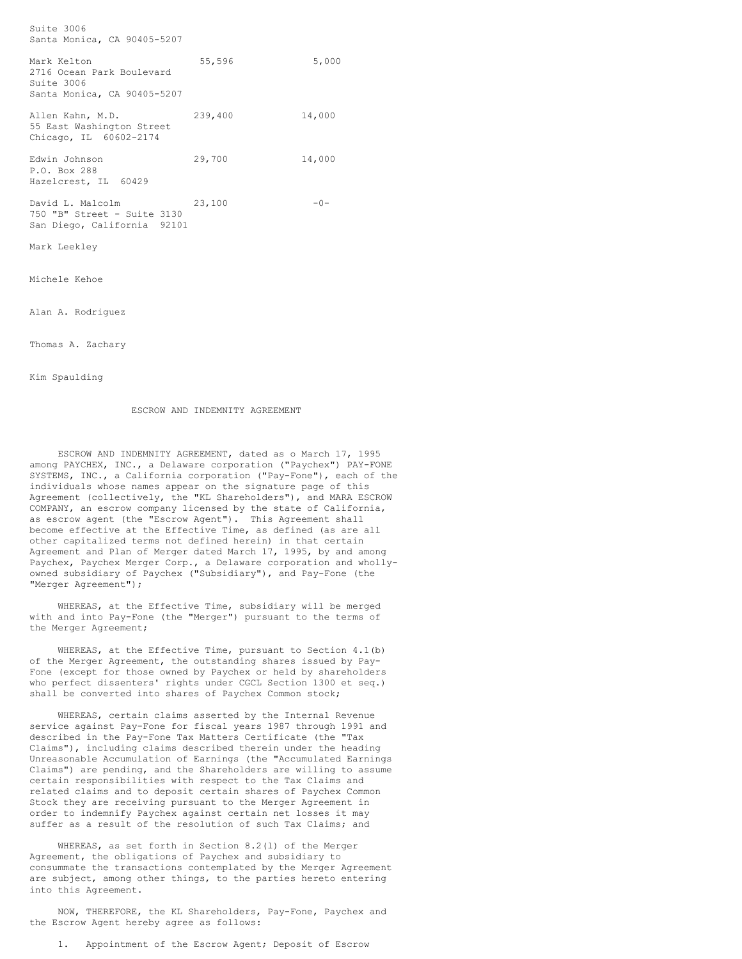Suite 3006 Santa Monica, CA 90405-5207 Mark Kelton 55,596 5,000 2716 Ocean Park Boulevard Suite 3006 Santa Monica, CA 90405-5207 Allen Kahn, M.D. 239,400 14,000 55 East Washington Street Chicago, IL 60602-2174 Edwin Johnson 29,700 14,000 P.O. Box 288 Hazelcrest, IL 60429 David L. Malcolm 23,100 -0-750 "B" Street - Suite 3130 San Diego, California 92101 Mark Leekley Michele Kehoe

Alan A. Rodriguez

Thomas A. Zachary

Kim Spaulding

ESCROW AND INDEMNITY AGREEMENT

ESCROW AND INDEMNITY AGREEMENT, dated as o March 17, 1995 among PAYCHEX, INC., a Delaware corporation ("Paychex") PAY-FONE SYSTEMS, INC., a California corporation ("Pay-Fone"), each of the individuals whose names appear on the signature page of this Agreement (collectively, the "KL Shareholders"), and MARA ESCROW COMPANY, an escrow company licensed by the state of California, as escrow agent (the "Escrow Agent"). This Agreement shall become effective at the Effective Time, as defined (as are all other capitalized terms not defined herein) in that certain Agreement and Plan of Merger dated March 17, 1995, by and among Paychex, Paychex Merger Corp., a Delaware corporation and whollyowned subsidiary of Paychex ("Subsidiary"), and Pay-Fone (the "Merger Agreement");

WHEREAS, at the Effective Time, subsidiary will be merged with and into Pay-Fone (the "Merger") pursuant to the terms of the Merger Agreement;

WHEREAS, at the Effective Time, pursuant to Section 4.1(b) of the Merger Agreement, the outstanding shares issued by Pay-Fone (except for those owned by Paychex or held by shareholders who perfect dissenters' rights under CGCL Section 1300 et seq.) shall be converted into shares of Paychex Common stock;

WHEREAS, certain claims asserted by the Internal Revenue service against Pay-Fone for fiscal years 1987 through 1991 and described in the Pay-Fone Tax Matters Certificate (the "Tax Claims"), including claims described therein under the heading Unreasonable Accumulation of Earnings (the "Accumulated Earnings Claims") are pending, and the Shareholders are willing to assume certain responsibilities with respect to the Tax Claims and related claims and to deposit certain shares of Paychex Common Stock they are receiving pursuant to the Merger Agreement in order to indemnify Paychex against certain net losses it may suffer as a result of the resolution of such Tax Claims; and

WHEREAS, as set forth in Section 8.2(l) of the Merger Agreement, the obligations of Paychex and subsidiary to consummate the transactions contemplated by the Merger Agreement are subject, among other things, to the parties hereto entering into this Agreement.

NOW, THEREFORE, the KL Shareholders, Pay-Fone, Paychex and the Escrow Agent hereby agree as follows:

1. Appointment of the Escrow Agent; Deposit of Escrow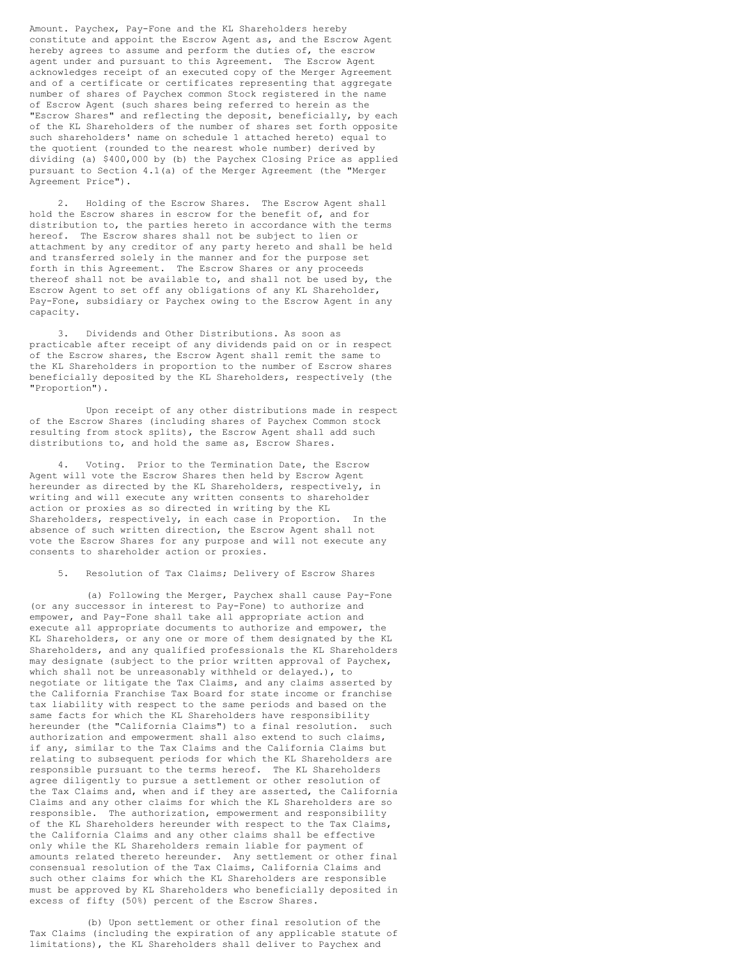Amount. Paychex, Pay-Fone and the KL Shareholders hereby constitute and appoint the Escrow Agent as, and the Escrow Agent hereby agrees to assume and perform the duties of, the escrow agent under and pursuant to this Agreement. The Escrow Agent acknowledges receipt of an executed copy of the Merger Agreement and of a certificate or certificates representing that aggregate number of shares of Paychex common Stock registered in the name of Escrow Agent (such shares being referred to herein as the "Escrow Shares" and reflecting the deposit, beneficially, by each of the KL Shareholders of the number of shares set forth opposite such shareholders' name on schedule 1 attached hereto) equal to the quotient (rounded to the nearest whole number) derived by dividing (a) \$400,000 by (b) the Paychex Closing Price as applied pursuant to Section 4.1(a) of the Merger Agreement (the "Merger Agreement Price").

2. Holding of the Escrow Shares. The Escrow Agent shall hold the Escrow shares in escrow for the benefit of, and for distribution to, the parties hereto in accordance with the terms hereof. The Escrow shares shall not be subject to lien or attachment by any creditor of any party hereto and shall be held and transferred solely in the manner and for the purpose set forth in this Agreement. The Escrow Shares or any proceeds thereof shall not be available to, and shall not be used by, the Escrow Agent to set off any obligations of any KL Shareholder, Pay-Fone, subsidiary or Paychex owing to the Escrow Agent in any capacity.

3. Dividends and Other Distributions. As soon as practicable after receipt of any dividends paid on or in respect of the Escrow shares, the Escrow Agent shall remit the same to the KL Shareholders in proportion to the number of Escrow shares beneficially deposited by the KL Shareholders, respectively (the "Proportion").

Upon receipt of any other distributions made in respect of the Escrow Shares (including shares of Paychex Common stock resulting from stock splits), the Escrow Agent shall add such distributions to, and hold the same as, Escrow Shares.

4. Voting. Prior to the Termination Date, the Escrow Agent will vote the Escrow Shares then held by Escrow Agent hereunder as directed by the KL Shareholders, respectively, in writing and will execute any written consents to shareholder action or proxies as so directed in writing by the KL Shareholders, respectively, in each case in Proportion. In the absence of such written direction, the Escrow Agent shall not vote the Escrow Shares for any purpose and will not execute any consents to shareholder action or proxies.

Resolution of Tax Claims; Delivery of Escrow Shares

(a) Following the Merger, Paychex shall cause Pay-Fone (or any successor in interest to Pay-Fone) to authorize and empower, and Pay-Fone shall take all appropriate action and execute all appropriate documents to authorize and empower, the KL Shareholders, or any one or more of them designated by the KL Shareholders, and any qualified professionals the KL Shareholders may designate (subject to the prior written approval of Paychex, which shall not be unreasonably withheld or delayed.), to negotiate or litigate the Tax Claims, and any claims asserted by the California Franchise Tax Board for state income or franchise tax liability with respect to the same periods and based on the same facts for which the KL Shareholders have responsibility hereunder (the "California Claims") to a final resolution. such authorization and empowerment shall also extend to such claims, if any, similar to the Tax Claims and the California Claims but relating to subsequent periods for which the KL Shareholders are responsible pursuant to the terms hereof. The KL Shareholders agree diligently to pursue a settlement or other resolution of the Tax Claims and, when and if they are asserted, the California Claims and any other claims for which the KL Shareholders are so responsible. The authorization, empowerment and responsibility of the KL Shareholders hereunder with respect to the Tax Claims, the California Claims and any other claims shall be effective only while the KL Shareholders remain liable for payment of amounts related thereto hereunder. Any settlement or other final consensual resolution of the Tax Claims, California Claims and such other claims for which the KL Shareholders are responsible must be approved by KL Shareholders who beneficially deposited in excess of fifty (50%) percent of the Escrow Shares.

(b) Upon settlement or other final resolution of the Tax Claims (including the expiration of any applicable statute of limitations), the KL Shareholders shall deliver to Paychex and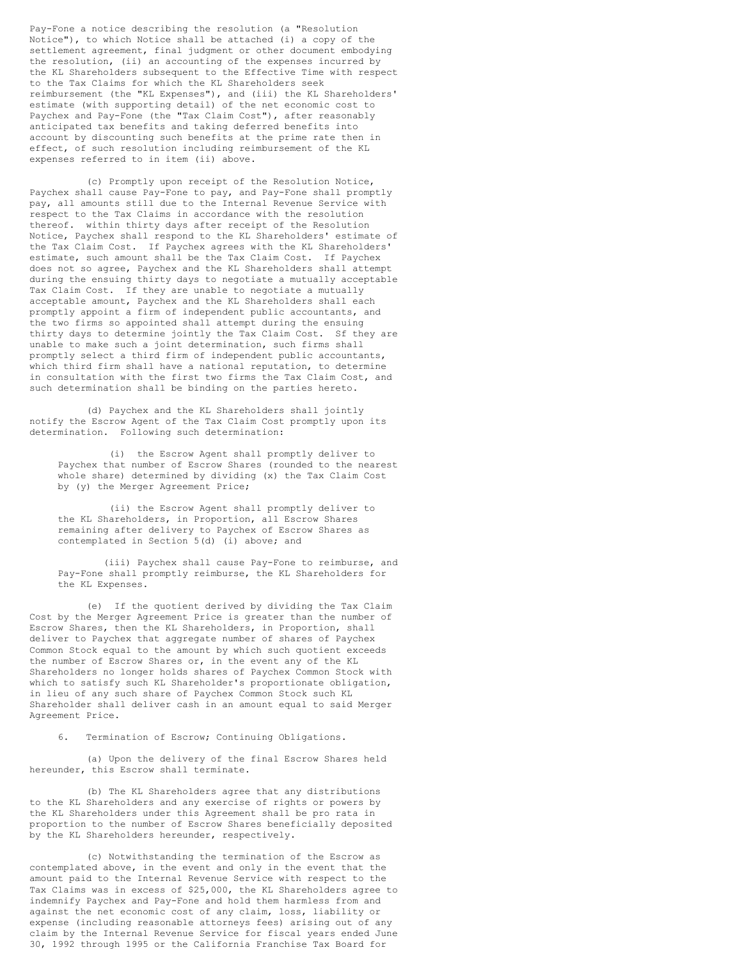Pay-Fone a notice describing the resolution (a "Resolution Notice"), to which Notice shall be attached (i) a copy of the settlement agreement, final judgment or other document embodying the resolution, (ii) an accounting of the expenses incurred by the KL Shareholders subsequent to the Effective Time with respect to the Tax Claims for which the KL Shareholders seek reimbursement (the "KL Expenses"), and (iii) the KL Shareholders' estimate (with supporting detail) of the net economic cost to Paychex and Pay-Fone (the "Tax Claim Cost"), after reasonably anticipated tax benefits and taking deferred benefits into account by discounting such benefits at the prime rate then in effect, of such resolution including reimbursement of the KL expenses referred to in item (ii) above.

(c) Promptly upon receipt of the Resolution Notice, Paychex shall cause Pay-Fone to pay, and Pay-Fone shall promptly pay, all amounts still due to the Internal Revenue Service with respect to the Tax Claims in accordance with the resolution thereof. within thirty days after receipt of the Resolution Notice, Paychex shall respond to the KL Shareholders' estimate of the Tax Claim Cost. If Paychex agrees with the KL Shareholders' estimate, such amount shall be the Tax Claim Cost. If Paychex does not so agree, Paychex and the KL Shareholders shall attempt during the ensuing thirty days to negotiate a mutually acceptable Tax Claim Cost. If they are unable to negotiate a mutually acceptable amount, Paychex and the KL Shareholders shall each promptly appoint a firm of independent public accountants, and the two firms so appointed shall attempt during the ensuing thirty days to determine jointly the Tax Claim Cost. Sf they are unable to make such a joint determination, such firms shall promptly select a third firm of independent public accountants, which third firm shall have a national reputation, to determine in consultation with the first two firms the Tax Claim Cost, and such determination shall be binding on the parties hereto.

(d) Paychex and the KL Shareholders shall jointly notify the Escrow Agent of the Tax Claim Cost promptly upon its determination. Following such determination:

(i) the Escrow Agent shall promptly deliver to Paychex that number of Escrow Shares (rounded to the nearest whole share) determined by dividing (x) the Tax Claim Cost by (y) the Merger Agreement Price;

(ii) the Escrow Agent shall promptly deliver to the KL Shareholders, in Proportion, all Escrow Shares remaining after delivery to Paychex of Escrow Shares as contemplated in Section 5(d) (i) above; and

(iii) Paychex shall cause Pay-Fone to reimburse, and Pay-Fone shall promptly reimburse, the KL Shareholders for the KL Expenses.

(e) If the quotient derived by dividing the Tax Claim Cost by the Merger Agreement Price is greater than the number of Escrow Shares, then the KL Shareholders, in Proportion, shall deliver to Paychex that aggregate number of shares of Paychex Common Stock equal to the amount by which such quotient exceeds the number of Escrow Shares or, in the event any of the KL Shareholders no longer holds shares of Paychex Common Stock with which to satisfy such KL Shareholder's proportionate obligation, in lieu of any such share of Paychex Common Stock such KL Shareholder shall deliver cash in an amount equal to said Merger Agreement Price.

6. Termination of Escrow; Continuing Obligations.

(a) Upon the delivery of the final Escrow Shares held hereunder, this Escrow shall terminate.

(b) The KL Shareholders agree that any distributions to the KL Shareholders and any exercise of rights or powers by the KL Shareholders under this Agreement shall be pro rata in proportion to the number of Escrow Shares beneficially deposited by the KL Shareholders hereunder, respectively.

(c) Notwithstanding the termination of the Escrow as contemplated above, in the event and only in the event that the amount paid to the Internal Revenue Service with respect to the Tax Claims was in excess of \$25,000, the KL Shareholders agree to indemnify Paychex and Pay-Fone and hold them harmless from and against the net economic cost of any claim, loss, liability or expense (including reasonable attorneys fees) arising out of any claim by the Internal Revenue Service for fiscal years ended June 30, 1992 through 1995 or the California Franchise Tax Board for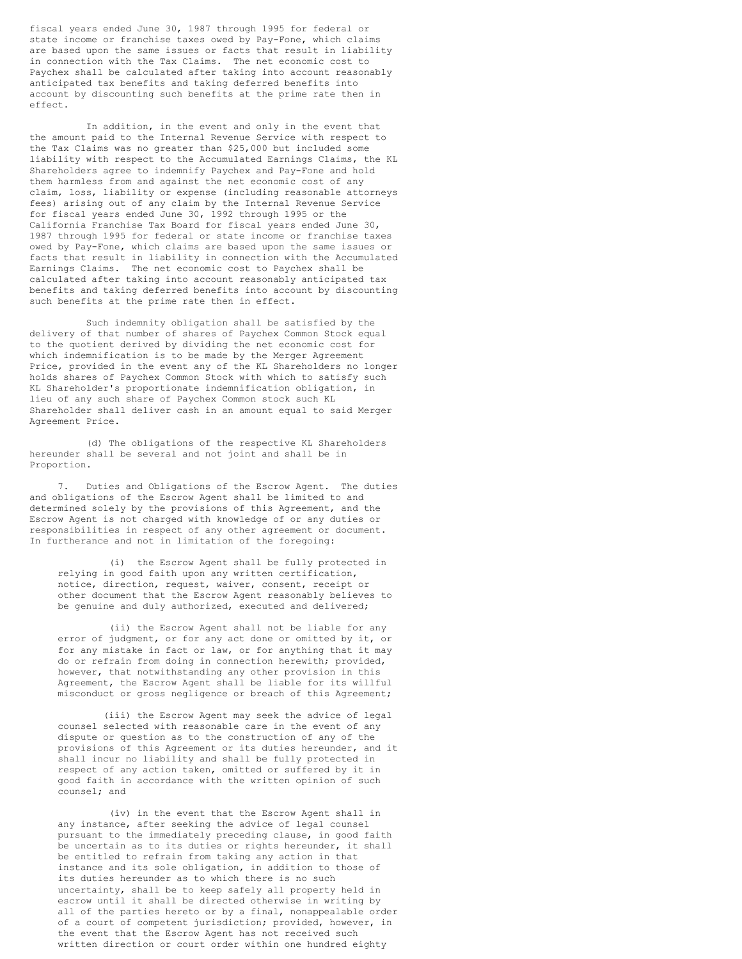fiscal years ended June 30, 1987 through 1995 for federal or state income or franchise taxes owed by Pay-Fone, which claims are based upon the same issues or facts that result in liability in connection with the Tax Claims. The net economic cost to Paychex shall be calculated after taking into account reasonably anticipated tax benefits and taking deferred benefits into account by discounting such benefits at the prime rate then in effect.

In addition, in the event and only in the event that the amount paid to the Internal Revenue Service with respect to the Tax Claims was no greater than \$25,000 but included some liability with respect to the Accumulated Earnings Claims, the KL Shareholders agree to indemnify Paychex and Pay-Fone and hold them harmless from and against the net economic cost of any claim, loss, liability or expense (including reasonable attorneys fees) arising out of any claim by the Internal Revenue Service for fiscal years ended June 30, 1992 through 1995 or the California Franchise Tax Board for fiscal years ended June 30, 1987 through 1995 for federal or state income or franchise taxes owed by Pay-Fone, which claims are based upon the same issues or facts that result in liability in connection with the Accumulated Earnings Claims. The net economic cost to Paychex shall be calculated after taking into account reasonably anticipated tax benefits and taking deferred benefits into account by discounting such benefits at the prime rate then in effect.

Such indemnity obligation shall be satisfied by the delivery of that number of shares of Paychex Common Stock equal to the quotient derived by dividing the net economic cost for which indemnification is to be made by the Merger Agreement Price, provided in the event any of the KL Shareholders no longer holds shares of Paychex Common Stock with which to satisfy such KL Shareholder's proportionate indemnification obligation, in lieu of any such share of Paychex Common stock such KL Shareholder shall deliver cash in an amount equal to said Merger Agreement Price.

(d) The obligations of the respective KL Shareholders hereunder shall be several and not joint and shall be in Proportion.

Duties and Obligations of the Escrow Agent. The duties and obligations of the Escrow Agent shall be limited to and determined solely by the provisions of this Agreement, and the Escrow Agent is not charged with knowledge of or any duties or responsibilities in respect of any other agreement or document. In furtherance and not in limitation of the foregoing:

(i) the Escrow Agent shall be fully protected in relying in good faith upon any written certification, notice, direction, request, waiver, consent, receipt or other document that the Escrow Agent reasonably believes to be genuine and duly authorized, executed and delivered;

(ii) the Escrow Agent shall not be liable for any error of judgment, or for any act done or omitted by it, or for any mistake in fact or law, or for anything that it may do or refrain from doing in connection herewith; provided, however, that notwithstanding any other provision in this Agreement, the Escrow Agent shall be liable for its willful misconduct or gross negligence or breach of this Agreement;

(iii) the Escrow Agent may seek the advice of legal counsel selected with reasonable care in the event of any dispute or question as to the construction of any of the provisions of this Agreement or its duties hereunder, and it shall incur no liability and shall be fully protected in respect of any action taken, omitted or suffered by it in good faith in accordance with the written opinion of such counsel; and

(iv) in the event that the Escrow Agent shall in any instance, after seeking the advice of legal counsel pursuant to the immediately preceding clause, in good faith be uncertain as to its duties or rights hereunder, it shall be entitled to refrain from taking any action in that instance and its sole obligation, in addition to those of its duties hereunder as to which there is no such uncertainty, shall be to keep safely all property held in escrow until it shall be directed otherwise in writing by all of the parties hereto or by a final, nonappealable order of a court of competent jurisdiction; provided, however, in the event that the Escrow Agent has not received such written direction or court order within one hundred eighty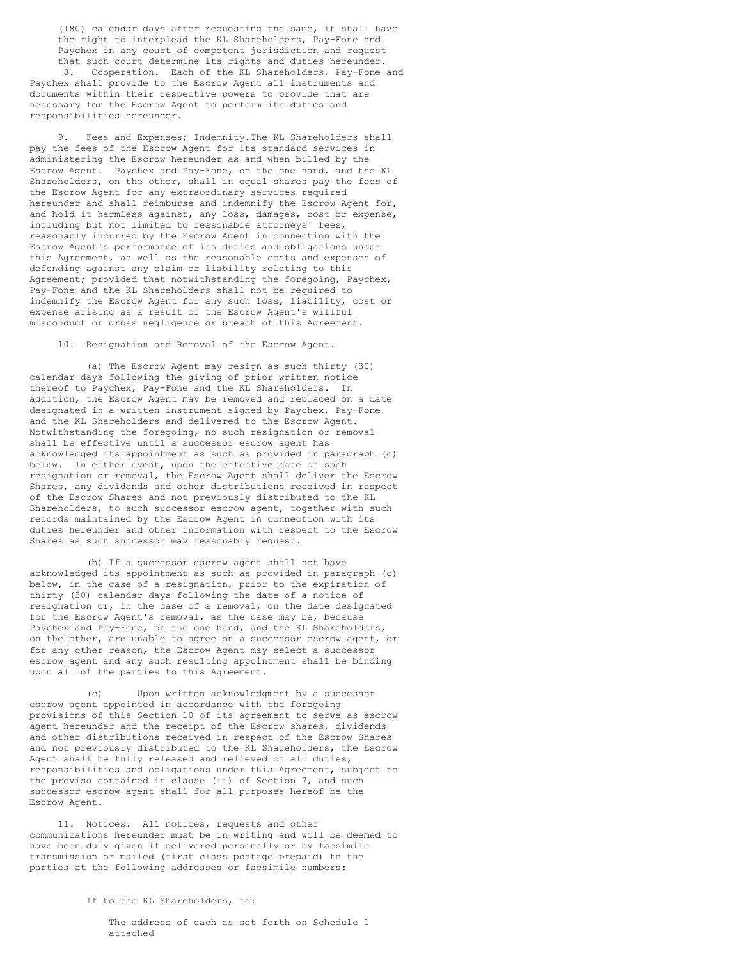(180) calendar days after requesting the same, it shall have the right to interplead the KL Shareholders, Pay-Fone and Paychex in any court of competent jurisdiction and request that such court determine its rights and duties hereunder.<br>8 Cooperation. Each of the KL Shareholders, Pay-Fone Cooperation. Each of the KL Shareholders, Pay-Fone and Paychex shall provide to the Escrow Agent all instruments and documents within their respective powers to provide that are necessary for the Escrow Agent to perform its duties and responsibilities hereunder.

9. Fees and Expenses; Indemnity. The KL Shareholders shall pay the fees of the Escrow Agent for its standard services in administering the Escrow hereunder as and when billed by the Escrow Agent. Paychex and Pay-Fone, on the one hand, and the KL Shareholders, on the other, shall in equal shares pay the fees of the Escrow Agent for any extraordinary services required hereunder and shall reimburse and indemnify the Escrow Agent for, and hold it harmless against, any loss, damages, cost or expense, including but not limited to reasonable attorneys' fees, reasonably incurred by the Escrow Agent in connection with the Escrow Agent's performance of its duties and obligations under this Agreement, as well as the reasonable costs and expenses of defending against any claim or liability relating to this Agreement; provided that notwithstanding the foregoing, Paychex, Pay-Fone and the KL Shareholders shall not be required to indemnify the Escrow Agent for any such loss, liability, cost or expense arising as a result of the Escrow Agent's willful misconduct or gross negligence or breach of this Agreement.

10. Resignation and Removal of the Escrow Agent.

(a) The Escrow Agent may resign as such thirty (30) calendar days following the giving of prior written notice thereof to Paychex, Pay-Fone and the KL Shareholders. In addition, the Escrow Agent may be removed and replaced on a date designated in a written instrument signed by Paychex, Pay-Fone and the KL Shareholders and delivered to the Escrow Agent. Notwithstanding the foregoing, no such resignation or removal shall be effective until a successor escrow agent has acknowledged its appointment as such as provided in paragraph (c) below. In either event, upon the effective date of such resignation or removal, the Escrow Agent shall deliver the Escrow Shares, any dividends and other distributions received in respect of the Escrow Shares and not previously distributed to the KL Shareholders, to such successor escrow agent, together with such records maintained by the Escrow Agent in connection with its duties hereunder and other information with respect to the Escrow Shares as such successor may reasonably request.

(b) If a successor escrow agent shall not have acknowledged its appointment as such as provided in paragraph (c) below, in the case of a resignation, prior to the expiration of thirty (30) calendar days following the date of a notice of resignation or, in the case of a removal, on the date designated for the Escrow Agent's removal, as the case may be, because Paychex and Pay-Fone, on the one hand, and the KL Shareholders, on the other, are unable to agree on a successor escrow agent, or for any other reason, the Escrow Agent may select a successor escrow agent and any such resulting appointment shall be binding upon all of the parties to this Agreement.

(c) Upon written acknowledgment by a successor escrow agent appointed in accordance with the foregoing provisions of this Section 10 of its agreement to serve as escrow agent hereunder and the receipt of the Escrow shares, dividends and other distributions received in respect of the Escrow Shares and not previously distributed to the KL Shareholders, the Escrow Agent shall be fully released and relieved of all duties, responsibilities and obligations under this Agreement, subject to the proviso contained in clause (ii) of Section 7, and such successor escrow agent shall for all purposes hereof be the Escrow Agent.

11. Notices. All notices, requests and other communications hereunder must be in writing and will be deemed to have been duly given if delivered personally or by facsimile transmission or mailed (first class postage prepaid) to the parties at the following addresses or facsimile numbers:

If to the KL Shareholders, to:

The address of each as set forth on Schedule 1 attached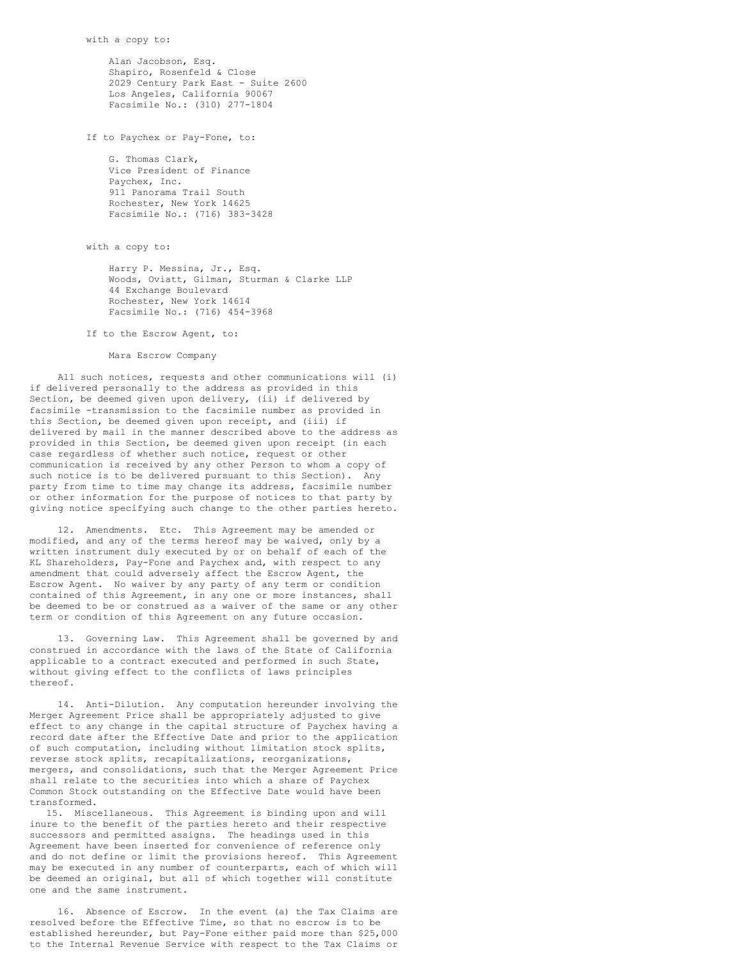Alan Jacobson, Esq. Shapiro, Rosenfeld & Close 2029 Century Park East - Suite 2600 Los Angeles, California 90067 Facsimile No.: (310) 277-1804

If to Paychex or Pay-Fone, to:

G. Thomas Clark, Vice President of Finance Paychex, Inc. 911 Panorama Trail South Rochester, New York 14625 Facsimile No.: (716) 383-3428

with a copy to:

Harry P. Messina, Jr., Esq. Woods, Oviatt, Gilman, Sturman & Clarke LLP 44 Exchange Boulevard Rochester, New York 14614 Facsimile No.: (716) 454-3968

If to the Escrow Agent, to:

Mara Escrow Company

All such notices, requests and other communications will (i) if delivered personally to the address as provided in this Section, be deemed given upon delivery, (ii) if delivered by facsimile -transmission to the facsimile number as provided in this Section, be deemed given upon receipt, and (iii) if delivered by mail in the manner described above to the address as provided in this Section, be deemed given upon receipt (in each case regardless of whether such notice, request or other communication is received by any other Person to whom a copy of such notice is to be delivered pursuant to this Section). Any party from time to time may change its address, facsimile number or other information for the purpose of notices to that party by giving notice specifying such change to the other parties hereto.

12. Amendments. Etc. This Agreement may be amended or modified, and any of the terms hereof may be waived, only by a written instrument duly executed by or on behalf of each of the KL Shareholders, Pay-Fone and Paychex and, with respect to any amendment that could adversely affect the Escrow Agent, the Escrow Agent. No waiver by any party of any term or condition contained of this Agreement, in any one or more instances, shall be deemed to be or construed as a waiver of the same or any other term or condition of this Agreement on any future occasion.

13. Governing Law. This Agreement shall be governed by and construed in accordance with the laws of the State of California applicable to a contract executed and performed in such State, without giving effect to the conflicts of laws principles thereof.

14. Anti-Dilution. Any computation hereunder involving the Merger Agreement Price shall be appropriately adjusted to give effect to any change in the capital structure of Paychex having a record date after the Effective Date and prior to the application of such computation, including without limitation stock splits, reverse stock splits, recapitalizations, reorganizations, mergers, and consolidations, such that the Merger Agreement Price shall relate to the securities into which a share of Paychex Common Stock outstanding on the Effective Date would have been transformed.

15. Miscellaneous. This Agreement is binding upon and will inure to the benefit of the parties hereto and their respective successors and permitted assigns. The headings used in this Agreement have been inserted for convenience of reference only and do not define or limit the provisions hereof. This Agreement may be executed in any number of counterparts, each of which will be deemed an original, but all of which together will constitute one and the same instrument.

16. Absence of Escrow. In the event (a) the Tax Claims are resolved before the Effective Time, so that no escrow is to be established hereunder, but Pay-Fone either paid more than \$25,000 to the Internal Revenue Service with respect to the Tax Claims or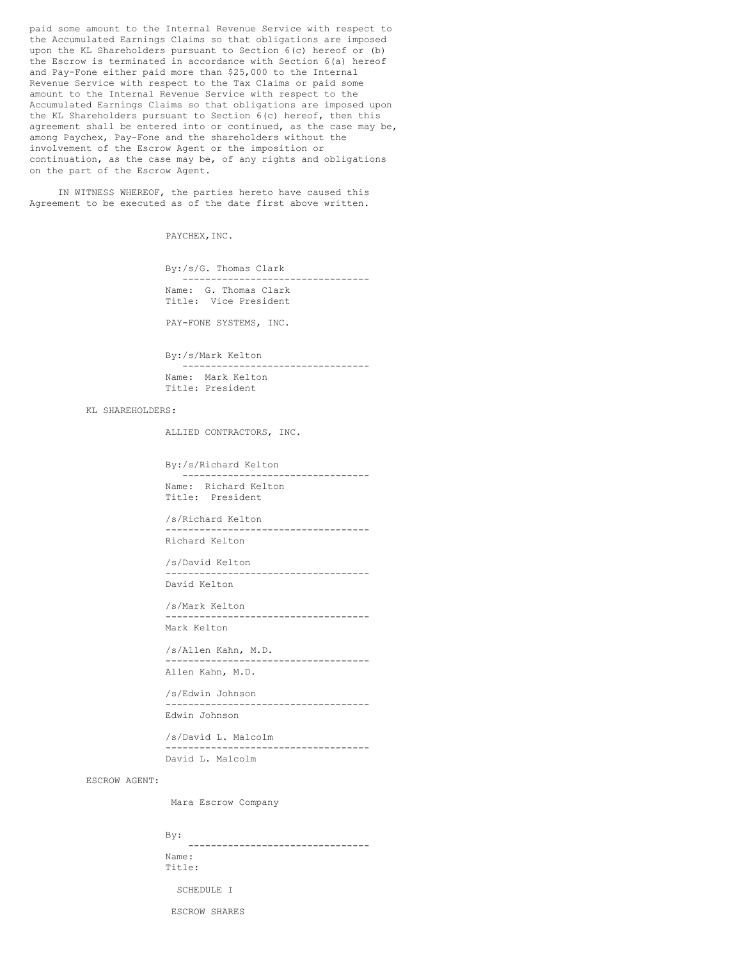paid some amount to the Internal Revenue Service with respect to the Accumulated Earnings Claims so that obligations are imposed upon the KL Shareholders pursuant to Section 6(c) hereof or (b) the Escrow is terminated in accordance with Section 6(a) hereof and Pay-Fone either paid more than \$25,000 to the Internal Revenue Service with respect to the Tax Claims or paid some amount to the Internal Revenue Service with respect to the Accumulated Earnings Claims so that obligations are imposed upon the KL Shareholders pursuant to Section 6(c) hereof, then this agreement shall be entered into or continued, as the case may be, among Paychex, Pay-Fone and the shareholders without the involvement of the Escrow Agent or the imposition or continuation, as the case may be, of any rights and obligations on the part of the Escrow Agent.

IN WITNESS WHEREOF, the parties hereto have caused this Agreement to be executed as of the date first above written.

PAYCHEX, INC.

By:/s/G. Thomas Clark --------------------------------- Name: G. Thomas Clark Title: Vice President

PAY-FONE SYSTEMS, INC.

By:/s/Mark Kelton

--------------------------------- Name: Mark Kelton Title: President

KL SHAREHOLDERS:

ALLIED CONTRACTORS, INC.

By:/s/Richard Kelton --------------------------------- Name: Richard Kelton Title: President

/s/Richard Kelton ------------------------------------ Richard Kelton

/s/David Kelton ------------------------------------ David Kelton

/s/Mark Kelton ------------------------------------ Mark Kelton

/s/Allen Kahn, M.D. ------------------------------------

Allen Kahn, M.D.

/s/Edwin Johnson ------------------------------------ Edwin Johnson

/s/David L. Malcolm ------------------------------------ David L. Malcolm

ESCROW AGENT:

Mara Escrow Company

By:

-------------------------------- Name: Title:

SCHEDULE I

ESCROW SHARES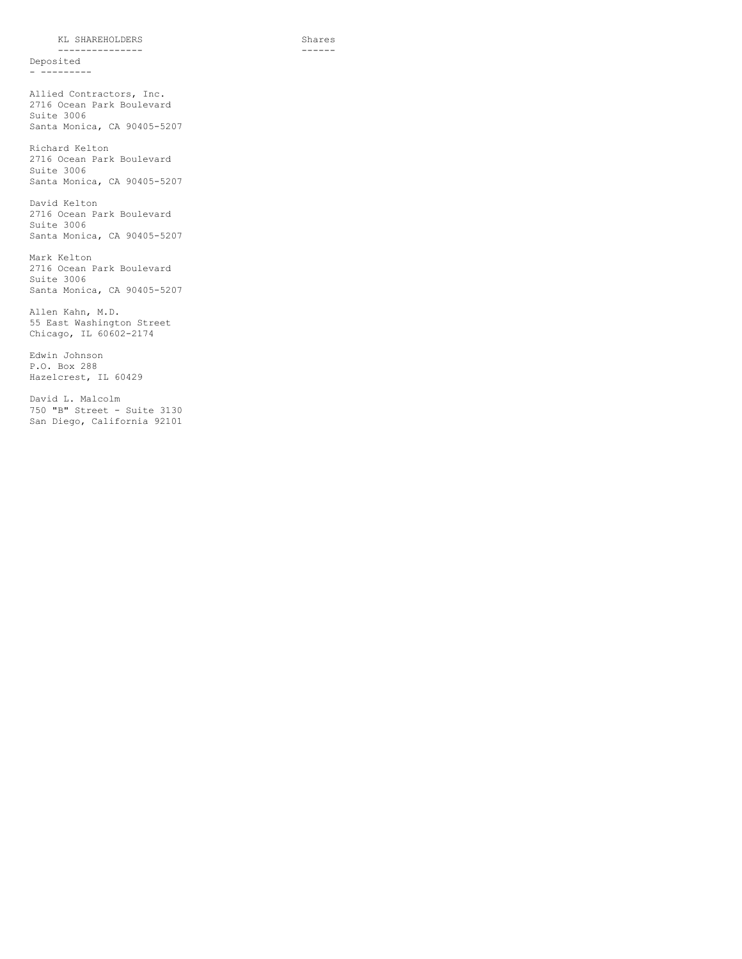KL SHAREHOLDERS Shares

--------------- ------ Deposited - ---------

Allied Contractors, Inc. 2716 Ocean Park Boulevard Suite 3006 Santa Monica, CA 90405-5207

Richard Kelton 2716 Ocean Park Boulevard Suite 3006 Santa Monica, CA 90405-5207

David Kelton 2716 Ocean Park Boulevard Suite 3006 Santa Monica, CA 90405-5207

Mark Kelton 2716 Ocean Park Boulevard Suite 3006 Santa Monica, CA 90405-5207

Allen Kahn, M.D. 55 East Washington Street Chicago, IL 60602-2174

Edwin Johnson P.O. Box 288 Hazelcrest, IL 60429

David L. Malcolm 750 "B" Street - Suite 3130 San Diego, California 92101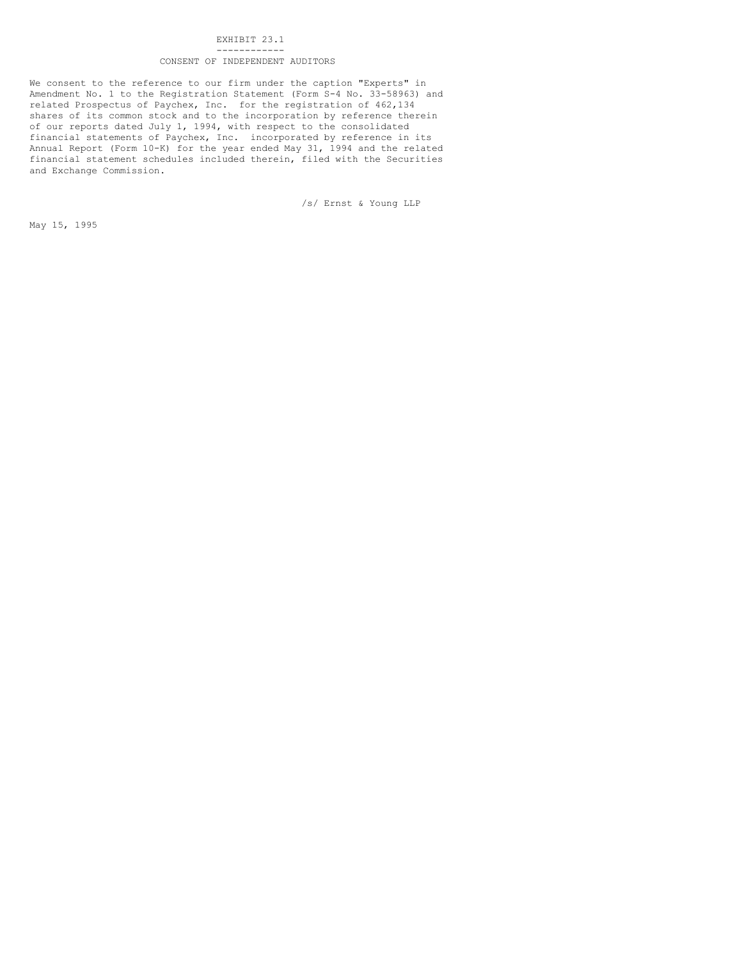#### EXHIBIT 23.1 ------------

# CONSENT OF INDEPENDENT AUDITORS

We consent to the reference to our firm under the caption "Experts" in Amendment No. 1 to the Registration Statement (Form S-4 No. 33-58963) and related Prospectus of Paychex, Inc. for the registration of 462,134 shares of its common stock and to the incorporation by reference therein of our reports dated July 1, 1994, with respect to the consolidated financial statements of Paychex, Inc. incorporated by reference in its Annual Report (Form 10-K) for the year ended May 31, 1994 and the related financial statement schedules included therein, filed with the Securities and Exchange Commission.

/s/ Ernst & Young LLP

May 15, 1995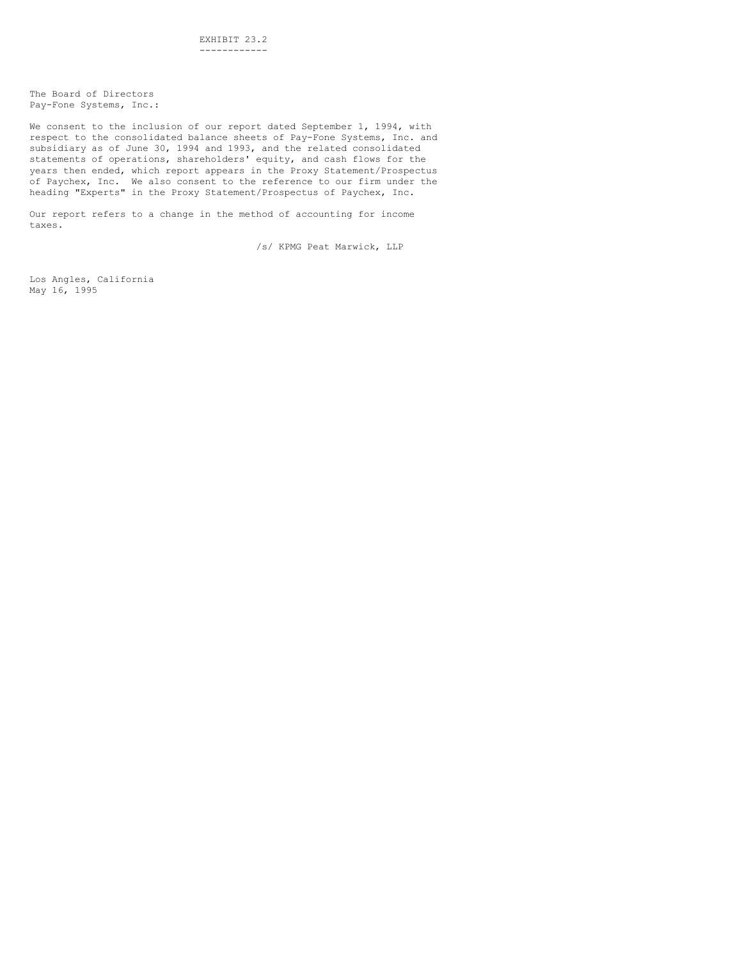The Board of Directors Pay-Fone Systems, Inc.:

We consent to the inclusion of our report dated September 1, 1994, with respect to the consolidated balance sheets of Pay-Fone Systems, Inc. and subsidiary as of June 30, 1994 and 1993, and the related consolidated statements of operations, shareholders' equity, and cash flows for the years then ended, which report appears in the Proxy Statement/Prospectus of Paychex, Inc. We also consent to the reference to our firm under the heading "Experts" in the Proxy Statement/Prospectus of Paychex, Inc.

Our report refers to a change in the method of accounting for income taxes.

/s/ KPMG Peat Marwick, LLP

Los Angles, California May 16, 1995